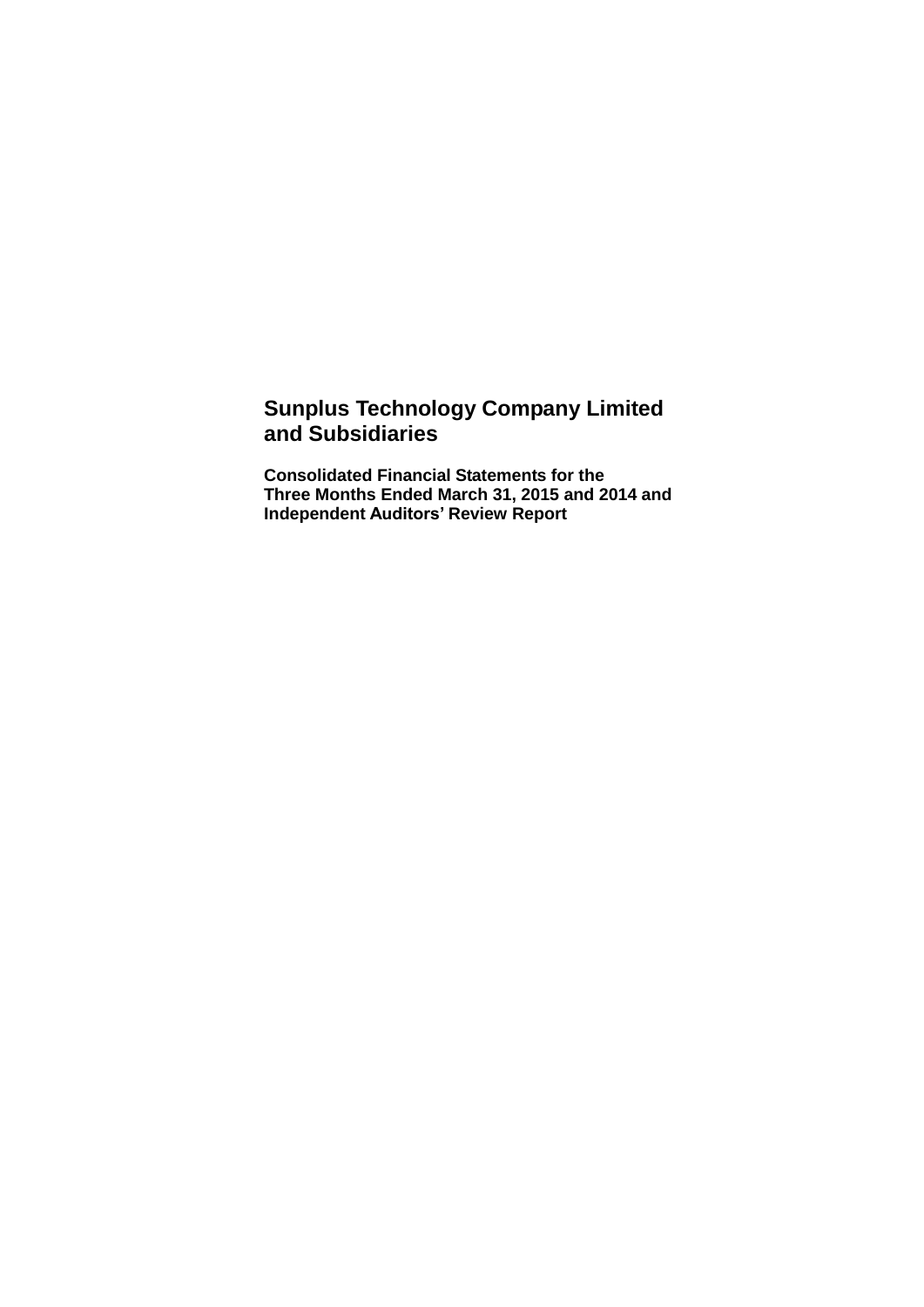## **Sunplus Technology Company Limited and Subsidiaries**

**Consolidated Financial Statements for the Three Months Ended March 31, 2015 and 2014 and Independent Auditors' Review Report**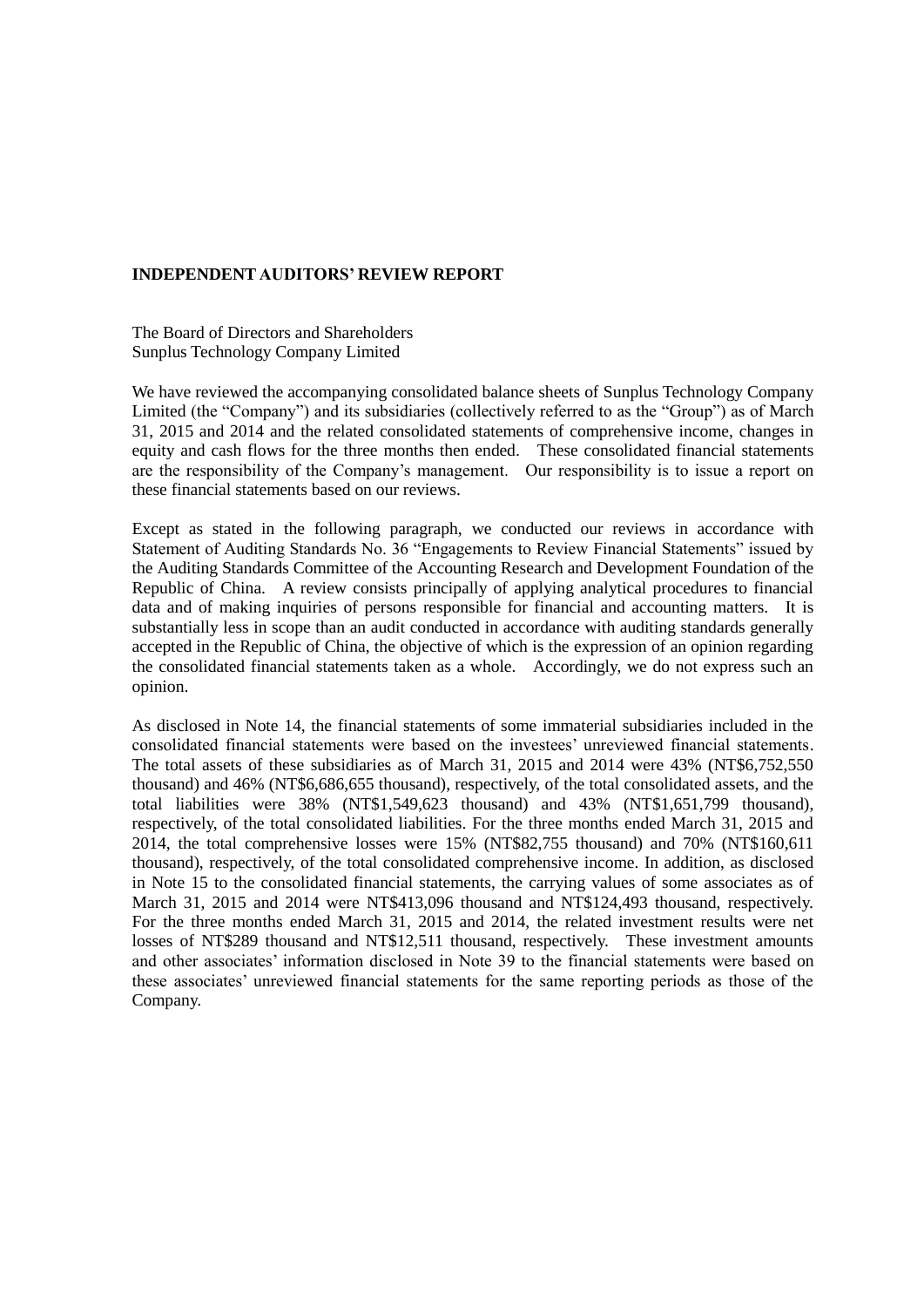#### **INDEPENDENT AUDITORS' REVIEW REPORT**

The Board of Directors and Shareholders Sunplus Technology Company Limited

We have reviewed the accompanying consolidated balance sheets of Sunplus Technology Company Limited (the "Company") and its subsidiaries (collectively referred to as the "Group") as of March 31, 2015 and 2014 and the related consolidated statements of comprehensive income, changes in equity and cash flows for the three months then ended. These consolidated financial statements are the responsibility of the Company's management. Our responsibility is to issue a report on these financial statements based on our reviews.

Except as stated in the following paragraph, we conducted our reviews in accordance with Statement of Auditing Standards No. 36 "Engagements to Review Financial Statements" issued by the Auditing Standards Committee of the Accounting Research and Development Foundation of the Republic of China. A review consists principally of applying analytical procedures to financial data and of making inquiries of persons responsible for financial and accounting matters. It is substantially less in scope than an audit conducted in accordance with auditing standards generally accepted in the Republic of China, the objective of which is the expression of an opinion regarding the consolidated financial statements taken as a whole. Accordingly, we do not express such an opinion.

As disclosed in Note 14, the financial statements of some immaterial subsidiaries included in the consolidated financial statements were based on the investees' unreviewed financial statements. The total assets of these subsidiaries as of March 31, 2015 and 2014 were 43% (NT\$6,752,550 thousand) and 46% (NT\$6,686,655 thousand), respectively, of the total consolidated assets, and the total liabilities were 38% (NT\$1,549,623 thousand) and 43% (NT\$1,651,799 thousand), respectively, of the total consolidated liabilities. For the three months ended March 31, 2015 and 2014, the total comprehensive losses were 15% (NT\$82,755 thousand) and 70% (NT\$160,611 thousand), respectively, of the total consolidated comprehensive income. In addition, as disclosed in Note 15 to the consolidated financial statements, the carrying values of some associates as of March 31, 2015 and 2014 were NT\$413,096 thousand and NT\$124,493 thousand, respectively. For the three months ended March 31, 2015 and 2014, the related investment results were net losses of NT\$289 thousand and NT\$12,511 thousand, respectively. These investment amounts and other associates' information disclosed in Note 39 to the financial statements were based on these associates' unreviewed financial statements for the same reporting periods as those of the Company.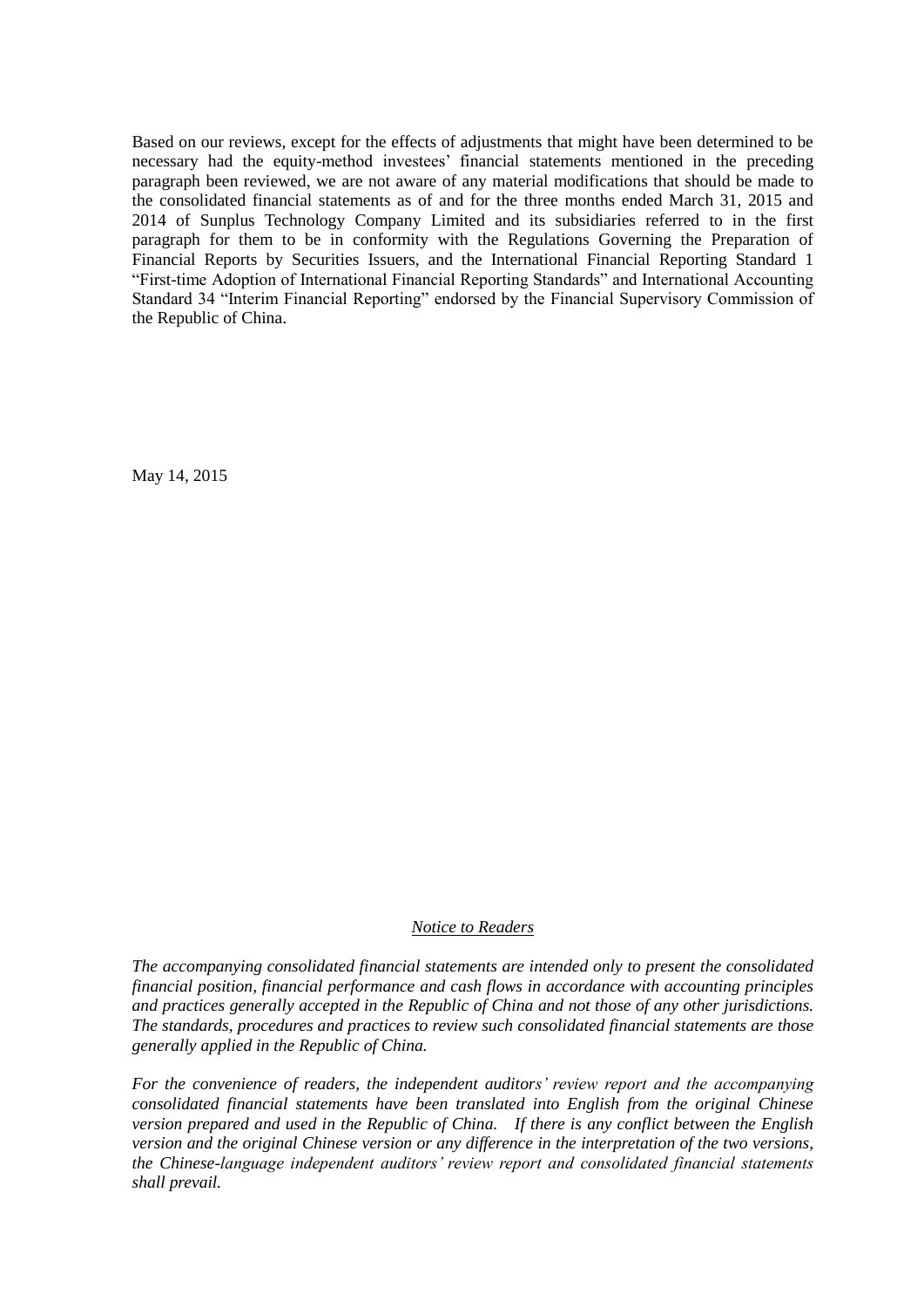Based on our reviews, except for the effects of adjustments that might have been determined to be necessary had the equity-method investees' financial statements mentioned in the preceding paragraph been reviewed, we are not aware of any material modifications that should be made to the consolidated financial statements as of and for the three months ended March 31, 2015 and 2014 of Sunplus Technology Company Limited and its subsidiaries referred to in the first paragraph for them to be in conformity with the Regulations Governing the Preparation of Financial Reports by Securities Issuers, and the International Financial Reporting Standard 1 "First-time Adoption of International Financial Reporting Standards" and International Accounting Standard 34 "Interim Financial Reporting" endorsed by the Financial Supervisory Commission of the Republic of China.

May 14, 2015

#### *Notice to Readers*

*The accompanying consolidated financial statements are intended only to present the consolidated financial position, financial performance and cash flows in accordance with accounting principles and practices generally accepted in the Republic of China and not those of any other jurisdictions. The standards, procedures and practices to review such consolidated financial statements are those generally applied in the Republic of China.* 

*For the convenience of readers, the independent auditors' review report and the accompanying consolidated financial statements have been translated into English from the original Chinese version prepared and used in the Republic of China. If there is any conflict between the English version and the original Chinese version or any difference in the interpretation of the two versions, the Chinese-language independent auditors' review report and consolidated financial statements shall prevail.*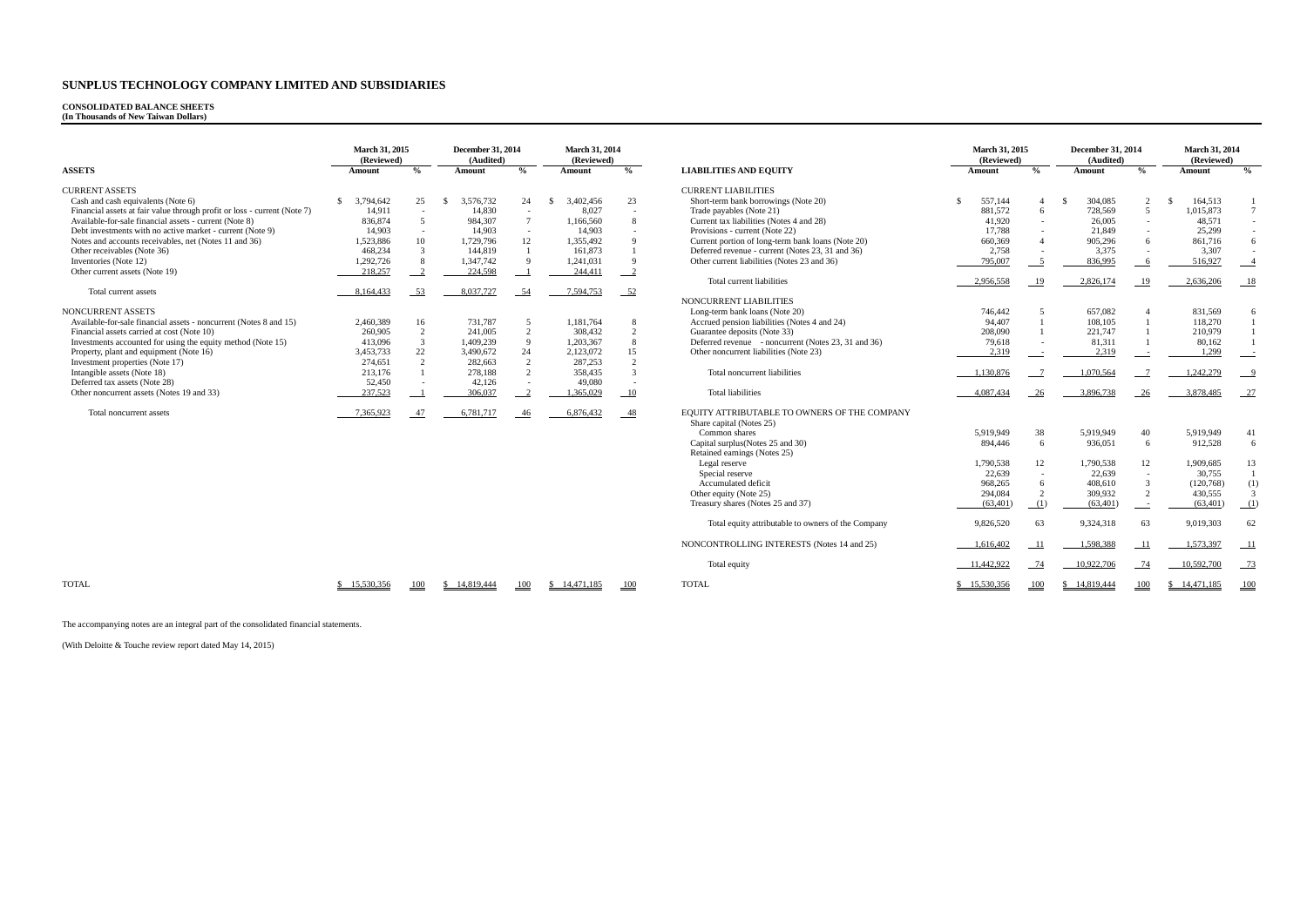#### **CONSOLIDATED BALANCE SHEETS**

**(In Thousands of New Taiwan Dollars)**

|                                                                          | <b>March 31, 2015</b><br>(Reviewed) |                           | <b>December 31, 2014</b><br>(Audited) |                 | <b>March 31, 2014</b><br>(Reviewed) |                |                                                                          | <b>March 31, 2015</b><br>(Reviewed) |               | <b>December 31, 2014</b><br>(Audited) |                | <b>March 31, 2014</b><br>(Reviewed) |                   |
|--------------------------------------------------------------------------|-------------------------------------|---------------------------|---------------------------------------|-----------------|-------------------------------------|----------------|--------------------------------------------------------------------------|-------------------------------------|---------------|---------------------------------------|----------------|-------------------------------------|-------------------|
| <b>ASSETS</b>                                                            | Amount                              | $\frac{0}{0}$             | Amount                                | $\frac{0}{0}$   | Amount                              | $\frac{0}{0}$  | <b>LIABILITIES AND EQUITY</b>                                            | Amount                              | $\frac{6}{2}$ | Amount                                | $\frac{0}{0}$  | <b>Amount</b>                       | $\frac{0}{0}$     |
| <b>CURRENT ASSETS</b>                                                    |                                     |                           |                                       |                 |                                     |                | <b>CURRENT LIABILITIES</b>                                               |                                     |               |                                       |                |                                     |                   |
| Cash and cash equivalents (Note 6)                                       | -S<br>3,794,642                     | 25                        | 3,576,732<br>-\$                      | 24              | 3,402,456                           | 23             | Short-term bank borrowings (Note 20)                                     | 557,144<br>-\$                      |               | 304,085<br>-\$                        | 2              | 164,513<br>- \$                     |                   |
| Financial assets at fair value through profit or loss - current (Note 7) | 14,911                              | $\sim$                    | 14,830                                | $\sim$          | 8.027                               | $\sim$         | Trade payables (Note 21)                                                 | 881,572                             | -6            | 728,569                               | $\overline{5}$ | 1,015,873                           | $7\overline{ }$   |
| Available-for-sale financial assets - current (Note 8)                   | 836,874                             | 5                         | 984,307                               | $7\overline{ }$ | 1,166,560                           | 8              | Current tax liabilities (Notes 4 and 28)                                 | 41,920                              |               | 26,005                                | $\sim$         | 48,571                              |                   |
| Debt investments with no active market - current (Note 9)                | 14.903                              | $\sim$                    | 14,903                                | $\sim$          | 14.903                              | $\overline{a}$ | Provisions - current (Note 22)                                           | 17.788                              |               | 21.849                                |                | 25,299                              |                   |
| Notes and accounts receivables, net (Notes 11 and 36)                    | 1,523,886                           | 10                        | 1,729,796                             | 12              | 1,355,492                           | $\mathbf{Q}$   | Current portion of long-term bank loans (Note 20)                        | 660,369                             |               | 905,296                               | 6              | 861,716                             | 6                 |
| Other receivables (Note 36)                                              | 468,234                             | $\mathbf{3}$              | 144,819                               | $\overline{1}$  | 161,873                             |                | Deferred revenue - current (Notes 23, 31 and 36)                         | 2,758                               |               | 3,375                                 |                | 3,307                               |                   |
| Inventories (Note 12)                                                    | 1,292,726                           | 8                         | 1,347,742                             | $\mathbf{Q}$    | 1,241,031                           | $\mathbf{Q}$   | Other current liabilities (Notes 23 and 36)                              | 795,007                             |               | 836,995                               | - 6            | 516,927                             |                   |
| Other current assets (Note 19)                                           |                                     | $\overline{\phantom{0}2}$ | 224,598                               |                 |                                     |                |                                                                          |                                     | $\sqrt{5}$    |                                       |                |                                     | $-4$              |
|                                                                          | 218,257                             |                           |                                       |                 | 244,411                             | $\frac{2}{2}$  | Total current liabilities                                                |                                     |               |                                       |                |                                     |                   |
|                                                                          |                                     |                           |                                       |                 |                                     |                |                                                                          | 2.956.558                           | 19            | 2,826,174                             | -19            | 2,636,206                           | $-18$             |
| Total current assets                                                     | 8,164,433                           | 53                        | 8,037,727                             | 54              | 7,594,753                           | $-52$          |                                                                          |                                     |               |                                       |                |                                     |                   |
|                                                                          |                                     |                           |                                       |                 |                                     |                | NONCURRENT LIABILITIES                                                   |                                     |               |                                       |                |                                     |                   |
| NONCURRENT ASSETS                                                        |                                     |                           |                                       |                 |                                     |                | Long-term bank loans (Note 20)                                           | 746,442                             |               | 657,082                               |                | 831,569                             | 6                 |
| Available-for-sale financial assets - noncurrent (Notes 8 and 15)        | 2,460,389                           | 16                        | 731,787                               | 5               | 1,181,764                           | 8              | Accrued pension liabilities (Notes 4 and 24)                             | 94.407                              |               | 108,105                               |                | 118,270                             |                   |
| Financial assets carried at cost (Note 10)                               | 260,905                             | 2                         | 241,005                               | 2               | 308.432                             | 2              | Guarantee deposits (Note 33)                                             | 208,090                             |               | 221,747                               |                | 210,979                             |                   |
| Investments accounted for using the equity method (Note 15)              | 413,096                             | $\mathbf{3}$              | 1,409,239                             | $\mathbf{Q}$    | 1,203,367                           | 8              | Deferred revenue - noncurrent (Notes 23, 31 and 36)                      | 79,618                              | $\sim$        | 81,311                                |                | 80,162                              |                   |
| Property, plant and equipment (Note 16)                                  | 3,453,733                           | 22                        | 3,490,672                             | 24              | 2,123,072                           | 15             | Other noncurrent liabilities (Note 23)                                   | 2,319                               |               | 2,319                                 |                | 1,299                               | $\equiv$ $\equiv$ |
| Investment properties (Note 17)                                          | 274,651                             | 2                         | 282,663                               | 2               | 287.253                             | $\overline{2}$ |                                                                          |                                     |               |                                       |                |                                     |                   |
| Intangible assets (Note 18)                                              | 213,176                             | $\overline{1}$            | 278,188                               | $\mathcal{L}$   | 358.435                             | $\mathcal{R}$  | Total noncurrent liabilities                                             | 1,130,876                           |               | 1,070,564                             |                | 1,242,279                           | $-9$              |
| Deferred tax assets (Note 28)                                            | 52,450                              | $\overline{a}$            | 42,126                                | $\sim$          | 49,080                              | $\sim$         |                                                                          |                                     |               |                                       |                |                                     |                   |
| Other noncurrent assets (Notes 19 and 33)                                | 237,523                             | $\overline{\phantom{0}}$  | 306,037                               |                 | 1,365,029                           | - 10           | <b>Total liabilities</b>                                                 | 4.087.434                           | 26            | 3,896,738                             | 26             | 3,878,485                           | $-27$             |
| Total noncurrent assets                                                  | 7.365.923                           | 47                        | 6,781,717                             | -46             | 6,876,432                           | $-48$          | EQUITY ATTRIBUTABLE TO OWNERS OF THE COMPANY<br>Share capital (Notes 25) |                                     |               |                                       |                |                                     |                   |
|                                                                          |                                     |                           |                                       |                 |                                     |                | Common shares                                                            | 5,919,949                           | 38            | 5,919,949                             | 40             | 5,919,949                           | 41                |
|                                                                          |                                     |                           |                                       |                 |                                     |                | Capital surplus (Notes 25 and 30)                                        | 894,446                             | -6            | 936,051                               | 6              | 912.528                             | 6                 |
|                                                                          |                                     |                           |                                       |                 |                                     |                | Retained earnings (Notes 25)                                             |                                     |               |                                       |                |                                     |                   |
|                                                                          |                                     |                           |                                       |                 |                                     |                | Legal reserve                                                            | 1.790.538                           | 12            | 1.790.538                             | 12             | 1.909.685                           | 13                |
|                                                                          |                                     |                           |                                       |                 |                                     |                | Special reserve                                                          | 22,639                              |               | 22,639                                | $\sim$         | 30,755                              |                   |
|                                                                          |                                     |                           |                                       |                 |                                     |                | Accumulated deficit                                                      | 968,265                             |               | 408,610                               |                | (120,768)                           | (1)               |
|                                                                          |                                     |                           |                                       |                 |                                     |                | Other equity (Note 25)                                                   | 294.084                             | $\mathcal{D}$ | 309,932                               | 2              | 430,555                             | $\overline{3}$    |
|                                                                          |                                     |                           |                                       |                 |                                     |                | Treasury shares (Notes 25 and 37)                                        | (63, 401)                           | (1)           | (63, 401)                             |                | (63, 401)                           | (1)               |
|                                                                          |                                     |                           |                                       |                 |                                     |                |                                                                          |                                     |               |                                       |                |                                     |                   |
|                                                                          |                                     |                           |                                       |                 |                                     |                | Total equity attributable to owners of the Company                       | 9,826,520                           | 63            | 9,324,318                             | 63             | 9,019,303                           | 62                |
|                                                                          |                                     |                           |                                       |                 |                                     |                | NONCONTROLLING INTERESTS (Notes 14 and 25)                               | 1,616,402                           | -11           | 1,598,388                             | -11            | 1,573,397                           | 11                |
|                                                                          |                                     |                           |                                       |                 |                                     |                | Total equity                                                             | 11,442,922                          | 74            | 10,922,706                            | 74             | 10,592,700                          | $-73$             |
| <b>TOTAL</b>                                                             | \$15,530,356                        | 100                       | \$14,819,444                          | 100             | \$14,471,185                        | 100            | <b>TOTAL</b>                                                             | \$15,530,356                        | 100           | \$14,819,444                          | 100            | \$14,471,185                        | 100               |

The accompanying notes are an integral part of the consolidated financial statements.

(With Deloitte & Touche review report dated May 14, 2015)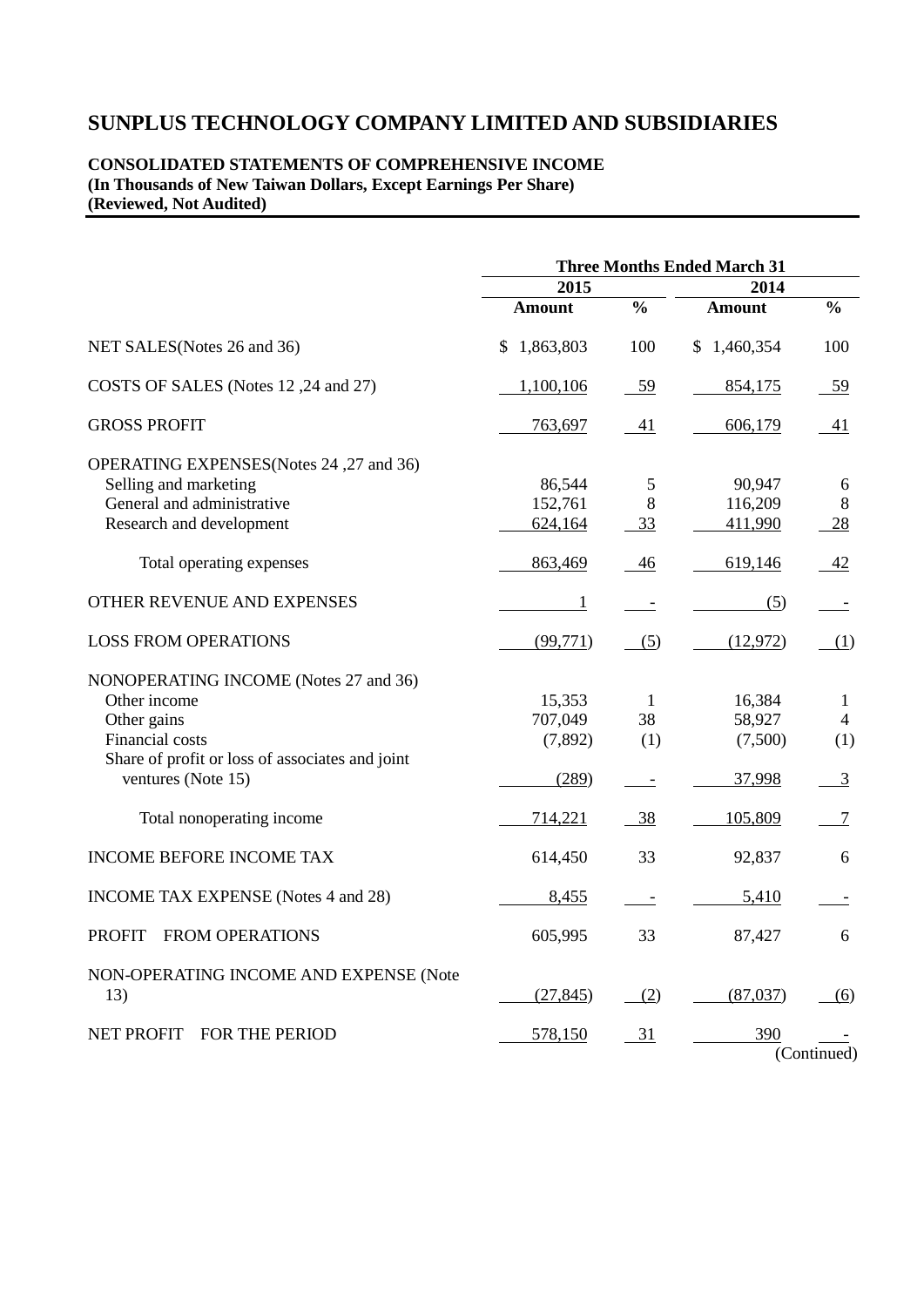## **CONSOLIDATED STATEMENTS OF COMPREHENSIVE INCOME (In Thousands of New Taiwan Dollars, Except Earnings Per Share) (Reviewed, Not Audited)**

|                                                                                                                                                                  | <b>Three Months Ended March 31</b>    |                                                       |                                       |                                              |  |  |
|------------------------------------------------------------------------------------------------------------------------------------------------------------------|---------------------------------------|-------------------------------------------------------|---------------------------------------|----------------------------------------------|--|--|
|                                                                                                                                                                  | 2015                                  |                                                       | 2014                                  |                                              |  |  |
|                                                                                                                                                                  | <b>Amount</b>                         | $\frac{0}{0}$                                         | <b>Amount</b>                         | $\frac{0}{0}$                                |  |  |
| NET SALES (Notes 26 and 36)                                                                                                                                      | 1,863,803<br>S                        | 100                                                   | \$1,460,354                           | 100                                          |  |  |
| COSTS OF SALES (Notes 12,24 and 27)                                                                                                                              | 1,100,106                             | 59                                                    | 854,175                               | 59                                           |  |  |
| <b>GROSS PROFIT</b>                                                                                                                                              | 763,697                               | 41                                                    | 606,179                               | 41                                           |  |  |
| OPERATING EXPENSES(Notes 24, 27 and 36)<br>Selling and marketing<br>General and administrative<br>Research and development                                       | 86,544<br>152,761<br>624,164          | 5<br>8<br>33                                          | 90,947<br>116,209<br>411,990          | 6<br>8<br>28                                 |  |  |
| Total operating expenses                                                                                                                                         | 863,469                               | 46                                                    | 619,146                               | 42                                           |  |  |
| OTHER REVENUE AND EXPENSES                                                                                                                                       | $\overline{1}$                        |                                                       | (5)                                   |                                              |  |  |
| <b>LOSS FROM OPERATIONS</b>                                                                                                                                      | (99, 771)                             | (5)                                                   | (12,972)                              | (1)                                          |  |  |
| NONOPERATING INCOME (Notes 27 and 36)<br>Other income<br>Other gains<br>Financial costs<br>Share of profit or loss of associates and joint<br>ventures (Note 15) | 15,353<br>707,049<br>(7,892)<br>(289) | $\mathbf{1}$<br>38<br>(1)<br>$\overline{\phantom{a}}$ | 16,384<br>58,927<br>(7,500)<br>37,998 | 1<br>$\overline{4}$<br>(1)<br>$\overline{3}$ |  |  |
| Total nonoperating income                                                                                                                                        | 714,221                               | $-38$                                                 | 105,809                               | 7                                            |  |  |
| <b>INCOME BEFORE INCOME TAX</b>                                                                                                                                  | 614,450                               | 33                                                    | 92,837                                | 6                                            |  |  |
| <b>INCOME TAX EXPENSE</b> (Notes 4 and 28)                                                                                                                       | 8,455                                 |                                                       | 5,410                                 |                                              |  |  |
| <b>PROFIT</b><br><b>FROM OPERATIONS</b>                                                                                                                          | 605,995                               | 33                                                    | 87,427                                | 6                                            |  |  |
| NON-OPERATING INCOME AND EXPENSE (Note<br>13)                                                                                                                    | (27, 845)                             | (2)                                                   | (87,037)                              | (6)                                          |  |  |
| NET PROFIT FOR THE PERIOD                                                                                                                                        | 578,150                               | <u>31</u>                                             | 390                                   | (Continued)                                  |  |  |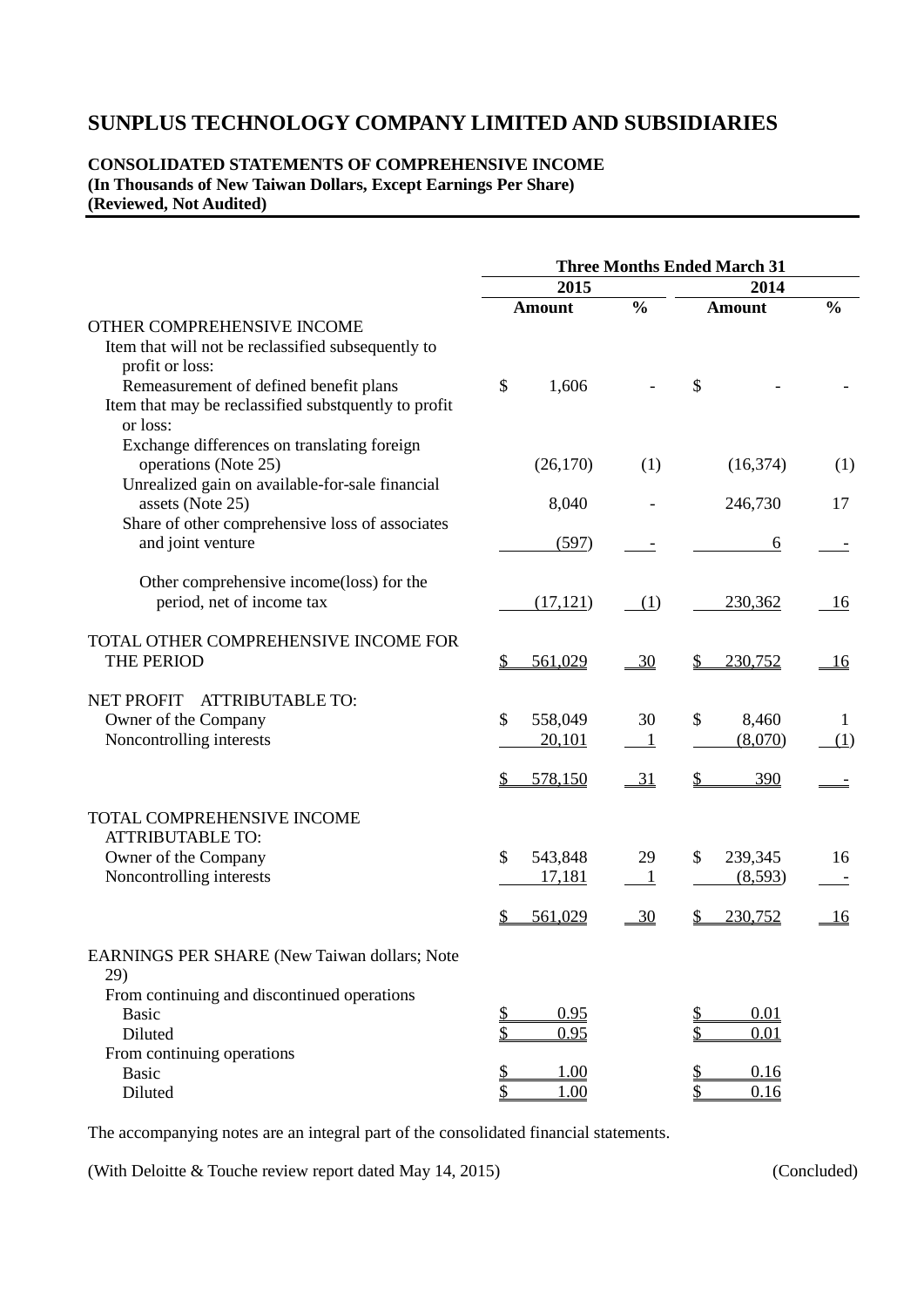## **CONSOLIDATED STATEMENTS OF COMPREHENSIVE INCOME (In Thousands of New Taiwan Dollars, Except Earnings Per Share) (Reviewed, Not Audited)**

|                                                                                                                                                           |                         |                | <b>Three Months Ended March 31</b> |               |  |  |
|-----------------------------------------------------------------------------------------------------------------------------------------------------------|-------------------------|----------------|------------------------------------|---------------|--|--|
|                                                                                                                                                           | 2015                    |                | 2014                               |               |  |  |
|                                                                                                                                                           | Amount                  | $\frac{0}{0}$  | <b>Amount</b>                      | $\frac{0}{0}$ |  |  |
| OTHER COMPREHENSIVE INCOME<br>Item that will not be reclassified subsequently to<br>profit or loss:                                                       |                         |                |                                    |               |  |  |
| Remeasurement of defined benefit plans<br>Item that may be reclassified substquently to profit<br>or loss:<br>Exchange differences on translating foreign | \$<br>1,606             |                | \$                                 |               |  |  |
| operations (Note 25)<br>Unrealized gain on available-for-sale financial                                                                                   | (26,170)                | (1)            | (16,374)                           | (1)           |  |  |
| assets (Note 25)<br>Share of other comprehensive loss of associates                                                                                       | 8,040                   |                | 246,730                            | 17            |  |  |
| and joint venture                                                                                                                                         | (597)                   |                | 6                                  |               |  |  |
| Other comprehensive income(loss) for the<br>period, net of income tax                                                                                     | (17, 121)               | (1)            | 230,362                            | 16            |  |  |
| TOTAL OTHER COMPREHENSIVE INCOME FOR<br><b>THE PERIOD</b>                                                                                                 | 561,029                 | 30             | 230,752                            | <u>16</u>     |  |  |
| <b>NET PROFIT</b><br><b>ATTRIBUTABLE TO:</b>                                                                                                              |                         |                |                                    |               |  |  |
| Owner of the Company<br>Noncontrolling interests                                                                                                          | \$<br>558,049<br>20,101 | 30             | \$<br>8,460<br>(8,070)             | 1<br>(1)      |  |  |
|                                                                                                                                                           | 578,150                 | <u>31</u>      | <u>390</u>                         |               |  |  |
| TOTAL COMPREHENSIVE INCOME                                                                                                                                |                         |                |                                    |               |  |  |
| <b>ATTRIBUTABLE TO:</b><br>Owner of the Company                                                                                                           | \$<br>543,848           | 29             | 239,345<br>S                       | 16            |  |  |
| Noncontrolling interests                                                                                                                                  | 17,181<br>561,029       | $\frac{30}{2}$ | (8,593)<br>230,752                 | <u>16</u>     |  |  |
|                                                                                                                                                           |                         |                |                                    |               |  |  |
| EARNINGS PER SHARE (New Taiwan dollars; Note<br>29)                                                                                                       |                         |                |                                    |               |  |  |
| From continuing and discontinued operations<br><b>Basic</b>                                                                                               | 0.95<br>\$              |                | 0.01<br>\$                         |               |  |  |
| Diluted<br>From continuing operations                                                                                                                     | 0.95<br>\$              |                | 0.01                               |               |  |  |
| <b>Basic</b><br>Diluted                                                                                                                                   | 1.00<br>\$<br>1.00      |                | 0.16<br>\$<br>0.16                 |               |  |  |

The accompanying notes are an integral part of the consolidated financial statements.

(With Deloitte & Touche review report dated May 14, 2015) (Concluded)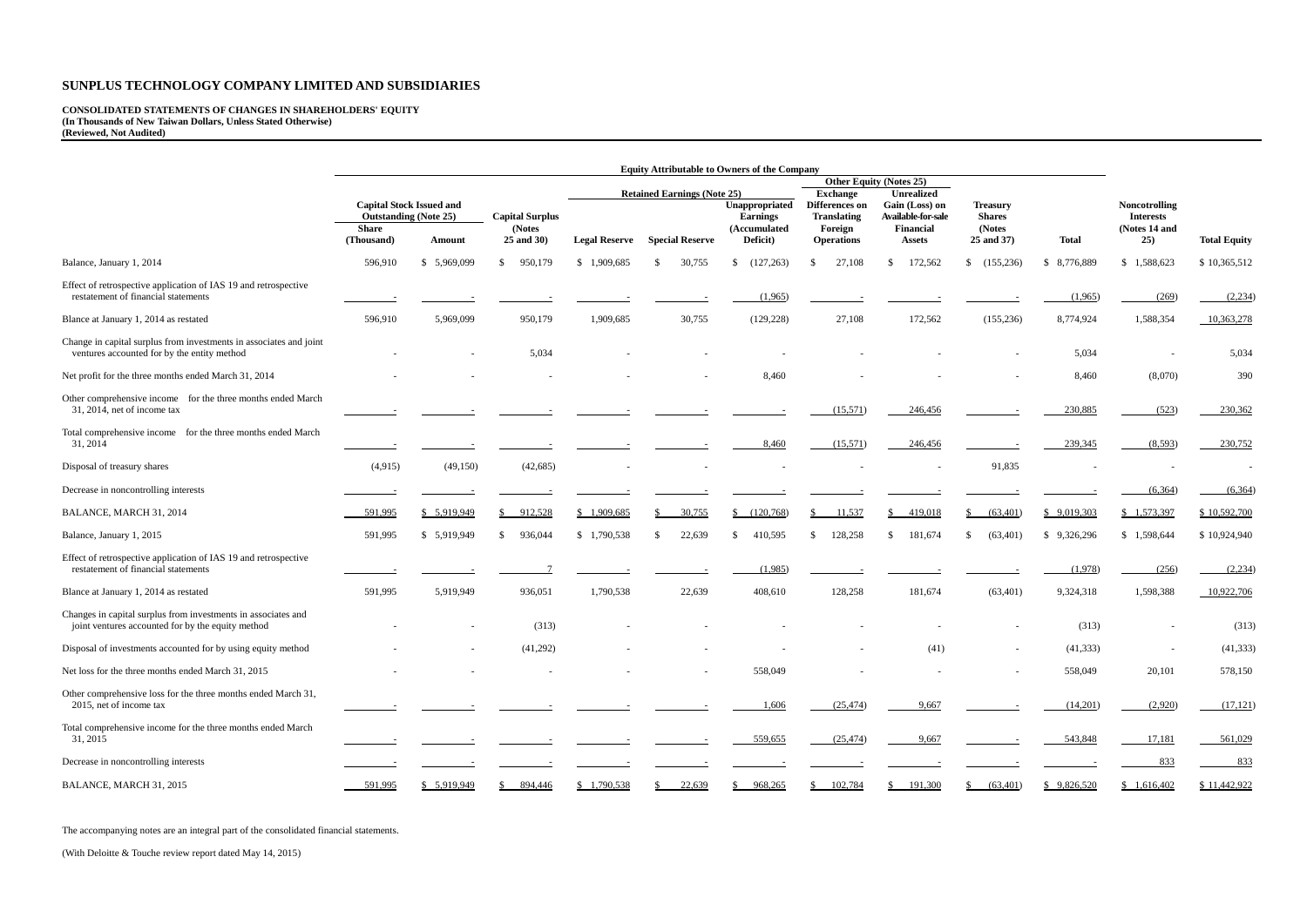**CONSOLIDATED STATEMENTS OF CHANGES IN SHAREHOLDERS' EQUITY (In Thousands of New Taiwan Dollars, Unless Stated Otherwise) (Reviewed, Not Audited)**

|                                                                                                                    | <b>Equity Attributable to Owners of the Company</b><br><b>Other Equity (Notes 25)</b> |              |                                  |                      |                                    |                                                   |                                                 |                                                   |                                            |                            |                                                           |                     |
|--------------------------------------------------------------------------------------------------------------------|---------------------------------------------------------------------------------------|--------------|----------------------------------|----------------------|------------------------------------|---------------------------------------------------|-------------------------------------------------|---------------------------------------------------|--------------------------------------------|----------------------------|-----------------------------------------------------------|---------------------|
|                                                                                                                    |                                                                                       |              |                                  |                      | <b>Retained Earnings (Note 25)</b> |                                                   | <b>Exchange</b>                                 | <b>Unrealized</b>                                 |                                            |                            |                                                           |                     |
|                                                                                                                    | <b>Capital Stock Issued and</b><br><b>Outstanding (Note 25)</b><br><b>Share</b>       |              | <b>Capital Surplus</b><br>(Notes |                      |                                    | Unappropriated<br><b>Earnings</b><br>(Accumulated | Differences on<br><b>Translating</b><br>Foreign | Gain (Loss) on<br>Available-for-sale<br>Financial | <b>Treasury</b><br><b>Shares</b><br>(Notes |                            | <b>Noncotrolling</b><br><b>Interests</b><br>(Notes 14 and |                     |
|                                                                                                                    | (Thousand)                                                                            | Amount       | 25 and 30)                       | <b>Legal Reserve</b> | <b>Special Reserve</b>             | Deficit)                                          | <b>Operations</b>                               | <b>Assets</b>                                     | 25 and 37)                                 | <b>Total</b>               | 25)                                                       | <b>Total Equity</b> |
| Balance, January 1, 2014                                                                                           | 596,910                                                                               | \$5,969,099  | 950,179<br>$\mathbb{S}$          | \$1,909,685          | 30,755                             | (127, 263)<br>\$                                  | 27,108<br><sup>S</sup>                          | 172,562<br>\$.                                    | (155,236)                                  | 8,776,889<br><sup>\$</sup> | \$1,588,623                                               | \$10,365,512        |
| Effect of retrospective application of IAS 19 and retrospective<br>restatement of financial statements             |                                                                                       |              |                                  |                      |                                    | (1,965)                                           |                                                 |                                                   |                                            | (1,965)                    | (269)                                                     | (2,234)             |
| Blance at January 1, 2014 as restated                                                                              | 596,910                                                                               | 5,969,099    | 950,179                          | 1,909,685            | 30,755                             | (129, 228)                                        | 27,108                                          | 172,562                                           | (155, 236)                                 | 8,774,924                  | 1,588,354                                                 | 10,363,278          |
| Change in capital surplus from investments in associates and joint<br>ventures accounted for by the entity method  |                                                                                       |              | 5,034                            |                      |                                    |                                                   |                                                 |                                                   |                                            | 5,034                      |                                                           | 5,034               |
| Net profit for the three months ended March 31, 2014                                                               |                                                                                       |              |                                  |                      |                                    | 8,460                                             |                                                 |                                                   |                                            | 8,460                      | (8,070)                                                   | 390                 |
| Other comprehensive income for the three months ended March<br>$31, 2014$ , net of income tax                      |                                                                                       |              |                                  |                      |                                    |                                                   | (15,571)                                        | 246,456                                           |                                            | 230,885                    | (523)                                                     | 230,362             |
| Total comprehensive income for the three months ended March<br>31, 2014                                            |                                                                                       |              |                                  |                      |                                    | 8,460                                             | (15,571)                                        | 246,456                                           |                                            | 239,345                    | (8,593)                                                   | 230,752             |
| Disposal of treasury shares                                                                                        | (4,915)                                                                               | (49,150)     | (42, 685)                        |                      |                                    |                                                   |                                                 |                                                   | 91,835                                     |                            |                                                           |                     |
| Decrease in noncontrolling interests                                                                               |                                                                                       |              |                                  |                      |                                    |                                                   |                                                 |                                                   |                                            |                            | (6,364)                                                   | (6,364)             |
| BALANCE, MARCH 31, 2014                                                                                            | 591,995                                                                               | \$ 5,919,949 | 912,528                          | \$1,909,685          | 30,755                             | \$ (120,768)                                      | 11,537                                          | 419,018<br>$\mathbb{S}^-$                         | $\frac{\$}{\$}$ (63,401)                   | \$9,019,303                | \$1,573,397                                               | \$10,592,700        |
| Balance, January 1, 2015                                                                                           | 591,995                                                                               | \$ 5,919,949 | 936,044<br><sup>S</sup>          | \$1,790,538          | 22,639                             | 410,595<br>$\mathcal{S}$                          | 128,258<br>-S                                   | 181,674<br>\$.                                    | (63, 401)                                  | \$9,326,296                | \$1,598,644                                               | \$10,924,940        |
| Effect of retrospective application of IAS 19 and retrospective<br>restatement of financial statements             |                                                                                       |              |                                  |                      |                                    | (1,985)                                           |                                                 |                                                   |                                            | (1,978)                    | (256)                                                     | (2,234)             |
| Blance at January 1, 2014 as restated                                                                              | 591,995                                                                               | 5,919,949    | 936,051                          | 1,790,538            | 22,639                             | 408,610                                           | 128,258                                         | 181,674                                           | (63, 401)                                  | 9,324,318                  | 1,598,388                                                 | 10,922,706          |
| Changes in capital surplus from investments in associates and<br>joint ventures accounted for by the equity method |                                                                                       |              | (313)                            |                      |                                    |                                                   |                                                 |                                                   |                                            | (313)                      |                                                           | (313)               |
| Disposal of investments accounted for by using equity method                                                       |                                                                                       |              | (41,292)                         |                      |                                    |                                                   |                                                 | (41)                                              |                                            | (41, 333)                  |                                                           | (41, 333)           |
| Net loss for the three months ended March 31, 2015                                                                 |                                                                                       |              |                                  |                      | $\overline{\phantom{a}}$           | 558,049                                           |                                                 |                                                   |                                            | 558,049                    | 20,101                                                    | 578,150             |
| Other comprehensive loss for the three months ended March 31,<br>2015, net of income tax                           |                                                                                       |              |                                  |                      |                                    | 1,606                                             | (25, 474)                                       | 9,667                                             |                                            | (14,201)                   | (2,920)                                                   | (17, 121)           |
| Total comprehensive income for the three months ended March<br>31, 2015                                            |                                                                                       |              |                                  |                      |                                    | 559,655                                           | (25, 474)                                       | 9,667                                             |                                            | 543,848                    | 17,181                                                    | 561,029             |
| Decrease in noncontrolling interests                                                                               |                                                                                       |              |                                  |                      |                                    |                                                   |                                                 |                                                   |                                            |                            | 833                                                       | 833                 |
| BALANCE, MARCH 31, 2015                                                                                            | 591,995                                                                               | \$5,919,949  | 894,446                          | \$1,790,538          | 22,639                             | 968,265                                           | 102,784                                         | 191,300                                           | (63, 401)                                  | \$9,826,520                | \$1,616,402                                               | \$11,442,922        |

The accompanying notes are an integral part of the consolidated financial statements.

(With Deloitte & Touche review report dated May 14, 2015)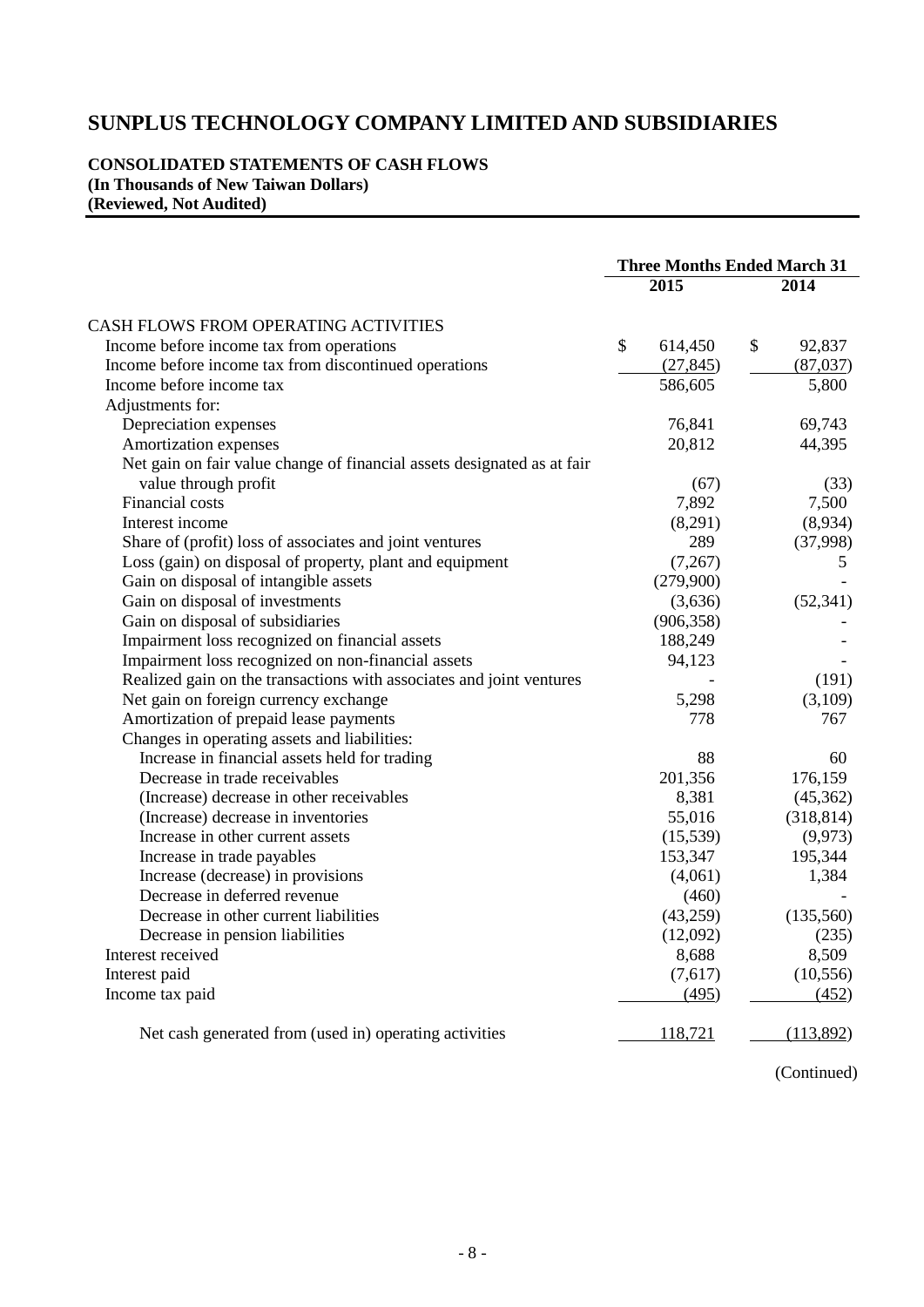## **CONSOLIDATED STATEMENTS OF CASH FLOWS (In Thousands of New Taiwan Dollars) (Reviewed, Not Audited)**

|                                                                         | <b>Three Months Ended March 31</b> |                   |              |            |
|-------------------------------------------------------------------------|------------------------------------|-------------------|--------------|------------|
|                                                                         |                                    | $\overline{2015}$ |              | 2014       |
| CASH FLOWS FROM OPERATING ACTIVITIES                                    |                                    |                   |              |            |
| Income before income tax from operations                                | \$                                 | 614,450           | $\mathbb{S}$ | 92,837     |
| Income before income tax from discontinued operations                   |                                    | (27, 845)         |              | (87,037)   |
| Income before income tax                                                |                                    | 586,605           |              | 5,800      |
| Adjustments for:                                                        |                                    |                   |              |            |
| Depreciation expenses                                                   |                                    | 76,841            |              | 69,743     |
| Amortization expenses                                                   |                                    | 20,812            |              | 44,395     |
| Net gain on fair value change of financial assets designated as at fair |                                    |                   |              |            |
| value through profit                                                    |                                    | (67)              |              | (33)       |
| <b>Financial costs</b>                                                  |                                    | 7,892             |              | 7,500      |
| Interest income                                                         |                                    | (8,291)           |              | (8,934)    |
| Share of (profit) loss of associates and joint ventures                 |                                    | 289               |              | (37,998)   |
| Loss (gain) on disposal of property, plant and equipment                |                                    | (7,267)           |              | 5          |
| Gain on disposal of intangible assets                                   |                                    | (279,900)         |              |            |
| Gain on disposal of investments                                         |                                    | (3,636)           |              | (52, 341)  |
| Gain on disposal of subsidiaries                                        |                                    | (906, 358)        |              |            |
| Impairment loss recognized on financial assets                          |                                    | 188,249           |              |            |
| Impairment loss recognized on non-financial assets                      |                                    | 94,123            |              |            |
| Realized gain on the transactions with associates and joint ventures    |                                    |                   |              | (191)      |
| Net gain on foreign currency exchange                                   |                                    | 5,298             |              | (3,109)    |
| Amortization of prepaid lease payments                                  |                                    | 778               |              | 767        |
| Changes in operating assets and liabilities:                            |                                    |                   |              |            |
| Increase in financial assets held for trading                           |                                    | 88                |              | 60         |
| Decrease in trade receivables                                           |                                    | 201,356           |              | 176,159    |
| (Increase) decrease in other receivables                                |                                    | 8,381             |              | (45,362)   |
| (Increase) decrease in inventories                                      |                                    | 55,016            |              | (318, 814) |
| Increase in other current assets                                        |                                    | (15,539)          |              | (9, 973)   |
| Increase in trade payables                                              |                                    | 153,347           |              | 195,344    |
| Increase (decrease) in provisions                                       |                                    | (4,061)           |              | 1,384      |
| Decrease in deferred revenue                                            |                                    | (460)             |              |            |
| Decrease in other current liabilities                                   |                                    | (43,259)          |              | (135,560)  |
| Decrease in pension liabilities                                         |                                    | (12,092)          |              | (235)      |
| Interest received                                                       |                                    | 8,688             |              | 8,509      |
| Interest paid                                                           |                                    | (7,617)           |              | (10, 556)  |
| Income tax paid                                                         |                                    | (495)             |              | (452)      |
| Net cash generated from (used in) operating activities                  |                                    | 118,721           |              | (113,892)  |

(Continued)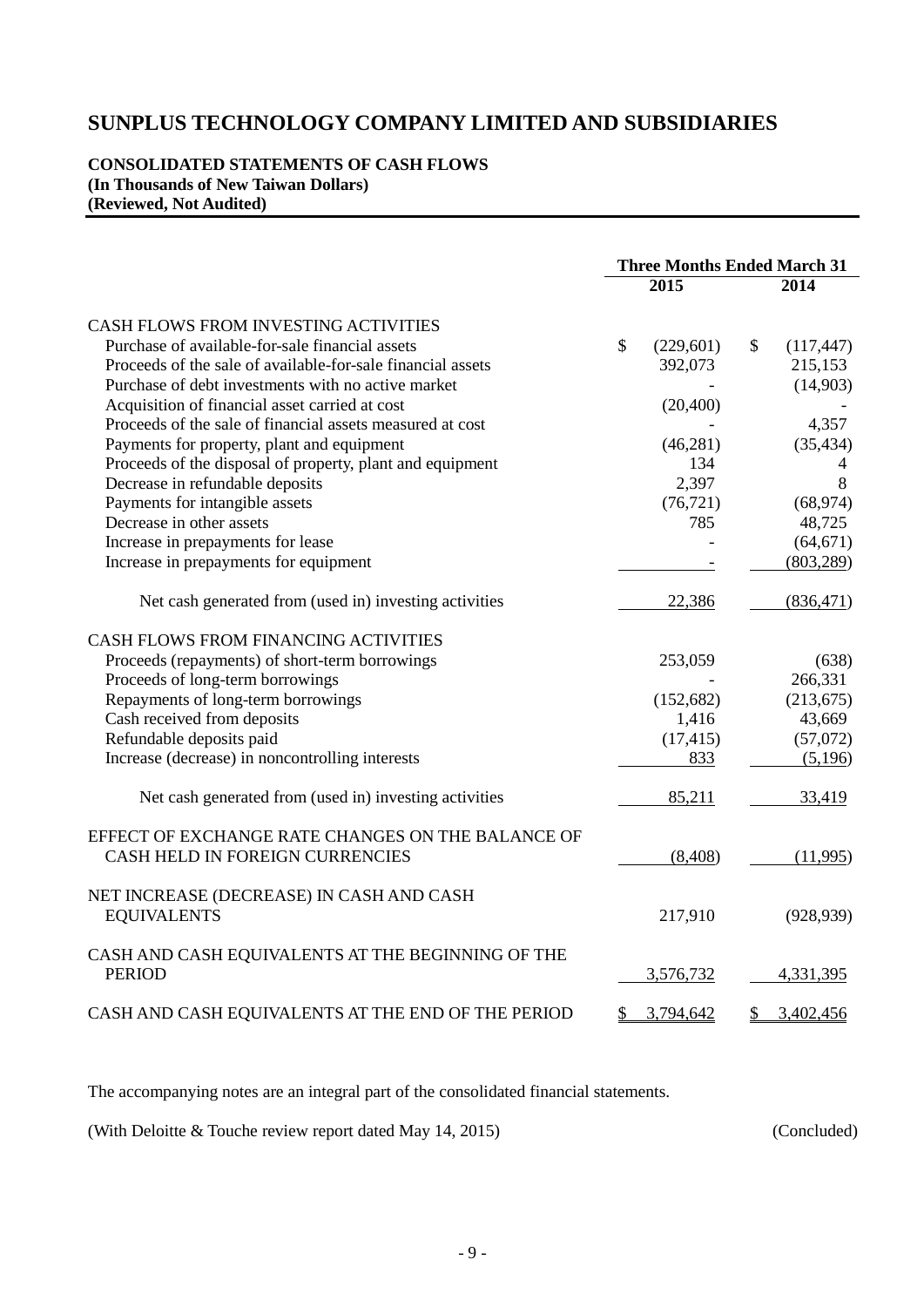## **CONSOLIDATED STATEMENTS OF CASH FLOWS (In Thousands of New Taiwan Dollars) (Reviewed, Not Audited)**

|                                                                | <b>Three Months Ended March 31</b> |                   |              |                |
|----------------------------------------------------------------|------------------------------------|-------------------|--------------|----------------|
|                                                                |                                    | $2\overline{015}$ |              | 2014           |
| CASH FLOWS FROM INVESTING ACTIVITIES                           |                                    |                   |              |                |
| Purchase of available-for-sale financial assets                | $\mathcal{S}$                      | (229, 601)        | $\mathbb{S}$ | (117, 447)     |
| Proceeds of the sale of available-for-sale financial assets    |                                    | 392,073           |              | 215,153        |
| Purchase of debt investments with no active market             |                                    |                   |              | (14,903)       |
| Acquisition of financial asset carried at cost                 |                                    | (20, 400)         |              |                |
| Proceeds of the sale of financial assets measured at cost      |                                    |                   |              | 4,357          |
| Payments for property, plant and equipment                     |                                    | (46,281)          |              | (35, 434)      |
| Proceeds of the disposal of property, plant and equipment      |                                    | 134               |              | $\overline{4}$ |
| Decrease in refundable deposits                                |                                    | 2,397             |              | 8              |
| Payments for intangible assets                                 |                                    | (76, 721)         |              | (68, 974)      |
| Decrease in other assets                                       |                                    | 785               |              | 48,725         |
| Increase in prepayments for lease                              |                                    |                   |              | (64, 671)      |
|                                                                |                                    |                   |              | (803, 289)     |
| Increase in prepayments for equipment                          |                                    |                   |              |                |
| Net cash generated from (used in) investing activities         |                                    | 22,386            |              | (836, 471)     |
| CASH FLOWS FROM FINANCING ACTIVITIES                           |                                    |                   |              |                |
| Proceeds (repayments) of short-term borrowings                 |                                    | 253,059           |              | (638)          |
| Proceeds of long-term borrowings                               |                                    |                   |              | 266,331        |
| Repayments of long-term borrowings                             |                                    | (152, 682)        |              | (213, 675)     |
| Cash received from deposits                                    |                                    | 1,416             |              | 43,669         |
| Refundable deposits paid                                       |                                    | (17, 415)         |              | (57,072)       |
| Increase (decrease) in noncontrolling interests                |                                    | 833               |              | (5,196)        |
|                                                                |                                    |                   |              |                |
| Net cash generated from (used in) investing activities         |                                    | 85,211            |              | 33,419         |
| EFFECT OF EXCHANGE RATE CHANGES ON THE BALANCE OF              |                                    |                   |              |                |
| CASH HELD IN FOREIGN CURRENCIES                                |                                    | (8, 408)          |              | (11,995)       |
|                                                                |                                    |                   |              |                |
| NET INCREASE (DECREASE) IN CASH AND CASH<br><b>EQUIVALENTS</b> |                                    | 217,910           |              | (928, 939)     |
|                                                                |                                    |                   |              |                |
| CASH AND CASH EQUIVALENTS AT THE BEGINNING OF THE              |                                    |                   |              |                |
| <b>PERIOD</b>                                                  |                                    | 3,576,732         |              | 4,331,395      |
| CASH AND CASH EQUIVALENTS AT THE END OF THE PERIOD             | \$                                 | 3,794,642         | \$           | 3,402,456      |
|                                                                |                                    |                   |              |                |

The accompanying notes are an integral part of the consolidated financial statements.

(With Deloitte & Touche review report dated May 14, 2015) (Concluded)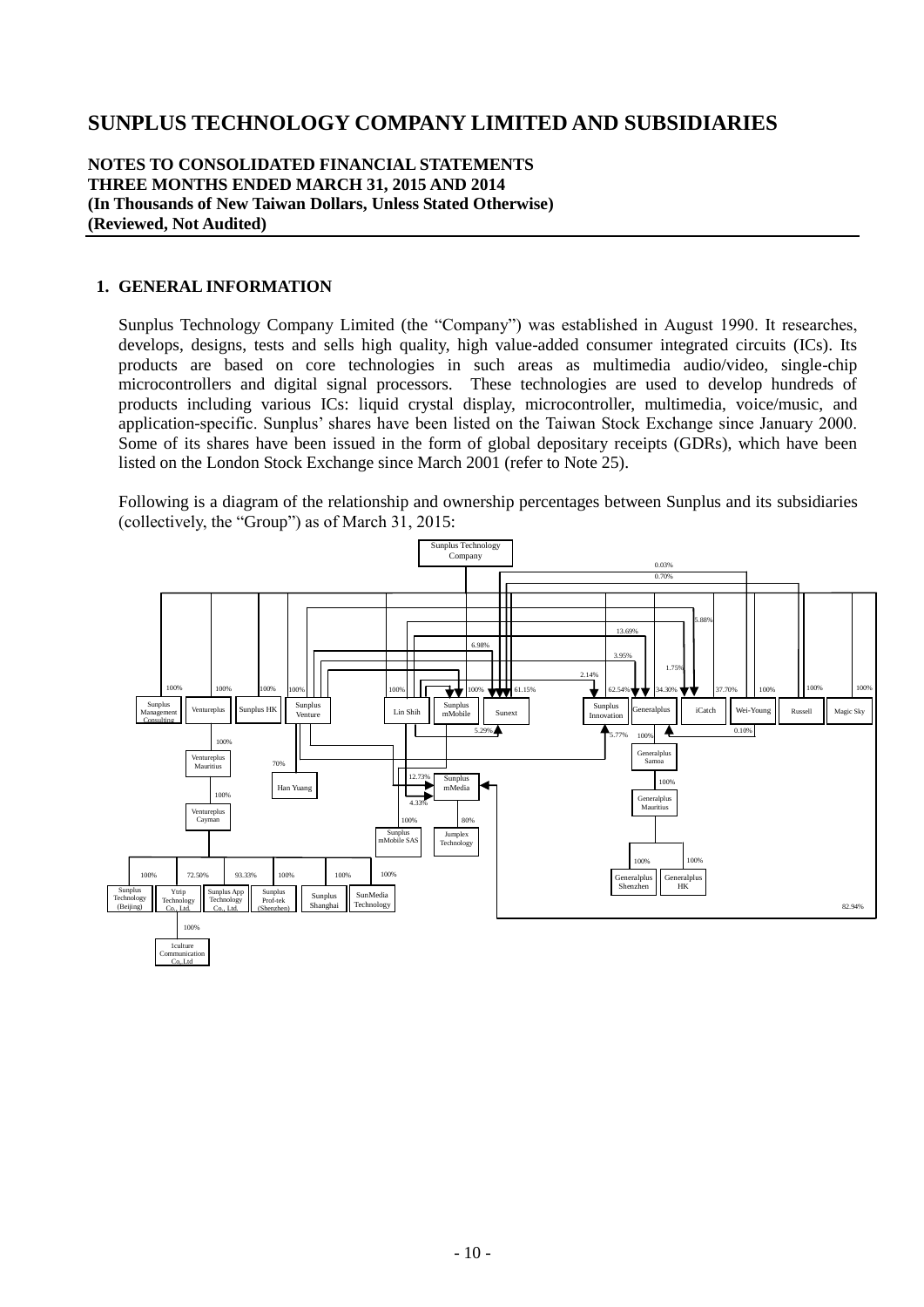## **NOTES TO CONSOLIDATED FINANCIAL STATEMENTS THREE MONTHS ENDED MARCH 31, 2015 AND 2014 (In Thousands of New Taiwan Dollars, Unless Stated Otherwise) (Reviewed, Not Audited)**

### **1. GENERAL INFORMATION**

Sunplus Technology Company Limited (the "Company") was established in August 1990. It researches, develops, designs, tests and sells high quality, high value-added consumer integrated circuits (ICs). Its products are based on core technologies in such areas as multimedia audio/video, single-chip microcontrollers and digital signal processors. These technologies are used to develop hundreds of products including various ICs: liquid crystal display, microcontroller, multimedia, voice/music, and application-specific. Sunplus' shares have been listed on the Taiwan Stock Exchange since January 2000. Some of its shares have been issued in the form of global depositary receipts (GDRs), which have been listed on the London Stock Exchange since March 2001 (refer to Note 25).

Following is a diagram of the relationship and ownership percentages between Sunplus and its subsidiaries (collectively, the "Group") as of March 31, 2015:

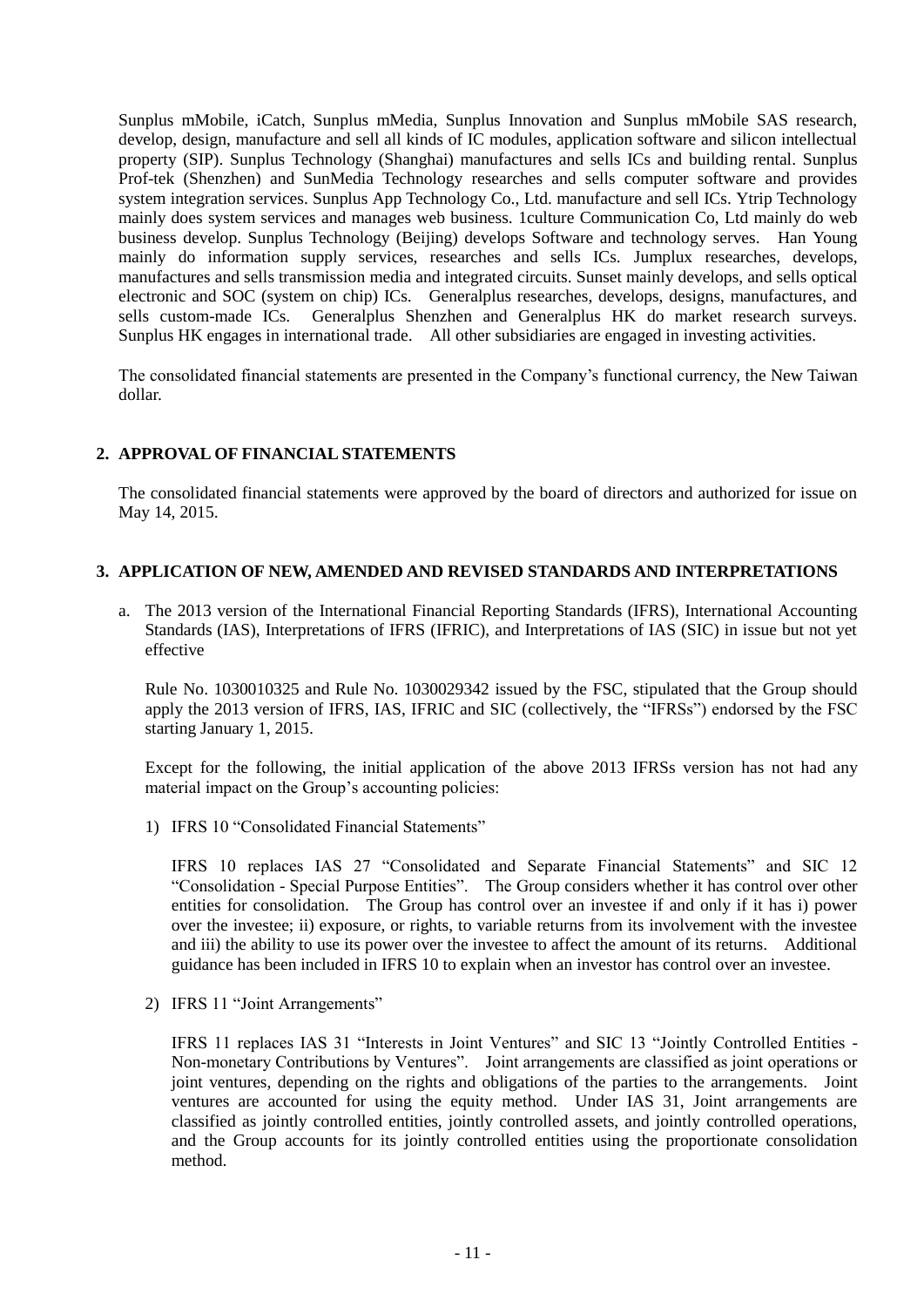Sunplus mMobile, iCatch, Sunplus mMedia, Sunplus Innovation and Sunplus mMobile SAS research, develop, design, manufacture and sell all kinds of IC modules, application software and silicon intellectual property (SIP). Sunplus Technology (Shanghai) manufactures and sells ICs and building rental. Sunplus Prof-tek (Shenzhen) and SunMedia Technology researches and sells computer software and provides system integration services. Sunplus App Technology Co., Ltd. manufacture and sell ICs. Ytrip Technology mainly does system services and manages web business. 1culture Communication Co, Ltd mainly do web business develop. Sunplus Technology (Beijing) develops Software and technology serves. Han Young mainly do information supply services, researches and sells ICs. Jumplux researches, develops, manufactures and sells transmission media and integrated circuits. Sunset mainly develops, and sells optical electronic and SOC (system on chip) ICs. Generalplus researches, develops, designs, manufactures, and sells custom-made ICs. Generalplus Shenzhen and Generalplus HK do market research surveys. Generalplus Shenzhen and Generalplus HK do market research surveys. Sunplus HK engages in international trade. All other subsidiaries are engaged in investing activities.

The consolidated financial statements are presented in the Company's functional currency, the New Taiwan dollar.

## **2. APPROVAL OF FINANCIAL STATEMENTS**

The consolidated financial statements were approved by the board of directors and authorized for issue on May 14, 2015.

#### **3. APPLICATION OF NEW, AMENDED AND REVISED STANDARDS AND INTERPRETATIONS**

a. The 2013 version of the International Financial Reporting Standards (IFRS), International Accounting Standards (IAS), Interpretations of IFRS (IFRIC), and Interpretations of IAS (SIC) in issue but not yet effective

Rule No. 1030010325 and Rule No. 1030029342 issued by the FSC, stipulated that the Group should apply the 2013 version of IFRS, IAS, IFRIC and SIC (collectively, the "IFRSs") endorsed by the FSC starting January 1, 2015.

Except for the following, the initial application of the above 2013 IFRSs version has not had any material impact on the Group's accounting policies:

1) IFRS 10 "Consolidated Financial Statements"

IFRS 10 replaces IAS 27 "Consolidated and Separate Financial Statements" and SIC 12 "Consolidation - Special Purpose Entities". The Group considers whether it has control over other entities for consolidation. The Group has control over an investee if and only if it has i) power over the investee; ii) exposure, or rights, to variable returns from its involvement with the investee and iii) the ability to use its power over the investee to affect the amount of its returns. Additional guidance has been included in IFRS 10 to explain when an investor has control over an investee.

2) IFRS 11 "Joint Arrangements"

IFRS 11 replaces IAS 31 "Interests in Joint Ventures" and SIC 13 "Jointly Controlled Entities - Non-monetary Contributions by Ventures". Joint arrangements are classified as joint operations or joint ventures, depending on the rights and obligations of the parties to the arrangements. Joint ventures are accounted for using the equity method. Under IAS 31, Joint arrangements are classified as jointly controlled entities, jointly controlled assets, and jointly controlled operations, and the Group accounts for its jointly controlled entities using the proportionate consolidation method.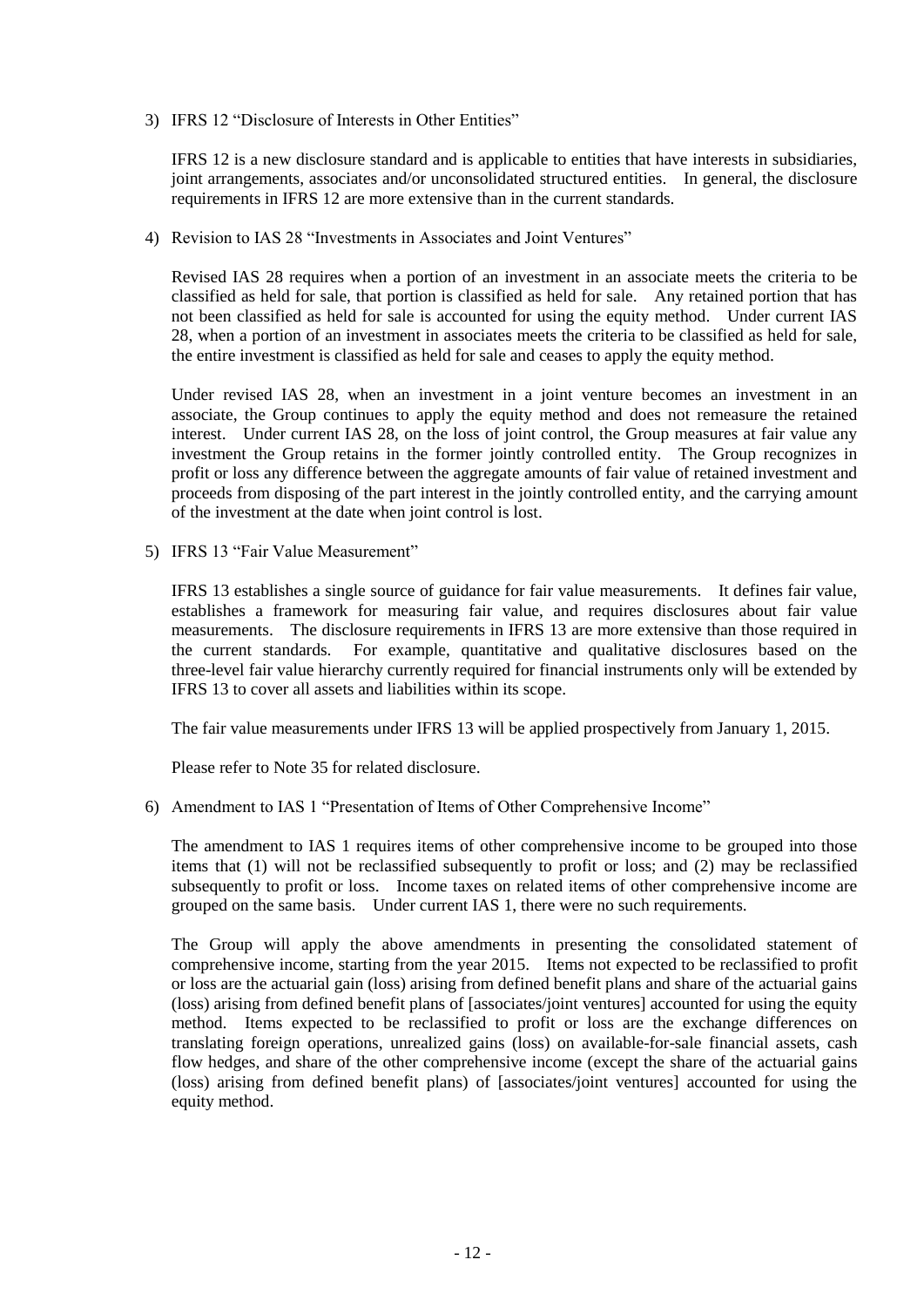3) IFRS 12 "Disclosure of Interests in Other Entities"

IFRS 12 is a new disclosure standard and is applicable to entities that have interests in subsidiaries, joint arrangements, associates and/or unconsolidated structured entities. In general, the disclosure requirements in IFRS 12 are more extensive than in the current standards.

4) Revision to IAS 28 "Investments in Associates and Joint Ventures"

Revised IAS 28 requires when a portion of an investment in an associate meets the criteria to be classified as held for sale, that portion is classified as held for sale. Any retained portion that has not been classified as held for sale is accounted for using the equity method. Under current IAS 28, when a portion of an investment in associates meets the criteria to be classified as held for sale, the entire investment is classified as held for sale and ceases to apply the equity method.

Under revised IAS 28, when an investment in a joint venture becomes an investment in an associate, the Group continues to apply the equity method and does not remeasure the retained interest. Under current IAS 28, on the loss of joint control, the Group measures at fair value any investment the Group retains in the former jointly controlled entity. The Group recognizes in profit or loss any difference between the aggregate amounts of fair value of retained investment and proceeds from disposing of the part interest in the jointly controlled entity, and the carrying amount of the investment at the date when joint control is lost.

5) IFRS 13 "Fair Value Measurement"

IFRS 13 establishes a single source of guidance for fair value measurements. It defines fair value, establishes a framework for measuring fair value, and requires disclosures about fair value measurements. The disclosure requirements in IFRS 13 are more extensive than those required in the current standards. For example, quantitative and qualitative disclosures based on the three-level fair value hierarchy currently required for financial instruments only will be extended by IFRS 13 to cover all assets and liabilities within its scope.

The fair value measurements under IFRS 13 will be applied prospectively from January 1, 2015.

Please refer to Note 35 for related disclosure.

6) Amendment to IAS 1 "Presentation of Items of Other Comprehensive Income"

The amendment to IAS 1 requires items of other comprehensive income to be grouped into those items that (1) will not be reclassified subsequently to profit or loss; and (2) may be reclassified subsequently to profit or loss. Income taxes on related items of other comprehensive income are grouped on the same basis. Under current IAS 1, there were no such requirements.

The Group will apply the above amendments in presenting the consolidated statement of comprehensive income, starting from the year 2015. Items not expected to be reclassified to profit or loss are the actuarial gain (loss) arising from defined benefit plans and share of the actuarial gains (loss) arising from defined benefit plans of [associates/joint ventures] accounted for using the equity method. Items expected to be reclassified to profit or loss are the exchange differences on translating foreign operations, unrealized gains (loss) on available-for-sale financial assets, cash flow hedges, and share of the other comprehensive income (except the share of the actuarial gains (loss) arising from defined benefit plans) of [associates/joint ventures] accounted for using the equity method.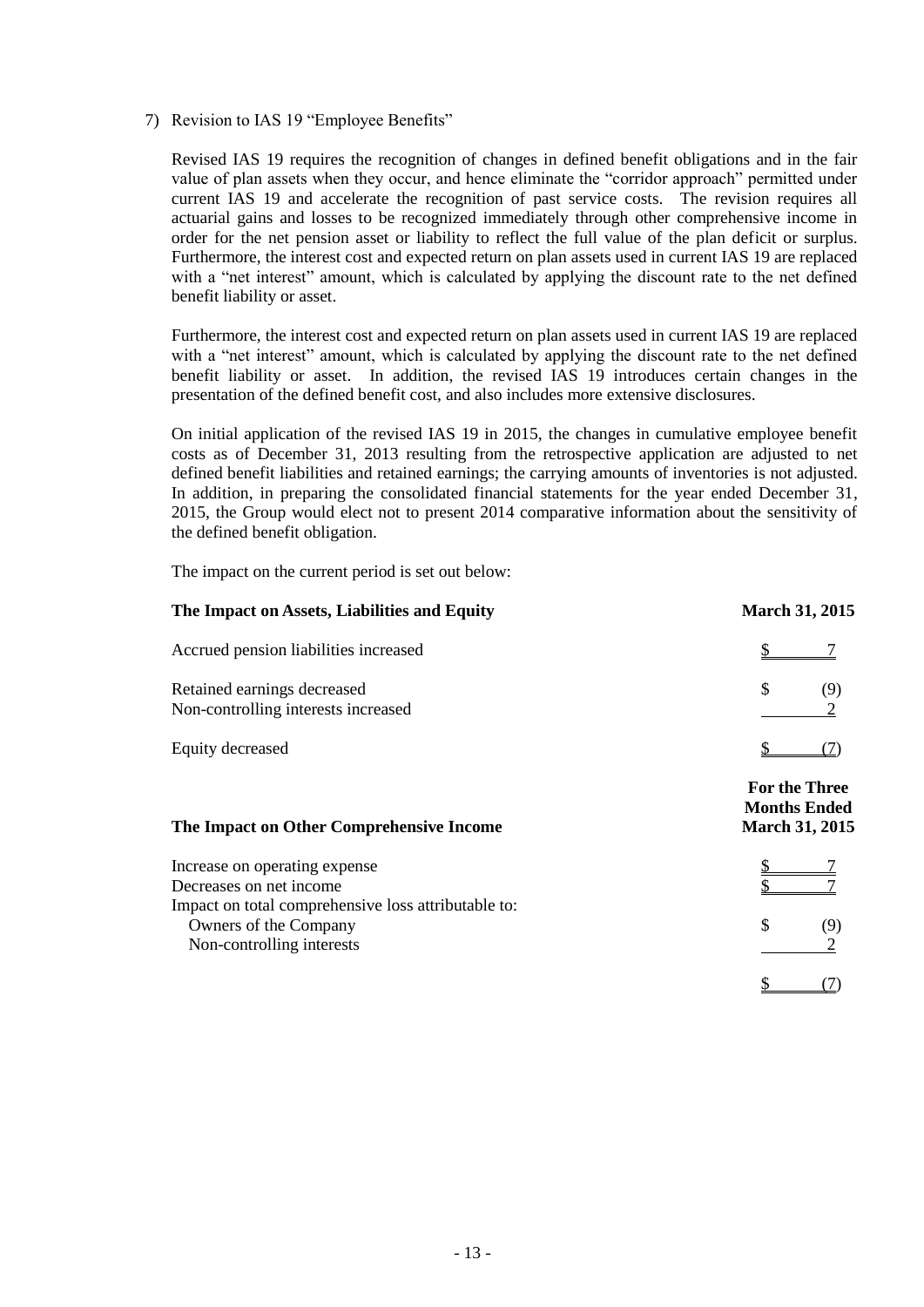7) Revision to IAS 19 "Employee Benefits"

Revised IAS 19 requires the recognition of changes in defined benefit obligations and in the fair value of plan assets when they occur, and hence eliminate the "corridor approach" permitted under current IAS 19 and accelerate the recognition of past service costs. The revision requires all actuarial gains and losses to be recognized immediately through other comprehensive income in order for the net pension asset or liability to reflect the full value of the plan deficit or surplus. Furthermore, the interest cost and expected return on plan assets used in current IAS 19 are replaced with a "net interest" amount, which is calculated by applying the discount rate to the net defined benefit liability or asset.

Furthermore, the interest cost and expected return on plan assets used in current IAS 19 are replaced with a "net interest" amount, which is calculated by applying the discount rate to the net defined benefit liability or asset. In addition, the revised IAS 19 introduces certain changes in the presentation of the defined benefit cost, and also includes more extensive disclosures.

On initial application of the revised IAS 19 in 2015, the changes in cumulative employee benefit costs as of December 31, 2013 resulting from the retrospective application are adjusted to net defined benefit liabilities and retained earnings; the carrying amounts of inventories is not adjusted. In addition, in preparing the consolidated financial statements for the year ended December 31, 2015, the Group would elect not to present 2014 comparative information about the sensitivity of the defined benefit obligation.

The impact on the current period is set out below:

| The Impact on Assets, Liabilities and Equity                                                              | <b>March 31, 2015</b>                                                |
|-----------------------------------------------------------------------------------------------------------|----------------------------------------------------------------------|
| Accrued pension liabilities increased                                                                     |                                                                      |
| Retained earnings decreased<br>Non-controlling interests increased                                        | \$<br>(9)                                                            |
| Equity decreased                                                                                          |                                                                      |
| The Impact on Other Comprehensive Income                                                                  | <b>For the Three</b><br><b>Months Ended</b><br><b>March 31, 2015</b> |
| Increase on operating expense<br>Decreases on net income                                                  |                                                                      |
| Impact on total comprehensive loss attributable to:<br>Owners of the Company<br>Non-controlling interests | \$<br>(9)                                                            |
|                                                                                                           |                                                                      |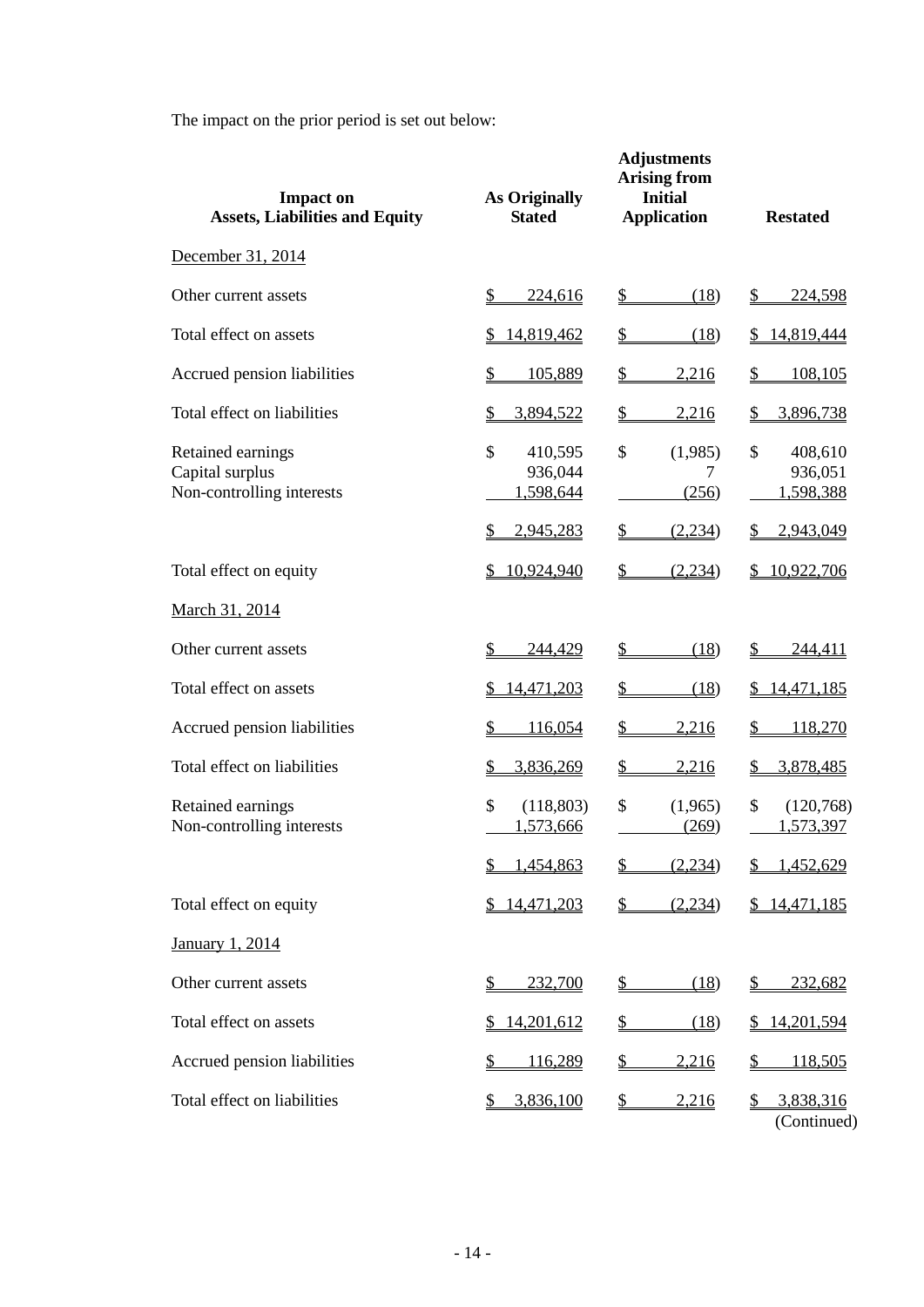The impact on the prior period is set out below:

| <b>Impact on</b><br><b>Assets, Liabilities and Equity</b>         | <b>As Originally</b><br><b>Stated</b>                              | <b>Adjustments</b><br><b>Arising from</b><br><b>Initial</b><br><b>Application</b> | <b>Restated</b>                                    |
|-------------------------------------------------------------------|--------------------------------------------------------------------|-----------------------------------------------------------------------------------|----------------------------------------------------|
| December 31, 2014                                                 |                                                                    |                                                                                   |                                                    |
| Other current assets                                              | 224,616<br>\$.                                                     | (18)<br>S.                                                                        | 224,598<br>S.                                      |
| Total effect on assets                                            | 14,819,462<br>S                                                    | \$<br>(18)                                                                        | 14,819,444                                         |
| Accrued pension liabilities                                       | \$<br>105,889                                                      | $\mathcal{S}$<br>2,216                                                            | \$<br>108,105                                      |
| Total effect on liabilities                                       | \$<br>3,894,522                                                    | $\mathcal{P}$<br>2,216                                                            | 3,896,738<br>\$                                    |
| Retained earnings<br>Capital surplus<br>Non-controlling interests | $\mathcal{S}$<br>410,595<br>936,044<br>1,598,644<br>S<br>2,945,283 | $\mathcal{S}$<br>(1,985)<br>7<br>(256)<br>(2,234)                                 | \$<br>408,610<br>936,051<br>1,598,388<br>2,943,049 |
| Total effect on equity                                            | 10,924,940<br>S.                                                   | \$<br>(2,234)                                                                     | \$10,922,706                                       |
| March 31, 2014                                                    |                                                                    |                                                                                   |                                                    |
| Other current assets                                              | 244,429<br>S                                                       | $\mathbb{S}$<br>(18)                                                              | $\mathbb{Z}$<br>244,411                            |
| Total effect on assets                                            | 14,471,203<br>S                                                    | \$<br>(18)                                                                        | 14,471,185<br>S.                                   |
| Accrued pension liabilities                                       | 116,054<br>\$                                                      | 2,216<br>S                                                                        | 118,270                                            |
| Total effect on liabilities                                       | 3,836,269<br>\$                                                    | \$<br>2,216                                                                       | 3,878,485<br>\$                                    |
| Retained earnings<br>Non-controlling interests                    | \$<br>(118, 803)<br>1,573,666                                      | \$<br>(1,965)<br>(269)                                                            | \$<br>(120,768)<br>1,573,397                       |
|                                                                   | 1,454,863                                                          | (2,234)                                                                           | 1,452,629                                          |
| Total effect on equity                                            | \$14,471,203                                                       | (2,234)<br>S                                                                      | \$14,471,185                                       |
| January 1, 2014                                                   |                                                                    |                                                                                   |                                                    |
| Other current assets                                              | 232,700<br>S                                                       | (18)<br>$\mathbb{S}$                                                              | 232,682<br>\$                                      |
| Total effect on assets                                            | 14,201,612<br>S                                                    | \$<br>(18)                                                                        | 14,201,594<br>S.                                   |
| Accrued pension liabilities                                       | \$<br><u>116,289</u>                                               | \$<br>2,216                                                                       | <u>118,505</u><br>\$                               |
| Total effect on liabilities                                       | 3,836,100<br>S                                                     | \$<br>2,216                                                                       | 3,838,316<br>(Continued)                           |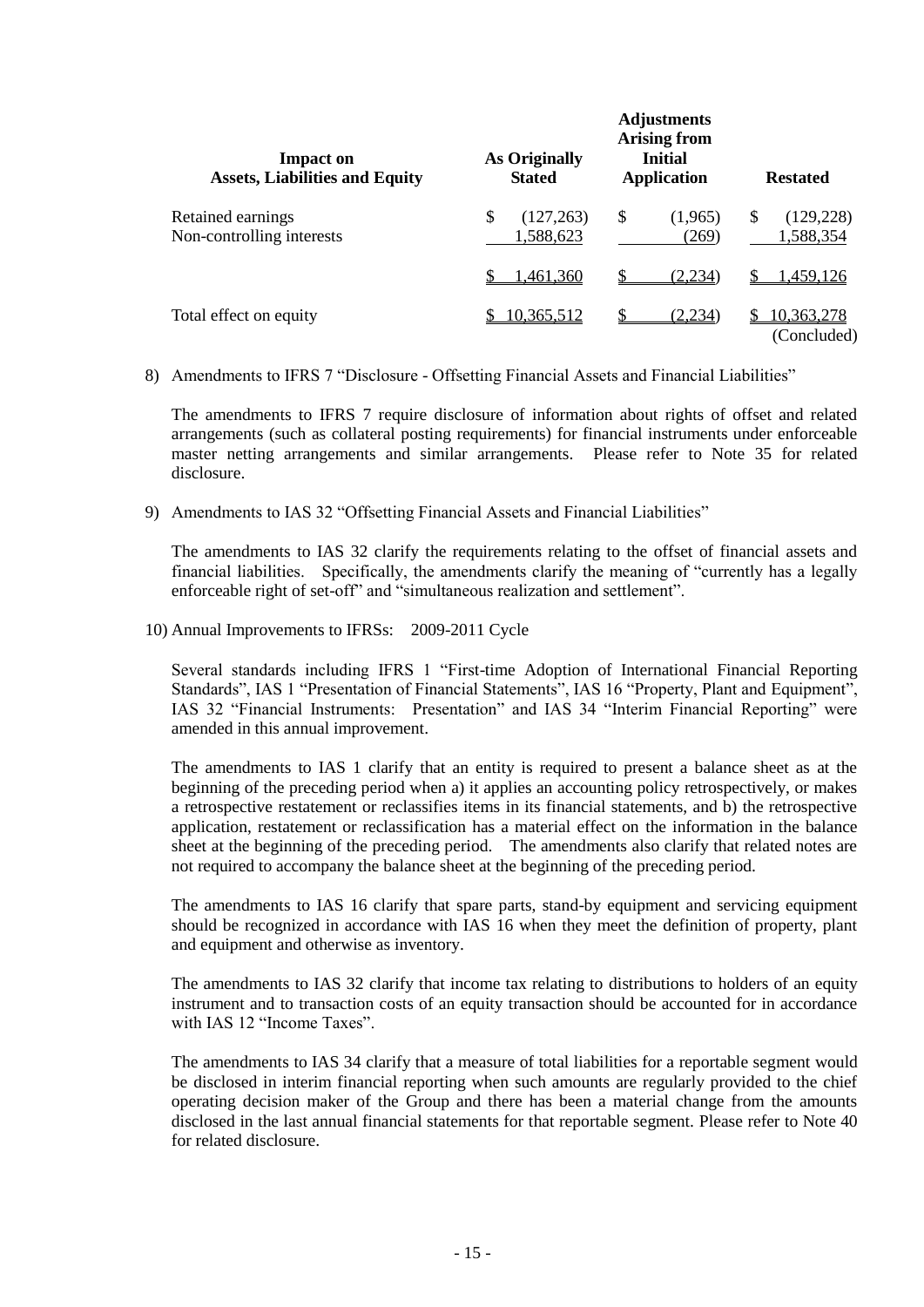| <b>Impact on</b><br><b>Assets, Liabilities and Equity</b> | <b>As Originally</b><br><b>Stated</b> | <b>Adjustments</b><br><b>Arising from</b><br><b>Initial</b><br><b>Application</b> | <b>Restated</b>                          |  |  |
|-----------------------------------------------------------|---------------------------------------|-----------------------------------------------------------------------------------|------------------------------------------|--|--|
| Retained earnings<br>Non-controlling interests            | \$<br>(127, 263)<br>1,588,623         | S<br>(1,965)<br>(269)                                                             | <sup>\$</sup><br>(129, 228)<br>1,588,354 |  |  |
|                                                           | 1,461,360                             | £.<br>(2,234)                                                                     | .459.126                                 |  |  |
| Total effect on equity                                    | 10,365,512                            | (2,234)                                                                           | 10,363,278<br>(Concluded)                |  |  |

8) Amendments to IFRS 7 "Disclosure - Offsetting Financial Assets and Financial Liabilities"

The amendments to IFRS 7 require disclosure of information about rights of offset and related arrangements (such as collateral posting requirements) for financial instruments under enforceable master netting arrangements and similar arrangements. Please refer to Note 35 for related disclosure.

9) Amendments to IAS 32 "Offsetting Financial Assets and Financial Liabilities"

The amendments to IAS 32 clarify the requirements relating to the offset of financial assets and financial liabilities. Specifically, the amendments clarify the meaning of "currently has a legally enforceable right of set-off" and "simultaneous realization and settlement".

10) Annual Improvements to IFRSs: 2009-2011 Cycle

Several standards including IFRS 1 "First-time Adoption of International Financial Reporting Standards", IAS 1 "Presentation of Financial Statements", IAS 16 "Property, Plant and Equipment", IAS 32 "Financial Instruments: Presentation" and IAS 34 "Interim Financial Reporting" were amended in this annual improvement.

The amendments to IAS 1 clarify that an entity is required to present a balance sheet as at the beginning of the preceding period when a) it applies an accounting policy retrospectively, or makes a retrospective restatement or reclassifies items in its financial statements, and b) the retrospective application, restatement or reclassification has a material effect on the information in the balance sheet at the beginning of the preceding period. The amendments also clarify that related notes are not required to accompany the balance sheet at the beginning of the preceding period.

The amendments to IAS 16 clarify that spare parts, stand-by equipment and servicing equipment should be recognized in accordance with IAS 16 when they meet the definition of property, plant and equipment and otherwise as inventory.

The amendments to IAS 32 clarify that income tax relating to distributions to holders of an equity instrument and to transaction costs of an equity transaction should be accounted for in accordance with IAS 12 "Income Taxes".

The amendments to IAS 34 clarify that a measure of total liabilities for a reportable segment would be disclosed in interim financial reporting when such amounts are regularly provided to the chief operating decision maker of the Group and there has been a material change from the amounts disclosed in the last annual financial statements for that reportable segment. Please refer to Note 40 for related disclosure.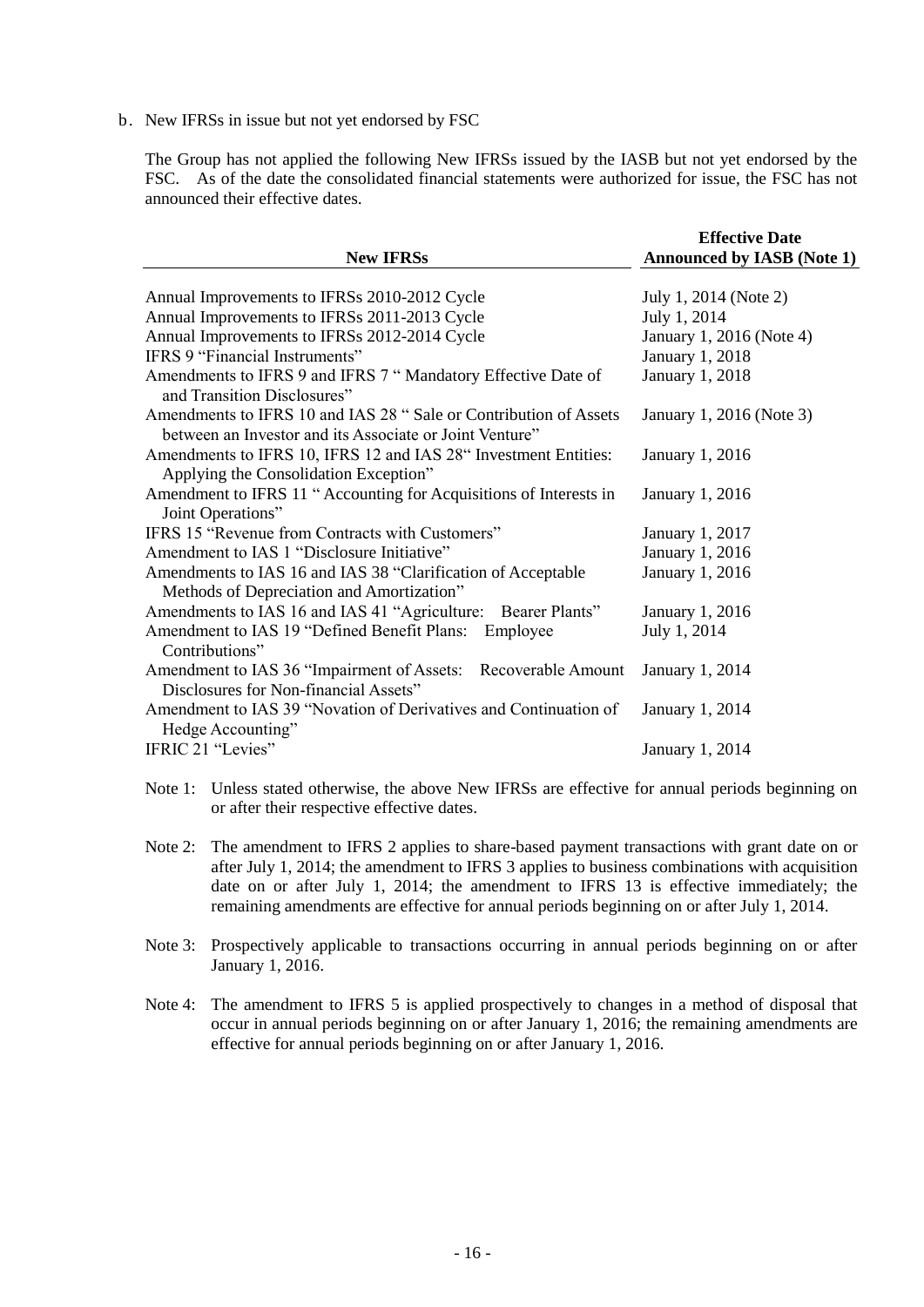b. New IFRSs in issue but not yet endorsed by FSC

The Group has not applied the following New IFRSs issued by the IASB but not yet endorsed by the FSC. As of the date the consolidated financial statements were authorized for issue, the FSC has not announced their effective dates.

| <b>New IFRSs</b>                                                                                                             | <b>Effective Date</b><br><b>Announced by IASB (Note 1)</b> |
|------------------------------------------------------------------------------------------------------------------------------|------------------------------------------------------------|
| Annual Improvements to IFRSs 2010-2012 Cycle                                                                                 | July 1, 2014 (Note 2)                                      |
| Annual Improvements to IFRSs 2011-2013 Cycle                                                                                 | July 1, 2014                                               |
| Annual Improvements to IFRSs 2012-2014 Cycle                                                                                 | January 1, 2016 (Note 4)                                   |
| IFRS 9 "Financial Instruments"                                                                                               | January 1, 2018                                            |
| Amendments to IFRS 9 and IFRS 7 "Mandatory Effective Date of<br>and Transition Disclosures"                                  | January 1, 2018                                            |
| Amendments to IFRS 10 and IAS 28 " Sale or Contribution of Assets<br>between an Investor and its Associate or Joint Venture" | January 1, 2016 (Note 3)                                   |
| Amendments to IFRS 10, IFRS 12 and IAS 28" Investment Entities:<br>Applying the Consolidation Exception"                     | January 1, 2016                                            |
| Amendment to IFRS 11 " Accounting for Acquisitions of Interests in<br>Joint Operations"                                      | January 1, 2016                                            |
| IFRS 15 "Revenue from Contracts with Customers"                                                                              | January 1, 2017                                            |
| Amendment to IAS 1 "Disclosure Initiative"                                                                                   | January 1, 2016                                            |
| Amendments to IAS 16 and IAS 38 "Clarification of Acceptable<br>Methods of Depreciation and Amortization"                    | January 1, 2016                                            |
| Amendments to IAS 16 and IAS 41 "Agriculture: Bearer Plants"                                                                 | January 1, 2016                                            |
| Amendment to IAS 19 "Defined Benefit Plans: Employee<br>Contributions"                                                       | July 1, 2014                                               |
| Amendment to IAS 36 "Impairment of Assets: Recoverable Amount<br>Disclosures for Non-financial Assets"                       | January 1, 2014                                            |
| Amendment to IAS 39 "Novation of Derivatives and Continuation of<br>Hedge Accounting"                                        | January 1, 2014                                            |
| IFRIC 21 "Levies"                                                                                                            | January 1, 2014                                            |

- Note 1: Unless stated otherwise, the above New IFRSs are effective for annual periods beginning on or after their respective effective dates.
- Note 2: The amendment to IFRS 2 applies to share-based payment transactions with grant date on or after July 1, 2014; the amendment to IFRS 3 applies to business combinations with acquisition date on or after July 1, 2014; the amendment to IFRS 13 is effective immediately; the remaining amendments are effective for annual periods beginning on or after July 1, 2014.
- Note 3: Prospectively applicable to transactions occurring in annual periods beginning on or after January 1, 2016.
- Note 4: The amendment to IFRS 5 is applied prospectively to changes in a method of disposal that occur in annual periods beginning on or after January 1, 2016; the remaining amendments are effective for annual periods beginning on or after January 1, 2016.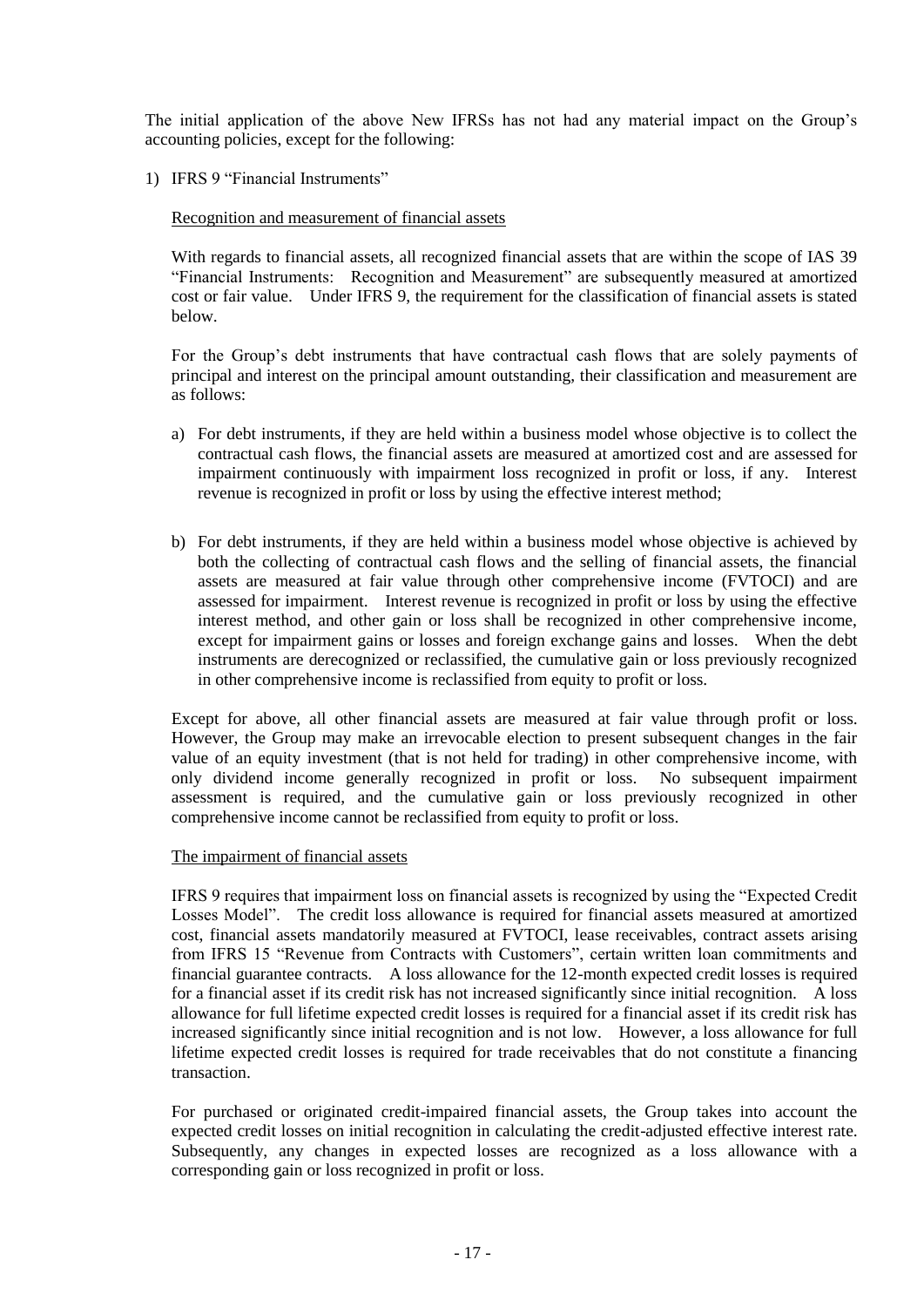The initial application of the above New IFRSs has not had any material impact on the Group's accounting policies, except for the following:

1) IFRS 9 "Financial Instruments"

## Recognition and measurement of financial assets

With regards to financial assets, all recognized financial assets that are within the scope of IAS 39 "Financial Instruments: Recognition and Measurement" are subsequently measured at amortized cost or fair value. Under IFRS 9, the requirement for the classification of financial assets is stated below.

For the Group's debt instruments that have contractual cash flows that are solely payments of principal and interest on the principal amount outstanding, their classification and measurement are as follows:

- a) For debt instruments, if they are held within a business model whose objective is to collect the contractual cash flows, the financial assets are measured at amortized cost and are assessed for impairment continuously with impairment loss recognized in profit or loss, if any. Interest revenue is recognized in profit or loss by using the effective interest method;
- b) For debt instruments, if they are held within a business model whose objective is achieved by both the collecting of contractual cash flows and the selling of financial assets, the financial assets are measured at fair value through other comprehensive income (FVTOCI) and are assessed for impairment. Interest revenue is recognized in profit or loss by using the effective interest method, and other gain or loss shall be recognized in other comprehensive income, except for impairment gains or losses and foreign exchange gains and losses. When the debt instruments are derecognized or reclassified, the cumulative gain or loss previously recognized in other comprehensive income is reclassified from equity to profit or loss.

Except for above, all other financial assets are measured at fair value through profit or loss. However, the Group may make an irrevocable election to present subsequent changes in the fair value of an equity investment (that is not held for trading) in other comprehensive income, with only dividend income generally recognized in profit or loss. No subsequent impairment assessment is required, and the cumulative gain or loss previously recognized in other comprehensive income cannot be reclassified from equity to profit or loss.

### The impairment of financial assets

IFRS 9 requires that impairment loss on financial assets is recognized by using the "Expected Credit Losses Model". The credit loss allowance is required for financial assets measured at amortized cost, financial assets mandatorily measured at FVTOCI, lease receivables, contract assets arising from IFRS 15 "Revenue from Contracts with Customers", certain written loan commitments and financial guarantee contracts. A loss allowance for the 12-month expected credit losses is required for a financial asset if its credit risk has not increased significantly since initial recognition. A loss allowance for full lifetime expected credit losses is required for a financial asset if its credit risk has increased significantly since initial recognition and is not low. However, a loss allowance for full lifetime expected credit losses is required for trade receivables that do not constitute a financing transaction.

For purchased or originated credit-impaired financial assets, the Group takes into account the expected credit losses on initial recognition in calculating the credit-adjusted effective interest rate. Subsequently, any changes in expected losses are recognized as a loss allowance with a corresponding gain or loss recognized in profit or loss.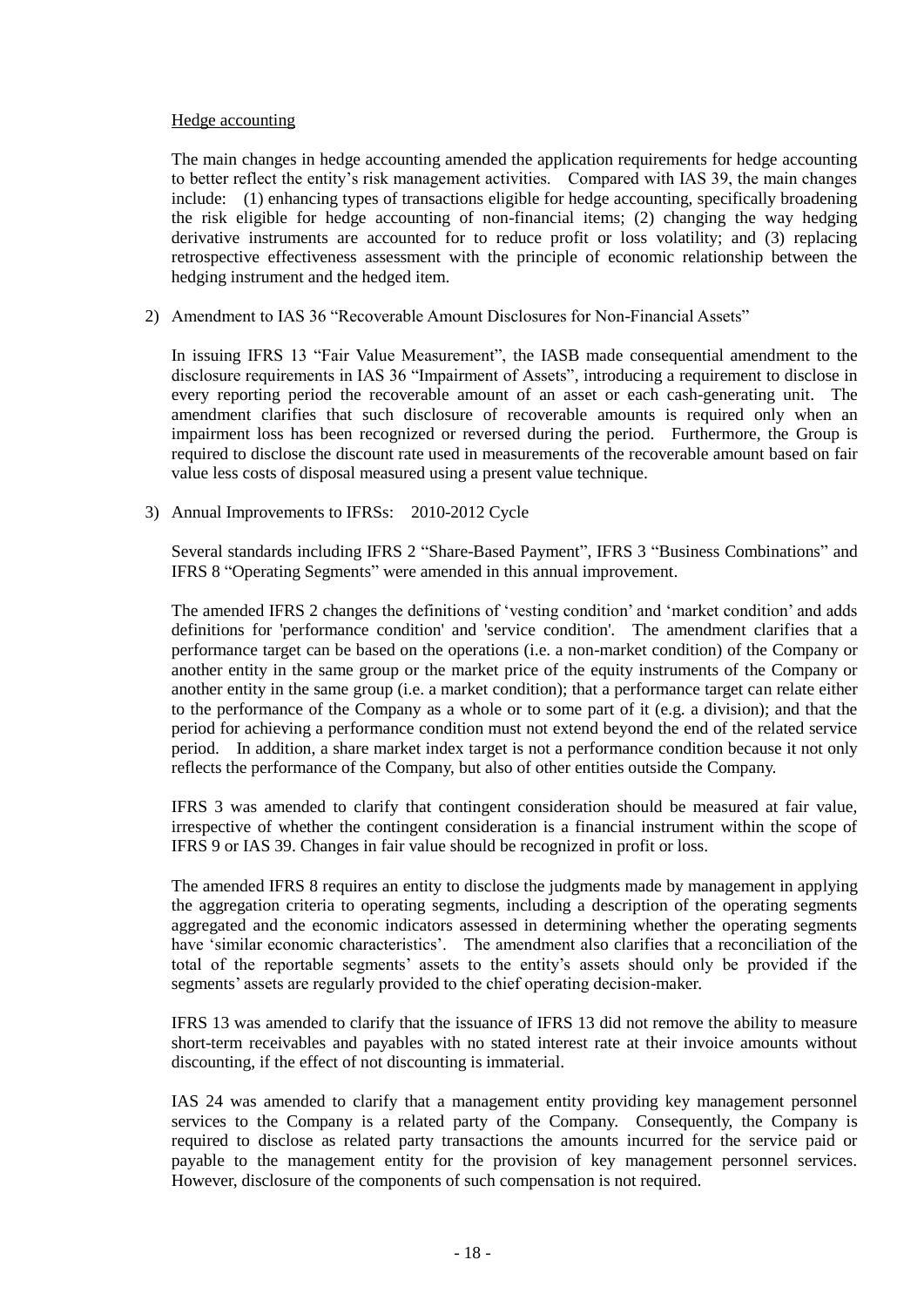### Hedge accounting

The main changes in hedge accounting amended the application requirements for hedge accounting to better reflect the entity's risk management activities. Compared with IAS 39, the main changes include: (1) enhancing types of transactions eligible for hedge accounting, specifically broadening the risk eligible for hedge accounting of non-financial items; (2) changing the way hedging derivative instruments are accounted for to reduce profit or loss volatility; and (3) replacing retrospective effectiveness assessment with the principle of economic relationship between the hedging instrument and the hedged item.

2) Amendment to IAS 36 "Recoverable Amount Disclosures for Non-Financial Assets"

In issuing IFRS 13 "Fair Value Measurement", the IASB made consequential amendment to the disclosure requirements in IAS 36 "Impairment of Assets", introducing a requirement to disclose in every reporting period the recoverable amount of an asset or each cash-generating unit. The amendment clarifies that such disclosure of recoverable amounts is required only when an impairment loss has been recognized or reversed during the period. Furthermore, the Group is required to disclose the discount rate used in measurements of the recoverable amount based on fair value less costs of disposal measured using a present value technique.

3) Annual Improvements to IFRSs: 2010-2012 Cycle

Several standards including IFRS 2 "Share-Based Payment", IFRS 3 "Business Combinations" and IFRS 8 "Operating Segments" were amended in this annual improvement.

The amended IFRS 2 changes the definitions of 'vesting condition' and 'market condition' and adds definitions for 'performance condition' and 'service condition'. The amendment clarifies that a performance target can be based on the operations (i.e. a non-market condition) of the Company or another entity in the same group or the market price of the equity instruments of the Company or another entity in the same group (i.e. a market condition); that a performance target can relate either to the performance of the Company as a whole or to some part of it (e.g. a division); and that the period for achieving a performance condition must not extend beyond the end of the related service period. In addition, a share market index target is not a performance condition because it not only reflects the performance of the Company, but also of other entities outside the Company.

IFRS 3 was amended to clarify that contingent consideration should be measured at fair value, irrespective of whether the contingent consideration is a financial instrument within the scope of IFRS 9 or IAS 39. Changes in fair value should be recognized in profit or loss.

The amended IFRS 8 requires an entity to disclose the judgments made by management in applying the aggregation criteria to operating segments, including a description of the operating segments aggregated and the economic indicators assessed in determining whether the operating segments have 'similar economic characteristics'. The amendment also clarifies that a reconciliation of the total of the reportable segments' assets to the entity's assets should only be provided if the segments' assets are regularly provided to the chief operating decision-maker.

IFRS 13 was amended to clarify that the issuance of IFRS 13 did not remove the ability to measure short-term receivables and payables with no stated interest rate at their invoice amounts without discounting, if the effect of not discounting is immaterial.

IAS 24 was amended to clarify that a management entity providing key management personnel services to the Company is a related party of the Company. Consequently, the Company is required to disclose as related party transactions the amounts incurred for the service paid or payable to the management entity for the provision of key management personnel services. However, disclosure of the components of such compensation is not required.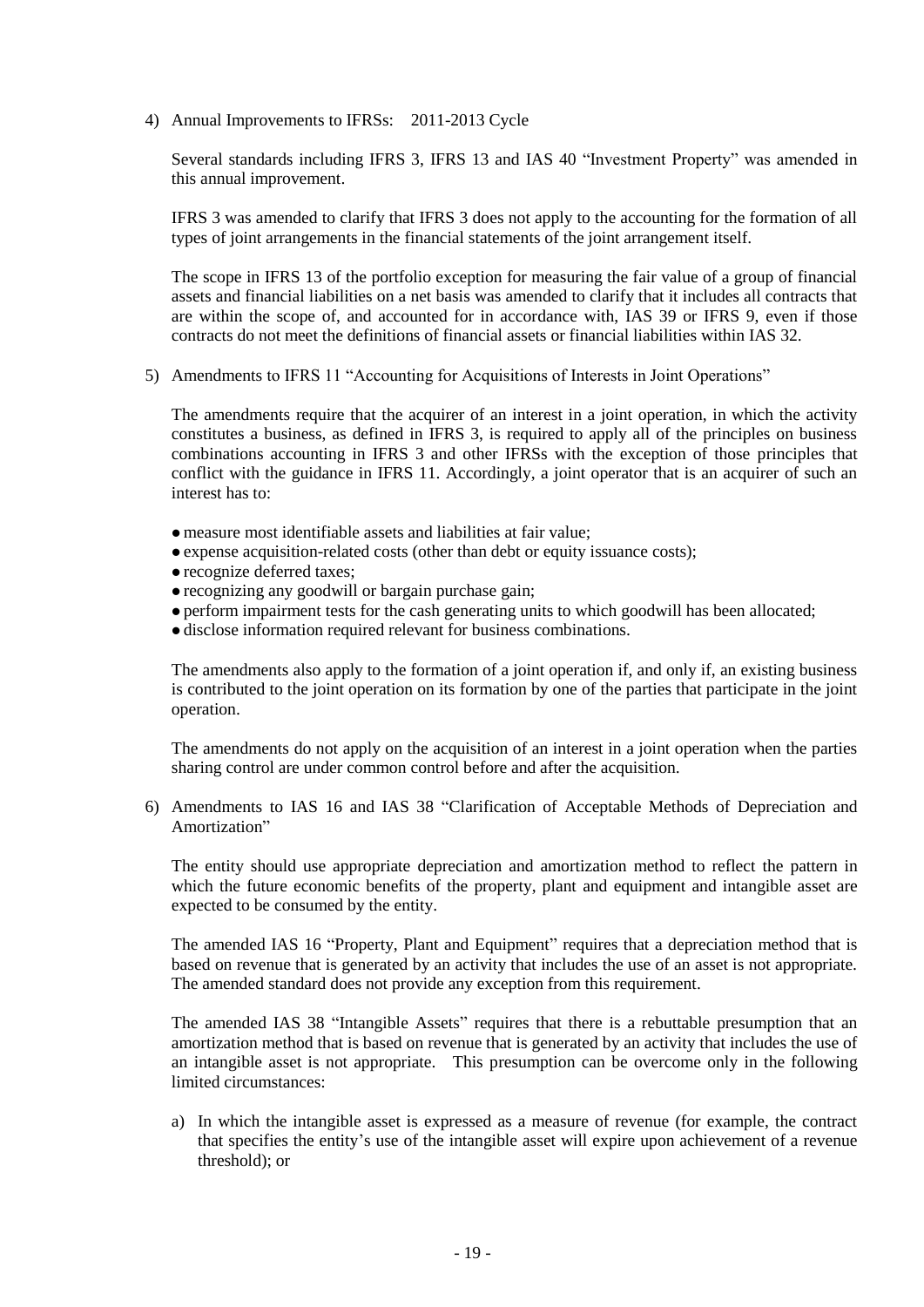4) Annual Improvements to IFRSs: 2011-2013 Cycle

Several standards including IFRS 3, IFRS 13 and IAS 40 "Investment Property" was amended in this annual improvement.

IFRS 3 was amended to clarify that IFRS 3 does not apply to the accounting for the formation of all types of joint arrangements in the financial statements of the joint arrangement itself.

The scope in IFRS 13 of the portfolio exception for measuring the fair value of a group of financial assets and financial liabilities on a net basis was amended to clarify that it includes all contracts that are within the scope of, and accounted for in accordance with, IAS 39 or IFRS 9, even if those contracts do not meet the definitions of financial assets or financial liabilities within IAS 32.

5) Amendments to IFRS 11 "Accounting for Acquisitions of Interests in Joint Operations"

The amendments require that the acquirer of an interest in a joint operation, in which the activity constitutes a business, as defined in IFRS 3, is required to apply all of the principles on business combinations accounting in IFRS 3 and other IFRSs with the exception of those principles that conflict with the guidance in IFRS 11. Accordingly, a joint operator that is an acquirer of such an interest has to:

- measure most identifiable assets and liabilities at fair value;
- expense acquisition-related costs (other than debt or equity issuance costs);
- recognize deferred taxes;
- recognizing any goodwill or bargain purchase gain;
- perform impairment tests for the cash generating units to which goodwill has been allocated;
- disclose information required relevant for business combinations.

The amendments also apply to the formation of a joint operation if, and only if, an existing business is contributed to the joint operation on its formation by one of the parties that participate in the joint operation.

The amendments do not apply on the acquisition of an interest in a joint operation when the parties sharing control are under common control before and after the acquisition.

6) Amendments to IAS 16 and IAS 38 "Clarification of Acceptable Methods of Depreciation and Amortization"

The entity should use appropriate depreciation and amortization method to reflect the pattern in which the future economic benefits of the property, plant and equipment and intangible asset are expected to be consumed by the entity.

The amended IAS 16 "Property, Plant and Equipment" requires that a depreciation method that is based on revenue that is generated by an activity that includes the use of an asset is not appropriate. The amended standard does not provide any exception from this requirement.

The amended IAS 38 "Intangible Assets" requires that there is a rebuttable presumption that an amortization method that is based on revenue that is generated by an activity that includes the use of an intangible asset is not appropriate. This presumption can be overcome only in the following limited circumstances:

a) In which the intangible asset is expressed as a measure of revenue (for example, the contract that specifies the entity's use of the intangible asset will expire upon achievement of a revenue threshold); or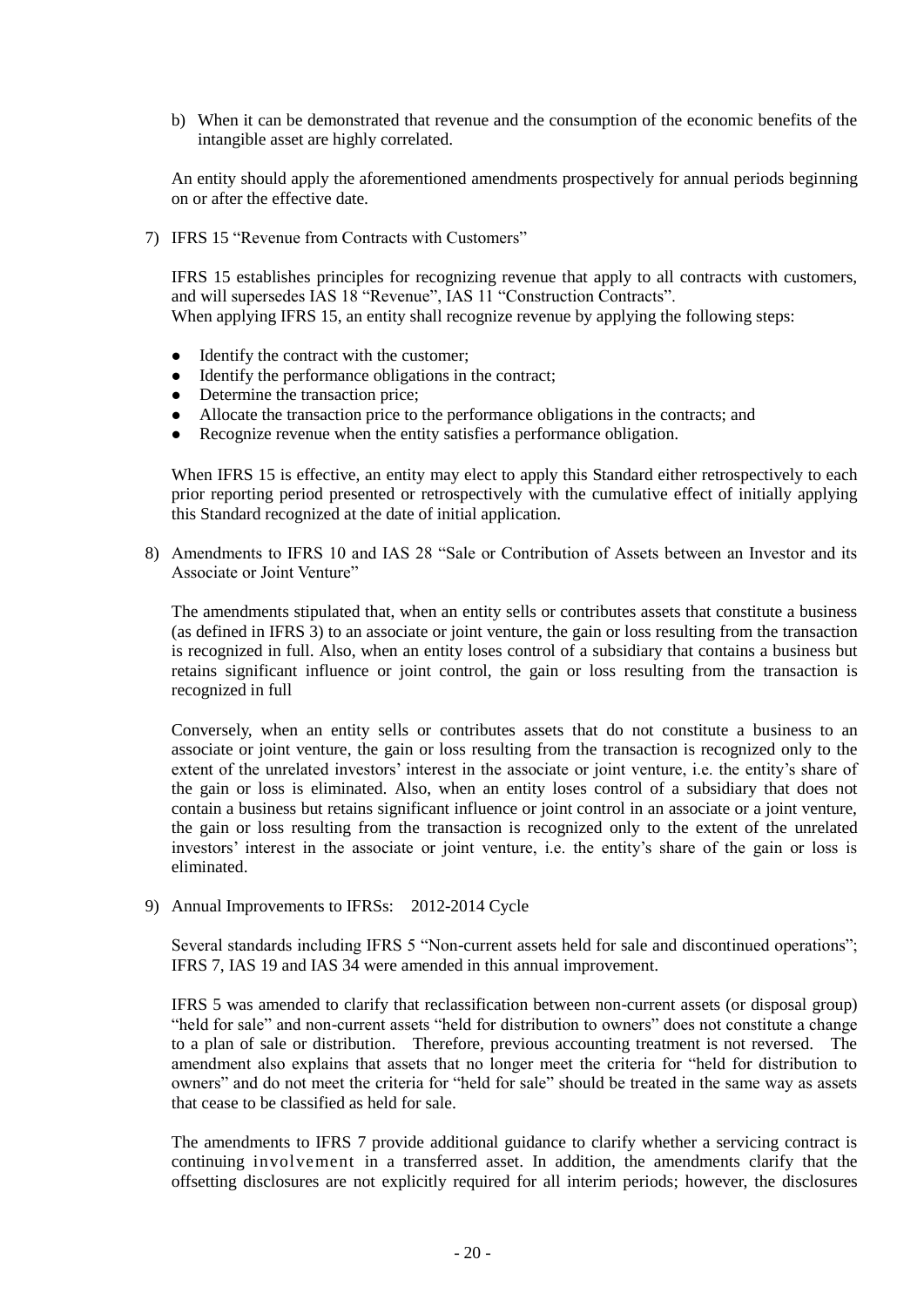b) When it can be demonstrated that revenue and the consumption of the economic benefits of the intangible asset are highly correlated.

An entity should apply the aforementioned amendments prospectively for annual periods beginning on or after the effective date.

7) IFRS 15 "Revenue from Contracts with Customers"

IFRS 15 establishes principles for recognizing revenue that apply to all contracts with customers, and will supersedes IAS 18 "Revenue", IAS 11 "Construction Contracts". When applying IFRS 15, an entity shall recognize revenue by applying the following steps:

- Identify the contract with the customer;
- Identify the performance obligations in the contract;
- Determine the transaction price;
- Allocate the transaction price to the performance obligations in the contracts; and
- Recognize revenue when the entity satisfies a performance obligation.

When IFRS 15 is effective, an entity may elect to apply this Standard either retrospectively to each prior reporting period presented or retrospectively with the cumulative effect of initially applying this Standard recognized at the date of initial application.

8) Amendments to IFRS 10 and IAS 28 "Sale or Contribution of Assets between an Investor and its Associate or Joint Venture"

The amendments stipulated that, when an entity sells or contributes assets that constitute a business (as defined in IFRS 3) to an associate or joint venture, the gain or loss resulting from the transaction is recognized in full. Also, when an entity loses control of a subsidiary that contains a business but retains significant influence or joint control, the gain or loss resulting from the transaction is recognized in full

Conversely, when an entity sells or contributes assets that do not constitute a business to an associate or joint venture, the gain or loss resulting from the transaction is recognized only to the extent of the unrelated investors' interest in the associate or joint venture, i.e. the entity's share of the gain or loss is eliminated. Also, when an entity loses control of a subsidiary that does not contain a business but retains significant influence or joint control in an associate or a joint venture, the gain or loss resulting from the transaction is recognized only to the extent of the unrelated investors' interest in the associate or joint venture, i.e. the entity's share of the gain or loss is eliminated.

9) Annual Improvements to IFRSs: 2012-2014 Cycle

Several standards including IFRS 5 "Non-current assets held for sale and discontinued operations"; IFRS 7, IAS 19 and IAS 34 were amended in this annual improvement.

IFRS 5 was amended to clarify that reclassification between non-current assets (or disposal group) "held for sale" and non-current assets "held for distribution to owners" does not constitute a change to a plan of sale or distribution. Therefore, previous accounting treatment is not reversed. The amendment also explains that assets that no longer meet the criteria for "held for distribution to owners" and do not meet the criteria for "held for sale" should be treated in the same way as assets that cease to be classified as held for sale.

The amendments to IFRS 7 provide additional guidance to clarify whether a servicing contract is continuing involvement in a transferred asset. In addition, the amendments clarify that the offsetting disclosures are not explicitly required for all interim periods; however, the disclosures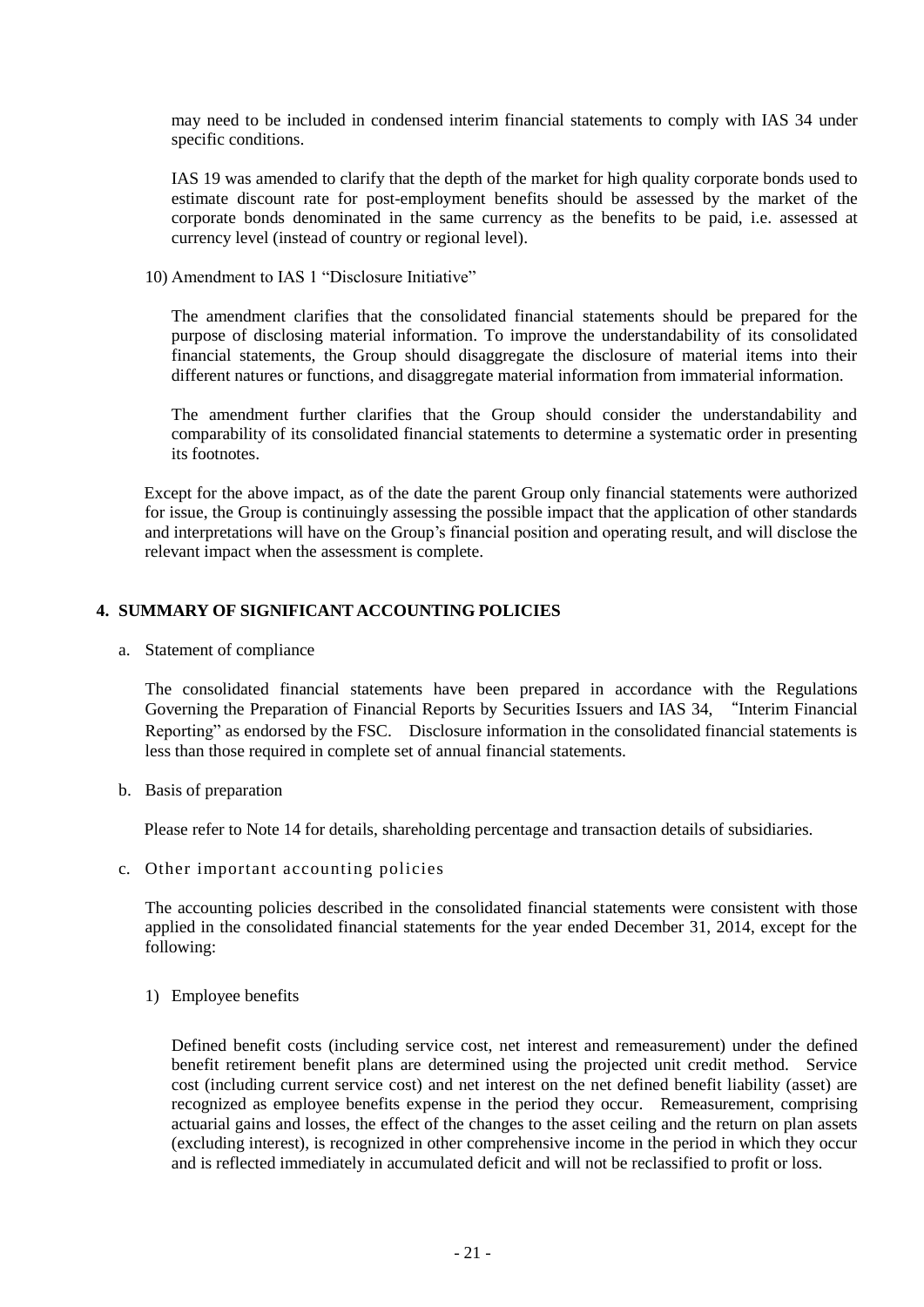may need to be included in condensed interim financial statements to comply with IAS 34 under specific conditions.

IAS 19 was amended to clarify that the depth of the market for high quality corporate bonds used to estimate discount rate for post-employment benefits should be assessed by the market of the corporate bonds denominated in the same currency as the benefits to be paid, i.e. assessed at currency level (instead of country or regional level).

10) Amendment to IAS 1 "Disclosure Initiative"

The amendment clarifies that the consolidated financial statements should be prepared for the purpose of disclosing material information. To improve the understandability of its consolidated financial statements, the Group should disaggregate the disclosure of material items into their different natures or functions, and disaggregate material information from immaterial information.

The amendment further clarifies that the Group should consider the understandability and comparability of its consolidated financial statements to determine a systematic order in presenting its footnotes.

Except for the above impact, as of the date the parent Group only financial statements were authorized for issue, the Group is continuingly assessing the possible impact that the application of other standards and interpretations will have on the Group's financial position and operating result, and will disclose the relevant impact when the assessment is complete.

## **4. SUMMARY OF SIGNIFICANT ACCOUNTING POLICIES**

a. Statement of compliance

The consolidated financial statements have been prepared in accordance with the Regulations Governing the Preparation of Financial Reports by Securities Issuers and IAS 34, "Interim Financial Reporting" as endorsed by the FSC. Disclosure information in the consolidated financial statements is less than those required in complete set of annual financial statements.

b. Basis of preparation

Please refer to Note 14 for details, shareholding percentage and transaction details of subsidiaries.

c. Other important accounting policies

The accounting policies described in the consolidated financial statements were consistent with those applied in the consolidated financial statements for the year ended December 31, 2014, except for the following:

1) Employee benefits

Defined benefit costs (including service cost, net interest and remeasurement) under the defined benefit retirement benefit plans are determined using the projected unit credit method. Service cost (including current service cost) and net interest on the net defined benefit liability (asset) are recognized as employee benefits expense in the period they occur. Remeasurement, comprising actuarial gains and losses, the effect of the changes to the asset ceiling and the return on plan assets (excluding interest), is recognized in other comprehensive income in the period in which they occur and is reflected immediately in accumulated deficit and will not be reclassified to profit or loss.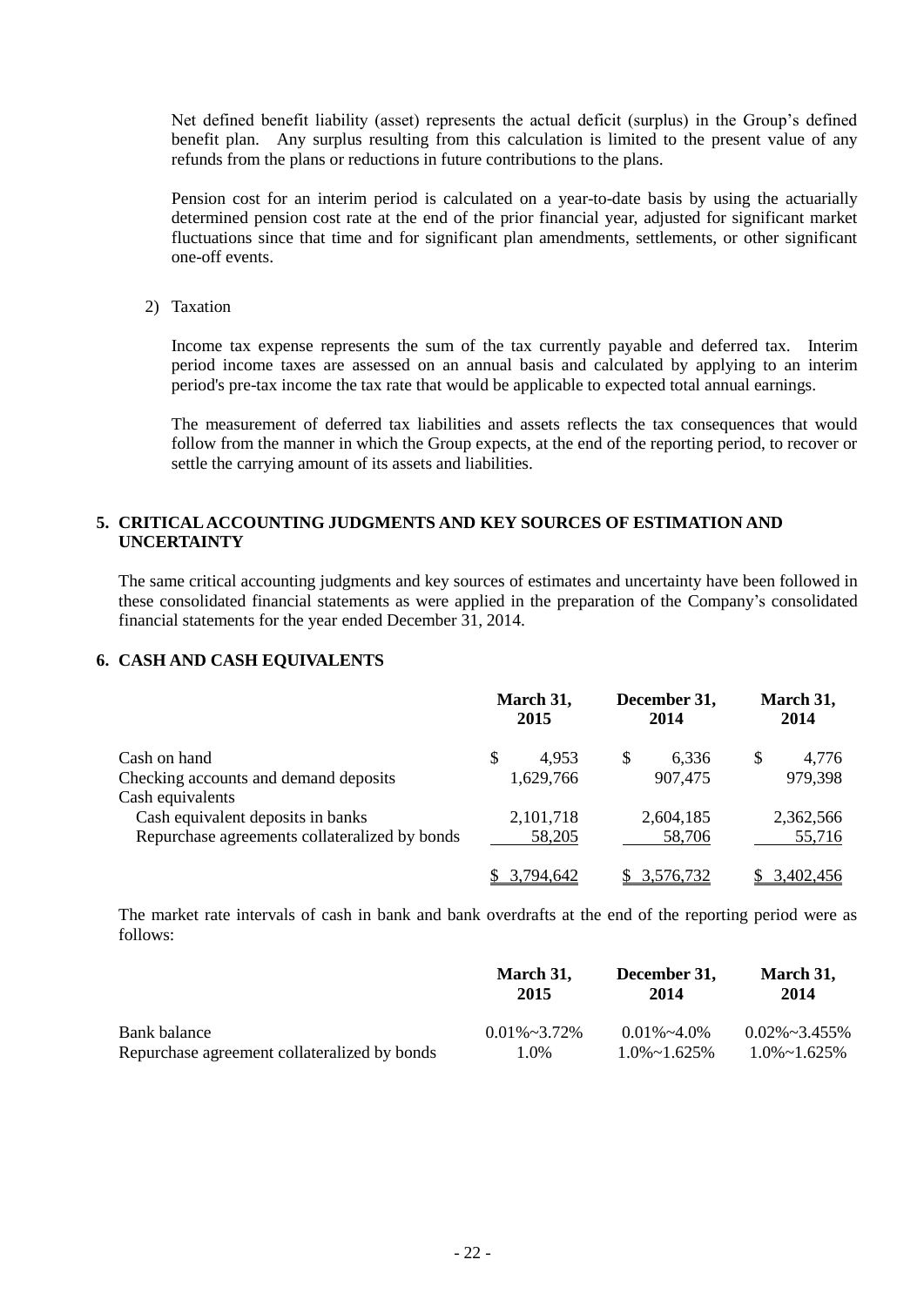Net defined benefit liability (asset) represents the actual deficit (surplus) in the Group's defined benefit plan. Any surplus resulting from this calculation is limited to the present value of any refunds from the plans or reductions in future contributions to the plans.

Pension cost for an interim period is calculated on a year-to-date basis by using the actuarially determined pension cost rate at the end of the prior financial year, adjusted for significant market fluctuations since that time and for significant plan amendments, settlements, or other significant one-off events.

2) Taxation

Income tax expense represents the sum of the tax currently payable and deferred tax. Interim period income taxes are assessed on an annual basis and calculated by applying to an interim period's pre-tax income the tax rate that would be applicable to expected total annual earnings.

The measurement of deferred tax liabilities and assets reflects the tax consequences that would follow from the manner in which the Group expects, at the end of the reporting period, to recover or settle the carrying amount of its assets and liabilities.

## **5. CRITICAL ACCOUNTING JUDGMENTS AND KEY SOURCES OF ESTIMATION AND UNCERTAINTY**

The same critical accounting judgments and key sources of estimates and uncertainty have been followed in these consolidated financial statements as were applied in the preparation of the Company's consolidated financial statements for the year ended December 31, 2014.

## **6. CASH AND CASH EQUIVALENTS**

|                                               | March 31,<br>2015 | December 31,<br>2014 | March 31,<br>2014 |  |
|-----------------------------------------------|-------------------|----------------------|-------------------|--|
| Cash on hand                                  | \$<br>4.953       | S<br>6.336           | 4,776<br>S        |  |
| Checking accounts and demand deposits         | 1,629,766         | 907,475              | 979,398           |  |
| Cash equivalents                              |                   |                      |                   |  |
| Cash equivalent deposits in banks             | 2,101,718         | 2,604,185            | 2,362,566         |  |
| Repurchase agreements collateralized by bonds | 58,205            | 58,706               | 55,716            |  |
|                                               | 3,794,642         | 3,576,732            | 3,402,456         |  |

The market rate intervals of cash in bank and bank overdrafts at the end of the reporting period were as follows:

|                                              | March 31,<br>2015    | December 31,<br>2014 | March 31,<br>2014     |
|----------------------------------------------|----------------------|----------------------|-----------------------|
| Bank balance                                 | $0.01\% \sim 3.72\%$ | $0.01\% \sim 4.0\%$  | $0.02\% \sim 3.455\%$ |
| Repurchase agreement collateralized by bonds | 1.0%                 | $1.0\% \sim 1.625\%$ | $1.0\% \sim 1.625\%$  |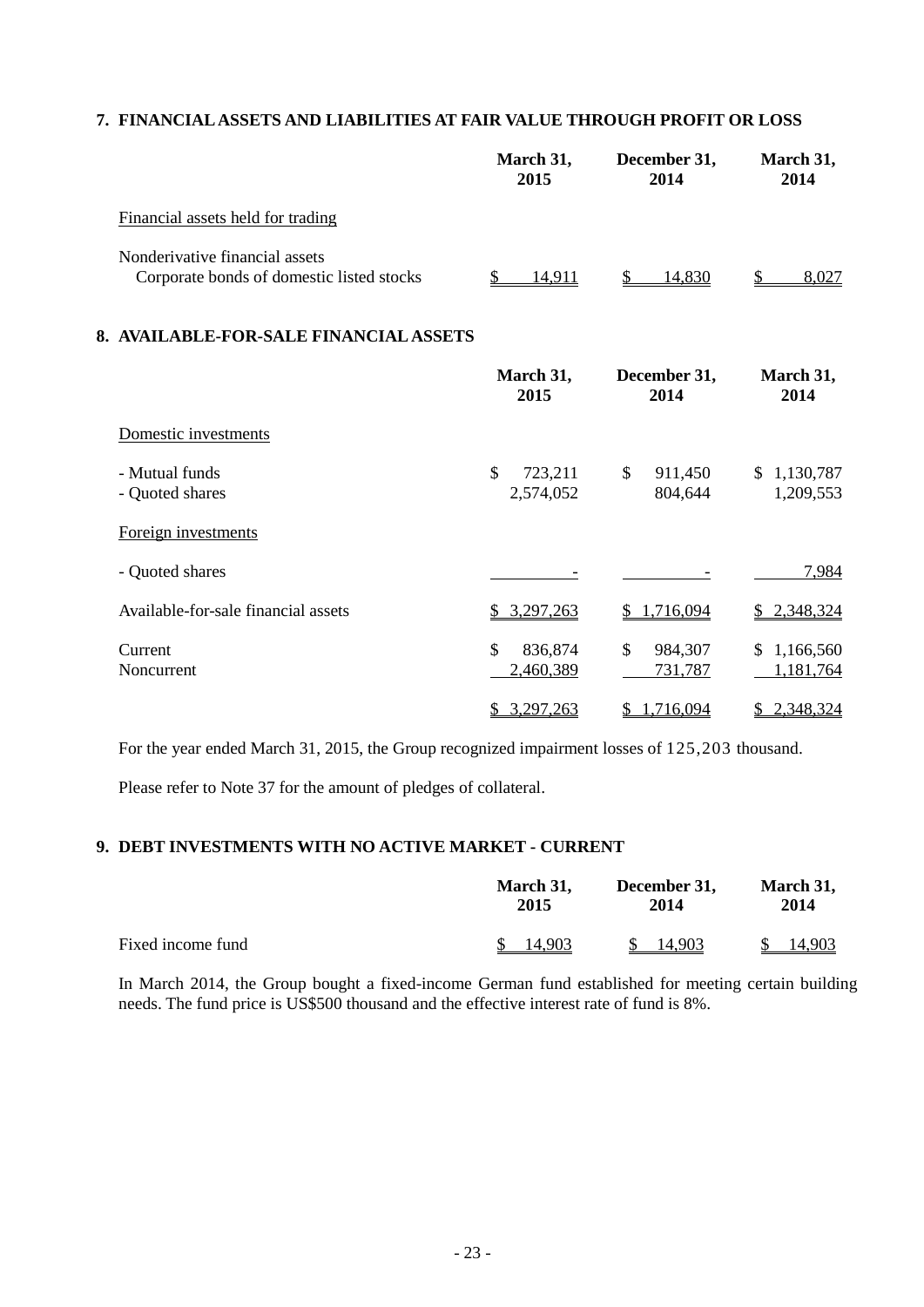## **7. FINANCIAL ASSETS AND LIABILITIES AT FAIR VALUE THROUGH PROFIT OR LOSS**

|                                                                             | March 31,<br>2015          | December 31,<br>2014     | March 31,<br>2014             |
|-----------------------------------------------------------------------------|----------------------------|--------------------------|-------------------------------|
| Financial assets held for trading                                           |                            |                          |                               |
| Nonderivative financial assets<br>Corporate bonds of domestic listed stocks | \$<br>14,911               | 14,830<br>\$             | \$<br>8,027                   |
| 8. AVAILABLE-FOR-SALE FINANCIAL ASSETS                                      |                            |                          |                               |
|                                                                             | March 31,<br>2015          | December 31,<br>2014     | March 31,<br>2014             |
| Domestic investments                                                        |                            |                          |                               |
| - Mutual funds<br>- Quoted shares                                           | \$<br>723,211<br>2,574,052 | \$<br>911,450<br>804,644 | 1,130,787<br>\$.<br>1,209,553 |
| Foreign investments                                                         |                            |                          |                               |
| - Quoted shares                                                             |                            |                          | 7,984                         |
| Available-for-sale financial assets                                         | 3,297,263                  | 1,716,094                | 2,348,324                     |
| Current<br>Noncurrent                                                       | \$<br>836,874<br>2,460,389 | \$<br>984,307<br>731,787 | 1,166,560<br>S.<br>1,181,764  |
|                                                                             | \$3,297,263                | \$1,716,094              | \$2,348,324                   |

For the year ended March 31, 2015, the Group recognized impairment losses of 125,203 thousand.

Please refer to Note 37 for the amount of pledges of collateral.

## **9. DEBT INVESTMENTS WITH NO ACTIVE MARKET - CURRENT**

|                   | March 31, | December 31, | March 31, |  |
|-------------------|-----------|--------------|-----------|--|
|                   | 2015      | 2014         | 2014      |  |
| Fixed income fund | 14.903    | 14.903       | 14.903    |  |

In March 2014, the Group bought a fixed-income German fund established for meeting certain building needs. The fund price is US\$500 thousand and the effective interest rate of fund is 8%.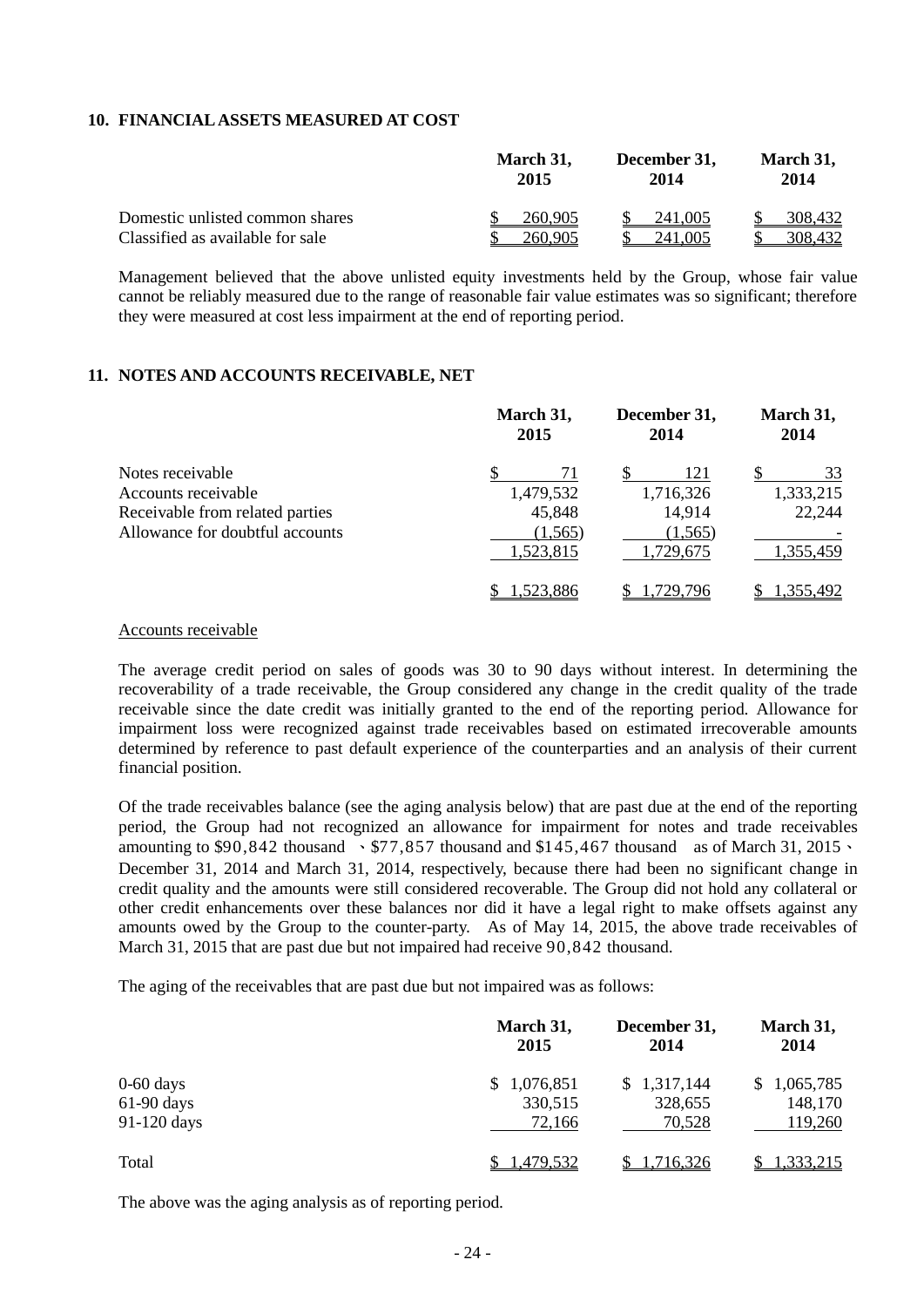### **10. FINANCIAL ASSETS MEASURED AT COST**

|                                  | March 31, | December 31, | March 31, |  |
|----------------------------------|-----------|--------------|-----------|--|
|                                  | 2015      | 2014         | 2014      |  |
| Domestic unlisted common shares  | 260,905   | 241,005      | 308.432   |  |
| Classified as available for sale | 260,905   | 241.005      | 308.432   |  |

Management believed that the above unlisted equity investments held by the Group, whose fair value cannot be reliably measured due to the range of reasonable fair value estimates was so significant; therefore they were measured at cost less impairment at the end of reporting period.

#### **11. NOTES AND ACCOUNTS RECEIVABLE, NET**

|                                 | March 31,<br>2015 | December 31,<br>2014 | March 31,<br>2014 |  |
|---------------------------------|-------------------|----------------------|-------------------|--|
| Notes receivable                | 71                | 121                  | 33                |  |
| Accounts receivable             | 1,479,532         | 1,716,326            | 1,333,215         |  |
| Receivable from related parties | 45,848            | 14,914               | 22,244            |  |
| Allowance for doubtful accounts | (1,565)           | (1, 565)             |                   |  |
|                                 | 1,523,815         | 1,729,675            | 1,355,459         |  |
|                                 | 1,523,886         | .729.796             | 1,355,492         |  |

#### Accounts receivable

The average credit period on sales of goods was 30 to 90 days without interest. In determining the recoverability of a trade receivable, the Group considered any change in the credit quality of the trade receivable since the date credit was initially granted to the end of the reporting period. Allowance for impairment loss were recognized against trade receivables based on estimated irrecoverable amounts determined by reference to past default experience of the counterparties and an analysis of their current financial position.

Of the trade receivables balance (see the aging analysis below) that are past due at the end of the reporting period, the Group had not recognized an allowance for impairment for notes and trade receivables amounting to \$90,842 thousand  $\cdot$  \$77,857 thousand and \$145,467 thousand as of March 31, 2015 $\cdot$ December 31, 2014 and March 31, 2014, respectively, because there had been no significant change in credit quality and the amounts were still considered recoverable. The Group did not hold any collateral or other credit enhancements over these balances nor did it have a legal right to make offsets against any amounts owed by the Group to the counter-party. As of May 14, 2015, the above trade receivables of March 31, 2015 that are past due but not impaired had receive 90,842 thousand.

The aging of the receivables that are past due but not impaired was as follows:

|              | March 31,<br>2015 | December 31,<br>2014 | March 31,<br>2014 |
|--------------|-------------------|----------------------|-------------------|
| $0-60$ days  | \$1,076,851       | \$1,317,144          | \$1,065,785       |
| $61-90$ days | 330,515           | 328,655              | 148,170           |
| 91-120 days  | 72,166            | 70,528               | 119,260           |
| Total        | <u>1,479,532</u>  | 1,716,326            | 1,333,215         |

The above was the aging analysis as of reporting period.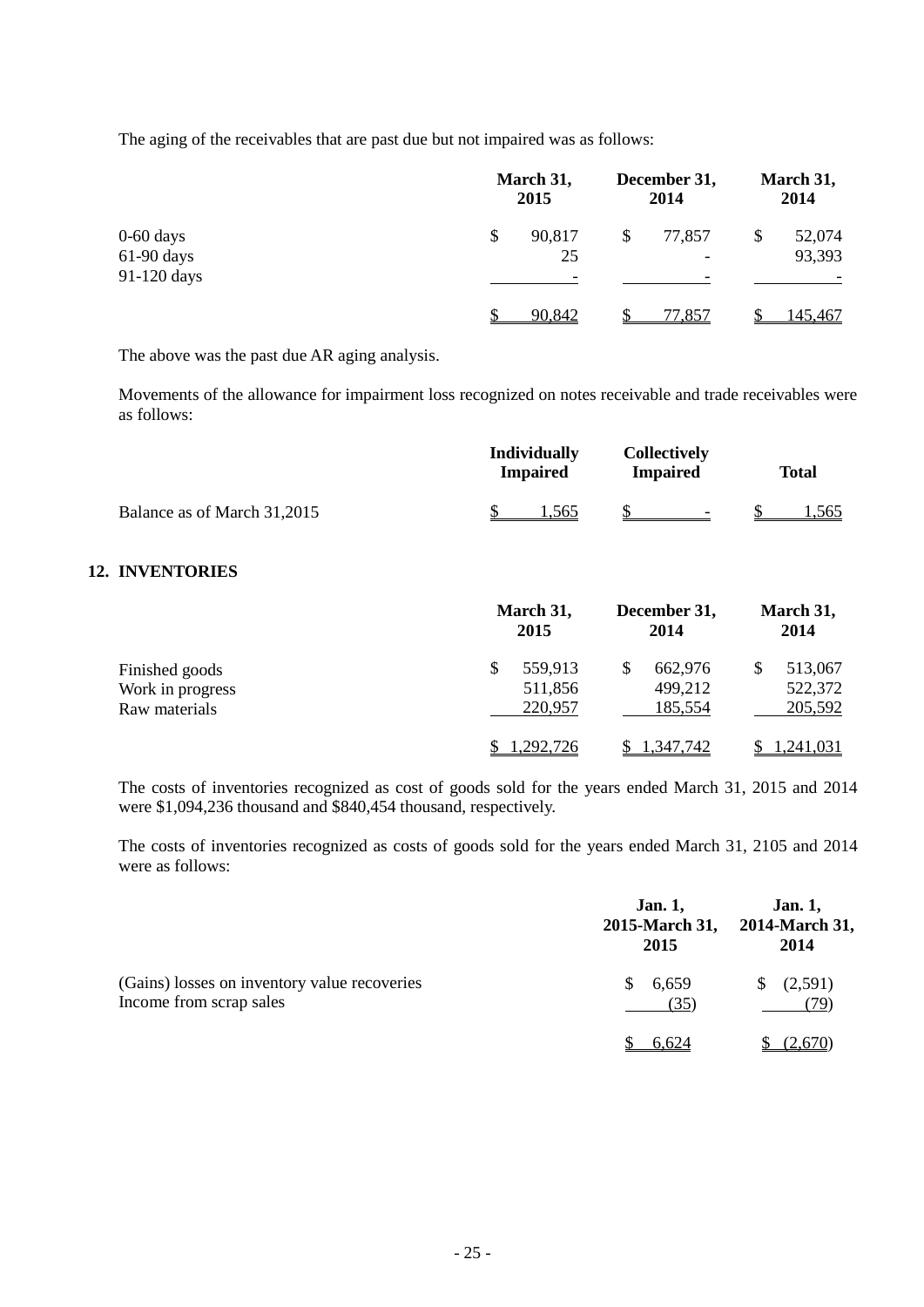The aging of the receivables that are past due but not impaired was as follows:

|                             | March 31,<br>2015  | December 31,<br>2014                     | March 31,<br>2014      |  |
|-----------------------------|--------------------|------------------------------------------|------------------------|--|
| $0-60$ days<br>$61-90$ days | \$<br>90,817<br>25 | 77,857<br>\$<br>$\overline{\phantom{a}}$ | 52,074<br>\$<br>93,393 |  |
| 91-120 days                 |                    | -                                        |                        |  |
|                             | 90,842             | 77,857                                   | 145,467                |  |

The above was the past due AR aging analysis.

Movements of the allowance for impairment loss recognized on notes receivable and trade receivables were as follows:

|                                                     | <b>Individually</b><br><b>Impaired</b> | <b>Collectively</b><br><b>Impaired</b> | <b>Total</b>                        |
|-----------------------------------------------------|----------------------------------------|----------------------------------------|-------------------------------------|
| Balance as of March 31,2015                         | 1,565                                  |                                        | 1,565                               |
| <b>12. INVENTORIES</b>                              |                                        |                                        |                                     |
|                                                     | March 31,<br>2015                      | December 31,<br>2014                   | March 31,<br>2014                   |
| Finished goods<br>Work in progress<br>Raw materials | \$<br>559,913<br>511,856<br>220,957    | \$.<br>662,976<br>499,212<br>185,554   | \$<br>513,067<br>522,372<br>205,592 |
|                                                     | ,292,726                               | 1,347,742                              | 1,241,031                           |

The costs of inventories recognized as cost of goods sold for the years ended March 31, 2015 and 2014 were \$1,094,236 thousand and \$840,454 thousand, respectively.

The costs of inventories recognized as costs of goods sold for the years ended March 31, 2105 and 2014 were as follows:

|                                                                         | <b>Jan. 1,</b><br>2015-March 31,<br>2015 | <b>Jan. 1,</b><br>2014-March 31,<br>2014 |
|-------------------------------------------------------------------------|------------------------------------------|------------------------------------------|
| (Gains) losses on inventory value recoveries<br>Income from scrap sales | 6,659<br>S.<br>(35)                      | (2,591)<br>S.<br>79`                     |
|                                                                         | 6.624                                    | (2.670)                                  |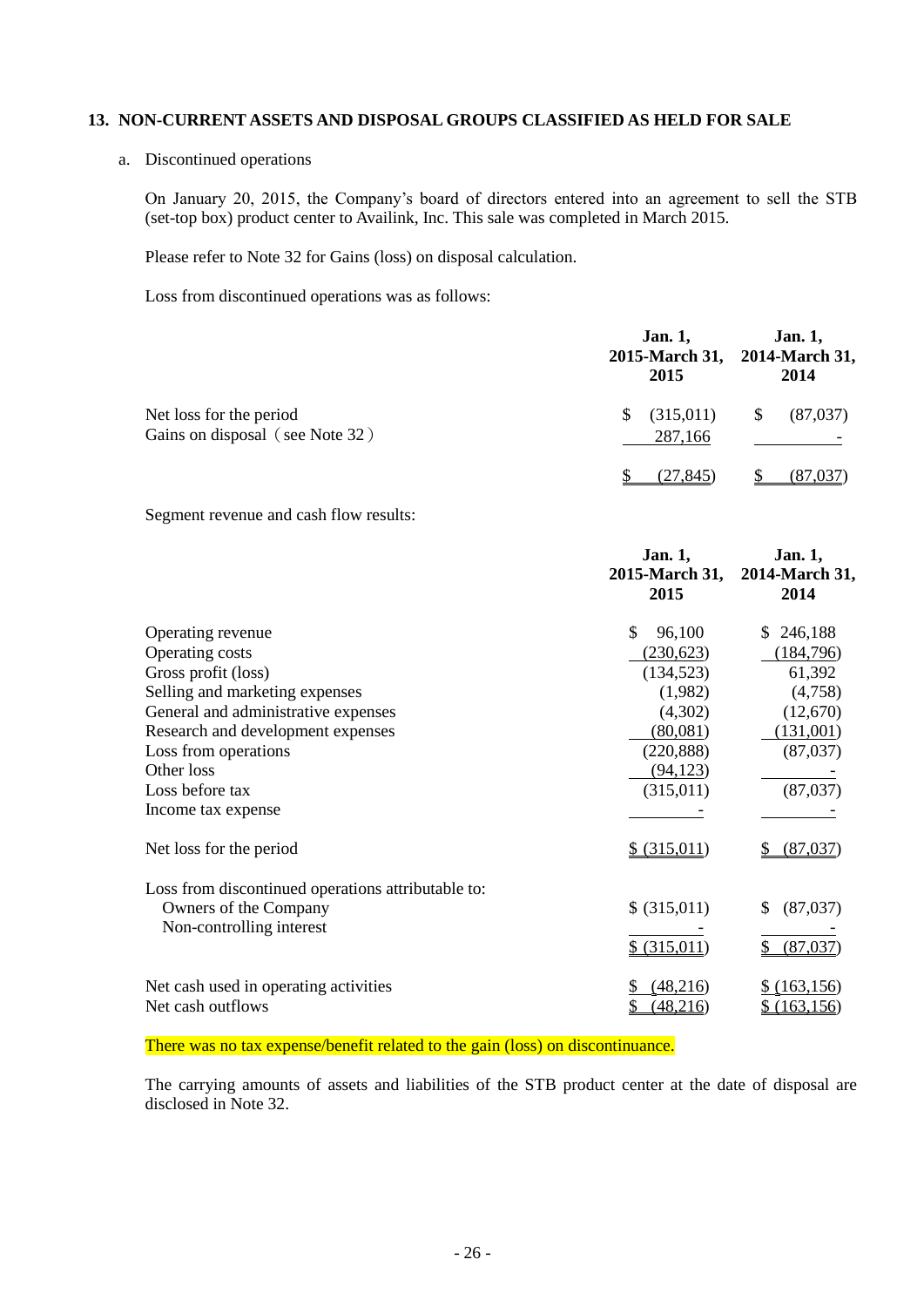## **13. NON-CURRENT ASSETS AND DISPOSAL GROUPS CLASSIFIED AS HELD FOR SALE**

a. Discontinued operations

On January 20, 2015, the Company's board of directors entered into an agreement to sell the STB (set-top box) product center to Availink, Inc. This sale was completed in March 2015.

Please refer to Note 32 for Gains (loss) on disposal calculation.

Loss from discontinued operations was as follows:

|                                                            | <b>Jan. 1,</b><br>2015     | <b>Jan. 1,</b><br>2015-March 31, 2014-March 31,<br>2014 |
|------------------------------------------------------------|----------------------------|---------------------------------------------------------|
| Net loss for the period<br>Gains on disposal (see Note 32) | (315,011)<br>\$<br>287,166 | (87,037)<br>\$                                          |
|                                                            | (27.845)                   | (87.037                                                 |

Segment revenue and cash flow results:

|                                                                                                                                                                                                                                                          | Jan. 1,<br>2015-March 31,<br>2015                                                                                  | Jan. 1,<br>2014-March 31,<br>2014                                                                 |
|----------------------------------------------------------------------------------------------------------------------------------------------------------------------------------------------------------------------------------------------------------|--------------------------------------------------------------------------------------------------------------------|---------------------------------------------------------------------------------------------------|
| Operating revenue<br>Operating costs<br>Gross profit (loss)<br>Selling and marketing expenses<br>General and administrative expenses<br>Research and development expenses<br>Loss from operations<br>Other loss<br>Loss before tax<br>Income tax expense | \$<br>96,100<br>(230, 623)<br>(134, 523)<br>(1,982)<br>(4,302)<br>(80,081)<br>(220, 888)<br>(94, 123)<br>(315,011) | 246,188<br>S.<br>(184, 796)<br>61,392<br>(4,758)<br>(12,670)<br>(131,001)<br>(87,037)<br>(87,037) |
| Net loss for the period                                                                                                                                                                                                                                  | \$ (315,011)                                                                                                       | (87,037)                                                                                          |
| Loss from discontinued operations attributable to:<br>Owners of the Company<br>Non-controlling interest                                                                                                                                                  | \$ (315,011)<br>\$ (315,011)                                                                                       | (87,037)<br>S<br>(87,037)                                                                         |
| Net cash used in operating activities<br>Net cash outflows                                                                                                                                                                                               | (48,216)<br>(48, 216)                                                                                              | $$$ (163,156)<br>(163, 156)                                                                       |

There was no tax expense/benefit related to the gain (loss) on discontinuance.

The carrying amounts of assets and liabilities of the STB product center at the date of disposal are disclosed in Note 32.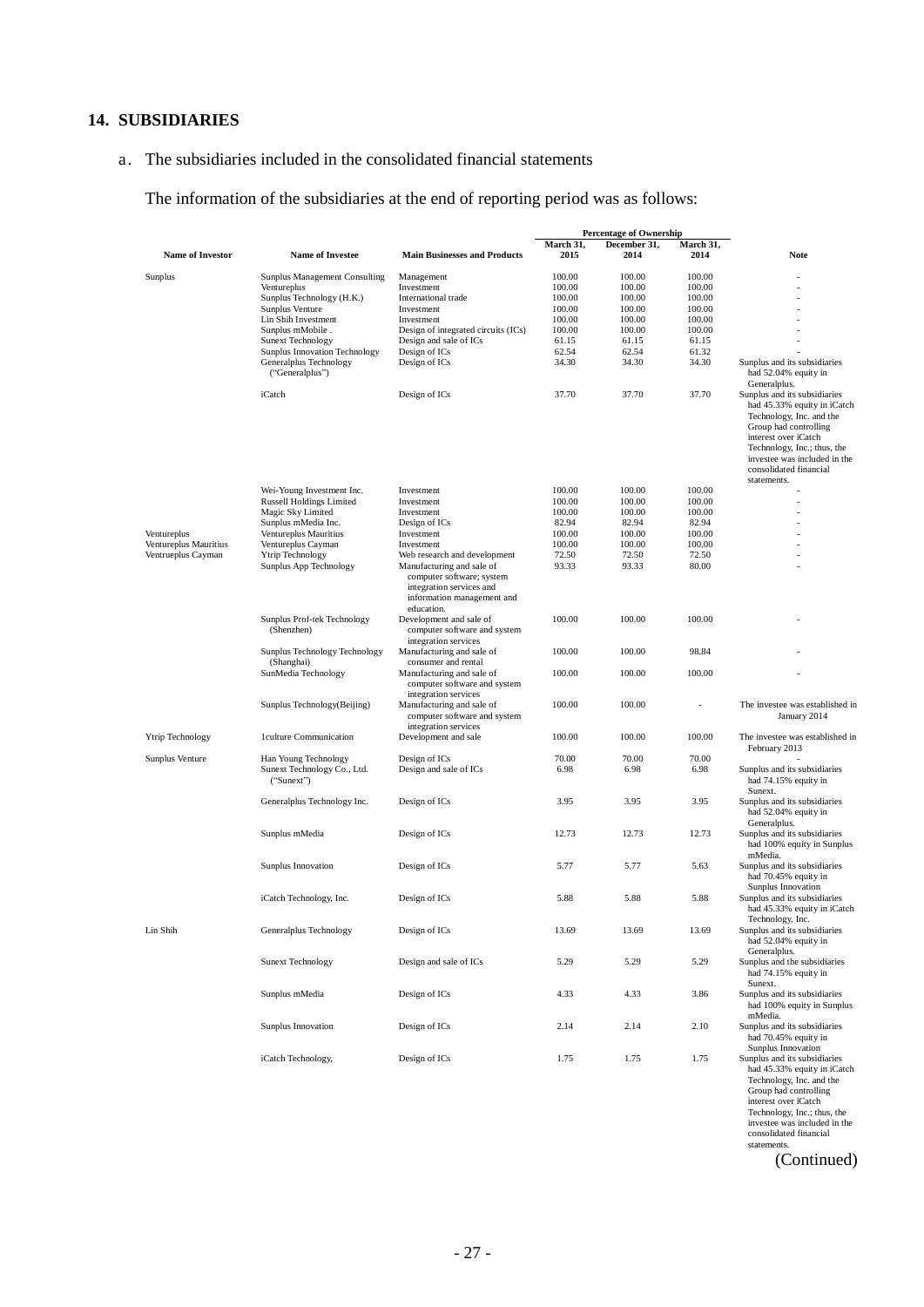## **14. SUBSIDIARIES**

## a. The subsidiaries included in the consolidated financial statements

The information of the subsidiaries at the end of reporting period was as follows:

|                         |                                             |                                                                                                   | <b>Percentage of Ownership</b> |                      |                   |                                                                                                                                                                                                                                   |
|-------------------------|---------------------------------------------|---------------------------------------------------------------------------------------------------|--------------------------------|----------------------|-------------------|-----------------------------------------------------------------------------------------------------------------------------------------------------------------------------------------------------------------------------------|
| <b>Name of Investor</b> | <b>Name of Investee</b>                     | <b>Main Businesses and Products</b>                                                               | March 31,<br>2015              | December 31,<br>2014 | March 31,<br>2014 | Note                                                                                                                                                                                                                              |
| Sunplus                 | Sunplus Management Consulting               | Management                                                                                        | 100.00                         | 100.00               | 100.00            |                                                                                                                                                                                                                                   |
|                         | Ventureplus                                 | Investment                                                                                        | 100.00                         | 100.00               | 100.00            |                                                                                                                                                                                                                                   |
|                         | Sunplus Technology (H.K.)                   | International trade                                                                               | 100.00                         | 100.00               | 100.00            |                                                                                                                                                                                                                                   |
|                         | Sunplus Venture                             | Investment                                                                                        | 100.00                         | 100.00               | 100.00            |                                                                                                                                                                                                                                   |
|                         | Lin Shih Investment                         | Investment                                                                                        | 100.00                         | 100.00               | 100.00            |                                                                                                                                                                                                                                   |
|                         | Sunplus mMobile.                            | Design of integrated circuits (ICs)                                                               | 100.00                         | 100.00               | 100.00            |                                                                                                                                                                                                                                   |
|                         | <b>Sunext Technology</b>                    | Design and sale of ICs                                                                            | 61.15                          | 61.15                | 61.15             |                                                                                                                                                                                                                                   |
|                         | <b>Sunplus Innovation Technology</b>        | Design of ICs                                                                                     | 62.54                          | 62.54                | 61.32             |                                                                                                                                                                                                                                   |
|                         | Generalplus Technology<br>("Generalplus")   | Design of ICs                                                                                     | 34.30                          | 34.30                | 34.30             | Sunplus and its subsidiaries<br>had 52.04% equity in<br>Generalplus.                                                                                                                                                              |
|                         | iCatch                                      | Design of ICs                                                                                     | 37.70                          | 37.70                | 37.70             | Sunplus and its subsidiaries<br>had 45.33% equity in iCatch<br>Technology, Inc. and the<br>Group had controlling<br>interest over iCatch<br>Technology, Inc.; thus, the<br>investee was included in the<br>consolidated financial |
|                         | Wei-Young Investment Inc.                   | Investment                                                                                        | 100.00                         | 100.00               | 100.00            | statements.                                                                                                                                                                                                                       |
|                         | <b>Russell Holdings Limited</b>             | Investment                                                                                        | 100.00                         | 100.00               | 100.00            |                                                                                                                                                                                                                                   |
|                         | Magic Sky Limited                           | Investment                                                                                        | 100.00                         | 100.00               | 100.00            |                                                                                                                                                                                                                                   |
|                         | Sunplus mMedia Inc.                         | Design of ICs                                                                                     | 82.94                          | 82.94                | 82.94             |                                                                                                                                                                                                                                   |
| Ventureplus             | Ventureplus Mauritius                       | Investment                                                                                        | 100.00                         | 100.00               | 100.00            |                                                                                                                                                                                                                                   |
| Ventureplus Mauritius   | Ventureplus Cayman                          | Investment                                                                                        | 100.00                         | 100.00               | 100.00            |                                                                                                                                                                                                                                   |
| Ventrueplus Cayman      | Ytrip Technology                            | Web research and development                                                                      | 72.50                          | 72.50                | 72.50             |                                                                                                                                                                                                                                   |
|                         | Sunplus App Technology                      | Manufacturing and sale of                                                                         | 93.33                          | 93.33                | 80.00             |                                                                                                                                                                                                                                   |
|                         |                                             | computer software; system<br>integration services and<br>information management and<br>education. |                                |                      |                   |                                                                                                                                                                                                                                   |
|                         | Sunplus Prof-tek Technology<br>(Shenzhen)   | Development and sale of<br>computer software and system<br>integration services                   | 100.00                         | 100.00               | 100.00            |                                                                                                                                                                                                                                   |
|                         | Sunplus Technology Technology<br>(Shanghai) | Manufacturing and sale of<br>consumer and rental                                                  | 100.00                         | 100.00               | 98.84             |                                                                                                                                                                                                                                   |
|                         | SunMedia Technology                         | Manufacturing and sale of<br>computer software and system<br>integration services                 | 100.00                         | 100.00               | 100.00            |                                                                                                                                                                                                                                   |
|                         | Sunplus Technology(Beijing)                 | Manufacturing and sale of<br>computer software and system<br>integration services                 | 100.00                         | 100.00               |                   | The investee was established in<br>January 2014                                                                                                                                                                                   |
| Ytrip Technology        | 1culture Communication                      | Development and sale                                                                              | 100.00                         | 100.00               | 100.00            | The investee was established in<br>February 2013                                                                                                                                                                                  |
| Sunplus Venture         | Han Young Technology                        | Design of ICs                                                                                     | 70.00                          | 70.00                | 70.00             |                                                                                                                                                                                                                                   |
|                         | Sunext Technology Co., Ltd.<br>("Sunext")   | Design and sale of ICs                                                                            | 6.98                           | 6.98                 | 6.98              | Sunplus and its subsidiaries<br>had 74.15% equity in<br>Sunext.                                                                                                                                                                   |
|                         | Generalplus Technology Inc.                 | Design of ICs                                                                                     | 3.95                           | 3.95                 | 3.95              | Sunplus and its subsidiaries<br>had 52.04% equity in                                                                                                                                                                              |
|                         | Sunplus mMedia                              | Design of ICs                                                                                     | 12.73                          | 12.73                | 12.73             | Generalplus.<br>Sunplus and its subsidiaries<br>had 100% equity in Sunplus                                                                                                                                                        |
|                         | Sunplus Innovation                          | Design of ICs                                                                                     | 5.77                           | 5.77                 | 5.63              | mMedia.<br>Sunplus and its subsidiaries<br>had 70.45% equity in                                                                                                                                                                   |
|                         | iCatch Technology, Inc.                     | Design of ICs                                                                                     | 5.88                           | 5.88                 | 5.88              | Sunplus Innovation<br>Sunplus and its subsidiaries<br>had 45.33% equity in iCatch                                                                                                                                                 |
| Lin Shih                | Generalplus Technology                      | Design of ICs                                                                                     | 13.69                          | 13.69                | 13.69             | Technology, Inc.<br>Sunplus and its subsidiaries<br>had 52.04% equity in                                                                                                                                                          |
|                         | <b>Sunext Technology</b>                    | Design and sale of ICs                                                                            | 5.29                           | 5.29                 | 5.29              | Generalplus.<br>Sunplus and the subsidiaries<br>had 74.15% equity in                                                                                                                                                              |
|                         | Sunplus mMedia                              | Design of ICs                                                                                     | 4.33                           | 4.33                 | 3.86              | Sunext.<br>Sunplus and its subsidiaries<br>had 100% equity in Sunplus                                                                                                                                                             |
|                         | Sunplus Innovation                          | Design of ICs                                                                                     | 2.14                           | 2.14                 | 2.10              | mMedia.<br>Sunplus and its subsidiaries<br>had 70.45% equity in                                                                                                                                                                   |
|                         | iCatch Technology,                          | Design of ICs                                                                                     | 1.75                           | 1.75                 | 1.75              | Sunplus Innovation<br>Sunplus and its subsidiaries<br>had 45.33% equity in iCatch<br>Technology, Inc. and the<br>Group had controlling<br>interest over iCatch                                                                    |
|                         |                                             |                                                                                                   |                                |                      |                   | Technology, Inc.; thus, the<br>investee was included in the<br>consolidated financial<br>statements.                                                                                                                              |

(Continued)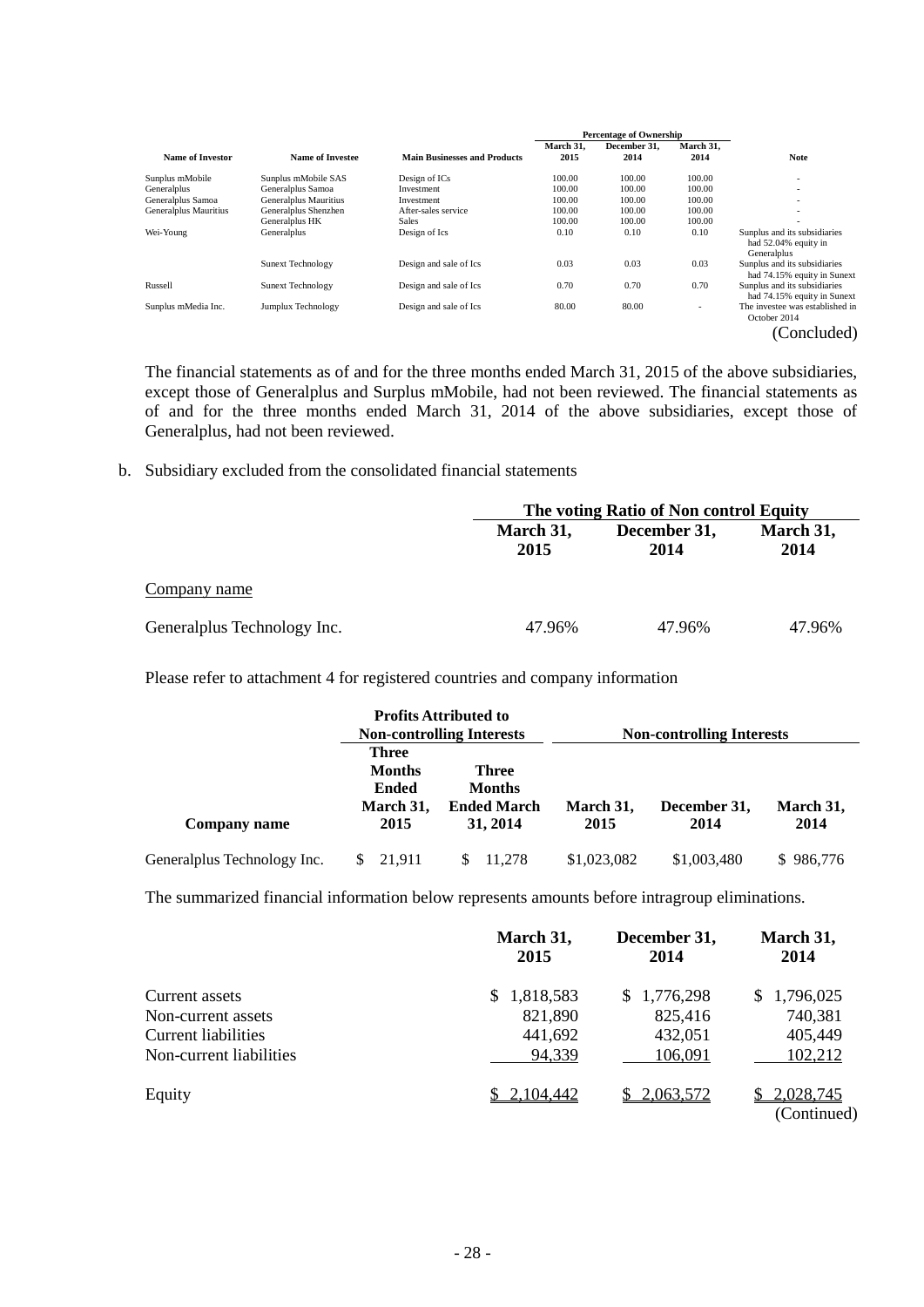|                         |                          |                                     | <b>Percentage of Ownership</b> |              |           |                                                                     |
|-------------------------|--------------------------|-------------------------------------|--------------------------------|--------------|-----------|---------------------------------------------------------------------|
|                         |                          |                                     | March 31.                      | December 31. | March 31. |                                                                     |
| <b>Name of Investor</b> | <b>Name of Investee</b>  | <b>Main Businesses and Products</b> | 2015                           | 2014         | 2014      | <b>Note</b>                                                         |
| Sunplus mMobile         | Sunplus mMobile SAS      | Design of ICs                       | 100.00                         | 100.00       | 100.00    | $\overline{\phantom{a}}$                                            |
| Generalplus             | Generalplus Samoa        | Investment                          | 100.00                         | 100.00       | 100.00    | $\overline{\phantom{a}}$                                            |
| Generalplus Samoa       | Generalplus Mauritius    | Investment                          | 100.00                         | 100.00       | 100.00    | $\overline{\phantom{a}}$                                            |
| Generalplus Mauritius   | Generalplus Shenzhen     | After-sales service                 | 100.00                         | 100.00       | 100.00    | $\overline{\phantom{a}}$                                            |
|                         | Generalplus HK           | <b>Sales</b>                        | 100.00                         | 100.00       | 100.00    |                                                                     |
| Wei-Young               | Generalplus              | Design of Ics                       | 0.10                           | 0.10         | 0.10      | Sunplus and its subsidiaries<br>had 52.04% equity in<br>Generalplus |
|                         | Sunext Technology        | Design and sale of Ics              | 0.03                           | 0.03         | 0.03      | Sunplus and its subsidiaries<br>had 74.15% equity in Sunext         |
| Russell                 | <b>Sunext Technology</b> | Design and sale of Ics              | 0.70                           | 0.70         | 0.70      | Sunplus and its subsidiaries<br>had 74.15% equity in Sunext         |
| Sunplus mMedia Inc.     | Jumplux Technology       | Design and sale of Ics              | 80.00                          | 80.00        | ٠         | The investee was established in<br>October 2014                     |
|                         |                          |                                     |                                |              |           | (Concluded)                                                         |

The financial statements as of and for the three months ended March 31, 2015 of the above subsidiaries, except those of Generalplus and Surplus mMobile, had not been reviewed. The financial statements as of and for the three months ended March 31, 2014 of the above subsidiaries, except those of Generalplus, had not been reviewed.

b. Subsidiary excluded from the consolidated financial statements

|                             |                   | The voting Ratio of Non control Equity |                   |  |  |  |
|-----------------------------|-------------------|----------------------------------------|-------------------|--|--|--|
|                             | March 31,<br>2015 | December 31,<br>2014                   | March 31,<br>2014 |  |  |  |
| Company name                |                   |                                        |                   |  |  |  |
| Generalplus Technology Inc. | 47.96%            | 47.96%                                 | 47.96%            |  |  |  |

Please refer to attachment 4 for registered countries and company information

|                              |                                                                    | <b>Profits Attributed to</b><br><b>Non-controlling Interests</b> |                   | <b>Non-controlling Interests</b> |                   |
|------------------------------|--------------------------------------------------------------------|------------------------------------------------------------------|-------------------|----------------------------------|-------------------|
| Company name                 | <b>Three</b><br><b>Months</b><br><b>Ended</b><br>March 31,<br>2015 |                                                                  | March 31,<br>2015 | December 31,<br>2014             | March 31,<br>2014 |
| General plus Technology Inc. | 21.911                                                             | 11.278                                                           | \$1,023,082       | \$1,003,480                      | \$986,776         |

The summarized financial information below represents amounts before intragroup eliminations.

|                            | March 31,<br>2015 | December 31,<br>2014 | March 31,<br>2014        |
|----------------------------|-------------------|----------------------|--------------------------|
| Current assets             | 1,818,583         | 1,776,298<br>S.      | \$1,796,025              |
| Non-current assets         | 821,890           | 825,416              | 740,381                  |
| <b>Current liabilities</b> | 441,692           | 432,051              | 405,449                  |
| Non-current liabilities    | 94,339            | 106,091              | 102,212                  |
| Equity                     | 2,104,442         | 2,063,572            | 2,028,745<br>(Continued) |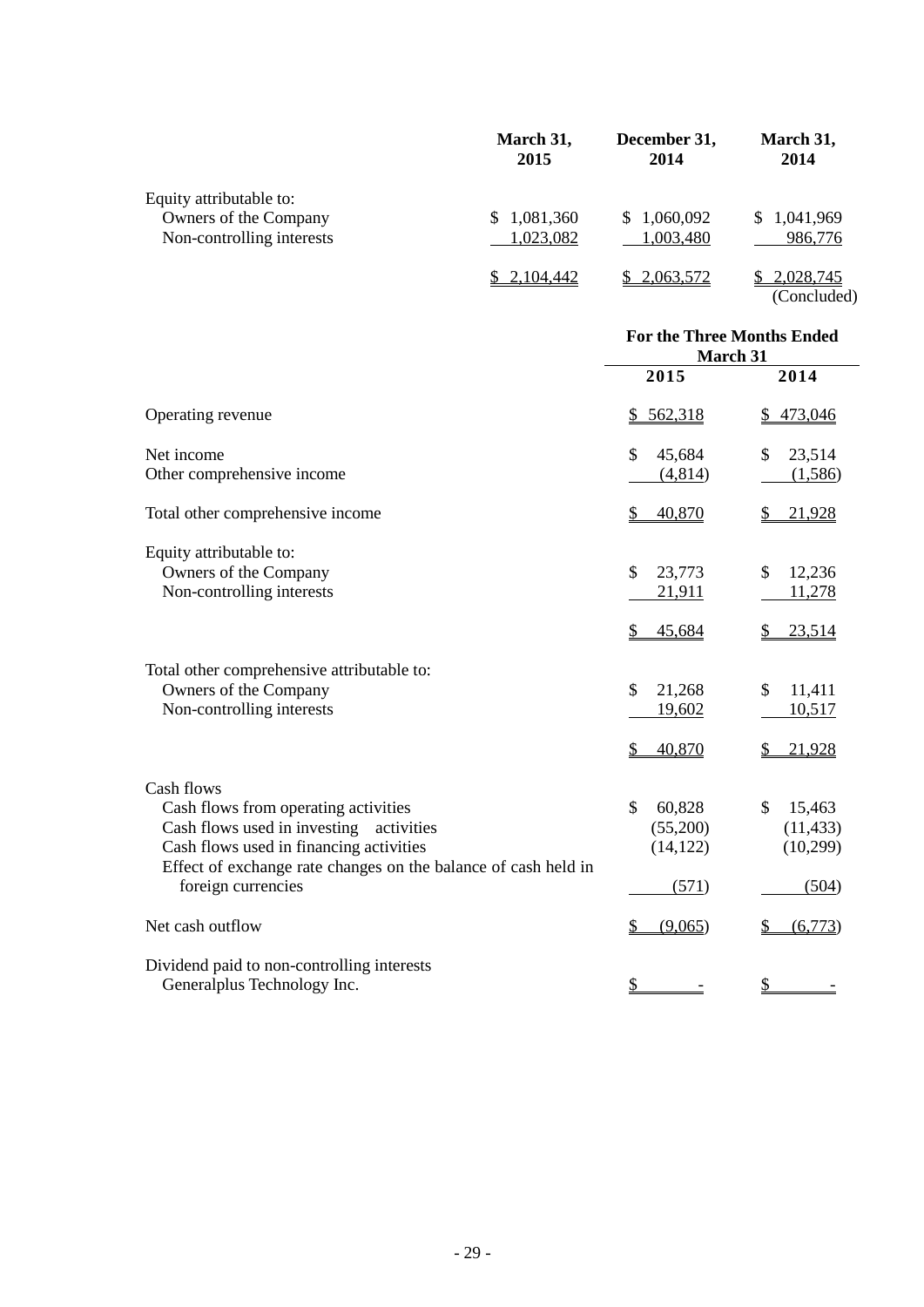|                           | March 31,<br>2015 | December 31,<br>2014 | March 31,<br>2014 |
|---------------------------|-------------------|----------------------|-------------------|
| Equity attributable to:   |                   |                      |                   |
| Owners of the Company     | 1,081,360<br>S.   | 1,060,092<br>S.      | \$1,041,969       |
| Non-controlling interests | 1,023,082         | 1,003,480            | 986,776           |
|                           | 2,104,442         | 2,063,572            | \$2,028,745       |
|                           |                   |                      | (Concluded)       |

|                                                                                                                                                                                                                                     | <b>For the Three Months Ended</b><br>March 31  |                                                 |  |  |
|-------------------------------------------------------------------------------------------------------------------------------------------------------------------------------------------------------------------------------------|------------------------------------------------|-------------------------------------------------|--|--|
|                                                                                                                                                                                                                                     | 2015                                           | 2014                                            |  |  |
| Operating revenue                                                                                                                                                                                                                   | 562,318<br>\$                                  | 473,046<br>\$                                   |  |  |
| Net income                                                                                                                                                                                                                          | $\mathcal{S}$<br>45,684                        | \$<br>23,514                                    |  |  |
| Other comprehensive income                                                                                                                                                                                                          | (4,814)                                        | (1,586)                                         |  |  |
| Total other comprehensive income                                                                                                                                                                                                    | 40,870<br>\$                                   | 21,928                                          |  |  |
| Equity attributable to:<br>Owners of the Company<br>Non-controlling interests                                                                                                                                                       | \$<br>23,773<br>21,911                         | 12,236<br>\$<br>11,278                          |  |  |
|                                                                                                                                                                                                                                     | 45,684<br>\$                                   | 23,514<br>\$                                    |  |  |
| Total other comprehensive attributable to:<br>Owners of the Company<br>Non-controlling interests                                                                                                                                    | $\mathcal{S}$<br>21,268<br>19,602<br>40,870    | 11,411<br>\$<br>10,517<br>21,928                |  |  |
| Cash flows<br>Cash flows from operating activities<br>Cash flows used in investing<br>activities<br>Cash flows used in financing activities<br>Effect of exchange rate changes on the balance of cash held in<br>foreign currencies | \$<br>60,828<br>(55,200)<br>(14, 122)<br>(571) | \$<br>15,463<br>(11, 433)<br>(10, 299)<br>(504) |  |  |
| Net cash outflow                                                                                                                                                                                                                    | (9,065)                                        | (6,773)                                         |  |  |
| Dividend paid to non-controlling interests<br>Generalplus Technology Inc.                                                                                                                                                           | \$                                             | \$                                              |  |  |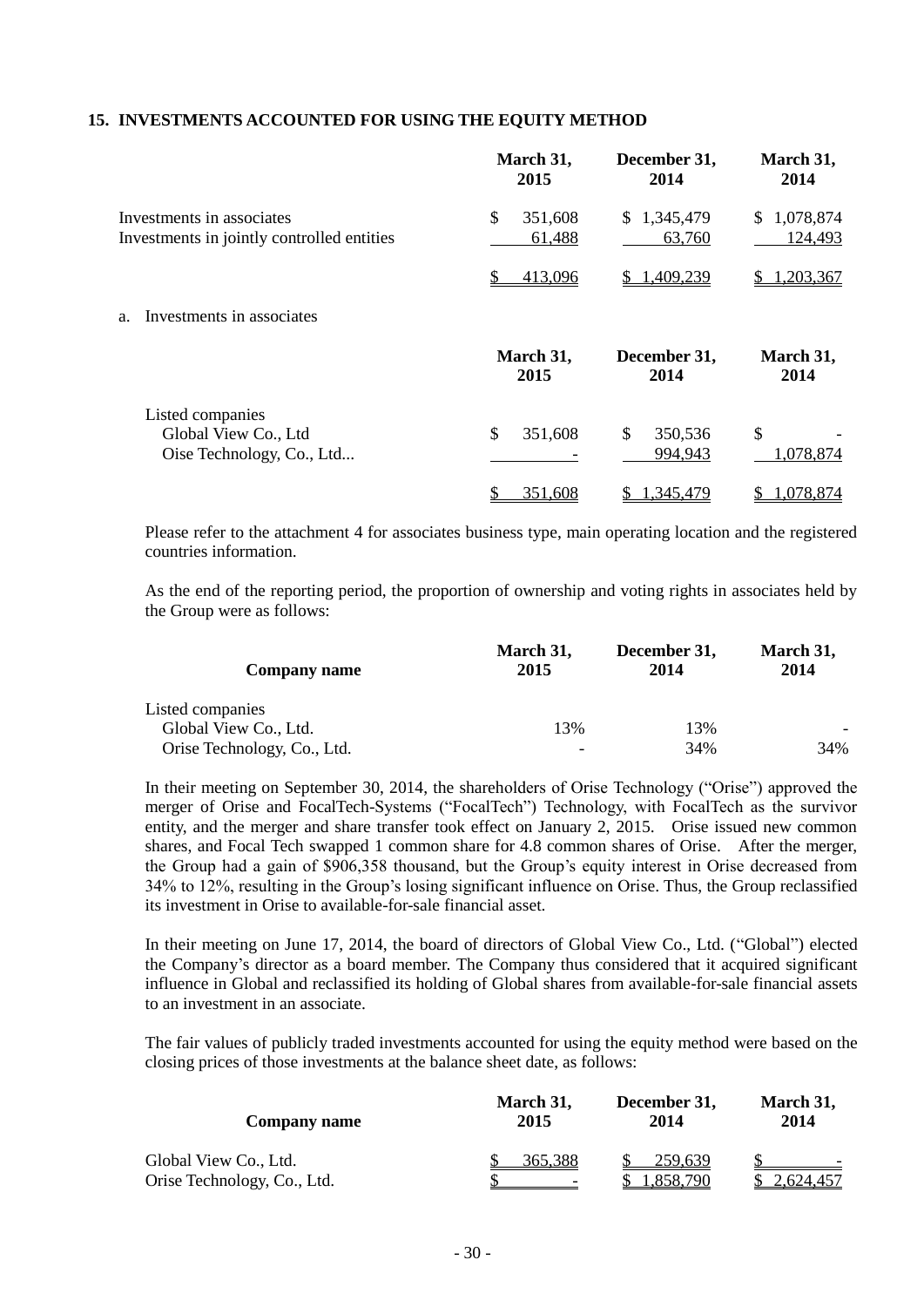## **15. INVESTMENTS ACCOUNTED FOR USING THE EQUITY METHOD**

|                                                                         | March 31,<br>2015       | December 31,<br>2014      | March 31,<br>2014      |
|-------------------------------------------------------------------------|-------------------------|---------------------------|------------------------|
| Investments in associates<br>Investments in jointly controlled entities | \$<br>351,608<br>61,488 | 1,345,479<br>S.<br>63,760 | \$1,078,874<br>124,493 |
|                                                                         | \$<br>413,096           | 1,409,239                 | 1,203,367              |
| Investments in associates<br>a.                                         |                         |                           |                        |
|                                                                         | March 31,<br>2015       | December 31,<br>2014      | March 31,<br>2014      |
| Listed companies<br>Global View Co., Ltd<br>Oise Technology, Co., Ltd   | \$<br>351,608           | \$<br>350,536<br>994,943  | \$<br>1,078,874        |
|                                                                         | 351,608                 | .345,479                  | 1,078,874              |

Please refer to the attachment 4 for associates business type, main operating location and the registered countries information.

As the end of the reporting period, the proportion of ownership and voting rights in associates held by the Group were as follows:

| <b>Company name</b>         | March 31,<br>2015        | December 31,<br>2014 | March 31,<br>2014 |
|-----------------------------|--------------------------|----------------------|-------------------|
| Listed companies            |                          |                      |                   |
| Global View Co., Ltd.       | 13%                      | 13%                  |                   |
| Orise Technology, Co., Ltd. | $\overline{\phantom{0}}$ | 34%                  | 34%               |

In their meeting on September 30, 2014, the shareholders of Orise Technology ("Orise") approved the merger of Orise and FocalTech-Systems ("FocalTech") Technology, with FocalTech as the survivor entity, and the merger and share transfer took effect on January 2, 2015. Orise issued new common shares, and Focal Tech swapped 1 common share for 4.8 common shares of Orise. After the merger, the Group had a gain of \$906,358 thousand, but the Group's equity interest in Orise decreased from 34% to 12%, resulting in the Group's losing significant influence on Orise. Thus, the Group reclassified its investment in Orise to available-for-sale financial asset.

In their meeting on June 17, 2014, the board of directors of Global View Co., Ltd. ("Global") elected the Company's director as a board member. The Company thus considered that it acquired significant influence in Global and reclassified its holding of Global shares from available-for-sale financial assets to an investment in an associate.

The fair values of publicly traded investments accounted for using the equity method were based on the closing prices of those investments at the balance sheet date, as follows:

| Company name                                         | March 31, | December 31,        | March 31, |  |
|------------------------------------------------------|-----------|---------------------|-----------|--|
|                                                      | 2015      | 2014                | 2014      |  |
| Global View Co., Ltd.<br>Orise Technology, Co., Ltd. | 365.388   | 259.639<br>.858,790 | 2.624.457 |  |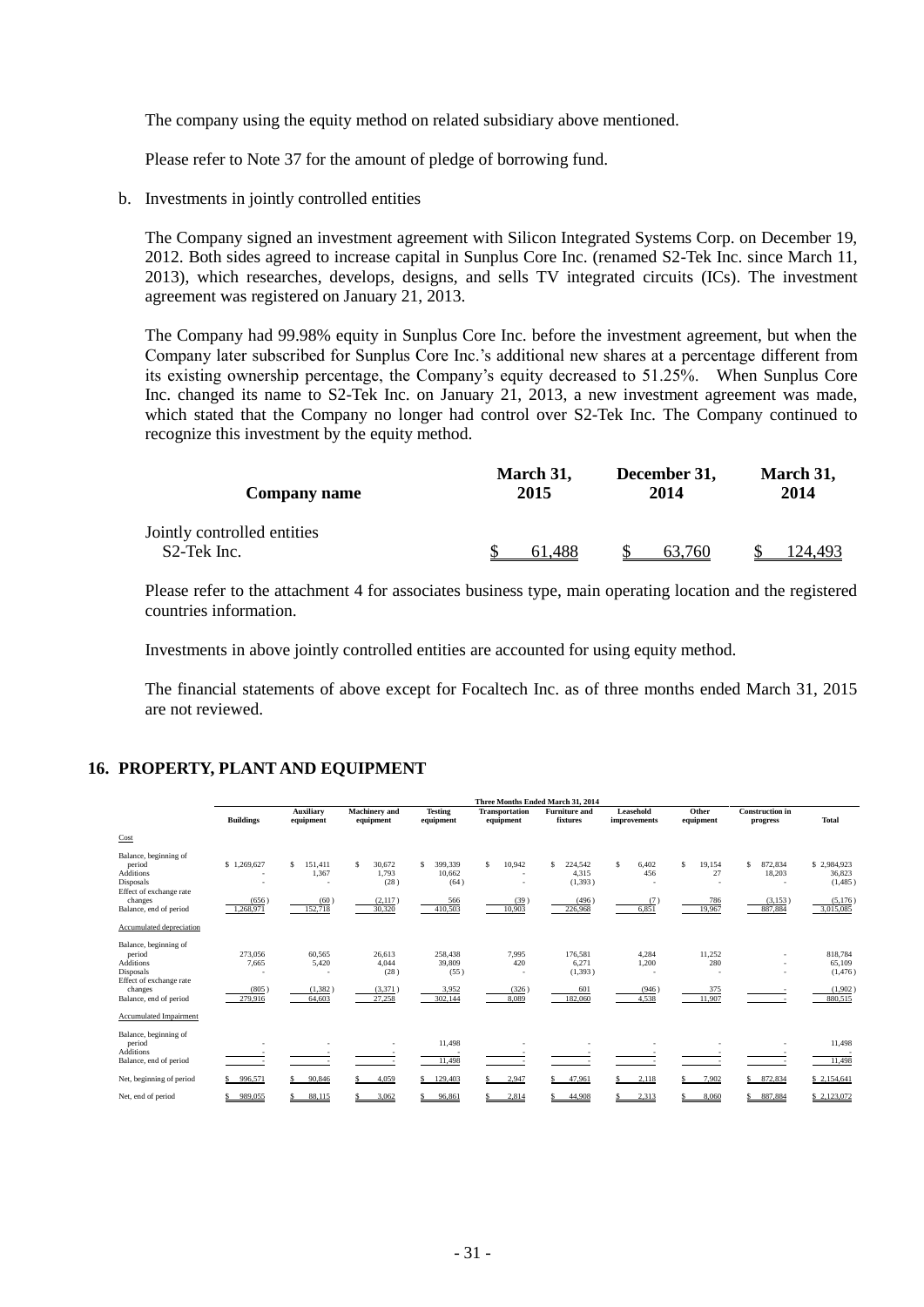The company using the equity method on related subsidiary above mentioned.

Please refer to Note 37 for the amount of pledge of borrowing fund.

b. Investments in jointly controlled entities

The Company signed an investment agreement with Silicon Integrated Systems Corp. on December 19, 2012. Both sides agreed to increase capital in Sunplus Core Inc. (renamed S2-Tek Inc. since March 11, 2013), which researches, develops, designs, and sells TV integrated circuits (ICs). The investment agreement was registered on January 21, 2013.

The Company had 99.98% equity in Sunplus Core Inc. before the investment agreement, but when the Company later subscribed for Sunplus Core Inc.'s additional new shares at a percentage different from its existing ownership percentage, the Company's equity decreased to 51.25%. When Sunplus Core Inc. changed its name to S2-Tek Inc. on January 21, 2013, a new investment agreement was made, which stated that the Company no longer had control over S2-Tek Inc. The Company continued to recognize this investment by the equity method.

| <b>Company name</b>                                     | March 31, | December 31, | March 31, |  |
|---------------------------------------------------------|-----------|--------------|-----------|--|
|                                                         | 2015      | 2014         | 2014      |  |
| Jointly controlled entities<br>S <sub>2</sub> -Tek Inc. | 61.488    | 63.760       | 124.493   |  |

Please refer to the attachment 4 for associates business type, main operating location and the registered countries information.

Investments in above jointly controlled entities are accounted for using equity method.

The financial statements of above except for Focaltech Inc. as of three months ended March 31, 2015 are not reviewed.

## **16. PROPERTY, PLANT AND EQUIPMENT**

|                                                                                      | Three Months Ended March 31, 2014 |                                        |                                   |                                |                                    |                                    |                           |                    |                                    |                                  |
|--------------------------------------------------------------------------------------|-----------------------------------|----------------------------------------|-----------------------------------|--------------------------------|------------------------------------|------------------------------------|---------------------------|--------------------|------------------------------------|----------------------------------|
|                                                                                      | <b>Buildings</b>                  | <b>Auxiliary</b><br>equipment          | <b>Machinery</b> and<br>equipment | <b>Testing</b><br>equipment    | <b>Transportation</b><br>equipment | <b>Furniture</b> and<br>fixtures   | Leasehold<br>improvements | Other<br>equipment | <b>Construction</b> in<br>progress | <b>Total</b>                     |
| Cost                                                                                 |                                   |                                        |                                   |                                |                                    |                                    |                           |                    |                                    |                                  |
| Balance, beginning of<br>period<br>Additions<br>Disposals<br>Effect of exchange rate | \$1,269,627                       | $\mathbf{\hat{S}}$<br>151,411<br>1,367 | \$<br>30,672<br>1.793<br>(28)     | 399,339<br>s<br>10,662<br>(64) | 10,942<br>s                        | 224,542<br>Ś.<br>4,315<br>(1, 393) | \$<br>6,402<br>456        | S<br>19,154<br>27  | 872,834<br>18,203<br>٠             | \$2,984,923<br>36,823<br>(1,485) |
| changes<br>Balance, end of period                                                    | (656)<br>1,268,971                | (60)<br>152,718                        | (2, 117)<br>30,320                | 566<br>410,503                 | (39)<br>10,903                     | (496)<br>226,968                   | (7)<br>6,851              | 786<br>19,967      | (3, 153)<br>887,884                | (5, 176)<br>3,015,085            |
| Accumulated depreciation                                                             |                                   |                                        |                                   |                                |                                    |                                    |                           |                    |                                    |                                  |
| Balance, beginning of<br>period<br><b>Additions</b><br>Disposals                     | 273,056<br>7,665                  | 60,565<br>5,420                        | 26,613<br>4,044<br>(28)           | 258,438<br>39,809<br>(55)      | 7,995<br>420                       | 176,581<br>6.271<br>(1, 393)       | 4,284<br>1,200            | 11,252<br>280      | ٠<br>٠                             | 818,784<br>65,109<br>(1, 476)    |
| Effect of exchange rate<br>changes<br>Balance, end of period                         | (805)<br>279,916                  | (1, 382)<br>64,603                     | (3,371)<br>27,258                 | 3,952<br>302,144               | (326)<br>8,089                     | 601<br>182,060                     | (946)<br>4,538            | 375<br>11,907      |                                    | (1,902)<br>880,515               |
| Accumulated Impairment                                                               |                                   |                                        |                                   |                                |                                    |                                    |                           |                    |                                    |                                  |
| Balance, beginning of<br>period<br><b>Additions</b><br>Balance, end of period        |                                   |                                        |                                   | 11.498<br>11,498               |                                    |                                    |                           |                    |                                    | 11,498<br>11,498                 |
| Net, beginning of period                                                             | 996,571                           | 90,846                                 | 4.059                             | 129,403                        | 2,947                              | 47,961                             | 2,118                     | 7,902              | 872,834                            | \$2,154,641                      |
| Net, end of period                                                                   | 989,055                           | 88.115                                 | 3.062                             | 96.861                         | 2,814                              | 44,908                             | 2.313                     | 8.060              | 887,884                            | \$2,123,072                      |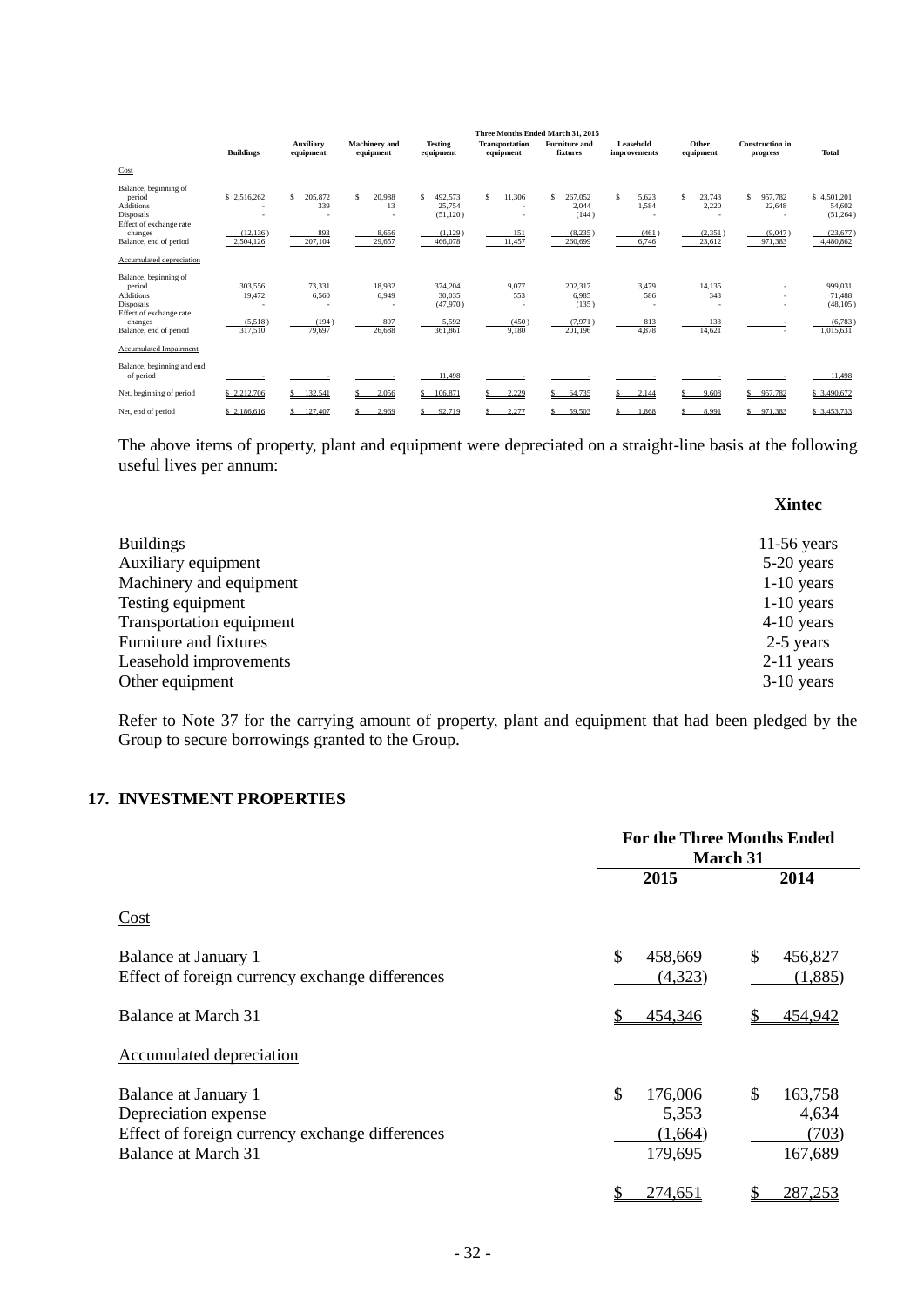|                            | Three Months Ended March 31, 2015 |                               |                                   |                             |                                    |                                  |                           |                    |                                    |              |
|----------------------------|-----------------------------------|-------------------------------|-----------------------------------|-----------------------------|------------------------------------|----------------------------------|---------------------------|--------------------|------------------------------------|--------------|
|                            | <b>Buildings</b>                  | <b>Auxiliary</b><br>equipment | <b>Machinery</b> and<br>equipment | <b>Testing</b><br>equipment | <b>Transportation</b><br>equipment | <b>Furniture and</b><br>fixtures | Leasehold<br>improvements | Other<br>equipment | <b>Construction</b> in<br>progress | <b>Total</b> |
| Cost                       |                                   |                               |                                   |                             |                                    |                                  |                           |                    |                                    |              |
| Balance, beginning of      |                                   |                               |                                   |                             |                                    |                                  |                           |                    |                                    |              |
| period                     | \$2,516,262                       | 205,872<br>S                  | 20,988<br>\$.                     | 492.573<br>S.               | s<br>11,306                        | 267.052<br>\$.                   | \$<br>5,623               | S<br>23.743        | 957.782<br>\$.                     | \$4,501,201  |
| <b>Additions</b>           |                                   | 339                           | 13                                | 25,754                      | $\overline{\phantom{a}}$           | 2,044                            | 1,584                     | 2,220              | 22,648                             | 54,602       |
| Disposals                  | $\overline{\phantom{a}}$          |                               |                                   | (51, 120)                   | $\overline{\phantom{a}}$           | (144)                            |                           |                    |                                    | (51, 264)    |
| Effect of exchange rate    |                                   |                               |                                   |                             |                                    |                                  |                           |                    |                                    |              |
| changes                    | (12, 136)                         | 893                           | 8,656                             | (1, 129)                    | 151                                | (8, 235)                         | (461)                     | (2, 351)           | (9,047)                            | (23, 677)    |
| Balance, end of period     | 2.504.126                         | 207.104                       | 29,657                            | 466,078                     | 11,457                             | 260,699                          | 6.746                     | 23,612             | 971.383                            | 4,480,862    |
| Accumulated depreciation   |                                   |                               |                                   |                             |                                    |                                  |                           |                    |                                    |              |
| Balance, beginning of      |                                   |                               |                                   |                             |                                    |                                  |                           |                    |                                    |              |
| period                     | 303,556                           | 73.331                        | 18.932                            | 374,204                     | 9,077                              | 202.317                          | 3,479                     | 14.135             |                                    | 999,031      |
| <b>Additions</b>           | 19,472                            | 6,560                         | 6,949                             | 30,035                      | 553                                | 6,985                            | 586                       | 348                |                                    | 71,488       |
| Disposals                  |                                   |                               | ٠                                 | (47,970)                    |                                    | (135)                            |                           |                    |                                    | (48, 105)    |
| Effect of exchange rate    |                                   |                               |                                   |                             |                                    |                                  |                           |                    |                                    |              |
| changes                    | (5,518)                           | (194)                         | 807                               | 5,592                       | (450)                              | (7,971)                          | 813                       | 138                |                                    | (6,783)      |
| Balance, end of period     | 317,510                           | 79,697                        | 26,688                            | 361,861                     | 9.180                              | 201,196                          | 4,878                     | 14,621             |                                    | 1,015,631    |
| Accumulated Impairment     |                                   |                               |                                   |                             |                                    |                                  |                           |                    |                                    |              |
| Balance, beginning and end |                                   |                               |                                   |                             |                                    |                                  |                           |                    |                                    |              |
| of period                  |                                   |                               |                                   | 11,498                      |                                    |                                  |                           |                    |                                    | 11,498       |
| Net, beginning of period   | \$2,212,706                       | 132,541                       | 2,056                             | 106,871                     | 2,229                              | 64,735                           | 2,144                     | 9.608              | 957,782                            | \$ 3,490,672 |
| Net, end of period         | \$2.186.616                       | 127.407                       | 2.969                             | 92.719                      | 2.277                              | 59.503                           | 1.868                     | 8.991              | 971.383<br>\$.                     | \$ 3.453.733 |

The above items of property, plant and equipment were depreciated on a straight-line basis at the following useful lives per annum:

**Xintec**

| 11-56 years  |
|--------------|
| 5-20 years   |
| $1-10$ years |
| $1-10$ years |
| $4-10$ years |
| 2-5 years    |
| $2-11$ years |
| $3-10$ years |
|              |

Refer to Note 37 for the carrying amount of property, plant and equipment that had been pledged by the Group to secure borrowings granted to the Group.

## **17. INVESTMENT PROPERTIES**

|                                                                                                                        | <b>For the Three Months Ended</b><br><b>March 31</b>    |                                            |  |  |
|------------------------------------------------------------------------------------------------------------------------|---------------------------------------------------------|--------------------------------------------|--|--|
|                                                                                                                        | 2015                                                    | 2014                                       |  |  |
| Cost                                                                                                                   |                                                         |                                            |  |  |
| Balance at January 1<br>Effect of foreign currency exchange differences                                                | \$<br>458,669<br>(4,323)                                | \$<br>456,827<br>(1,885)                   |  |  |
| Balance at March 31                                                                                                    | 454,346                                                 | 454,942                                    |  |  |
| <b>Accumulated depreciation</b>                                                                                        |                                                         |                                            |  |  |
| Balance at January 1<br>Depreciation expense<br>Effect of foreign currency exchange differences<br>Balance at March 31 | $\mathcal{S}$<br>176,006<br>5,353<br>(1,664)<br>179,695 | \$<br>163,758<br>4,634<br>(703)<br>167,689 |  |  |
|                                                                                                                        | 274,651<br>\$                                           | 287,253                                    |  |  |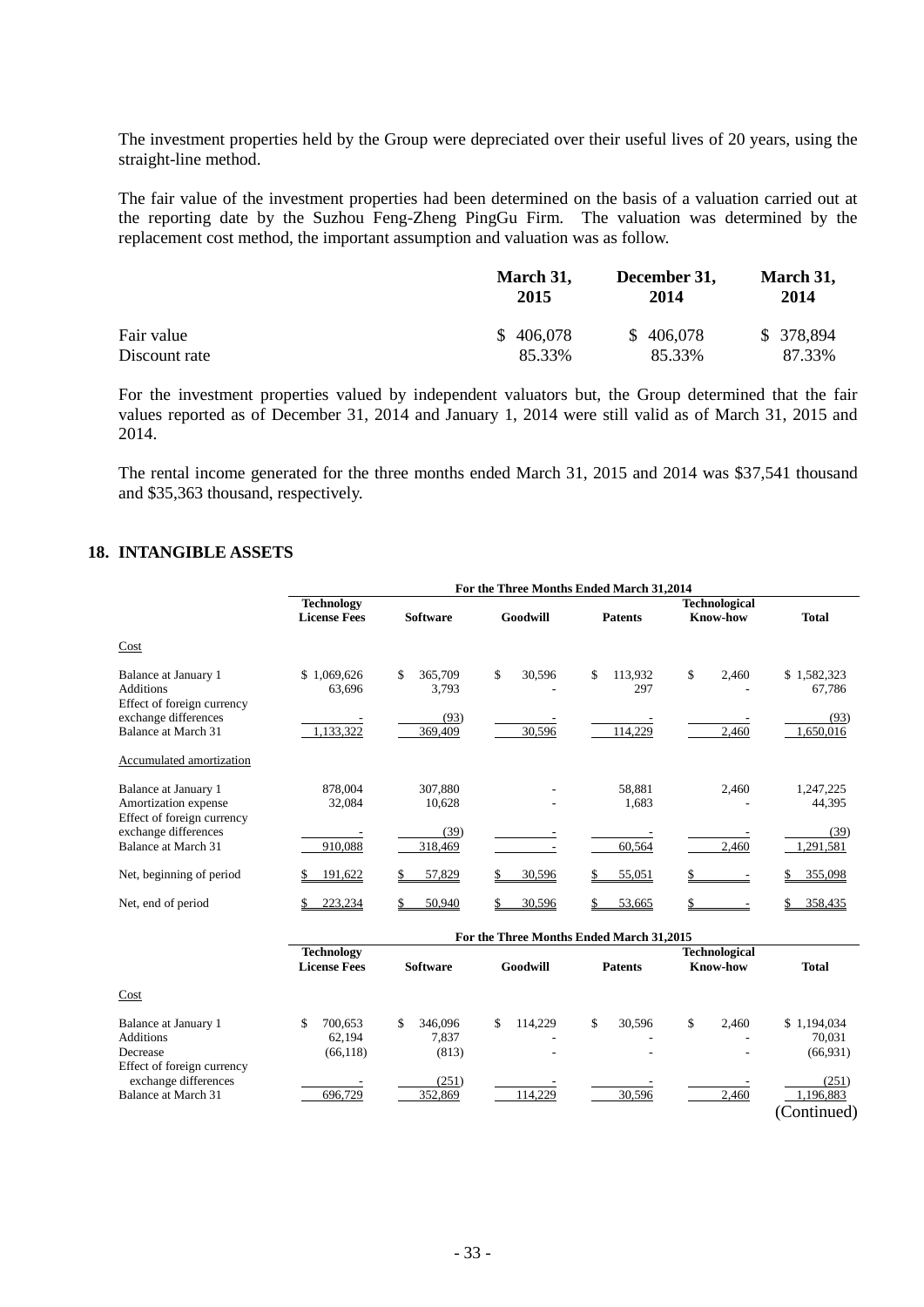The investment properties held by the Group were depreciated over their useful lives of 20 years, using the straight-line method.

The fair value of the investment properties had been determined on the basis of a valuation carried out at the reporting date by the Suzhou Feng-Zheng PingGu Firm. The valuation was determined by the replacement cost method, the important assumption and valuation was as follow.

|               | March 31,<br>2015 | December 31,<br>2014 | March 31,<br>2014 |
|---------------|-------------------|----------------------|-------------------|
| Fair value    | \$406,078         | \$406,078            | \$ 378,894        |
| Discount rate | 85.33%            | 85.33%               | 87.33%            |

For the investment properties valued by independent valuators but, the Group determined that the fair values reported as of December 31, 2014 and January 1, 2014 were still valid as of March 31, 2015 and 2014.

The rental income generated for the three months ended March 31, 2015 and 2014 was \$37,541 thousand and \$35,363 thousand, respectively.

## **18. INTANGIBLE ASSETS**

|                                                                            | For the Three Months Ended March 31,2014 |                                 |               |                                          |                                         |                                    |  |  |
|----------------------------------------------------------------------------|------------------------------------------|---------------------------------|---------------|------------------------------------------|-----------------------------------------|------------------------------------|--|--|
|                                                                            | <b>Technology</b><br><b>License Fees</b> | <b>Software</b>                 | Goodwill      | <b>Patents</b>                           | <b>Technological</b><br><b>Know-how</b> | <b>Total</b>                       |  |  |
|                                                                            |                                          |                                 |               |                                          |                                         |                                    |  |  |
| Cost                                                                       |                                          |                                 |               |                                          |                                         |                                    |  |  |
| Balance at January 1<br><b>Additions</b><br>Effect of foreign currency     | \$1,069,626<br>63,696                    | \$<br>365,709<br>3,793          | \$<br>30,596  | 113,932<br>\$<br>297                     | \$<br>2,460                             | \$1,582,323<br>67,786              |  |  |
| exchange differences<br>Balance at March 31                                | 1.133.322                                | (93)<br>369,409                 | 30,596        | 114,229                                  | 2,460                                   | (93)<br>1,650,016                  |  |  |
| Accumulated amortization                                                   |                                          |                                 |               |                                          |                                         |                                    |  |  |
| Balance at January 1<br>Amortization expense<br>Effect of foreign currency | 878,004<br>32,084                        | 307,880<br>10,628               |               | 58,881<br>1,683                          | 2,460                                   | 1,247,225<br>44,395                |  |  |
| exchange differences<br>Balance at March 31                                | 910,088                                  | (39)<br>318,469                 |               | 60,564                                   | 2,460                                   | (39)<br>1,291,581                  |  |  |
| Net, beginning of period                                                   | 191,622                                  | 57,829                          | \$<br>30,596  | \$<br>55,051                             |                                         | 355,098                            |  |  |
| Net, end of period                                                         | 223,234                                  | 50,940                          | \$<br>30,596  | 53,665                                   |                                         | 358,435                            |  |  |
|                                                                            |                                          |                                 |               | For the Three Months Ended March 31,2015 |                                         |                                    |  |  |
|                                                                            | <b>Technology</b><br><b>License Fees</b> | <b>Software</b>                 | Goodwill      | <b>Patents</b>                           | <b>Technological</b><br>Know-how        | <b>Total</b>                       |  |  |
| Cost                                                                       |                                          |                                 |               |                                          |                                         |                                    |  |  |
| Balance at January 1<br><b>Additions</b><br>Decrease                       | 700.653<br>S.<br>62,194<br>(66, 118)     | \$<br>346,096<br>7,837<br>(813) | \$<br>114,229 | \$<br>30,596                             | \$<br>2,460                             | \$1,194,034<br>70,031<br>(66, 931) |  |  |
| Effect of foreign currency<br>exchange differences<br>Balance at March 31  | 696,729                                  | (251)<br>352,869                | 114,229       | 30,596                                   | 2,460                                   | (251)<br>1,196,883<br>(Continued)  |  |  |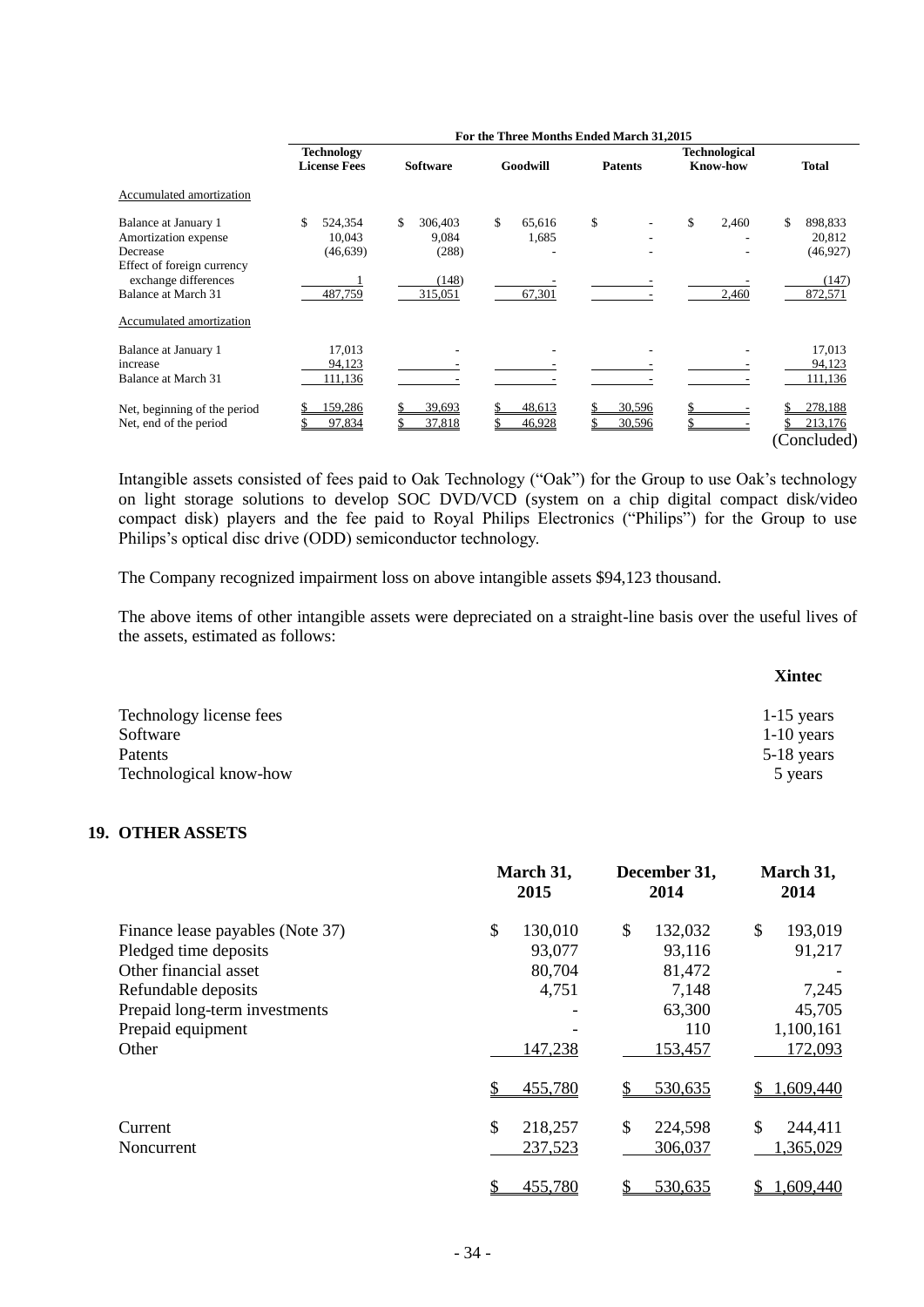|                                                                                        |                                          |                                 |                       | For the Three Months Ended March 31,2015 |                                         |                                      |
|----------------------------------------------------------------------------------------|------------------------------------------|---------------------------------|-----------------------|------------------------------------------|-----------------------------------------|--------------------------------------|
|                                                                                        | <b>Technology</b><br><b>License Fees</b> | <b>Software</b>                 | Goodwill              | <b>Patents</b>                           | <b>Technological</b><br><b>Know-how</b> | <b>Total</b>                         |
| Accumulated amortization                                                               |                                          |                                 |                       |                                          |                                         |                                      |
| Balance at January 1<br>Amortization expense<br>Decrease<br>Effect of foreign currency | 524,354<br>S.<br>10,043<br>(46, 639)     | \$<br>306.403<br>9,084<br>(288) | \$<br>65,616<br>1,685 | \$                                       | \$<br>2,460                             | \$<br>898,833<br>20,812<br>(46, 927) |
| exchange differences<br><b>Balance at March 31</b>                                     | 487,759                                  | (148)<br>315,051                | 67,301                |                                          | 2,460                                   | (147)<br>872,571                     |
| Accumulated amortization                                                               |                                          |                                 |                       |                                          |                                         |                                      |
| Balance at January 1<br>increase<br>Balance at March 31                                | 17,013<br>94,123<br>111,136              |                                 |                       |                                          |                                         | 17,013<br>94,123<br>111,136          |
| Net, beginning of the period<br>Net, end of the period                                 | 159,286<br>97,834                        | 39,693<br>37,818                | 48,613<br>46,928      | 30,596<br>30,596                         |                                         | 278,188<br>213,176<br>(Concluded)    |

Intangible assets consisted of fees paid to Oak Technology ("Oak") for the Group to use Oak's technology on light storage solutions to develop SOC DVD/VCD (system on a chip digital compact disk/video compact disk) players and the fee paid to Royal Philips Electronics ("Philips") for the Group to use Philips's optical disc drive (ODD) semiconductor technology.

The Company recognized impairment loss on above intangible assets \$94,123 thousand.

The above items of other intangible assets were depreciated on a straight-line basis over the useful lives of the assets, estimated as follows:

|                         | <b>Xintec</b> |
|-------------------------|---------------|
| Technology license fees | $1-15$ years  |
| Software                | $1-10$ years  |
| Patents                 | $5-18$ years  |
| Technological know-how  | 5 years       |

### **19. OTHER ASSETS**

|                                                                                                                                                                          | March 31,<br>2015                                     | December 31,<br>2014                                                   | March 31,<br>2014                                                  |  |
|--------------------------------------------------------------------------------------------------------------------------------------------------------------------------|-------------------------------------------------------|------------------------------------------------------------------------|--------------------------------------------------------------------|--|
| Finance lease payables (Note 37)<br>Pledged time deposits<br>Other financial asset<br>Refundable deposits<br>Prepaid long-term investments<br>Prepaid equipment<br>Other | \$<br>130,010<br>93,077<br>80,704<br>4,751<br>147,238 | \$<br>132,032<br>93,116<br>81,472<br>7,148<br>63,300<br>110<br>153,457 | \$<br>193,019<br>91,217<br>7,245<br>45,705<br>1,100,161<br>172,093 |  |
|                                                                                                                                                                          | 455,780                                               | \$<br>530,635                                                          | 1,609,440                                                          |  |
| Current<br>Noncurrent                                                                                                                                                    | \$<br>218,257<br>237,523                              | \$<br>224,598<br>306,037                                               | \$<br>244,411<br>1,365,029                                         |  |
|                                                                                                                                                                          | 455,780<br>\$                                         | 530,635<br>\$                                                          | 1,609,440<br>\$                                                    |  |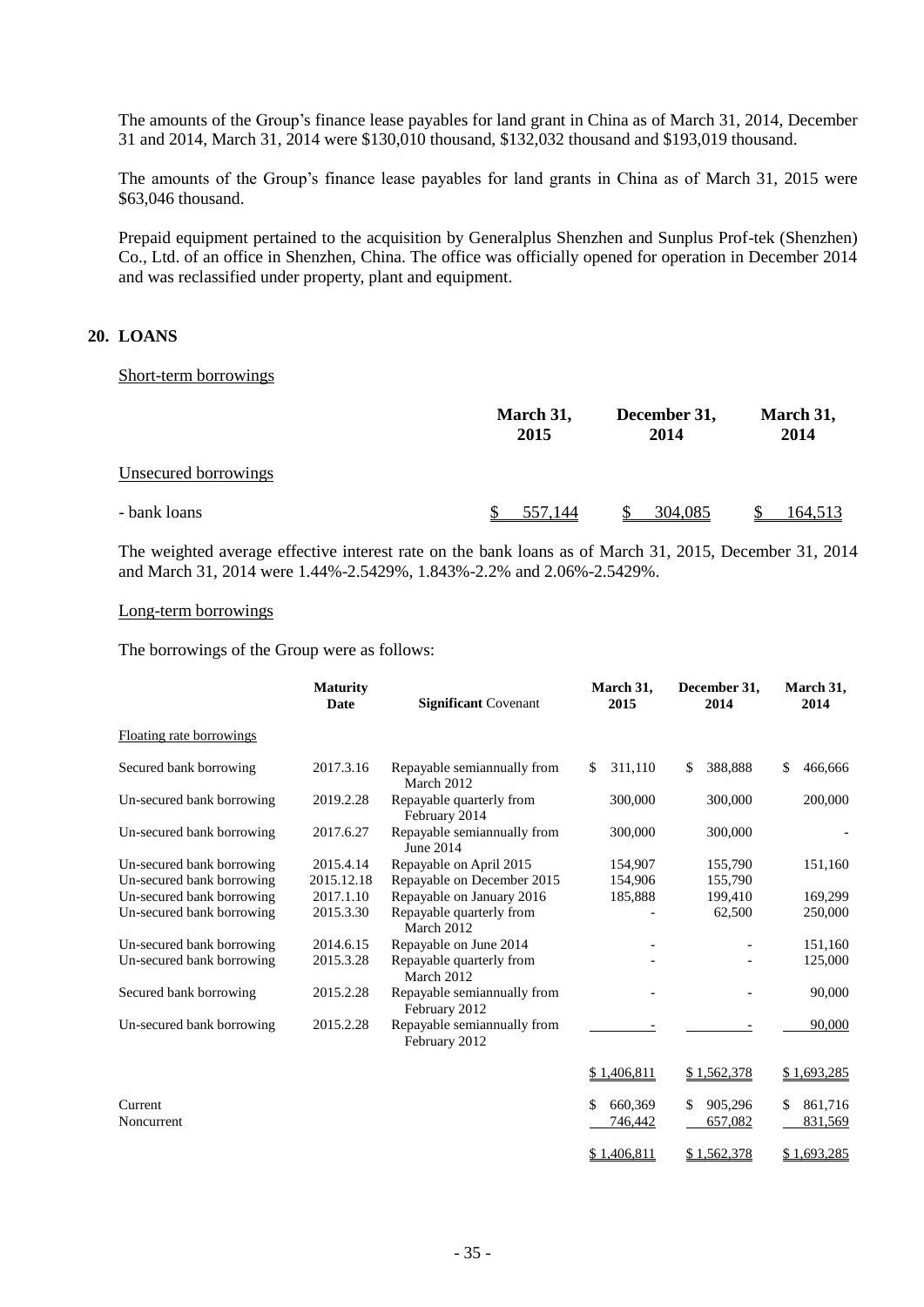The amounts of the Group's finance lease payables for land grant in China as of March 31, 2014, December 31 and 2014, March 31, 2014 were \$130,010 thousand, \$132,032 thousand and \$193,019 thousand.

The amounts of the Group's finance lease payables for land grants in China as of March 31, 2015 were \$63,046 thousand.

Prepaid equipment pertained to the acquisition by Generalplus Shenzhen and Sunplus Prof-tek (Shenzhen) Co., Ltd. of an office in Shenzhen, China. The office was officially opened for operation in December 2014 and was reclassified under property, plant and equipment.

## **20. LOANS**

#### Short-term borrowings

|                      | March 31,<br>2015 | December 31,<br>2014 | March 31,<br>2014 |  |
|----------------------|-------------------|----------------------|-------------------|--|
| Unsecured borrowings |                   |                      |                   |  |
| - bank loans         | 557.144           | 304,085              | <u>164,513</u>    |  |

The weighted average effective interest rate on the bank loans as of March 31, 2015, December 31, 2014 and March 31, 2014 were 1.44%-2.5429%, 1.843%-2.2% and 2.06%-2.5429%.

#### Long-term borrowings

The borrowings of the Group were as follows:

|                           | <b>Maturity</b><br><b>Significant Covenant</b><br><b>Date</b> |                                              |               |               | March 31,<br>2015 |  |  | December 31,<br>2014 | March 31,<br>2014 |  |
|---------------------------|---------------------------------------------------------------|----------------------------------------------|---------------|---------------|-------------------|--|--|----------------------|-------------------|--|
| Floating rate borrowings  |                                                               |                                              |               |               |                   |  |  |                      |                   |  |
| Secured bank borrowing    | 2017.3.16                                                     | Repayable semiannually from<br>March 2012    | 311,110<br>\$ | 388,888<br>\$ | \$<br>466,666     |  |  |                      |                   |  |
| Un-secured bank borrowing | 2019.2.28                                                     | Repayable quarterly from<br>February 2014    | 300,000       | 300,000       | 200,000           |  |  |                      |                   |  |
| Un-secured bank borrowing | 2017.6.27                                                     | Repayable semiannually from<br>June 2014     | 300,000       | 300,000       |                   |  |  |                      |                   |  |
| Un-secured bank borrowing | 2015.4.14                                                     | Repayable on April 2015                      | 154,907       | 155,790       | 151,160           |  |  |                      |                   |  |
| Un-secured bank borrowing | 2015.12.18                                                    | Repayable on December 2015                   | 154,906       | 155,790       |                   |  |  |                      |                   |  |
| Un-secured bank borrowing | 2017.1.10                                                     | Repayable on January 2016                    | 185,888       | 199,410       | 169,299           |  |  |                      |                   |  |
| Un-secured bank borrowing | 2015.3.30                                                     | Repayable quarterly from<br>March 2012       |               | 62,500        | 250,000           |  |  |                      |                   |  |
| Un-secured bank borrowing | 2014.6.15                                                     | Repayable on June 2014                       |               |               | 151,160           |  |  |                      |                   |  |
| Un-secured bank borrowing | 2015.3.28                                                     | Repayable quarterly from<br>March 2012       |               |               | 125,000           |  |  |                      |                   |  |
| Secured bank borrowing    | 2015.2.28                                                     | Repayable semiannually from<br>February 2012 |               |               | 90,000            |  |  |                      |                   |  |
| Un-secured bank borrowing | 2015.2.28                                                     | Repayable semiannually from<br>February 2012 |               |               | 90,000            |  |  |                      |                   |  |
|                           |                                                               |                                              | \$1,406,811   | \$1,562,378   | \$1,693,285       |  |  |                      |                   |  |
| Current                   |                                                               |                                              | \$<br>660,369 | 905,296<br>\$ | 861,716<br>\$     |  |  |                      |                   |  |
| Noncurrent                |                                                               |                                              | 746,442       | 657,082       | 831,569           |  |  |                      |                   |  |
|                           |                                                               |                                              | \$1,406,811   | \$1,562,378   | \$1,693,285       |  |  |                      |                   |  |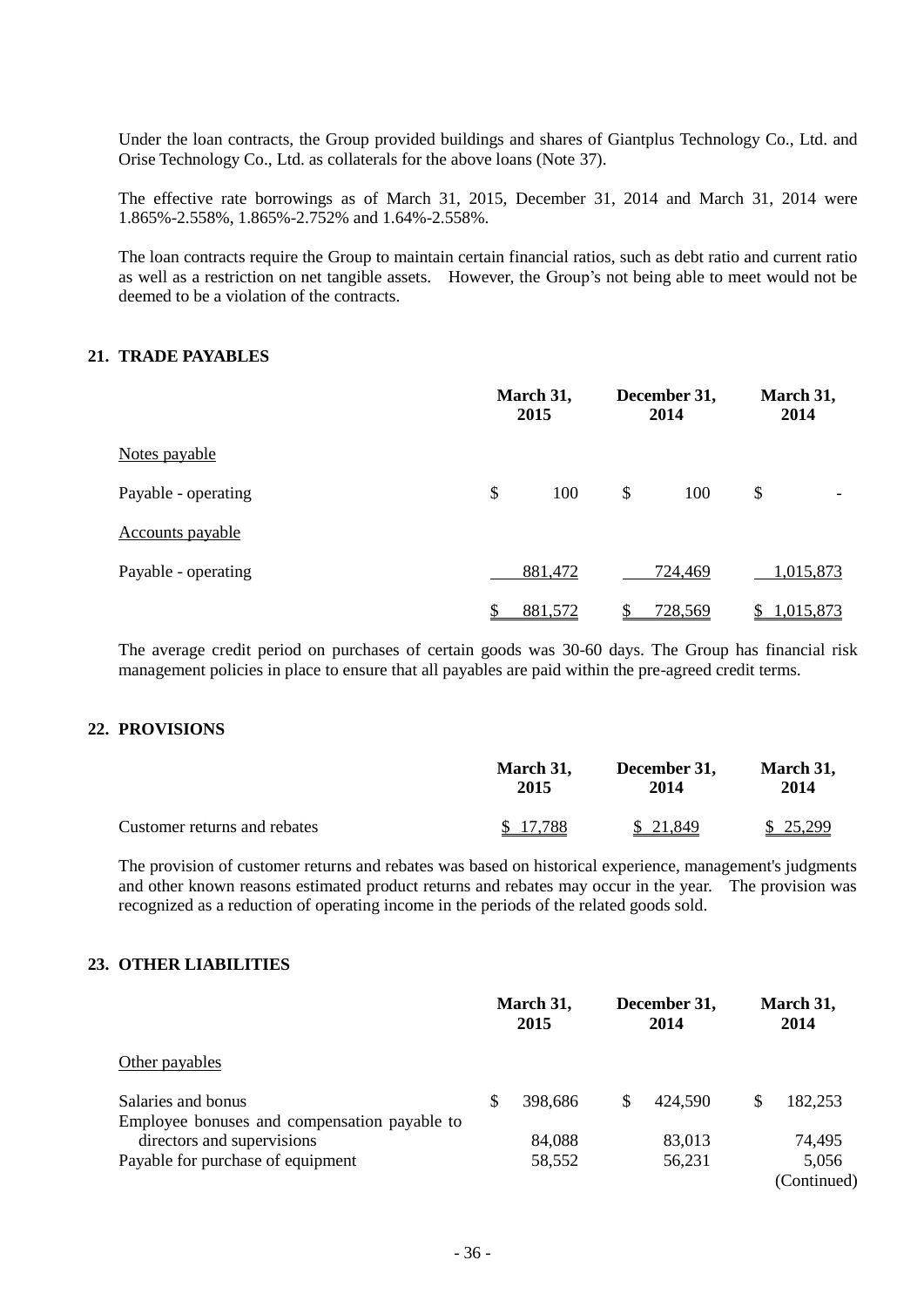Under the loan contracts, the Group provided buildings and shares of Giantplus Technology Co., Ltd. and Orise Technology Co., Ltd. as collaterals for the above loans (Note 37).

The effective rate borrowings as of March 31, 2015, December 31, 2014 and March 31, 2014 were 1.865%-2.558%, 1.865%-2.752% and 1.64%-2.558%.

The loan contracts require the Group to maintain certain financial ratios, such as debt ratio and current ratio as well as a restriction on net tangible assets. However, the Group's not being able to meet would not be deemed to be a violation of the contracts.

## **21. TRADE PAYABLES**

|                     | March 31,<br>2015 |    | December 31,<br>2014 |    | March 31,<br>2014 |  |
|---------------------|-------------------|----|----------------------|----|-------------------|--|
| Notes payable       |                   |    |                      |    |                   |  |
| Payable - operating | \$<br>100         | \$ | 100                  | \$ |                   |  |
| Accounts payable    |                   |    |                      |    |                   |  |
| Payable - operating | 881,472           |    | 724,469              |    | 1,015,873         |  |
|                     | \$<br>881,572     |    | 728,569              |    | 1,015,873         |  |

The average credit period on purchases of certain goods was 30-60 days. The Group has financial risk management policies in place to ensure that all payables are paid within the pre-agreed credit terms.

#### **22. PROVISIONS**

|                              | March 31, | December 31, | March 31, |
|------------------------------|-----------|--------------|-----------|
|                              | 2015      | 2014         | 2014      |
| Customer returns and rebates | \$17.788  | \$ 21,849    | \$25,299  |

The provision of customer returns and rebates was based on historical experience, management's judgments and other known reasons estimated product returns and rebates may occur in the year. The provision was recognized as a reduction of operating income in the periods of the related goods sold.

## **23. OTHER LIABILITIES**

|                                                                    |   | March 31,<br>2015 |    | December 31,<br>2014 |   | March 31,<br>2014    |  |
|--------------------------------------------------------------------|---|-------------------|----|----------------------|---|----------------------|--|
| Other payables                                                     |   |                   |    |                      |   |                      |  |
| Salaries and bonus<br>Employee bonuses and compensation payable to | S | 398,686           | \$ | 424.590              | S | 182,253              |  |
| directors and supervisions                                         |   | 84,088            |    | 83,013               |   | 74,495               |  |
| Payable for purchase of equipment                                  |   | 58,552            |    | 56,231               |   | 5,056<br>(Continued) |  |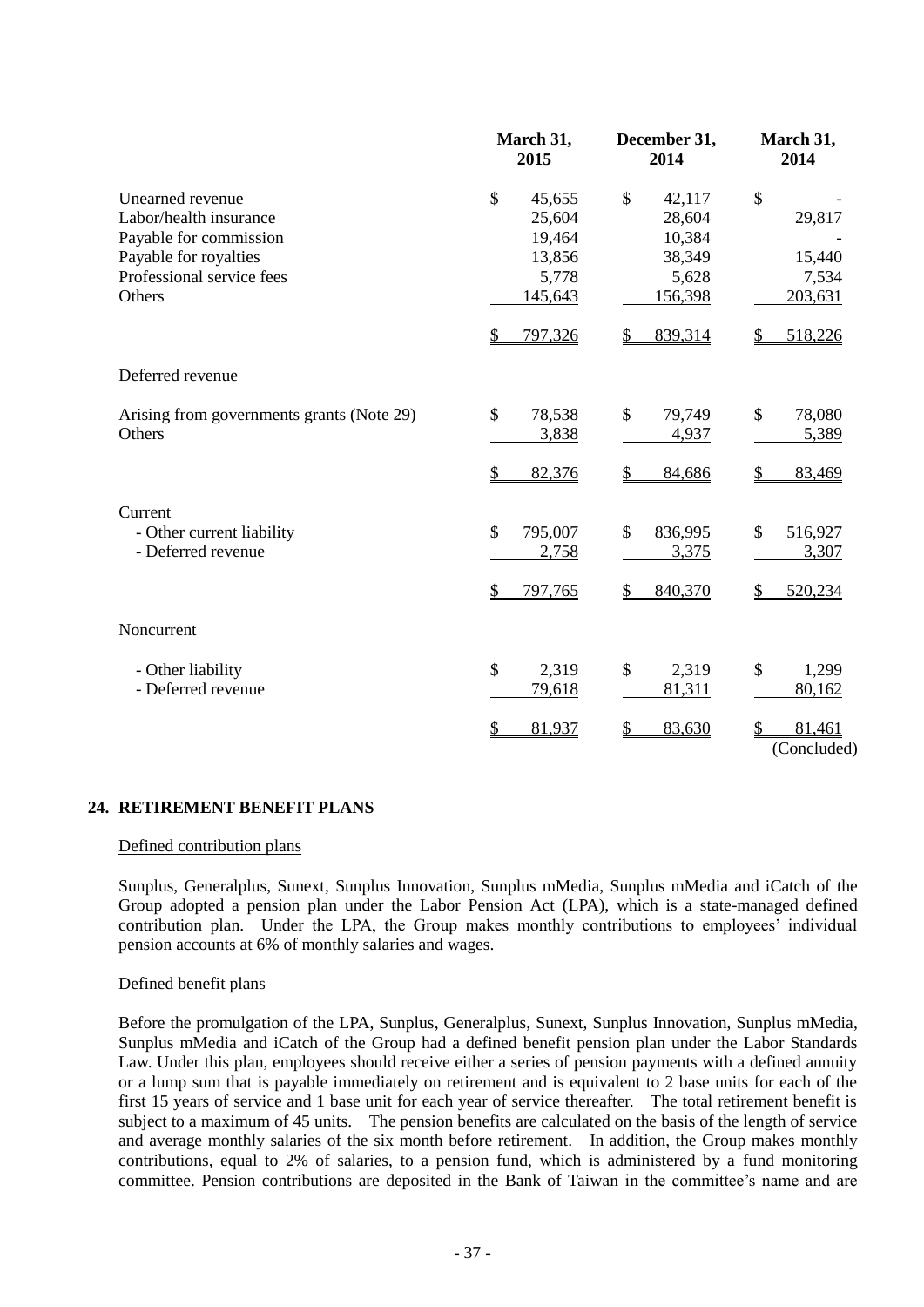|                                                                                                                                      | March 31,<br>2015                                              | December 31,<br>2014                                           | March 31,<br>2014                          |  |
|--------------------------------------------------------------------------------------------------------------------------------------|----------------------------------------------------------------|----------------------------------------------------------------|--------------------------------------------|--|
| Unearned revenue<br>Labor/health insurance<br>Payable for commission<br>Payable for royalties<br>Professional service fees<br>Others | \$<br>45,655<br>25,604<br>19,464<br>13,856<br>5,778<br>145,643 | \$<br>42,117<br>28,604<br>10,384<br>38,349<br>5,628<br>156,398 | \$<br>29,817<br>15,440<br>7,534<br>203,631 |  |
|                                                                                                                                      | 797,326<br>$\frac{1}{2}$                                       | 839,314<br>\$                                                  | 518,226                                    |  |
| Deferred revenue                                                                                                                     |                                                                |                                                                |                                            |  |
| Arising from governments grants (Note 29)<br>Others                                                                                  | $\mathbb{S}$<br>78,538<br>3,838                                | \$<br>79,749<br>4,937                                          | $\mathcal{S}$<br>78,080<br>5,389           |  |
|                                                                                                                                      | \$<br>82,376                                                   | \$<br>84,686                                                   | 83,469                                     |  |
| Current<br>- Other current liability<br>- Deferred revenue                                                                           | \$<br>795,007<br>2,758                                         | \$<br>836,995<br>3,375                                         | \$<br>516,927<br>3,307                     |  |
|                                                                                                                                      | \$<br>797,765                                                  | 840,370                                                        | 520,234                                    |  |
| Noncurrent                                                                                                                           |                                                                |                                                                |                                            |  |
| - Other liability<br>- Deferred revenue                                                                                              | \$<br>2,319<br>79,618                                          | \$<br>2,319<br>81,311                                          | \$<br>1,299<br>80,162                      |  |
|                                                                                                                                      | \$<br>81,937                                                   | 83,630<br>\$                                                   | 81,461<br>(Concluded)                      |  |

#### **24. RETIREMENT BENEFIT PLANS**

## Defined contribution plans

Sunplus, Generalplus, Sunext, Sunplus Innovation, Sunplus mMedia, Sunplus mMedia and iCatch of the Group adopted a pension plan under the Labor Pension Act (LPA), which is a state-managed defined contribution plan. Under the LPA, the Group makes monthly contributions to employees' individual pension accounts at 6% of monthly salaries and wages.

#### Defined benefit plans

Before the promulgation of the LPA, Sunplus, Generalplus, Sunext, Sunplus Innovation, Sunplus mMedia, Sunplus mMedia and iCatch of the Group had a defined benefit pension plan under the Labor Standards Law. Under this plan, employees should receive either a series of pension payments with a defined annuity or a lump sum that is payable immediately on retirement and is equivalent to 2 base units for each of the first 15 years of service and 1 base unit for each year of service thereafter. The total retirement benefit is subject to a maximum of 45 units. The pension benefits are calculated on the basis of the length of service and average monthly salaries of the six month before retirement. In addition, the Group makes monthly contributions, equal to 2% of salaries, to a pension fund, which is administered by a fund monitoring committee. Pension contributions are deposited in the Bank of Taiwan in the committee's name and are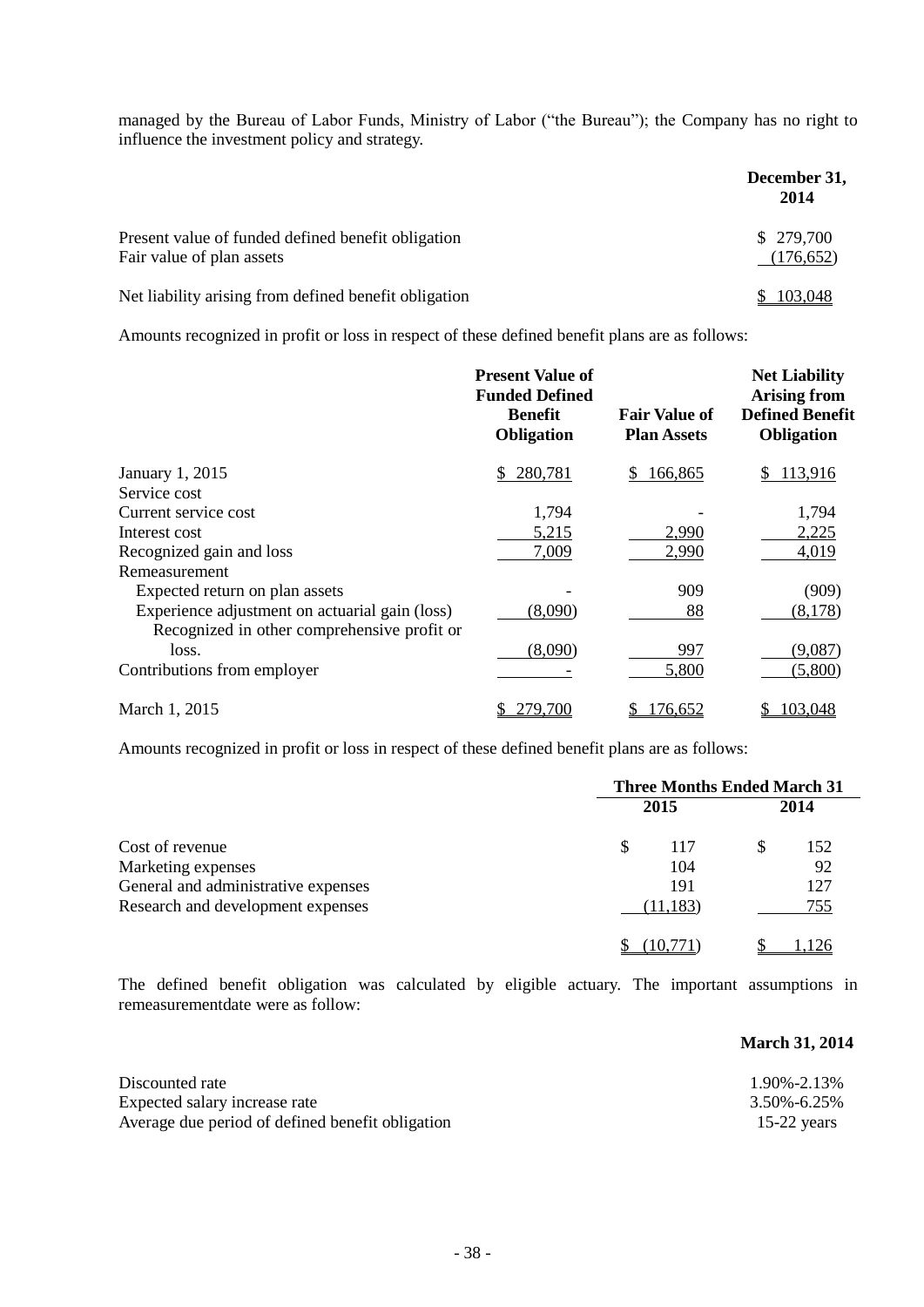managed by the Bureau of Labor Funds, Ministry of Labor ("the Bureau"); the Company has no right to influence the investment policy and strategy.

|                                                                                 | December 31,<br>2014   |
|---------------------------------------------------------------------------------|------------------------|
| Present value of funded defined benefit obligation<br>Fair value of plan assets | \$279,700<br>(176,652) |
| Net liability arising from defined benefit obligation                           | \$103,048              |

Amounts recognized in profit or loss in respect of these defined benefit plans are as follows:

|                                                | <b>Present Value of</b><br><b>Funded Defined</b><br><b>Benefit</b><br>Obligation | <b>Fair Value of</b><br><b>Plan Assets</b> | <b>Net Liability</b><br><b>Arising from</b><br><b>Defined Benefit</b><br>Obligation |
|------------------------------------------------|----------------------------------------------------------------------------------|--------------------------------------------|-------------------------------------------------------------------------------------|
| January 1, 2015                                | 280,781<br>S.                                                                    | 166,865<br>S.                              | 113,916<br>\$                                                                       |
| Service cost                                   |                                                                                  |                                            |                                                                                     |
| Current service cost                           | 1,794                                                                            |                                            | 1,794                                                                               |
| Interest cost                                  | 5,215                                                                            | 2,990                                      | 2,225                                                                               |
| Recognized gain and loss                       | 7,009                                                                            | 2,990                                      | 4,019                                                                               |
| Remeasurement                                  |                                                                                  |                                            |                                                                                     |
| Expected return on plan assets                 |                                                                                  | 909                                        | (909)                                                                               |
| Experience adjustment on actuarial gain (loss) | (8,090)                                                                          | 88                                         | (8,178)                                                                             |
| Recognized in other comprehensive profit or    |                                                                                  |                                            |                                                                                     |
| loss.                                          | (8,090)                                                                          | 997                                        | (9,087)                                                                             |
| Contributions from employer                    |                                                                                  | 5,800                                      | (5,800)                                                                             |
| March 1, 2015                                  | 279,700                                                                          | 176,652                                    | 103,048                                                                             |

Amounts recognized in profit or loss in respect of these defined benefit plans are as follows:

|                                     | <b>Three Months Ended March 31</b> |           |  |      |
|-------------------------------------|------------------------------------|-----------|--|------|
|                                     |                                    | 2015      |  | 2014 |
| Cost of revenue                     |                                    | 117       |  | 152  |
| Marketing expenses                  |                                    | 104       |  | 92   |
| General and administrative expenses |                                    | 191       |  | 127  |
| Research and development expenses   |                                    | (11, 183) |  | 755  |
|                                     |                                    |           |  |      |

The defined benefit obligation was calculated by eligible actuary. The important assumptions in remeasurementdate were as follow:

### **March 31, 2014**

| Discounted rate                                  | 1.90%-2.13% |
|--------------------------------------------------|-------------|
| Expected salary increase rate                    | 3.50%-6.25% |
| Average due period of defined benefit obligation | 15-22 years |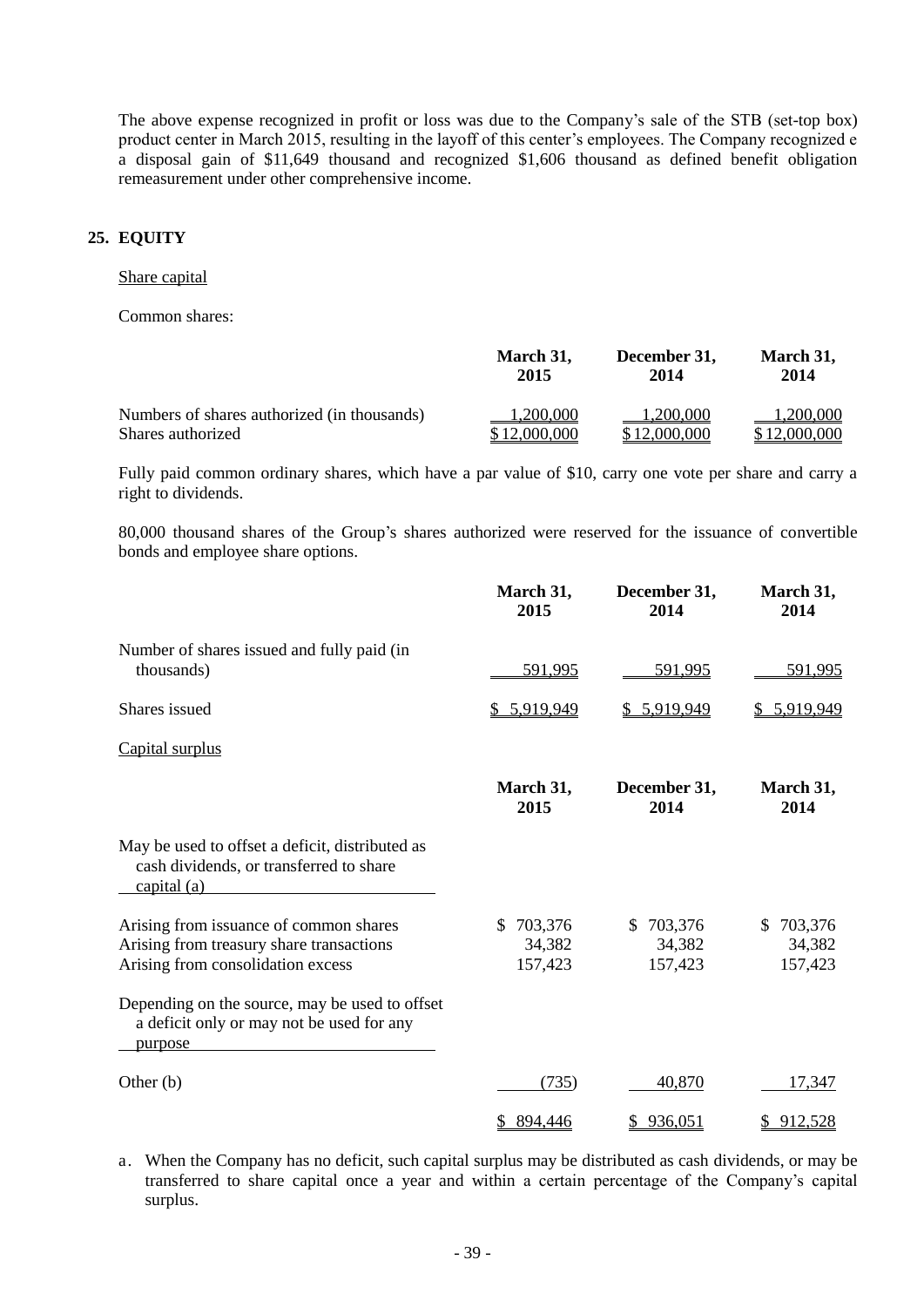The above expense recognized in profit or loss was due to the Company's sale of the STB (set-top box) product center in March 2015, resulting in the layoff of this center's employees. The Company recognized e a disposal gain of \$11,649 thousand and recognized \$1,606 thousand as defined benefit obligation remeasurement under other comprehensive income.

## **25. EQUITY**

### Share capital

Common shares:

|                                             | March 31,    | December 31, | March 31,    |
|---------------------------------------------|--------------|--------------|--------------|
|                                             | 2015         | 2014         | 2014         |
| Numbers of shares authorized (in thousands) | 1,200,000    | 1,200,000    | 1,200,000    |
| Shares authorized                           | \$12,000,000 | \$12,000,000 | \$12,000,000 |

Fully paid common ordinary shares, which have a par value of \$10, carry one vote per share and carry a right to dividends.

80,000 thousand shares of the Group's shares authorized were reserved for the issuance of convertible bonds and employee share options.

|                                                                                                                         | March 31,<br>2015                   | December 31,<br>2014           | March 31,<br>2014                  |
|-------------------------------------------------------------------------------------------------------------------------|-------------------------------------|--------------------------------|------------------------------------|
| Number of shares issued and fully paid (in<br>thousands)                                                                | 591,995                             | 591,995                        | 591,995                            |
| Shares issued                                                                                                           | \$ 5,919,949                        | \$ 5,919,949                   | 5,919,949                          |
| Capital surplus                                                                                                         |                                     |                                |                                    |
|                                                                                                                         | March 31,<br>2015                   | December 31,<br>2014           | March 31,<br>2014                  |
| May be used to offset a deficit, distributed as<br>cash dividends, or transferred to share<br>capital $(a)$             |                                     |                                |                                    |
| Arising from issuance of common shares<br>Arising from treasury share transactions<br>Arising from consolidation excess | 703,376<br>\$.<br>34,382<br>157,423 | \$703,376<br>34,382<br>157,423 | 703,376<br>\$<br>34,382<br>157,423 |
| Depending on the source, may be used to offset<br>a deficit only or may not be used for any<br>purpose                  |                                     |                                |                                    |
| Other $(b)$                                                                                                             | (735)                               | 40,870                         | 17,347                             |
|                                                                                                                         | \$894,446                           | \$936,051                      | 912,528<br>S.                      |

a. When the Company has no deficit, such capital surplus may be distributed as cash dividends, or may be transferred to share capital once a year and within a certain percentage of the Company's capital surplus.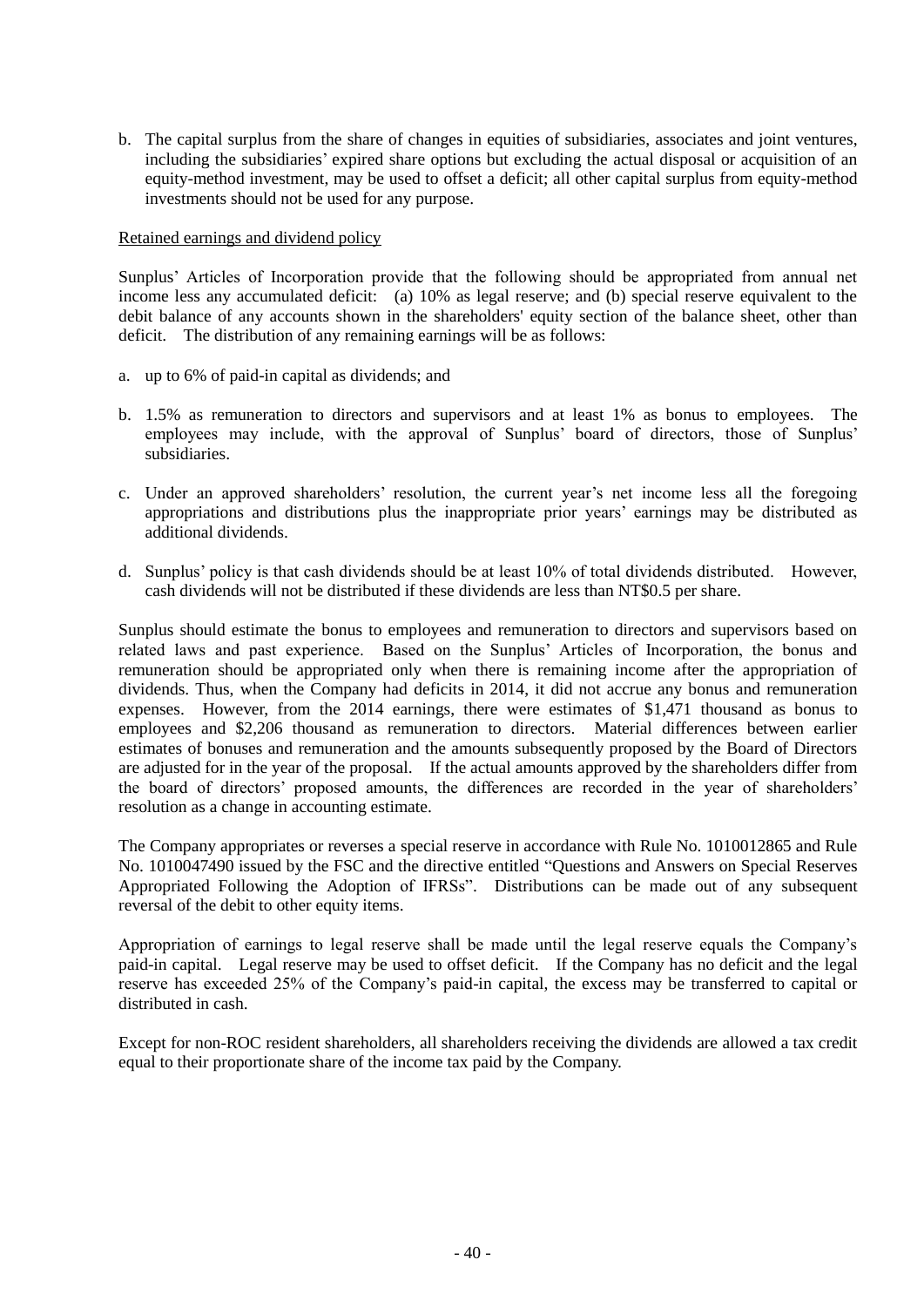b. The capital surplus from the share of changes in equities of subsidiaries, associates and joint ventures, including the subsidiaries' expired share options but excluding the actual disposal or acquisition of an equity-method investment, may be used to offset a deficit; all other capital surplus from equity-method investments should not be used for any purpose.

#### Retained earnings and dividend policy

Sunplus' Articles of Incorporation provide that the following should be appropriated from annual net income less any accumulated deficit: (a) 10% as legal reserve; and (b) special reserve equivalent to the debit balance of any accounts shown in the shareholders' equity section of the balance sheet, other than deficit. The distribution of any remaining earnings will be as follows:

- a. up to 6% of paid-in capital as dividends; and
- b. 1.5% as remuneration to directors and supervisors and at least 1% as bonus to employees. The employees may include, with the approval of Sunplus' board of directors, those of Sunplus' subsidiaries.
- c. Under an approved shareholders' resolution, the current year's net income less all the foregoing appropriations and distributions plus the inappropriate prior years' earnings may be distributed as additional dividends.
- d. Sunplus' policy is that cash dividends should be at least 10% of total dividends distributed. However, cash dividends will not be distributed if these dividends are less than NT\$0.5 per share.

Sunplus should estimate the bonus to employees and remuneration to directors and supervisors based on related laws and past experience. Based on the Sunplus' Articles of Incorporation, the bonus and remuneration should be appropriated only when there is remaining income after the appropriation of dividends. Thus, when the Company had deficits in 2014, it did not accrue any bonus and remuneration expenses. However, from the 2014 earnings, there were estimates of \$1,471 thousand as bonus to employees and \$2,206 thousand as remuneration to directors. Material differences between earlier estimates of bonuses and remuneration and the amounts subsequently proposed by the Board of Directors are adjusted for in the year of the proposal. If the actual amounts approved by the shareholders differ from the board of directors' proposed amounts, the differences are recorded in the year of shareholders' resolution as a change in accounting estimate.

The Company appropriates or reverses a special reserve in accordance with Rule No. 1010012865 and Rule No. 1010047490 issued by the FSC and the directive entitled "Questions and Answers on Special Reserves Appropriated Following the Adoption of IFRSs". Distributions can be made out of any subsequent reversal of the debit to other equity items.

Appropriation of earnings to legal reserve shall be made until the legal reserve equals the Company's paid-in capital. Legal reserve may be used to offset deficit. If the Company has no deficit and the legal reserve has exceeded 25% of the Company's paid-in capital, the excess may be transferred to capital or distributed in cash.

Except for non-ROC resident shareholders, all shareholders receiving the dividends are allowed a tax credit equal to their proportionate share of the income tax paid by the Company.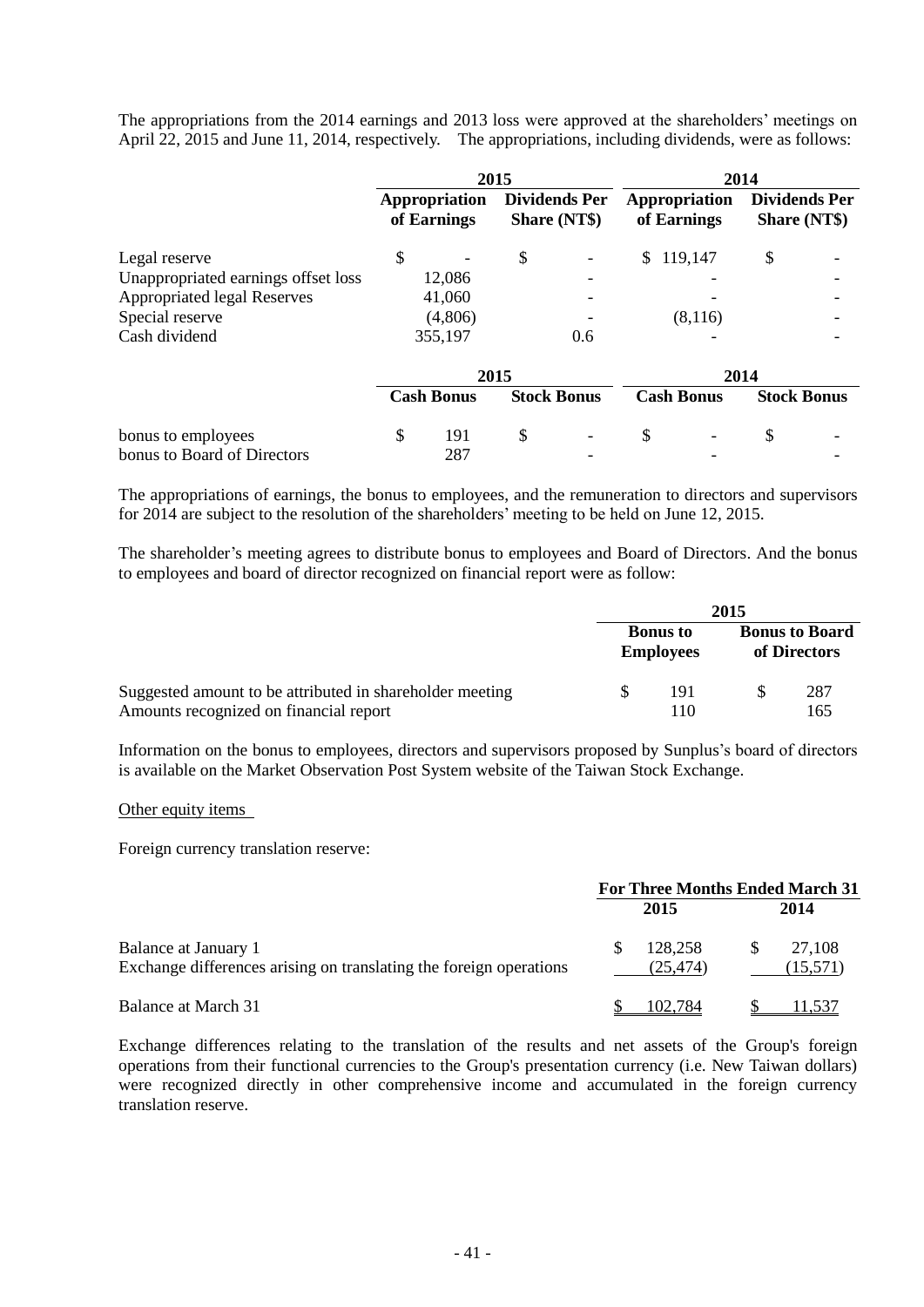The appropriations from the 2014 earnings and 2013 loss were approved at the shareholders' meetings on April 22, 2015 and June 11, 2014, respectively. The appropriations, including dividends, were as follows:

|                                     |                              | 2015 |                                             |                              |         | 2014                                 |  |
|-------------------------------------|------------------------------|------|---------------------------------------------|------------------------------|---------|--------------------------------------|--|
|                                     | Appropriation<br>of Earnings |      | <b>Dividends Per</b><br><b>Share (NT\$)</b> | Appropriation<br>of Earnings |         | <b>Dividends Per</b><br>Share (NT\$) |  |
| Legal reserve                       | \$                           | \$   |                                             | \$                           | 119,147 | \$                                   |  |
| Unappropriated earnings offset loss | 12,086                       |      |                                             |                              |         |                                      |  |
| <b>Appropriated legal Reserves</b>  | 41,060                       |      |                                             |                              |         |                                      |  |
| Special reserve                     | (4,806)                      |      |                                             |                              | (8,116) |                                      |  |
| Cash dividend                       | 355,197                      |      | 0.6                                         |                              |         |                                      |  |
|                                     |                              | 2015 |                                             |                              |         | 2014                                 |  |
|                                     | <b>Cash Bonus</b>            |      | <b>Stock Bonus</b>                          | <b>Cash Bonus</b>            |         | <b>Stock Bonus</b>                   |  |
| bonus to employees                  | \$<br>191                    | \$   |                                             | \$                           | -       | \$                                   |  |
| bonus to Board of Directors         | 287                          |      |                                             |                              |         |                                      |  |

The appropriations of earnings, the bonus to employees, and the remuneration to directors and supervisors for 2014 are subject to the resolution of the shareholders' meeting to be held on June 12, 2015.

The shareholder's meeting agrees to distribute bonus to employees and Board of Directors. And the bonus to employees and board of director recognized on financial report were as follow:

|                                                          | 2015 |                                     |  |                                       |
|----------------------------------------------------------|------|-------------------------------------|--|---------------------------------------|
|                                                          |      | <b>Bonus</b> to<br><b>Employees</b> |  | <b>Bonus to Board</b><br>of Directors |
| Suggested amount to be attributed in shareholder meeting |      | 191                                 |  | 287                                   |
| Amounts recognized on financial report                   |      | 110                                 |  | 165                                   |

Information on the bonus to employees, directors and supervisors proposed by Sunplus's board of directors is available on the Market Observation Post System website of the Taiwan Stock Exchange.

#### Other equity items

Foreign currency translation reserve:

|                                                                                            | <b>For Three Months Ended March 31</b> |                     |    |                    |
|--------------------------------------------------------------------------------------------|----------------------------------------|---------------------|----|--------------------|
|                                                                                            |                                        | 2015                |    | 2014               |
| Balance at January 1<br>Exchange differences arising on translating the foreign operations | <b>S</b>                               | 128,258<br>(25.474) | -S | 27,108<br>(15,571) |
| Balance at March 31                                                                        |                                        | 102,784             |    |                    |

Exchange differences relating to the translation of the results and net assets of the Group's foreign operations from their functional currencies to the Group's presentation currency (i.e. New Taiwan dollars) were recognized directly in other comprehensive income and accumulated in the foreign currency translation reserve.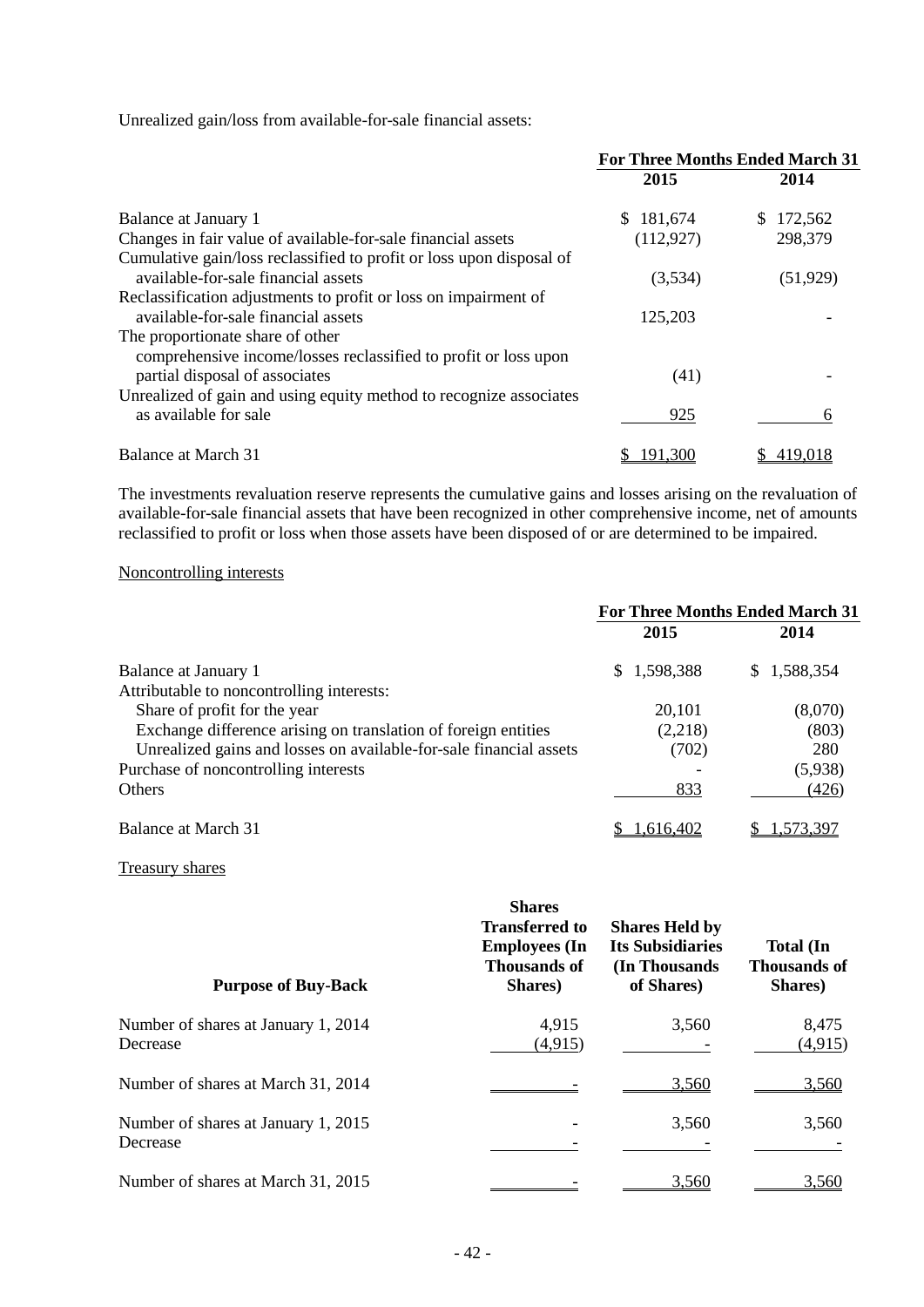Unrealized gain/loss from available-for-sale financial assets:

|                                                                                                        | <b>For Three Months Ended March 31</b> |               |  |
|--------------------------------------------------------------------------------------------------------|----------------------------------------|---------------|--|
|                                                                                                        | 2015                                   | 2014          |  |
| Balance at January 1                                                                                   | \$181,674                              | 172,562<br>S. |  |
| Changes in fair value of available-for-sale financial assets                                           | (112, 927)                             | 298,379       |  |
| Cumulative gain/loss reclassified to profit or loss upon disposal of                                   |                                        |               |  |
| available-for-sale financial assets                                                                    | (3,534)                                | (51, 929)     |  |
| Reclassification adjustments to profit or loss on impairment of<br>available-for-sale financial assets | 125,203                                |               |  |
| The proportionate share of other<br>comprehensive income/losses reclassified to profit or loss upon    |                                        |               |  |
| partial disposal of associates                                                                         | (41)                                   |               |  |
| Unrealized of gain and using equity method to recognize associates<br>as available for sale            | 925                                    | h             |  |
| Balance at March 31                                                                                    | 91.300                                 |               |  |

The investments revaluation reserve represents the cumulative gains and losses arising on the revaluation of available-for-sale financial assets that have been recognized in other comprehensive income, net of amounts reclassified to profit or loss when those assets have been disposed of or are determined to be impaired.

## Noncontrolling interests

|                                                                    | <b>For Three Months Ended March 31</b> |             |  |  |
|--------------------------------------------------------------------|----------------------------------------|-------------|--|--|
|                                                                    | 2015                                   | 2014        |  |  |
| Balance at January 1                                               | \$1,598,388                            | \$1,588,354 |  |  |
| Attributable to noncontrolling interests:                          |                                        |             |  |  |
| Share of profit for the year                                       | 20,101                                 | (8,070)     |  |  |
| Exchange difference arising on translation of foreign entities     | (2,218)                                | (803)       |  |  |
| Unrealized gains and losses on available-for-sale financial assets | (702)                                  | 280         |  |  |
| Purchase of noncontrolling interests                               |                                        | (5,938)     |  |  |
| <b>Others</b>                                                      | 833                                    | (426)       |  |  |
| Balance at March 31                                                | 1,616,402                              | 1.573.39/   |  |  |

## Treasury shares

| <b>Purpose of Buy-Back</b>                      | <b>Shares</b><br><b>Transferred to</b><br><b>Employees</b> (In<br><b>Thousands of</b><br>Shares) | <b>Shares Held by</b><br><b>Its Subsidiaries</b><br>(In Thousands)<br>of Shares) | <b>Total</b> (In<br><b>Thousands of</b><br>Shares) |
|-------------------------------------------------|--------------------------------------------------------------------------------------------------|----------------------------------------------------------------------------------|----------------------------------------------------|
| Number of shares at January 1, 2014<br>Decrease | 4,915<br>(4, 915)                                                                                | 3,560                                                                            | 8,475<br>(4,915)                                   |
| Number of shares at March 31, 2014              |                                                                                                  | 3,560                                                                            | 3,560                                              |
| Number of shares at January 1, 2015<br>Decrease |                                                                                                  | 3,560                                                                            | 3,560                                              |
| Number of shares at March 31, 2015              |                                                                                                  | 3,560                                                                            | 3,560                                              |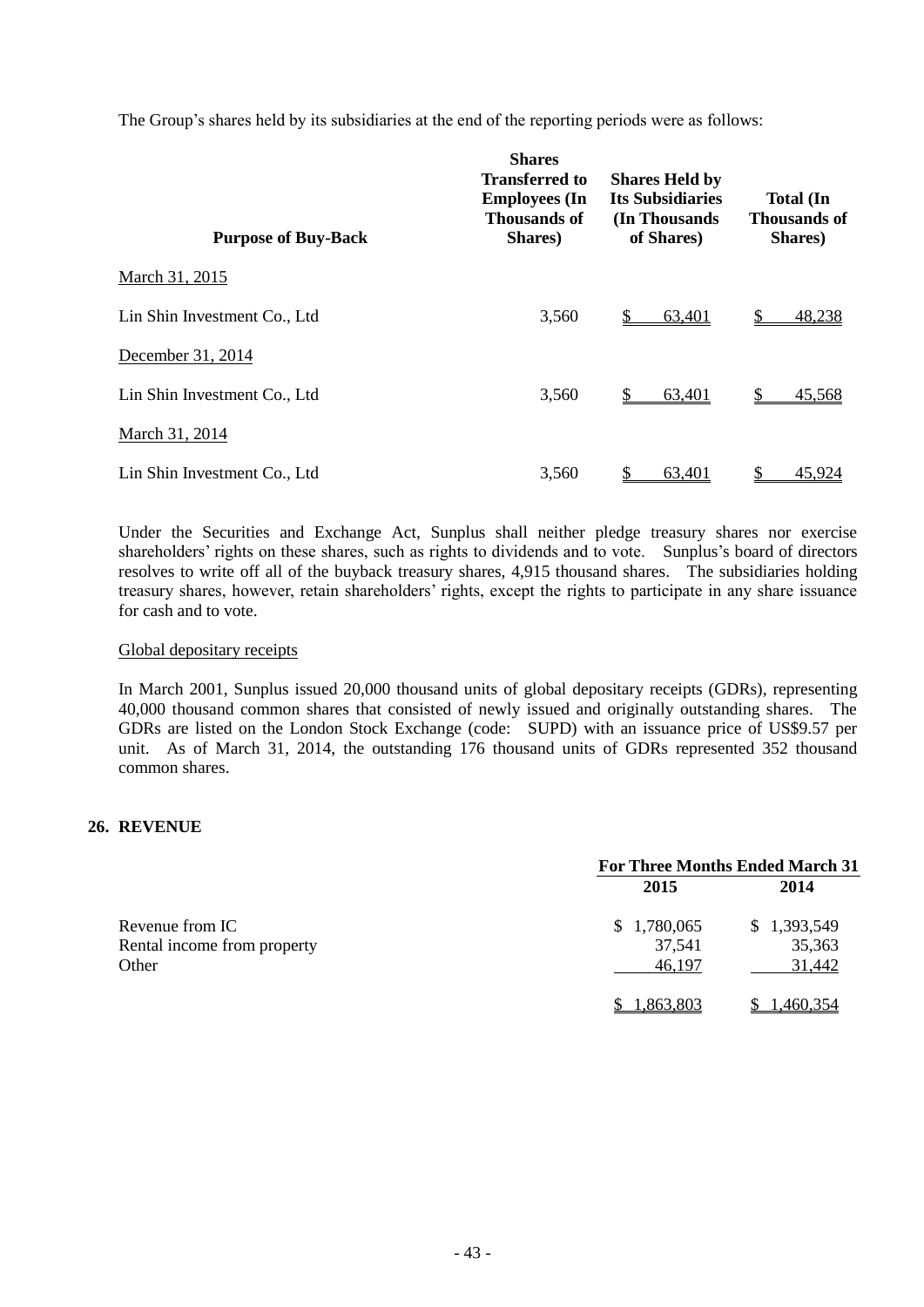The Group's shares held by its subsidiaries at the end of the reporting periods were as follows:

| <b>Purpose of Buy-Back</b>   | <b>Shares</b><br><b>Transferred to</b><br><b>Employees</b> (In<br><b>Thousands of</b><br>Shares) | <b>Shares Held by</b><br><b>Its Subsidiaries</b><br>(In Thousands)<br>of Shares) | <b>Total</b> (In<br><b>Thousands of</b><br>Shares) |
|------------------------------|--------------------------------------------------------------------------------------------------|----------------------------------------------------------------------------------|----------------------------------------------------|
| March 31, 2015               |                                                                                                  |                                                                                  |                                                    |
| Lin Shin Investment Co., Ltd | 3,560                                                                                            | 63,401                                                                           | 48,238                                             |
| December 31, 2014            |                                                                                                  |                                                                                  |                                                    |
| Lin Shin Investment Co., Ltd | 3,560                                                                                            | S.<br>63,401                                                                     | 45,568                                             |
| March 31, 2014               |                                                                                                  |                                                                                  |                                                    |
| Lin Shin Investment Co., Ltd | 3,560                                                                                            | 63,401                                                                           | 45,924                                             |

Under the Securities and Exchange Act, Sunplus shall neither pledge treasury shares nor exercise shareholders' rights on these shares, such as rights to dividends and to vote. Sunplus's board of directors resolves to write off all of the buyback treasury shares, 4,915 thousand shares. The subsidiaries holding treasury shares, however, retain shareholders' rights, except the rights to participate in any share issuance for cash and to vote.

#### Global depositary receipts

In March 2001, Sunplus issued 20,000 thousand units of global depositary receipts (GDRs), representing 40,000 thousand common shares that consisted of newly issued and originally outstanding shares. The GDRs are listed on the London Stock Exchange (code: SUPD) with an issuance price of US\$9.57 per unit. As of March 31, 2014, the outstanding 176 thousand units of GDRs represented 352 thousand common shares.

## **26. REVENUE**

|                             | <b>For Three Months Ended March 31</b> |             |
|-----------------------------|----------------------------------------|-------------|
|                             | 2015                                   | 2014        |
| Revenue from IC             | \$1,780,065                            | \$1,393,549 |
| Rental income from property | 37,541                                 | 35,363      |
| Other                       | 46,197                                 | 31,442      |
|                             | .863.803                               | .460.354    |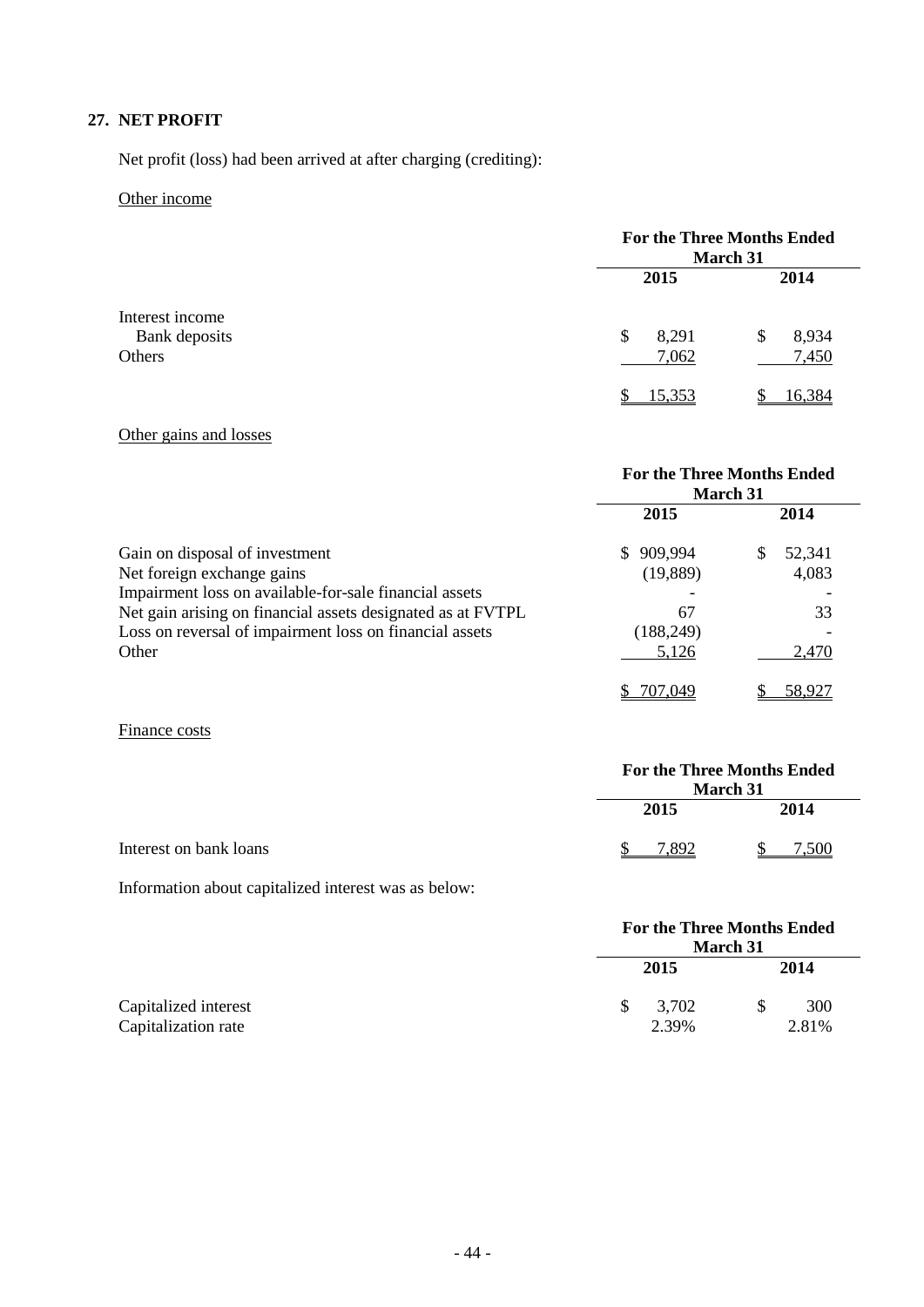## **27. NET PROFIT**

Net profit (loss) had been arrived at after charging (crediting):

## Other income

|                                  | <b>For the Three Months Ended</b><br>March 31 |             |
|----------------------------------|-----------------------------------------------|-------------|
|                                  | 2015                                          | 2014        |
| Interest income<br>Bank deposits | 8,291<br>S                                    | 8,934<br>\$ |
| Others                           | 7,062                                         | 7,450       |
|                                  | 15.353                                        | 16 384      |

## Other gains and losses

|                                                             | <b>For the Three Months Ended</b><br><b>March 31</b> |              |
|-------------------------------------------------------------|------------------------------------------------------|--------------|
|                                                             | 2015                                                 | 2014         |
| Gain on disposal of investment                              | 909,994<br>S.                                        | 52,341<br>\$ |
| Net foreign exchange gains                                  | (19,889)                                             | 4,083        |
| Impairment loss on available-for-sale financial assets      |                                                      |              |
| Net gain arising on financial assets designated as at FVTPL | 67                                                   | 33           |
| Loss on reversal of impairment loss on financial assets     | (188, 249)                                           |              |
| Other                                                       | 5,126                                                | 2,470        |
|                                                             | 707,049                                              | 58.927       |

## Finance costs

|                        | <b>March 31</b> | <b>For the Three Months Ended</b> |
|------------------------|-----------------|-----------------------------------|
|                        | 2015            | 2014                              |
| Interest on bank loans | 7.892           | 7.500                             |

Information about capitalized interest was as below:

|                                             |    | <b>For the Three Months Ended</b><br>March 31 |              |
|---------------------------------------------|----|-----------------------------------------------|--------------|
|                                             |    | 2015                                          | 2014         |
| Capitalized interest<br>Capitalization rate | S. | 3,702<br>2.39%                                | 300<br>2.81% |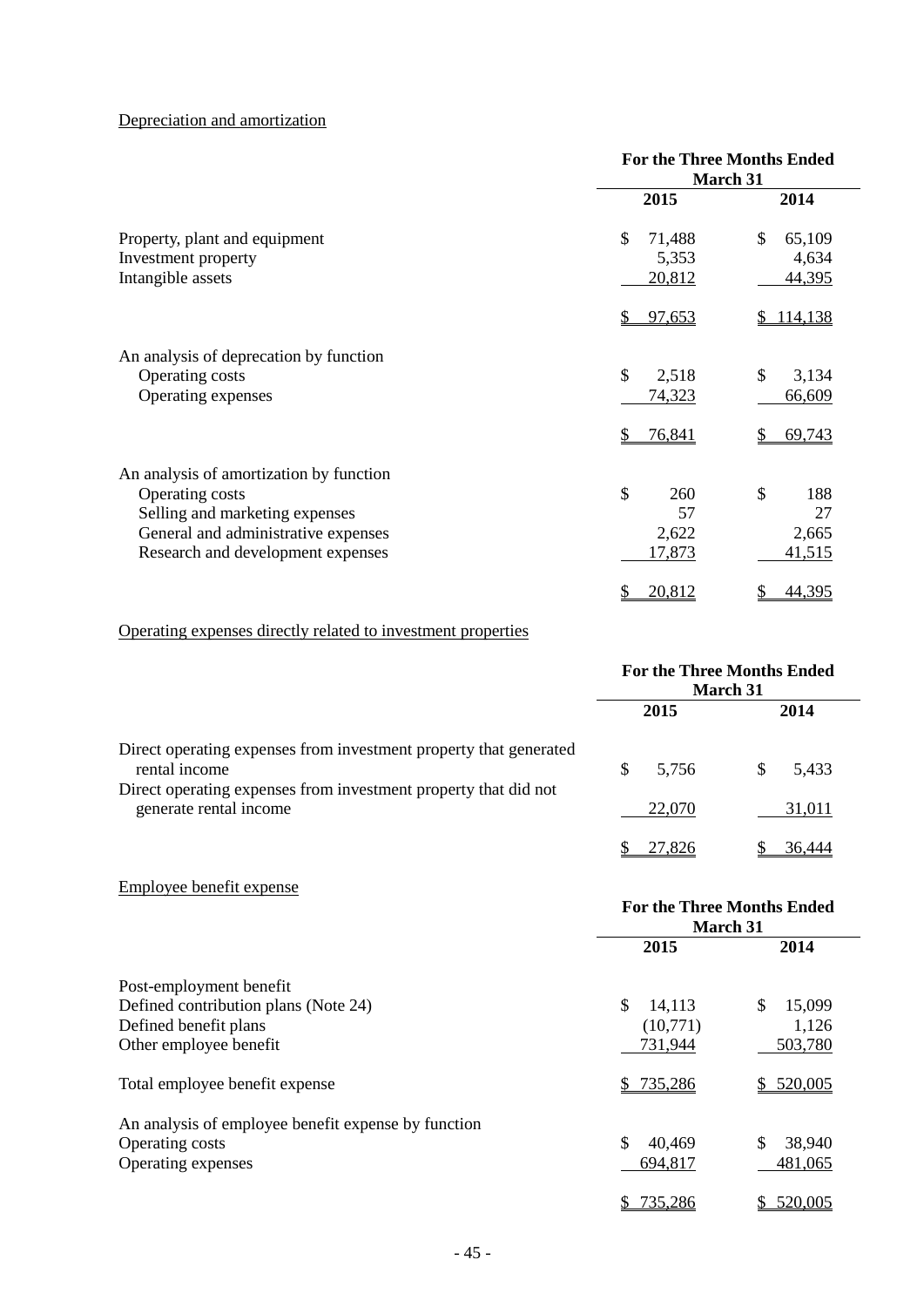## Depreciation and amortization

|                                         | <b>For the Three Months Ended</b><br>March 31 |              |
|-----------------------------------------|-----------------------------------------------|--------------|
|                                         | 2015                                          | 2014         |
| Property, plant and equipment           | \$<br>71,488                                  | \$<br>65,109 |
| Investment property                     | 5,353                                         | 4,634        |
| Intangible assets                       | 20,812                                        | 44,395       |
|                                         | 97,653                                        | 114,138      |
| An analysis of deprecation by function  |                                               |              |
| Operating costs                         | \$<br>2,518                                   | \$<br>3,134  |
| Operating expenses                      | 74,323                                        | 66,609       |
|                                         | 76,841                                        | 69,743       |
| An analysis of amortization by function |                                               |              |
| Operating costs                         | \$<br>260                                     | \$<br>188    |
| Selling and marketing expenses          | 57                                            | 27           |
| General and administrative expenses     | 2,622                                         | 2,665        |
| Research and development expenses       | 17,873                                        | 41,515       |
|                                         | 20,812                                        | 44,395       |

## Operating expenses directly related to investment properties

|                                                                                                                                                       | <b>For the Three Months Ended</b><br><b>March 31</b> |            |
|-------------------------------------------------------------------------------------------------------------------------------------------------------|------------------------------------------------------|------------|
|                                                                                                                                                       | 2015                                                 | 2014       |
| Direct operating expenses from investment property that generated<br>rental income<br>Direct operating expenses from investment property that did not | 5.756<br>S                                           | 5,433<br>S |
| generate rental income                                                                                                                                | 22,070                                               | 31,011     |
|                                                                                                                                                       | 27.826                                               | 36.444     |

| Employee benefit expense                            |                                                      |              |
|-----------------------------------------------------|------------------------------------------------------|--------------|
|                                                     | <b>For the Three Months Ended</b><br><b>March 31</b> |              |
|                                                     | 2015                                                 | 2014         |
| Post-employment benefit                             |                                                      |              |
| Defined contribution plans (Note 24)                | \$<br>14,113                                         | \$<br>15,099 |
| Defined benefit plans                               | (10,771)                                             | 1,126        |
| Other employee benefit                              | 731,944                                              | 503,780      |
| Total employee benefit expense                      | 735,286<br>SS.                                       | \$520,005    |
| An analysis of employee benefit expense by function |                                                      |              |
| Operating costs                                     | \$<br>40,469                                         | \$<br>38,940 |
| Operating expenses                                  | 694,817                                              | 481,065      |
|                                                     | 735,286                                              | 520,005      |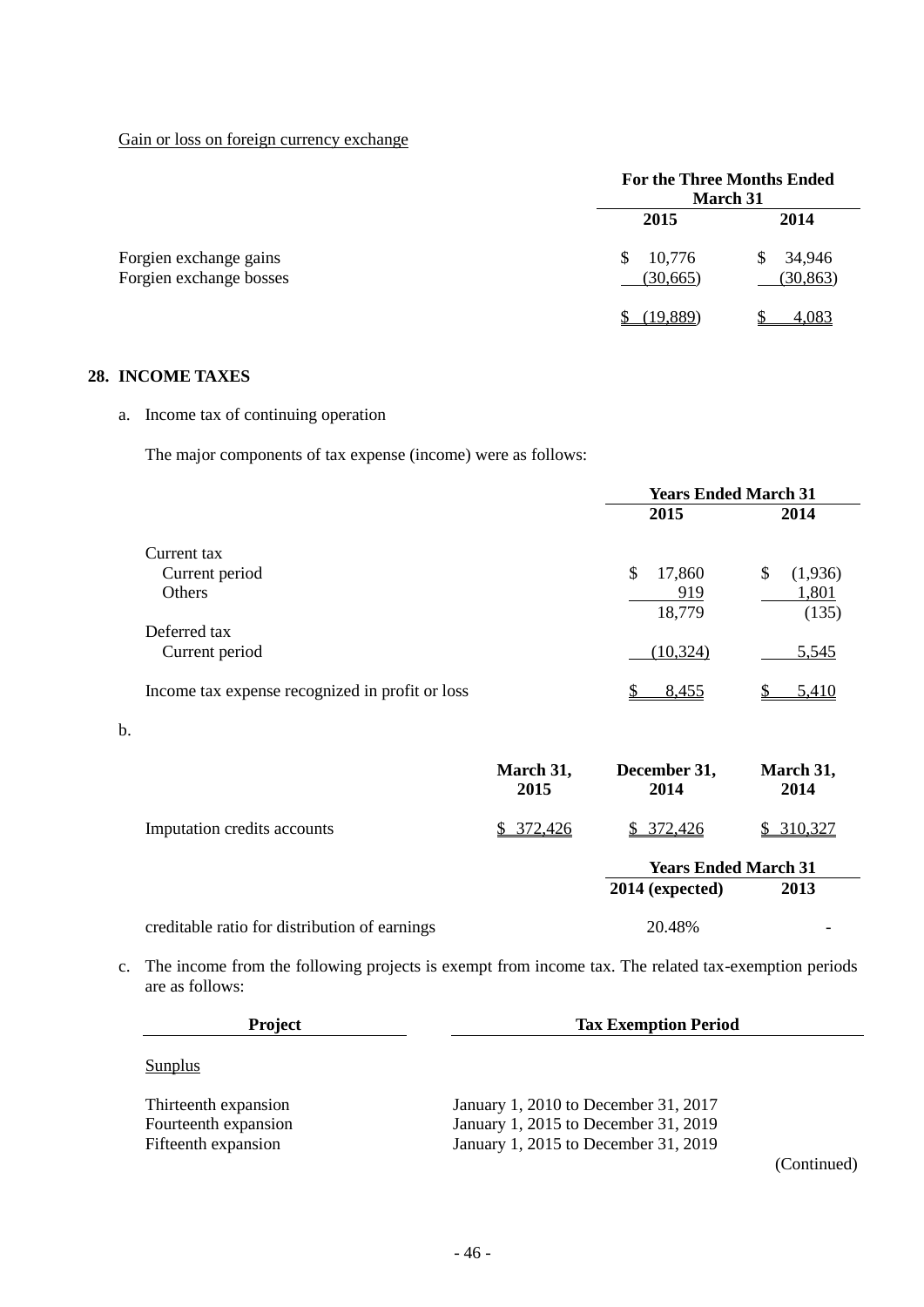Gain or loss on foreign currency exchange

|                                                   | <b>For the Three Months Ended</b><br><b>March 31</b> |                          |
|---------------------------------------------------|------------------------------------------------------|--------------------------|
|                                                   | 2015                                                 | 2014                     |
| Forgien exchange gains<br>Forgien exchange bosses | 10,776<br>\$<br>(30, 665)                            | 34,946<br>S<br>(30, 863) |
|                                                   | (19,889)                                             | 4,083                    |

## **28. INCOME TAXES**

b.

a. Income tax of continuing operation

The major components of tax expense (income) were as follows:

|                                                 |                   | <b>Years Ended March 31</b> |                   |
|-------------------------------------------------|-------------------|-----------------------------|-------------------|
|                                                 |                   | 2015                        | 2014              |
| Current tax                                     |                   |                             |                   |
| Current period                                  |                   | $\mathbb{S}$<br>17,860      | \$<br>(1,936)     |
| <b>Others</b>                                   |                   | 919                         | 1,801             |
|                                                 |                   | 18,779                      | (135)             |
| Deferred tax                                    |                   |                             |                   |
| Current period                                  |                   | (10, 324)                   | 5,545             |
| Income tax expense recognized in profit or loss |                   | 8,455                       | 5,410             |
|                                                 |                   |                             |                   |
|                                                 |                   |                             |                   |
|                                                 | March 31,<br>2015 | December 31,<br>2014        | March 31,<br>2014 |
| Imputation credits accounts                     | 372,426<br>S.     | \$ 372,426                  | \$310,327         |
|                                                 |                   | <b>Years Ended March 31</b> |                   |
|                                                 |                   | 2014 (expected)             | 2013              |
|                                                 |                   |                             |                   |
| creditable ratio for distribution of earnings   |                   | 20.48%                      |                   |

c. The income from the following projects is exempt from income tax. The related tax-exemption periods are as follows:

| <b>Project</b>       | <b>Tax Exemption Period</b>          |             |  |  |
|----------------------|--------------------------------------|-------------|--|--|
| Sunplus              |                                      |             |  |  |
| Thirteenth expansion | January 1, 2010 to December 31, 2017 |             |  |  |
| Fourteenth expansion | January 1, 2015 to December 31, 2019 |             |  |  |
| Fifteenth expansion  | January 1, 2015 to December 31, 2019 |             |  |  |
|                      |                                      | (Continued) |  |  |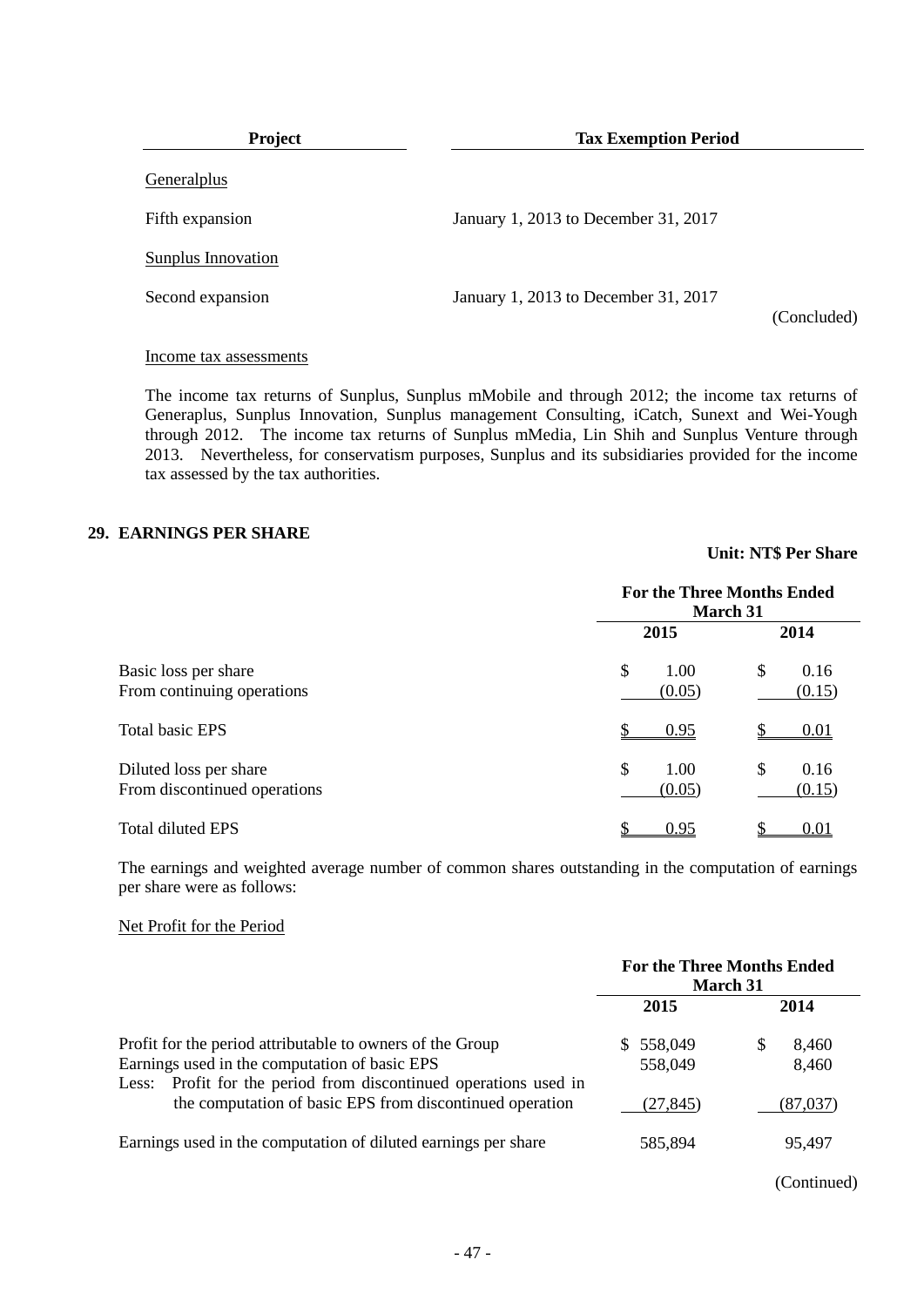| <b>Project</b>     | <b>Tax Exemption Period</b>          |             |  |  |
|--------------------|--------------------------------------|-------------|--|--|
| Generalplus        |                                      |             |  |  |
| Fifth expansion    | January 1, 2013 to December 31, 2017 |             |  |  |
| Sunplus Innovation |                                      |             |  |  |
| Second expansion   | January 1, 2013 to December 31, 2017 | (Concluded) |  |  |

#### Income tax assessments

The income tax returns of Sunplus, Sunplus mMobile and through 2012; the income tax returns of Generaplus, Sunplus Innovation, Sunplus management Consulting, iCatch, Sunext and Wei-Yough through 2012. The income tax returns of Sunplus mMedia, Lin Shih and Sunplus Venture through 2013. Nevertheless, for conservatism purposes, Sunplus and its subsidiaries provided for the income tax assessed by the tax authorities.

#### **29. EARNINGS PER SHARE**

|                                                        | <b>For the Three Months Ended</b><br><b>March 31</b> |                      |  |
|--------------------------------------------------------|------------------------------------------------------|----------------------|--|
|                                                        | 2015                                                 | 2014                 |  |
| Basic loss per share<br>From continuing operations     | \$<br>1.00<br>(0.05)                                 | \$<br>0.16<br>(0.15) |  |
| <b>Total basic EPS</b>                                 | 0.95                                                 | 0.01                 |  |
| Diluted loss per share<br>From discontinued operations | \$<br>1.00<br>(0.05)                                 | \$<br>0.16<br>(0.15) |  |
| <b>Total diluted EPS</b>                               | 0.95                                                 | 0.01                 |  |

The earnings and weighted average number of common shares outstanding in the computation of earnings per share were as follows:

#### Net Profit for the Period

|                                                                                                                                                                                                                                            | <b>For the Three Months Ended</b><br><b>March 31</b> |                                 |  |
|--------------------------------------------------------------------------------------------------------------------------------------------------------------------------------------------------------------------------------------------|------------------------------------------------------|---------------------------------|--|
|                                                                                                                                                                                                                                            | 2015                                                 | 2014                            |  |
| Profit for the period attributable to owners of the Group<br>Earnings used in the computation of basic EPS<br>Less: Profit for the period from discontinued operations used in<br>the computation of basic EPS from discontinued operation | 558,049<br>S.<br>558,049<br>(27, 845)                | 8.460<br>S<br>8,460<br>(87,037) |  |
| Earnings used in the computation of diluted earnings per share                                                                                                                                                                             | 585.894                                              | 95.497                          |  |

**Unit: NT\$ Per Share**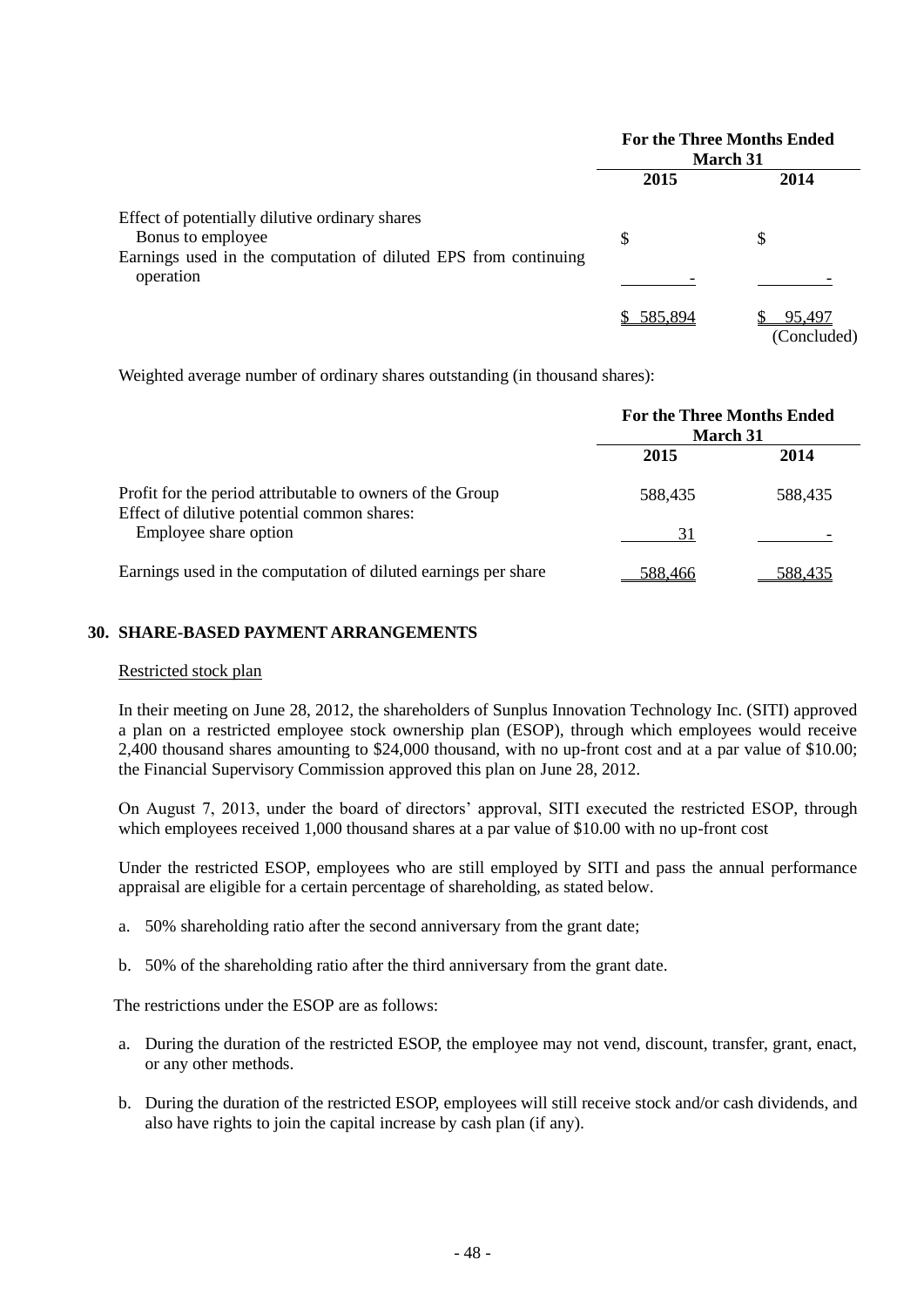|                                                                                                                                        | <b>For the Three Months Ended</b><br><b>March 31</b> |                       |
|----------------------------------------------------------------------------------------------------------------------------------------|------------------------------------------------------|-----------------------|
|                                                                                                                                        | 2015                                                 | 2014                  |
| Effect of potentially dilutive ordinary shares<br>Bonus to employee<br>Earnings used in the computation of diluted EPS from continuing | S                                                    | S                     |
| operation                                                                                                                              |                                                      |                       |
|                                                                                                                                        | 585,894                                              | 95,497<br>(Concluded) |

Weighted average number of ordinary shares outstanding (in thousand shares):

|                                                                                                          | <b>For the Three Months Ended</b><br><b>March 31</b> |         |  |
|----------------------------------------------------------------------------------------------------------|------------------------------------------------------|---------|--|
|                                                                                                          | 2015                                                 | 2014    |  |
| Profit for the period attributable to owners of the Group<br>Effect of dilutive potential common shares: | 588.435                                              | 588.435 |  |
| Employee share option                                                                                    | 31                                                   |         |  |
| Earnings used in the computation of diluted earnings per share                                           | 588,466                                              | 588.435 |  |

## **30. SHARE-BASED PAYMENT ARRANGEMENTS**

## Restricted stock plan

In their meeting on June 28, 2012, the shareholders of Sunplus Innovation Technology Inc. (SITI) approved a plan on a restricted employee stock ownership plan (ESOP), through which employees would receive 2,400 thousand shares amounting to \$24,000 thousand, with no up-front cost and at a par value of \$10.00; the Financial Supervisory Commission approved this plan on June 28, 2012.

On August 7, 2013, under the board of directors' approval, SITI executed the restricted ESOP, through which employees received 1,000 thousand shares at a par value of \$10.00 with no up-front cost

Under the restricted ESOP, employees who are still employed by SITI and pass the annual performance appraisal are eligible for a certain percentage of shareholding, as stated below.

- a. 50% shareholding ratio after the second anniversary from the grant date;
- b. 50% of the shareholding ratio after the third anniversary from the grant date.

The restrictions under the ESOP are as follows:

- a. During the duration of the restricted ESOP, the employee may not vend, discount, transfer, grant, enact, or any other methods.
- b. During the duration of the restricted ESOP, employees will still receive stock and/or cash dividends, and also have rights to join the capital increase by cash plan (if any).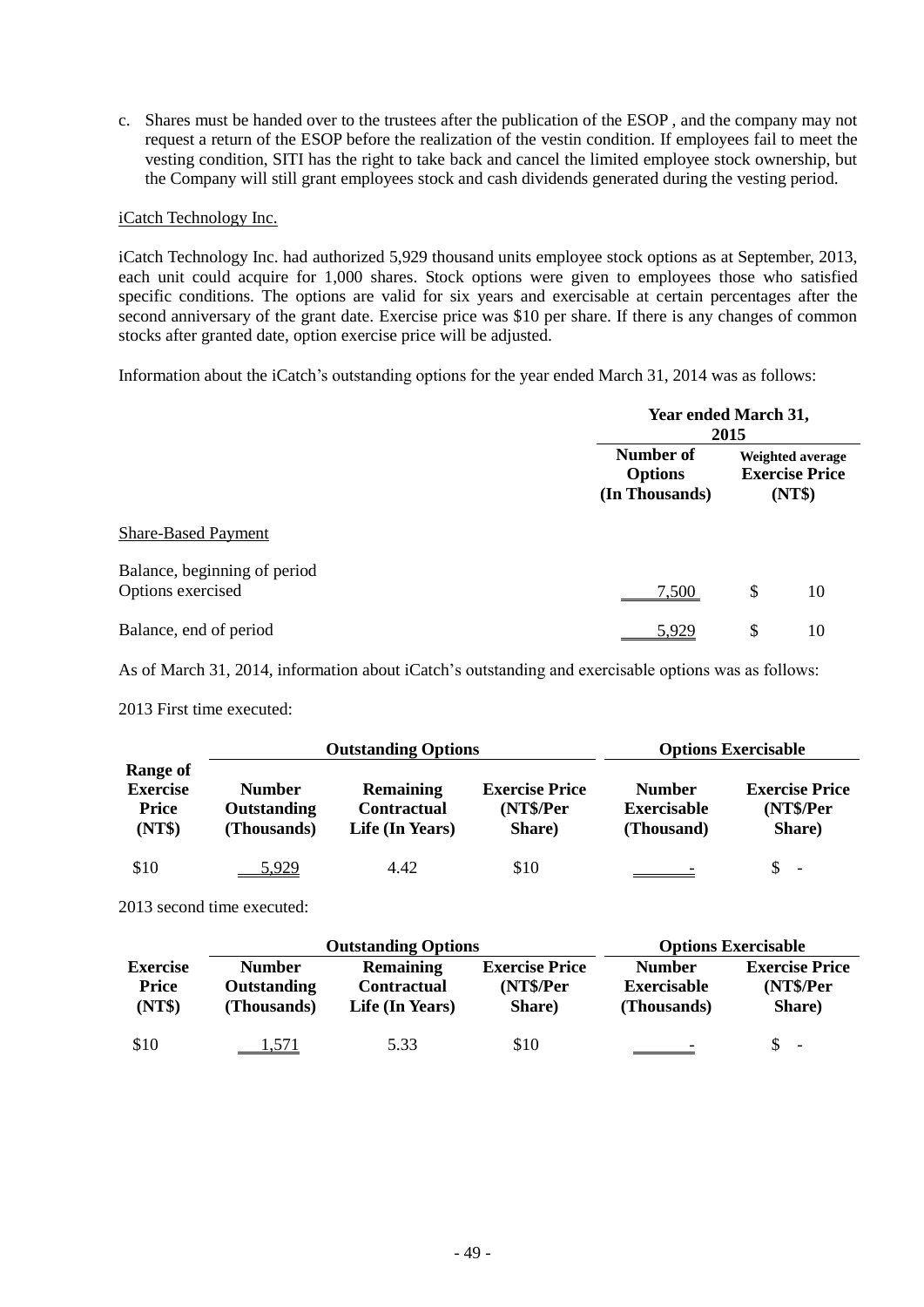c. Shares must be handed over to the trustees after the publication of the ESOP , and the company may not request a return of the ESOP before the realization of the vestin condition. If employees fail to meet the vesting condition, SITI has the right to take back and cancel the limited employee stock ownership, but the Company will still grant employees stock and cash dividends generated during the vesting period.

#### iCatch Technology Inc.

iCatch Technology Inc. had authorized 5,929 thousand units employee stock options as at September, 2013, each unit could acquire for 1,000 shares. Stock options were given to employees those who satisfied specific conditions. The options are valid for six years and exercisable at certain percentages after the second anniversary of the grant date. Exercise price was \$10 per share. If there is any changes of common stocks after granted date, option exercise price will be adjusted.

Information about the iCatch's outstanding options for the year ended March 31, 2014 was as follows:

|                                                   |                                               | Year ended March 31,<br>2015 |                                                     |  |
|---------------------------------------------------|-----------------------------------------------|------------------------------|-----------------------------------------------------|--|
|                                                   | Number of<br><b>Options</b><br>(In Thousands) |                              | Weighted average<br><b>Exercise Price</b><br>(NT\$) |  |
| <b>Share-Based Payment</b>                        |                                               |                              |                                                     |  |
| Balance, beginning of period<br>Options exercised | 7,500                                         | \$                           | 10                                                  |  |
| Balance, end of period                            | <u>5,929</u>                                  | \$                           | 10                                                  |  |

As of March 31, 2014, information about iCatch's outstanding and exercisable options was as follows:

2013 First time executed:

|                                                       | <b>Outstanding Options</b>                  |                                                           |                                              | <b>Options Exercisable</b>                        |                                              |  |
|-------------------------------------------------------|---------------------------------------------|-----------------------------------------------------------|----------------------------------------------|---------------------------------------------------|----------------------------------------------|--|
| Range of<br><b>Exercise</b><br><b>Price</b><br>(NT\$) | <b>Number</b><br>Outstanding<br>(Thousands) | <b>Remaining</b><br><b>Contractual</b><br>Life (In Years) | <b>Exercise Price</b><br>(NT\$/Per<br>Share) | <b>Number</b><br><b>Exercisable</b><br>(Thousand) | <b>Exercise Price</b><br>(NT\$/Per<br>Share) |  |
| \$10                                                  | 5,929                                       | 4.42                                                      | \$10                                         |                                                   | $\overline{\phantom{a}}$                     |  |

2013 second time executed:

|                                    |                                             | <b>Outstanding Options</b>                                | <b>Options Exercisable</b>                   |                                                    |                                              |
|------------------------------------|---------------------------------------------|-----------------------------------------------------------|----------------------------------------------|----------------------------------------------------|----------------------------------------------|
| <b>Exercise</b><br>Price<br>(NT\$) | <b>Number</b><br>Outstanding<br>(Thousands) | <b>Remaining</b><br><b>Contractual</b><br>Life (In Years) | <b>Exercise Price</b><br>(NT\$/Per<br>Share) | <b>Number</b><br><b>Exercisable</b><br>(Thousands) | <b>Exercise Price</b><br>(NT\$/Per<br>Share) |
| \$10                               | 1,571                                       | 5.33                                                      | \$10                                         |                                                    | \$.<br>$\overline{\phantom{a}}$              |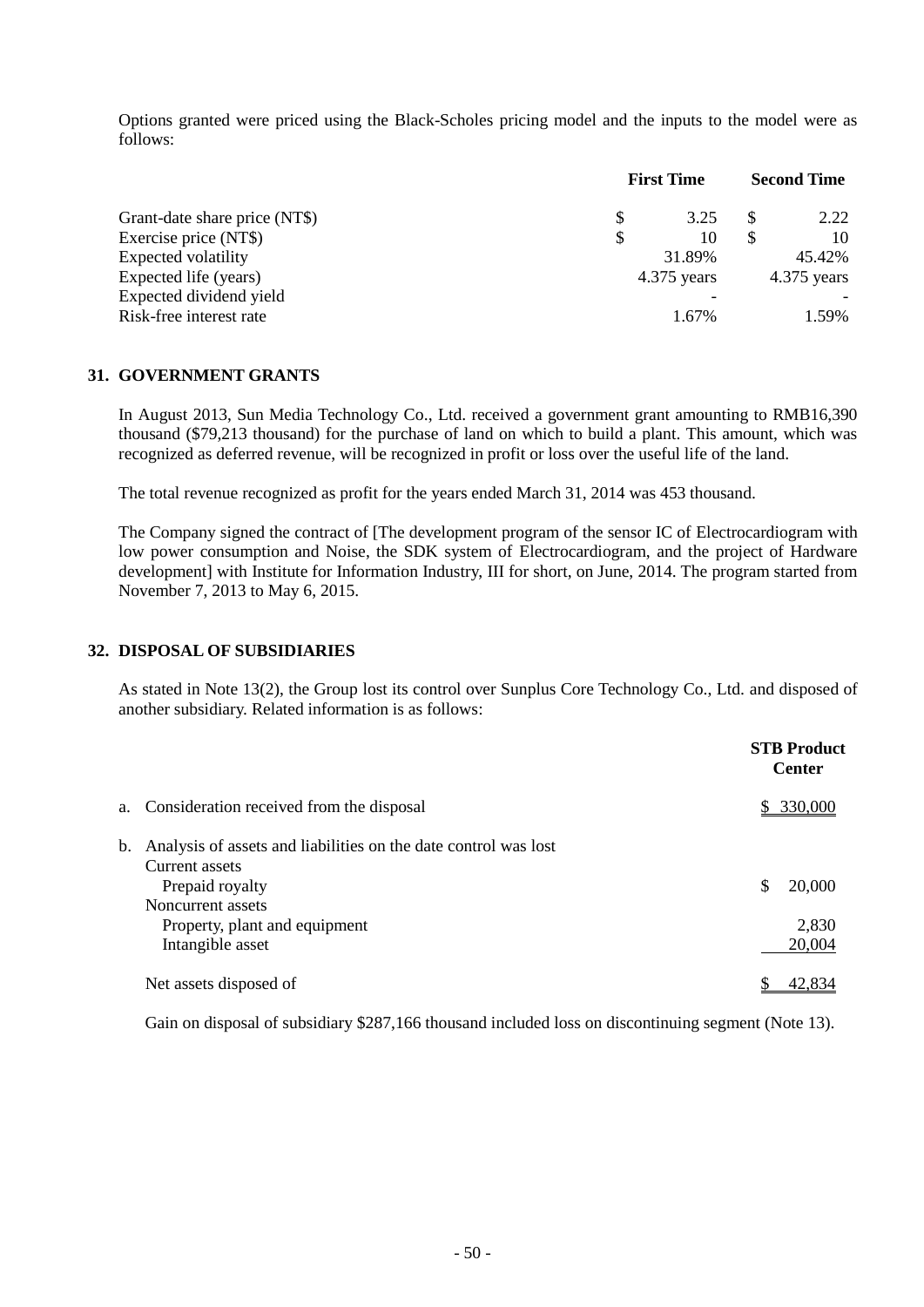Options granted were priced using the Black-Scholes pricing model and the inputs to the model were as follows:

|                               | <b>First Time</b> |        | <b>Second Time</b> |               |
|-------------------------------|-------------------|--------|--------------------|---------------|
| Grant-date share price (NT\$) |                   | 3.25   |                    | 2.22          |
| Exercise price (NT\$)         |                   | 10     |                    | 10            |
| Expected volatility           |                   | 31.89% |                    | 45.42%        |
| Expected life (years)         | $4.375$ years     |        |                    | $4.375$ years |
| Expected dividend yield       |                   |        |                    |               |
| Risk-free interest rate       |                   | 1.67%  |                    | 1.59%         |

#### **31. GOVERNMENT GRANTS**

In August 2013, Sun Media Technology Co., Ltd. received a government grant amounting to RMB16,390 thousand (\$79,213 thousand) for the purchase of land on which to build a plant. This amount, which was recognized as deferred revenue, will be recognized in profit or loss over the useful life of the land.

The total revenue recognized as profit for the years ended March 31, 2014 was 453 thousand.

The Company signed the contract of [The development program of the sensor IC of Electrocardiogram with low power consumption and Noise, the SDK system of Electrocardiogram, and the project of Hardware development] with Institute for Information Industry, III for short, on June, 2014. The program started from November 7, 2013 to May 6, 2015.

#### **32. DISPOSAL OF SUBSIDIARIES**

As stated in Note 13(2), the Group lost its control over Sunplus Core Technology Co., Ltd. and disposed of another subsidiary. Related information is as follows:

|                                                                                                                                                               | <b>STB Product</b><br><b>Center</b> |
|---------------------------------------------------------------------------------------------------------------------------------------------------------------|-------------------------------------|
| a. Consideration received from the disposal                                                                                                                   | \$ 330,000                          |
| b. Analysis of assets and liabilities on the date control was lost<br>Current assets<br>Prepaid royalty<br>Noncurrent assets<br>Property, plant and equipment | \$<br>20,000<br>2,830               |
| Intangible asset                                                                                                                                              | 20,004                              |
| Net assets disposed of                                                                                                                                        | 42.8                                |

Gain on disposal of subsidiary \$287,166 thousand included loss on discontinuing segment (Note 13).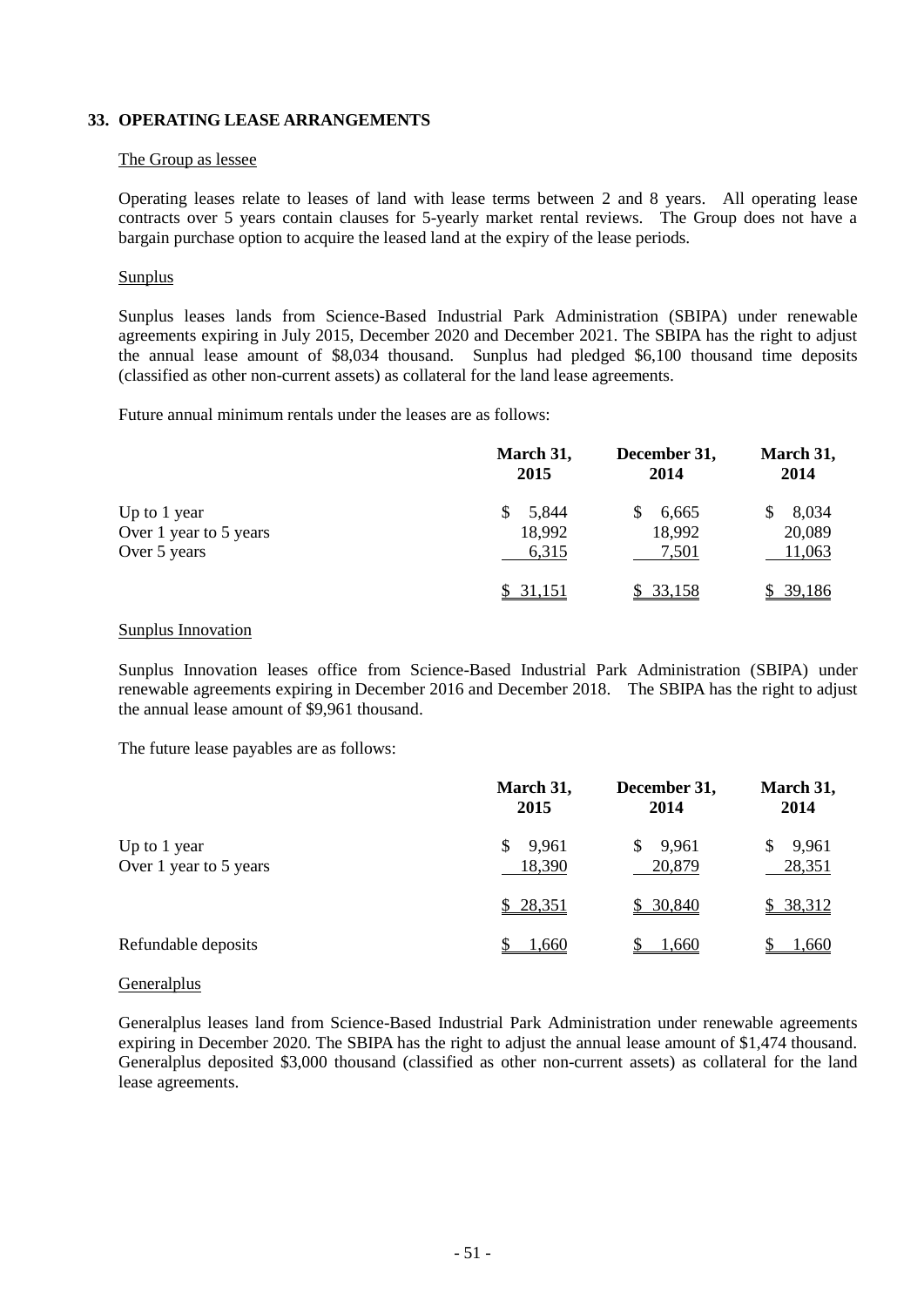### **33. OPERATING LEASE ARRANGEMENTS**

#### The Group as lessee

Operating leases relate to leases of land with lease terms between 2 and 8 years. All operating lease contracts over 5 years contain clauses for 5-yearly market rental reviews. The Group does not have a bargain purchase option to acquire the leased land at the expiry of the lease periods.

#### **Sunplus**

Sunplus leases lands from Science-Based Industrial Park Administration (SBIPA) under renewable agreements expiring in July 2015, December 2020 and December 2021. The SBIPA has the right to adjust the annual lease amount of \$8,034 thousand. Sunplus had pledged \$6,100 thousand time deposits (classified as other non-current assets) as collateral for the land lease agreements.

Future annual minimum rentals under the leases are as follows:

|                        | March 31,<br>2015 | December 31,<br>2014 | March 31,<br>2014 |
|------------------------|-------------------|----------------------|-------------------|
| Up to 1 year           | 5,844             | 6,665                | 8,034             |
| Over 1 year to 5 years | 18,992            | 18,992               | 20,089            |
| Over 5 years           | 6,315             | 7,501                | 11,063            |
|                        | \$ 31.151         | \$33,158             | 39,186            |

#### Sunplus Innovation

Sunplus Innovation leases office from Science-Based Industrial Park Administration (SBIPA) under renewable agreements expiring in December 2016 and December 2018. The SBIPA has the right to adjust the annual lease amount of \$9,961 thousand.

The future lease payables are as follows:

|                                        | March 31,<br>2015 | December 31,<br>2014   | March 31,<br>2014 |
|----------------------------------------|-------------------|------------------------|-------------------|
| Up to 1 year<br>Over 1 year to 5 years | 9,961<br>18,390   | 9,961<br>\$.<br>20,879 | 9,961<br>28,351   |
|                                        | \$28,351          | \$30,840               | \$38,312          |
| Refundable deposits                    | <u>1,660</u>      | <u>1.660</u>           | 1,660             |

#### Generalplus

Generalplus leases land from Science-Based Industrial Park Administration under renewable agreements expiring in December 2020. The SBIPA has the right to adjust the annual lease amount of \$1,474 thousand. Generalplus deposited \$3,000 thousand (classified as other non-current assets) as collateral for the land lease agreements.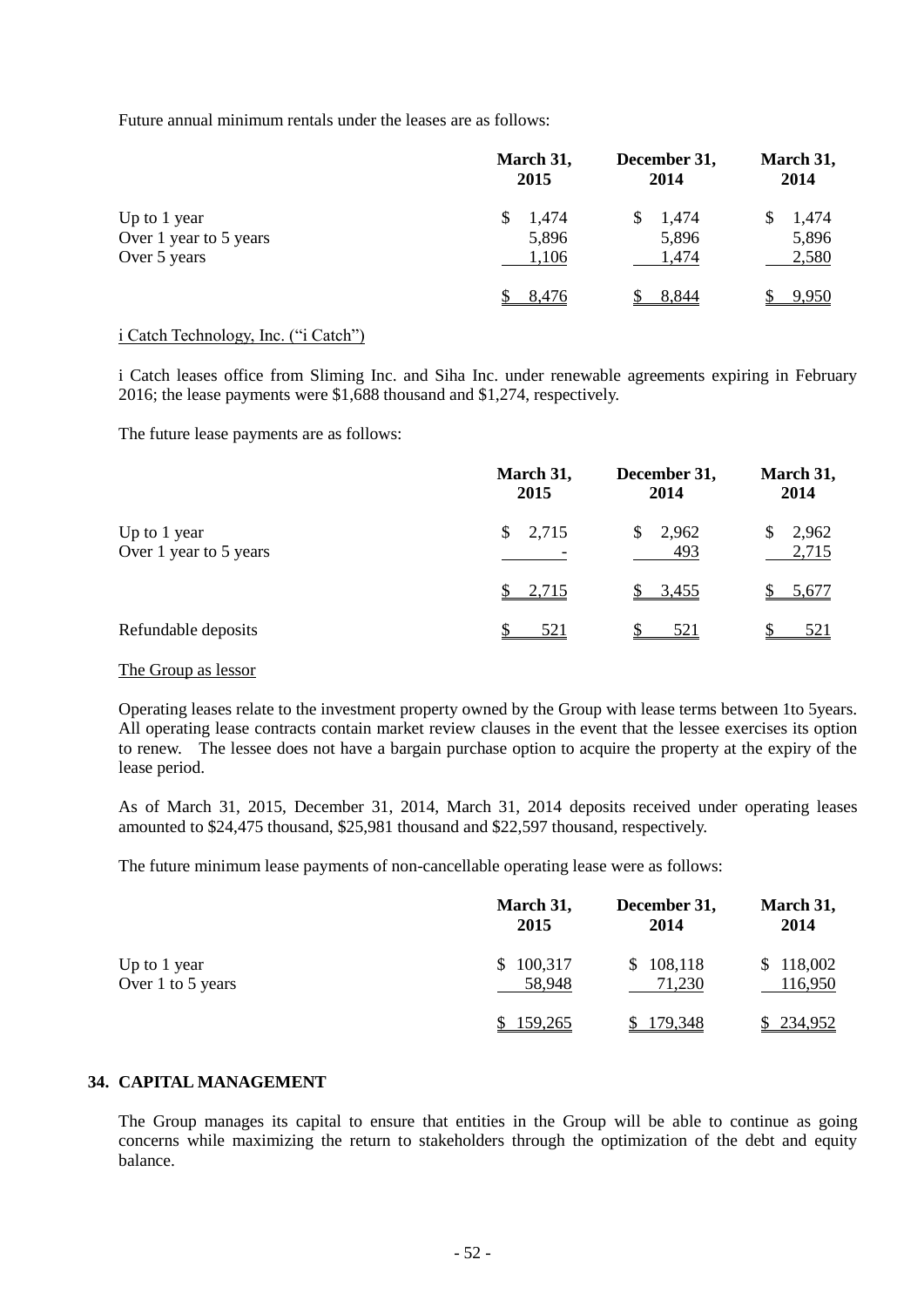Future annual minimum rentals under the leases are as follows:

|                        | March 31, | December 31, | March 31, |  |
|------------------------|-----------|--------------|-----------|--|
|                        | 2015      | 2014         | 2014      |  |
| Up to 1 year           | 1,474     | 1,474        | 1,474     |  |
| Over 1 year to 5 years | 5,896     | 5,896        | 5,896     |  |
| Over 5 years           | 1,106     | 1,474        | 2,580     |  |
|                        | 8.476     | 8.844        | 9,950     |  |

#### i Catch Technology, Inc. ("i Catch")

i Catch leases office from Sliming Inc. and Siha Inc. under renewable agreements expiring in February 2016; the lease payments were \$1,688 thousand and \$1,274, respectively.

The future lease payments are as follows:

|                                        | March 31,<br>2015 | December 31,<br>2014 | March 31,<br>2014     |  |
|----------------------------------------|-------------------|----------------------|-----------------------|--|
| Up to 1 year<br>Over 1 year to 5 years | 2,715<br>S.       | 2,962<br>\$.<br>493  | 2,962<br>\$.<br>2,715 |  |
|                                        | 2,715             | \$3,455              | 5,677                 |  |
| Refundable deposits                    | 521               | 521                  | <u>521</u>            |  |

#### The Group as lessor

Operating leases relate to the investment property owned by the Group with lease terms between 1to 5years. All operating lease contracts contain market review clauses in the event that the lessee exercises its option to renew. The lessee does not have a bargain purchase option to acquire the property at the expiry of the lease period.

As of March 31, 2015, December 31, 2014, March 31, 2014 deposits received under operating leases amounted to \$24,475 thousand, \$25,981 thousand and \$22,597 thousand, respectively.

The future minimum lease payments of non-cancellable operating lease were as follows:

|                                   | March 31,<br>2015        | December 31,<br>2014    | March 31,<br>2014    |
|-----------------------------------|--------------------------|-------------------------|----------------------|
| Up to 1 year<br>Over 1 to 5 years | 100,317<br>\$.<br>58,948 | 108,118<br>S.<br>71,230 | \$118,002<br>116,950 |
|                                   | 159,265                  | 179,348                 | \$234,952            |

## **34. CAPITAL MANAGEMENT**

The Group manages its capital to ensure that entities in the Group will be able to continue as going concerns while maximizing the return to stakeholders through the optimization of the debt and equity balance.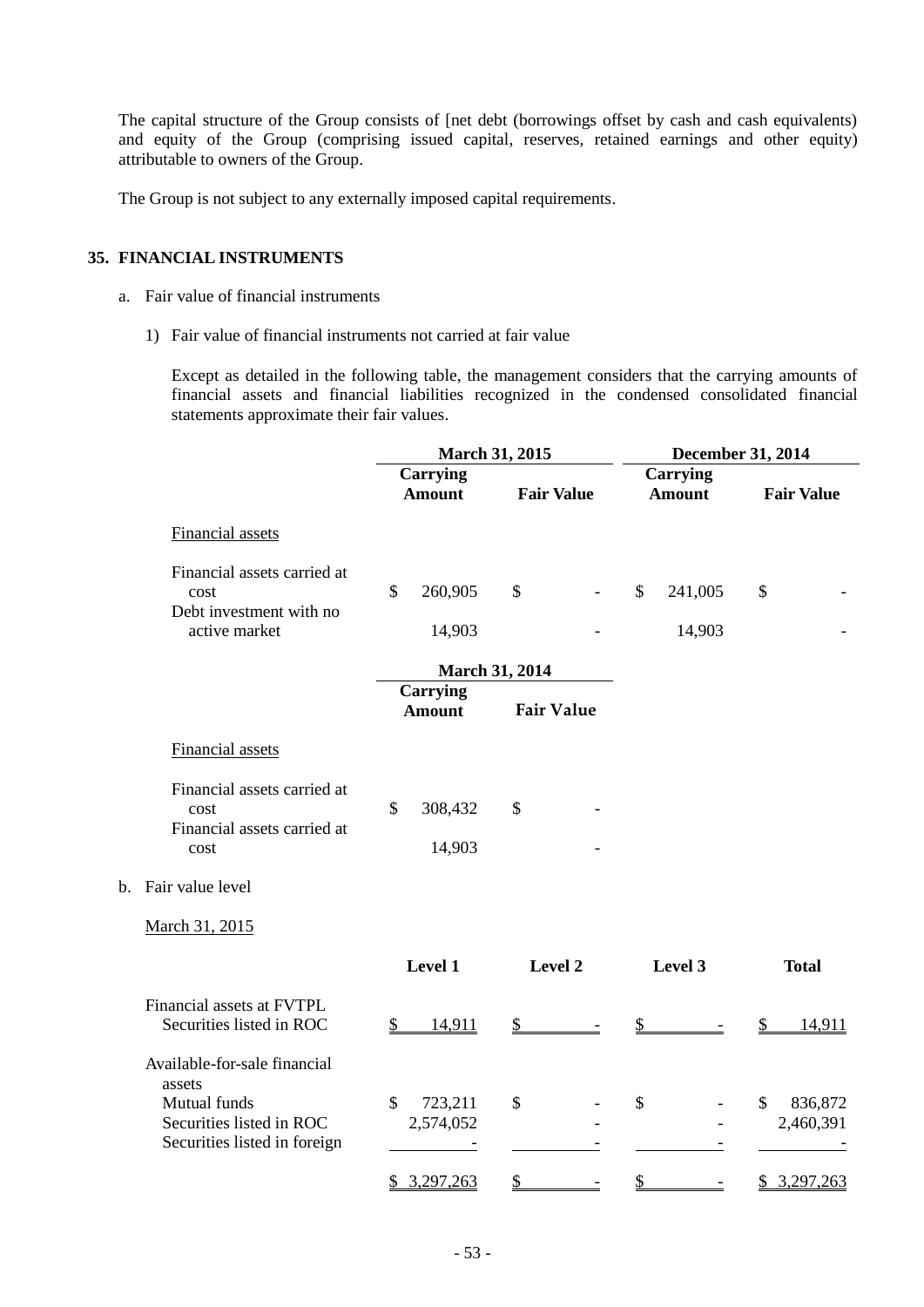The capital structure of the Group consists of [net debt (borrowings offset by cash and cash equivalents) and equity of the Group (comprising issued capital, reserves, retained earnings and other equity) attributable to owners of the Group.

The Group is not subject to any externally imposed capital requirements.

#### **35. FINANCIAL INSTRUMENTS**

- a. Fair value of financial instruments
	- 1) Fair value of financial instruments not carried at fair value

Except as detailed in the following table, the management considers that the carrying amounts of financial assets and financial liabilities recognized in the condensed consolidated financial statements approximate their fair values.

|                |                                                                    |              |                                  | March 31, 2015        |                          | December 31, 2014 |                                  |    |                      |
|----------------|--------------------------------------------------------------------|--------------|----------------------------------|-----------------------|--------------------------|-------------------|----------------------------------|----|----------------------|
|                |                                                                    |              | <b>Carrying</b><br><b>Amount</b> | <b>Fair Value</b>     |                          |                   | <b>Carrying</b><br><b>Amount</b> |    | <b>Fair Value</b>    |
|                | Financial assets                                                   |              |                                  |                       |                          |                   |                                  |    |                      |
|                | Financial assets carried at<br>cost<br>Debt investment with no     | $\mathbb{S}$ | 260,905                          | $\mathcal{S}$         | $\overline{\phantom{a}}$ | $\mathbb{S}$      | 241,005                          | \$ |                      |
|                | active market                                                      |              | 14,903                           |                       |                          |                   | 14,903                           |    |                      |
|                |                                                                    |              |                                  | <b>March 31, 2014</b> |                          |                   |                                  |    |                      |
|                |                                                                    |              | <b>Carrying</b><br><b>Amount</b> | <b>Fair Value</b>     |                          |                   |                                  |    |                      |
|                | Financial assets                                                   |              |                                  |                       |                          |                   |                                  |    |                      |
|                | Financial assets carried at<br>cost<br>Financial assets carried at | \$           | 308,432                          | \$                    |                          |                   |                                  |    |                      |
|                | cost                                                               |              | 14,903                           |                       |                          |                   |                                  |    |                      |
| $\mathbf{b}$ . | Fair value level                                                   |              |                                  |                       |                          |                   |                                  |    |                      |
|                | March 31, 2015                                                     |              |                                  |                       |                          |                   |                                  |    |                      |
|                |                                                                    |              | Level 1                          | Level 2               |                          |                   | Level 3                          |    | <b>Total</b>         |
|                | Financial assets at FVTPL<br>Securities listed in ROC              | \$           | 14,911                           | \$                    |                          | $\mathbb{S}$      |                                  | \$ | 14,911               |
|                | Available-for-sale financial<br>assets                             |              |                                  |                       |                          |                   |                                  |    |                      |
|                | Mutual funds<br>Securities listed in ROC                           | \$           | 723,211<br>2,574,052             | \$                    |                          | \$                |                                  | \$ | 836,872<br>2,460,391 |
|                | Securities listed in foreign                                       |              |                                  |                       |                          |                   |                                  |    |                      |
|                |                                                                    |              | \$3,297,263                      | $\frac{1}{2}$         | $\overline{\phantom{a}}$ | \$                | $\overline{\phantom{a}}$         |    | \$3,297,263          |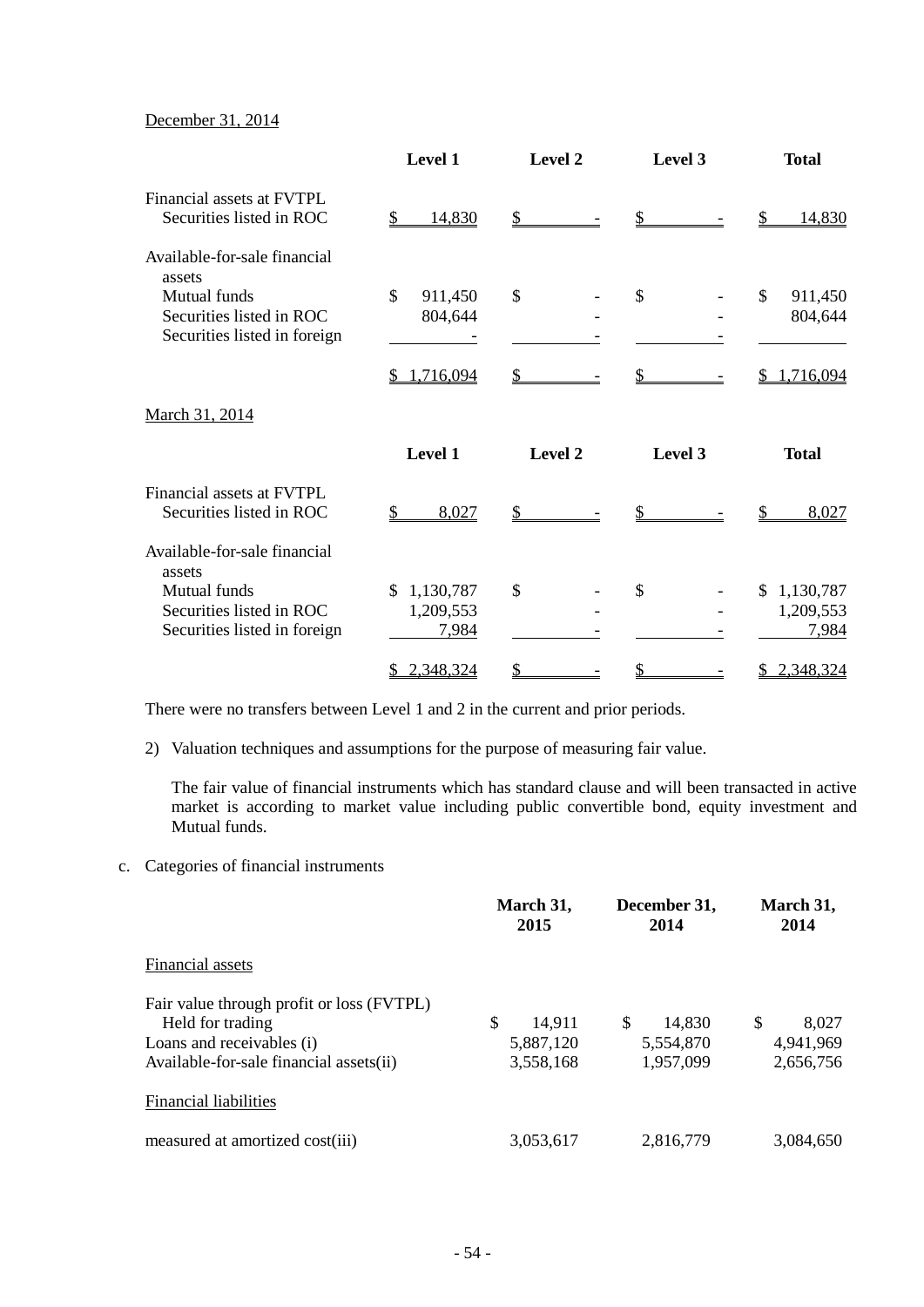## December 31, 2014

|                                                       | Level 1                |               | Level 3       | <b>Total</b>              |  |
|-------------------------------------------------------|------------------------|---------------|---------------|---------------------------|--|
| Financial assets at FVTPL<br>Securities listed in ROC | 14,830<br>\$           | \$            |               | 14,830                    |  |
| Available-for-sale financial<br>assets                |                        |               |               |                           |  |
| Mutual funds                                          | \$<br>911,450          | $\mathcal{S}$ | $\mathcal{S}$ | \$<br>911,450             |  |
| Securities listed in ROC                              | 804,644                |               |               | 804,644                   |  |
| Securities listed in foreign                          |                        |               |               |                           |  |
|                                                       | 1,716,094<br>S         | \$            |               | 1,716,094                 |  |
| March 31, 2014                                        |                        |               |               |                           |  |
|                                                       | Level 1                | Level 2       | Level 3       | <b>Total</b>              |  |
| Financial assets at FVTPL                             |                        |               |               |                           |  |
| Securities listed in ROC                              | $\mathcal{L}$<br>8,027 | \$            |               | 8,027                     |  |
| Available-for-sale financial<br>assets                |                        |               |               |                           |  |
| Mutual funds                                          | 1,130,787<br>\$        | $\mathcal{S}$ | \$            | 1,130,787<br>$\mathbb{S}$ |  |
| Securities listed in ROC                              | 1,209,553              |               |               | 1,209,553                 |  |
| Securities listed in foreign                          | 7,984                  |               |               | 7,984                     |  |
|                                                       | 2,348,324<br>\$        | \$            | \$            | 2,348,324<br>\$           |  |

There were no transfers between Level 1 and 2 in the current and prior periods.

2) Valuation techniques and assumptions for the purpose of measuring fair value.

The fair value of financial instruments which has standard clause and will been transacted in active market is according to market value including public convertible bond, equity investment and Mutual funds.

c. Categories of financial instruments

|                                           | March 31,<br>2015 | December 31,<br>2014 | March 31,<br>2014      |
|-------------------------------------------|-------------------|----------------------|------------------------|
| Financial assets                          |                   |                      |                        |
| Fair value through profit or loss (FVTPL) |                   |                      |                        |
| Held for trading                          | \$<br>14.911      | \$.<br>14,830        | <sup>\$</sup><br>8,027 |
| Loans and receivables (i)                 | 5,887,120         | 5,554,870            | 4,941,969              |
| Available-for-sale financial assets(ii)   | 3,558,168         | 1,957,099            | 2,656,756              |
| <b>Financial liabilities</b>              |                   |                      |                        |
| measured at amortized cost(iii)           | 3,053,617         | 2,816,779            | 3,084,650              |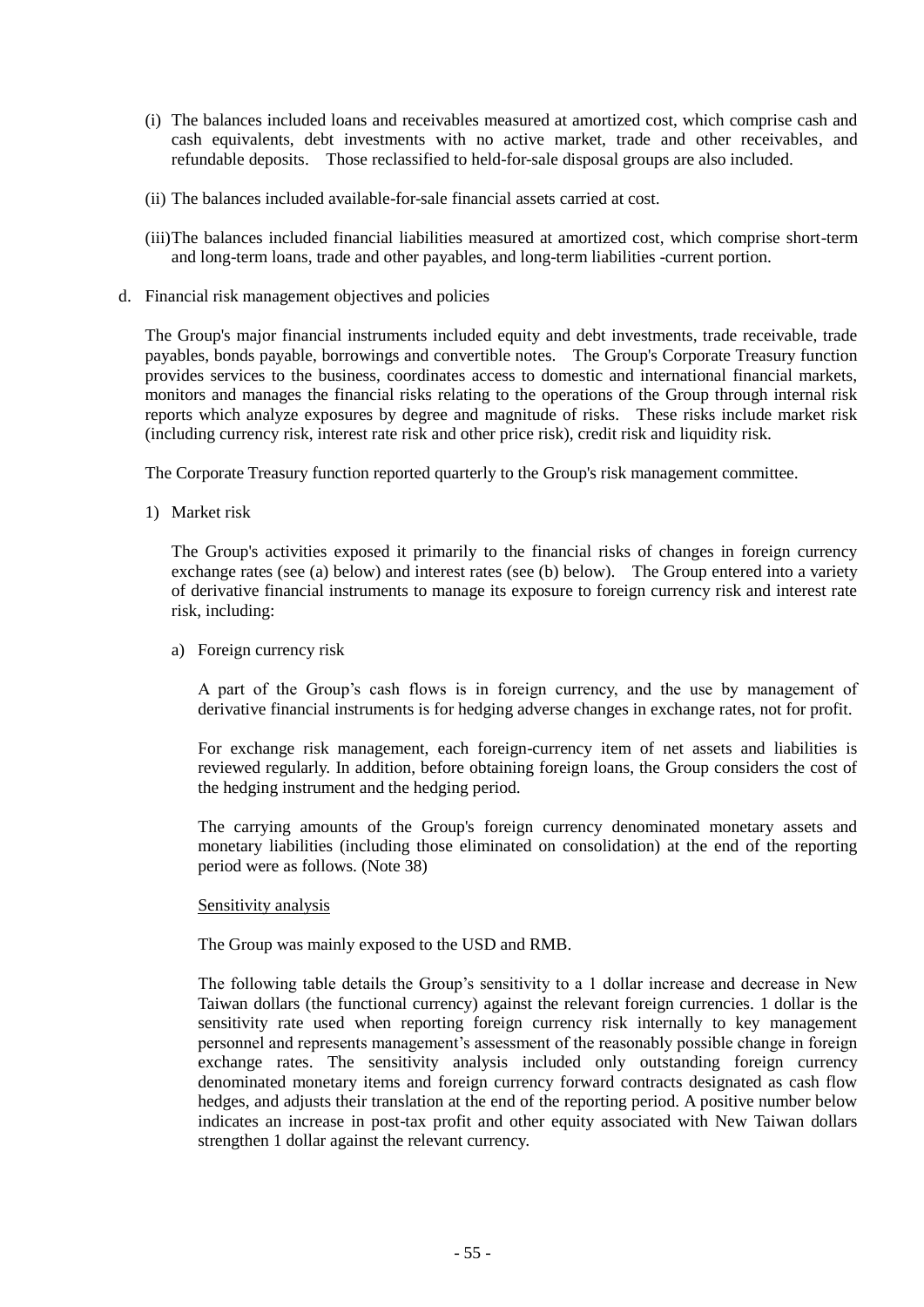- (i) The balances included loans and receivables measured at amortized cost, which comprise cash and cash equivalents, debt investments with no active market, trade and other receivables, and refundable deposits. Those reclassified to held-for-sale disposal groups are also included.
- (ii) The balances included available-for-sale financial assets carried at cost.
- (iii)The balances included financial liabilities measured at amortized cost, which comprise short-term and long-term loans, trade and other payables, and long-term liabilities -current portion.
- d. Financial risk management objectives and policies

The Group's major financial instruments included equity and debt investments, trade receivable, trade payables, bonds payable, borrowings and convertible notes. The Group's Corporate Treasury function provides services to the business, coordinates access to domestic and international financial markets, monitors and manages the financial risks relating to the operations of the Group through internal risk reports which analyze exposures by degree and magnitude of risks. These risks include market risk (including currency risk, interest rate risk and other price risk), credit risk and liquidity risk.

The Corporate Treasury function reported quarterly to the Group's risk management committee.

1) Market risk

The Group's activities exposed it primarily to the financial risks of changes in foreign currency exchange rates (see (a) below) and interest rates (see (b) below). The Group entered into a variety of derivative financial instruments to manage its exposure to foreign currency risk and interest rate risk, including:

a) Foreign currency risk

A part of the Group's cash flows is in foreign currency, and the use by management of derivative financial instruments is for hedging adverse changes in exchange rates, not for profit.

For exchange risk management, each foreign-currency item of net assets and liabilities is reviewed regularly. In addition, before obtaining foreign loans, the Group considers the cost of the hedging instrument and the hedging period.

The carrying amounts of the Group's foreign currency denominated monetary assets and monetary liabilities (including those eliminated on consolidation) at the end of the reporting period were as follows. (Note 38)

#### Sensitivity analysis

The Group was mainly exposed to the USD and RMB.

The following table details the Group's sensitivity to a 1 dollar increase and decrease in New Taiwan dollars (the functional currency) against the relevant foreign currencies. 1 dollar is the sensitivity rate used when reporting foreign currency risk internally to key management personnel and represents management's assessment of the reasonably possible change in foreign exchange rates. The sensitivity analysis included only outstanding foreign currency denominated monetary items and foreign currency forward contracts designated as cash flow hedges, and adjusts their translation at the end of the reporting period. A positive number below indicates an increase in post-tax profit and other equity associated with New Taiwan dollars strengthen 1 dollar against the relevant currency.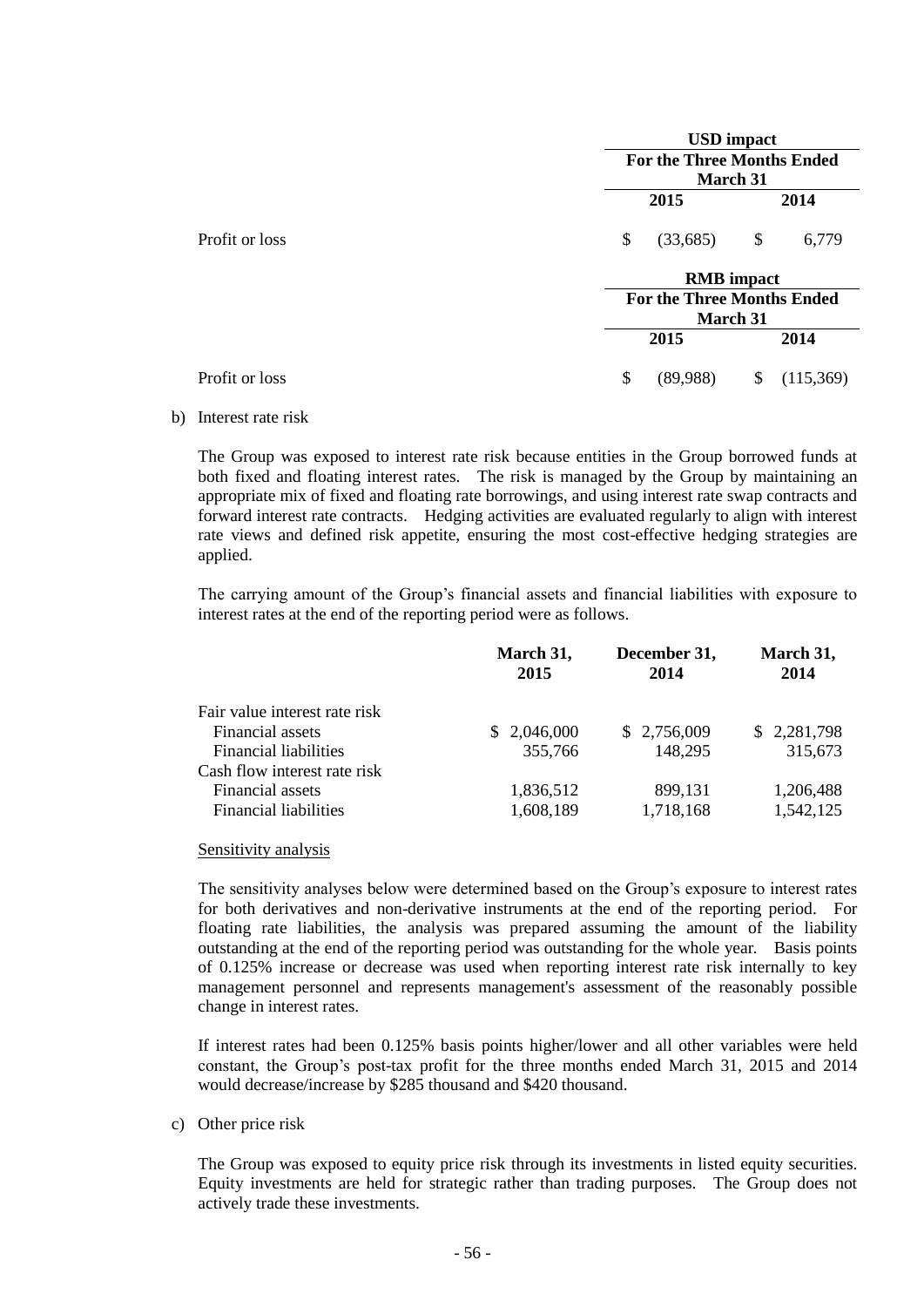|                | <b>USD</b> impact                 |                   |      |           |  |  |  |
|----------------|-----------------------------------|-------------------|------|-----------|--|--|--|
|                | <b>For the Three Months Ended</b> |                   |      |           |  |  |  |
|                | <b>March 31</b>                   |                   |      |           |  |  |  |
|                |                                   | 2015              | 2014 |           |  |  |  |
| Profit or loss | \$                                | (33,685)          | \$   | 6,779     |  |  |  |
|                |                                   | <b>RMB</b> impact |      |           |  |  |  |
|                | <b>For the Three Months Ended</b> |                   |      |           |  |  |  |
|                |                                   | <b>March 31</b>   |      |           |  |  |  |
|                |                                   | 2015              |      | 2014      |  |  |  |
| Profit or loss | \$                                | (89,988)          | \$   | (115,369) |  |  |  |

b) Interest rate risk

The Group was exposed to interest rate risk because entities in the Group borrowed funds at both fixed and floating interest rates. The risk is managed by the Group by maintaining an appropriate mix of fixed and floating rate borrowings, and using interest rate swap contracts and forward interest rate contracts. Hedging activities are evaluated regularly to align with interest rate views and defined risk appetite, ensuring the most cost-effective hedging strategies are applied.

The carrying amount of the Group's financial assets and financial liabilities with exposure to interest rates at the end of the reporting period were as follows.

|                               | March 31,<br>2015 | December 31,<br>2014 | March 31,<br>2014 |
|-------------------------------|-------------------|----------------------|-------------------|
| Fair value interest rate risk |                   |                      |                   |
| Financial assets              | \$2,046,000       | \$2,756,009          | \$2,281,798       |
| <b>Financial liabilities</b>  | 355,766           | 148,295              | 315,673           |
| Cash flow interest rate risk  |                   |                      |                   |
| Financial assets              | 1,836,512         | 899,131              | 1,206,488         |
| Financial liabilities         | 1,608,189         | 1,718,168            | 1,542,125         |

#### Sensitivity analysis

The sensitivity analyses below were determined based on the Group's exposure to interest rates for both derivatives and non-derivative instruments at the end of the reporting period. For floating rate liabilities, the analysis was prepared assuming the amount of the liability outstanding at the end of the reporting period was outstanding for the whole year. Basis points of 0.125% increase or decrease was used when reporting interest rate risk internally to key management personnel and represents management's assessment of the reasonably possible change in interest rates.

If interest rates had been 0.125% basis points higher/lower and all other variables were held constant, the Group's post-tax profit for the three months ended March 31, 2015 and 2014 would decrease/increase by \$285 thousand and \$420 thousand.

c) Other price risk

The Group was exposed to equity price risk through its investments in listed equity securities. Equity investments are held for strategic rather than trading purposes. The Group does not actively trade these investments.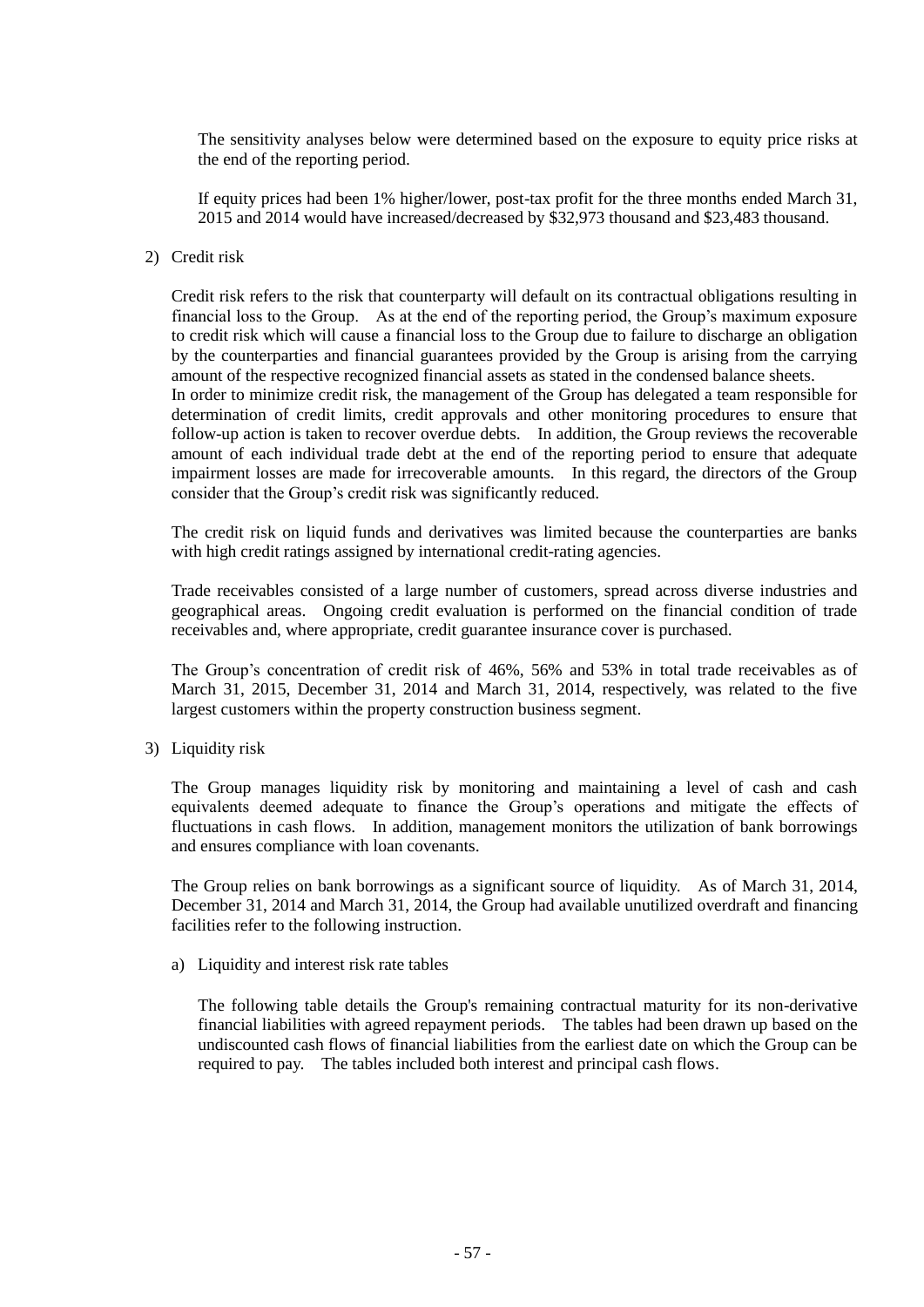The sensitivity analyses below were determined based on the exposure to equity price risks at the end of the reporting period.

If equity prices had been 1% higher/lower, post-tax profit for the three months ended March 31, 2015 and 2014 would have increased/decreased by \$32,973 thousand and \$23,483 thousand.

#### 2) Credit risk

Credit risk refers to the risk that counterparty will default on its contractual obligations resulting in financial loss to the Group. As at the end of the reporting period, the Group's maximum exposure to credit risk which will cause a financial loss to the Group due to failure to discharge an obligation by the counterparties and financial guarantees provided by the Group is arising from the carrying amount of the respective recognized financial assets as stated in the condensed balance sheets. In order to minimize credit risk, the management of the Group has delegated a team responsible for determination of credit limits, credit approvals and other monitoring procedures to ensure that follow-up action is taken to recover overdue debts. In addition, the Group reviews the recoverable amount of each individual trade debt at the end of the reporting period to ensure that adequate impairment losses are made for irrecoverable amounts. In this regard, the directors of the Group consider that the Group's credit risk was significantly reduced.

The credit risk on liquid funds and derivatives was limited because the counterparties are banks with high credit ratings assigned by international credit-rating agencies.

Trade receivables consisted of a large number of customers, spread across diverse industries and geographical areas. Ongoing credit evaluation is performed on the financial condition of trade receivables and, where appropriate, credit guarantee insurance cover is purchased.

The Group's concentration of credit risk of 46%, 56% and 53% in total trade receivables as of March 31, 2015, December 31, 2014 and March 31, 2014, respectively, was related to the five largest customers within the property construction business segment.

3) Liquidity risk

The Group manages liquidity risk by monitoring and maintaining a level of cash and cash equivalents deemed adequate to finance the Group's operations and mitigate the effects of fluctuations in cash flows. In addition, management monitors the utilization of bank borrowings and ensures compliance with loan covenants.

The Group relies on bank borrowings as a significant source of liquidity. As of March 31, 2014, December 31, 2014 and March 31, 2014, the Group had available unutilized overdraft and financing facilities refer to the following instruction.

a) Liquidity and interest risk rate tables

The following table details the Group's remaining contractual maturity for its non-derivative financial liabilities with agreed repayment periods. The tables had been drawn up based on the undiscounted cash flows of financial liabilities from the earliest date on which the Group can be required to pay. The tables included both interest and principal cash flows.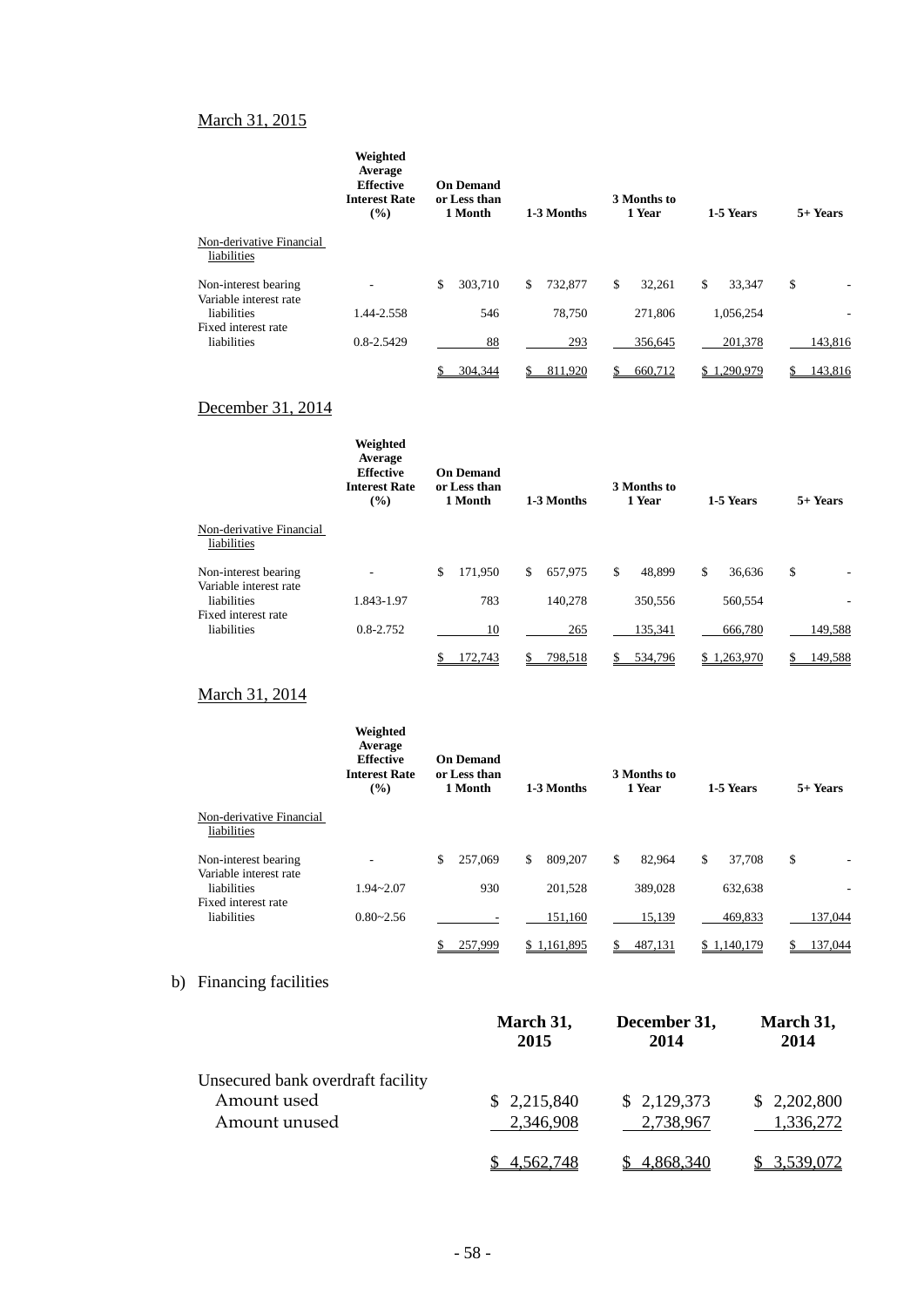## March 31, 2015

|                                                | Weighted<br>Average<br><b>Effective</b><br><b>Interest Rate</b><br>$\frac{9}{6}$ | <b>On Demand</b><br>or Less than<br>1 Month | 1-3 Months   | 3 Months to<br>1 Year | 1-5 Years    | 5+ Years |  |
|------------------------------------------------|----------------------------------------------------------------------------------|---------------------------------------------|--------------|-----------------------|--------------|----------|--|
| Non-derivative Financial<br>liabilities        |                                                                                  |                                             |              |                       |              |          |  |
| Non-interest bearing<br>Variable interest rate |                                                                                  | 303,710<br>\$                               | 732,877<br>S | \$<br>32.261          | \$<br>33.347 | \$<br>۰  |  |
| liabilities                                    | 1.44-2.558                                                                       | 546                                         | 78.750       | 271.806               | 1,056,254    | ٠        |  |
| Fixed interest rate<br>liabilities             | 0.8-2.5429                                                                       | 88                                          | 293          | 356.645               | 201,378      | 143,816  |  |
|                                                |                                                                                  | 304,344                                     | 811,920      | 660,712               | \$1,290,979  | 143,816  |  |

## December 31, 2014

|                                                | Weighted<br>Average<br><b>Effective</b><br><b>Interest Rate</b><br>(%) | <b>On Demand</b><br>or Less than<br>1 Month | 1-3 Months    | 3 Months to<br>1 Year |              | 1-5 Years | $5+$ Years |
|------------------------------------------------|------------------------------------------------------------------------|---------------------------------------------|---------------|-----------------------|--------------|-----------|------------|
| Non-derivative Financial<br>liabilities        |                                                                        |                                             |               |                       |              |           |            |
| Non-interest bearing<br>Variable interest rate |                                                                        | \$<br>171.950                               | \$<br>657.975 | \$<br>48.899          | $\mathbb{S}$ | 36,636    | \$         |
| liabilities                                    | 1.843-1.97                                                             | 783                                         | 140.278       | 350,556               |              | 560,554   |            |
| Fixed interest rate<br>liabilities             | $0.8 - 2.752$                                                          | 10                                          | 265           | 135,341               |              | 666,780   | 149,588    |
|                                                |                                                                        | 172.743                                     | 798,518       | 534,796               | S.           | .263.970  | 149,588    |

## March 31, 2014

|                                                | Weighted<br>Average<br><b>Effective</b><br><b>Interest Rate</b><br>(%) | <b>On Demand</b><br>or Less than<br>1 Month<br>1-3 Months |               | 3 Months to<br>1 Year | 1-5 Years       | 5+ Years |  |
|------------------------------------------------|------------------------------------------------------------------------|-----------------------------------------------------------|---------------|-----------------------|-----------------|----------|--|
| Non-derivative Financial<br>liabilities        |                                                                        |                                                           |               |                       |                 |          |  |
| Non-interest bearing<br>Variable interest rate |                                                                        | 257,069<br>\$                                             | 809,207<br>\$ | \$<br>82.964          | \$<br>37.708    | \$       |  |
| liabilities                                    | $1.94 - 2.07$                                                          | 930                                                       | 201.528       | 389,028               | 632,638         |          |  |
| Fixed interest rate<br>liabilities             | $0.80 - 2.56$                                                          |                                                           | 151,160       | 15,139                | 469,833         | 137,044  |  |
|                                                |                                                                        | 257.999                                                   | \$1,161,895   | 487,131               | .140.179<br>\$1 | 137.044  |  |

# b) Financing facilities

|                                   | March 31,<br>2015 | December 31,<br>2014 | March 31,<br>2014 |
|-----------------------------------|-------------------|----------------------|-------------------|
| Unsecured bank overdraft facility |                   |                      |                   |
| Amount used                       | \$2,215,840       | \$2,129,373          | \$2,202,800       |
| Amount unused                     | 2,346,908         | 2,738,967            | 1,336,272         |
|                                   |                   | 4.868.340            |                   |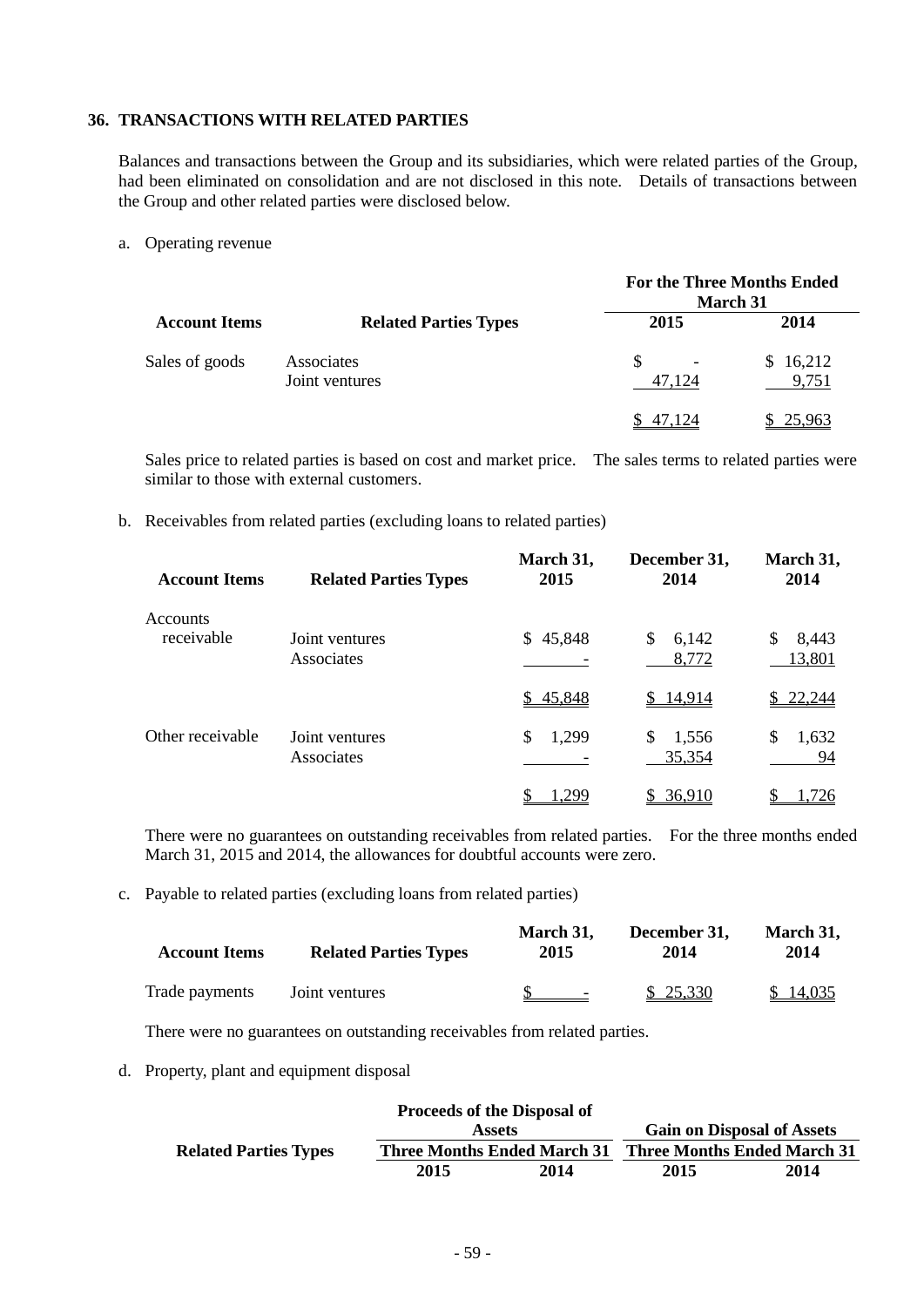#### **36. TRANSACTIONS WITH RELATED PARTIES**

Balances and transactions between the Group and its subsidiaries, which were related parties of the Group, had been eliminated on consolidation and are not disclosed in this note. Details of transactions between the Group and other related parties were disclosed below.

a. Operating revenue

|                      |                                                              | <b>For the Three Months Ended</b><br><b>March 31</b> |                      |  |  |
|----------------------|--------------------------------------------------------------|------------------------------------------------------|----------------------|--|--|
| <b>Account Items</b> | <b>Related Parties Types</b><br>Associates<br>Joint ventures | 2015                                                 | 2014                 |  |  |
| Sales of goods       |                                                              | \$.<br>47.124                                        | 16,212<br>S<br>9,751 |  |  |
|                      |                                                              | 47.124                                               | 25,963               |  |  |

Sales price to related parties is based on cost and market price. The sales terms to related parties were similar to those with external customers.

b. Receivables from related parties (excluding loans to related parties)

| <b>Account Items</b>   | <b>Related Parties Types</b> | March 31,<br>2015 | December 31,<br>2014    | March 31,<br>2014      |
|------------------------|------------------------------|-------------------|-------------------------|------------------------|
| Accounts<br>receivable | Joint ventures<br>Associates | \$45,848          | \$.<br>6,142<br>8,772   | 8,443<br>\$.<br>13,801 |
|                        |                              | \$45,848          | \$14,914                | \$22,244               |
| Other receivable       | Joint ventures<br>Associates | 1,299<br>\$       | 1,556<br>S.<br>35,354   | \$<br>1,632<br>94      |
|                        |                              | .299              | 36,910<br>$\frac{1}{2}$ | ,726                   |

There were no guarantees on outstanding receivables from related parties. For the three months ended March 31, 2015 and 2014, the allowances for doubtful accounts were zero.

c. Payable to related parties (excluding loans from related parties)

| <b>Account Items</b> | <b>Related Parties Types</b> | March 31,<br>2015 | December 31.<br>2014 | March 31,<br>2014 |  |
|----------------------|------------------------------|-------------------|----------------------|-------------------|--|
| Trade payments       | Joint ventures               | $\sim$            | \$25,330             | \$14,035          |  |

There were no guarantees on outstanding receivables from related parties.

d. Property, plant and equipment disposal

|                              | <b>Proceeds of the Disposal of</b> |      |                                    |      |
|------------------------------|------------------------------------|------|------------------------------------|------|
| <b>Assets</b>                |                                    |      | <b>Gain on Disposal of Assets</b>  |      |
| <b>Related Parties Types</b> | <b>Three Months Ended March 31</b> |      | <b>Three Months Ended March 31</b> |      |
|                              | 2015                               | 2014 | 2015                               | 2014 |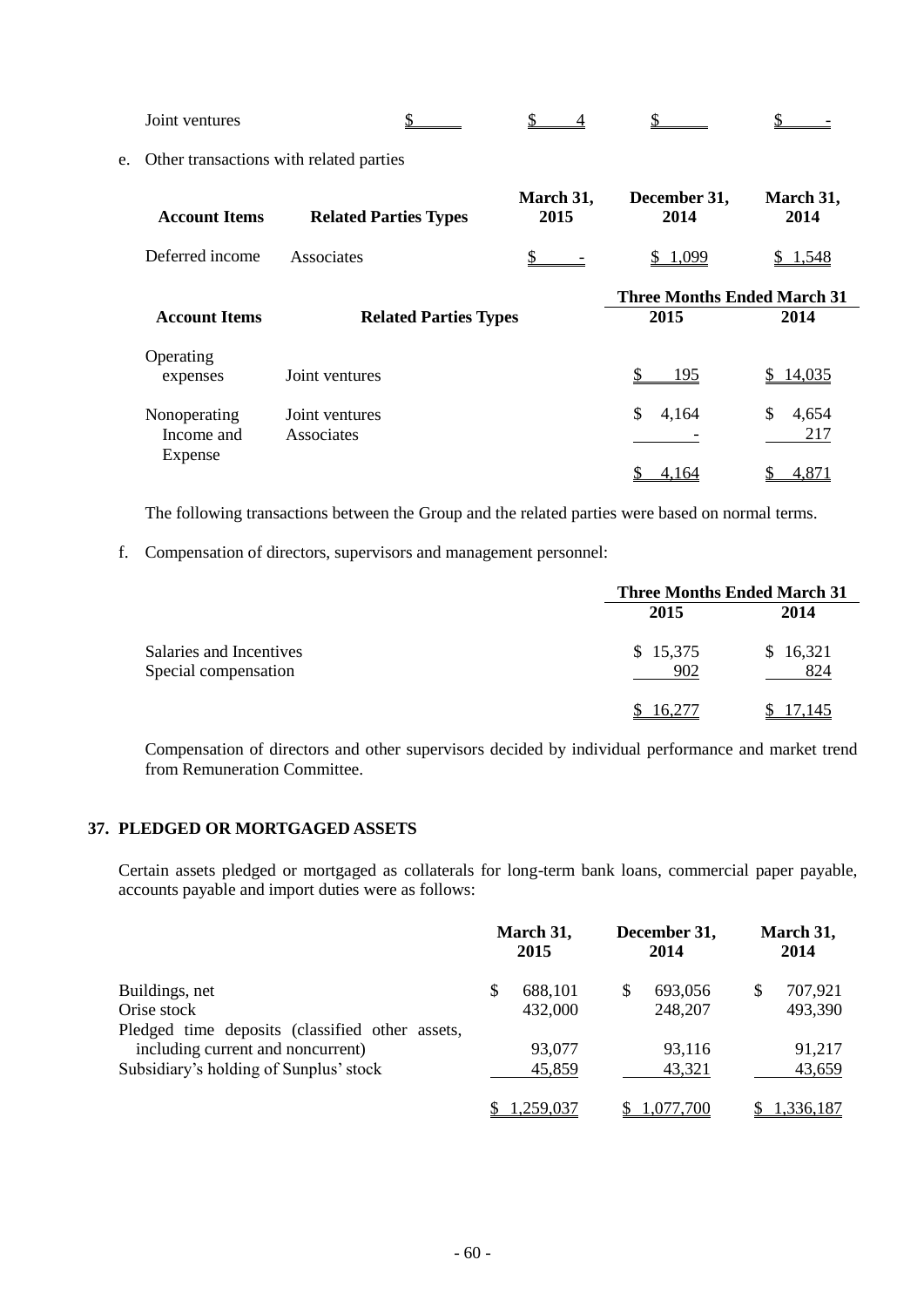Joint ventures  $\frac{\$}{\$}$   $\frac{\$}{\$}$   $\frac{\$}{\$}$   $\frac{\$}{\$}$   $\frac{\$}{\$}$   $\frac{\$}{\$}$ 

e. Other transactions with related parties

| <b>Account Items</b>       | <b>Related Parties Types</b> | March 31,<br>2015 | December 31,<br>2014               | March 31,<br>2014  |
|----------------------------|------------------------------|-------------------|------------------------------------|--------------------|
| Deferred income            | Associates                   |                   | 1.099                              | 1.548              |
|                            |                              |                   | <b>Three Months Ended March 31</b> |                    |
| <b>Account Items</b>       | <b>Related Parties Types</b> | 2015              | 2014                               |                    |
| Operating<br>expenses      | Joint ventures               |                   | 195                                | \$14,035           |
| Nonoperating<br>Income and | Joint ventures<br>Associates |                   | \$<br>4,164                        | \$<br>4,654<br>217 |
| Expense                    |                              |                   | 4,164                              | 4,871              |

The following transactions between the Group and the related parties were based on normal terms.

f. Compensation of directors, supervisors and management personnel:

|                                                 | <b>Three Months Ended March 31</b> |                 |
|-------------------------------------------------|------------------------------------|-----------------|
|                                                 | 2015                               | 2014            |
| Salaries and Incentives<br>Special compensation | \$15,375<br>902                    | \$16,321<br>824 |
|                                                 | 16.277                             | 17.145          |

Compensation of directors and other supervisors decided by individual performance and market trend from Remuneration Committee.

## **37. PLEDGED OR MORTGAGED ASSETS**

Certain assets pledged or mortgaged as collaterals for long-term bank loans, commercial paper payable, accounts payable and import duties were as follows:

|                                                 |    | March 31,<br>2015 |   | December 31,<br>2014 | March 31,<br>2014 |           |
|-------------------------------------------------|----|-------------------|---|----------------------|-------------------|-----------|
| Buildings, net                                  | \$ | 688,101           | S | 693,056              | S                 | 707,921   |
| Orise stock                                     |    | 432,000           |   | 248,207              |                   | 493,390   |
| Pledged time deposits (classified other assets, |    |                   |   |                      |                   |           |
| including current and noncurrent)               |    | 93,077            |   | 93,116               |                   | 91,217    |
| Subsidiary's holding of Sunplus' stock          |    | 45,859            |   | 43,321               |                   | 43,659    |
|                                                 |    | 1,259,037         |   | 1,077,700            |                   | 1,336,187 |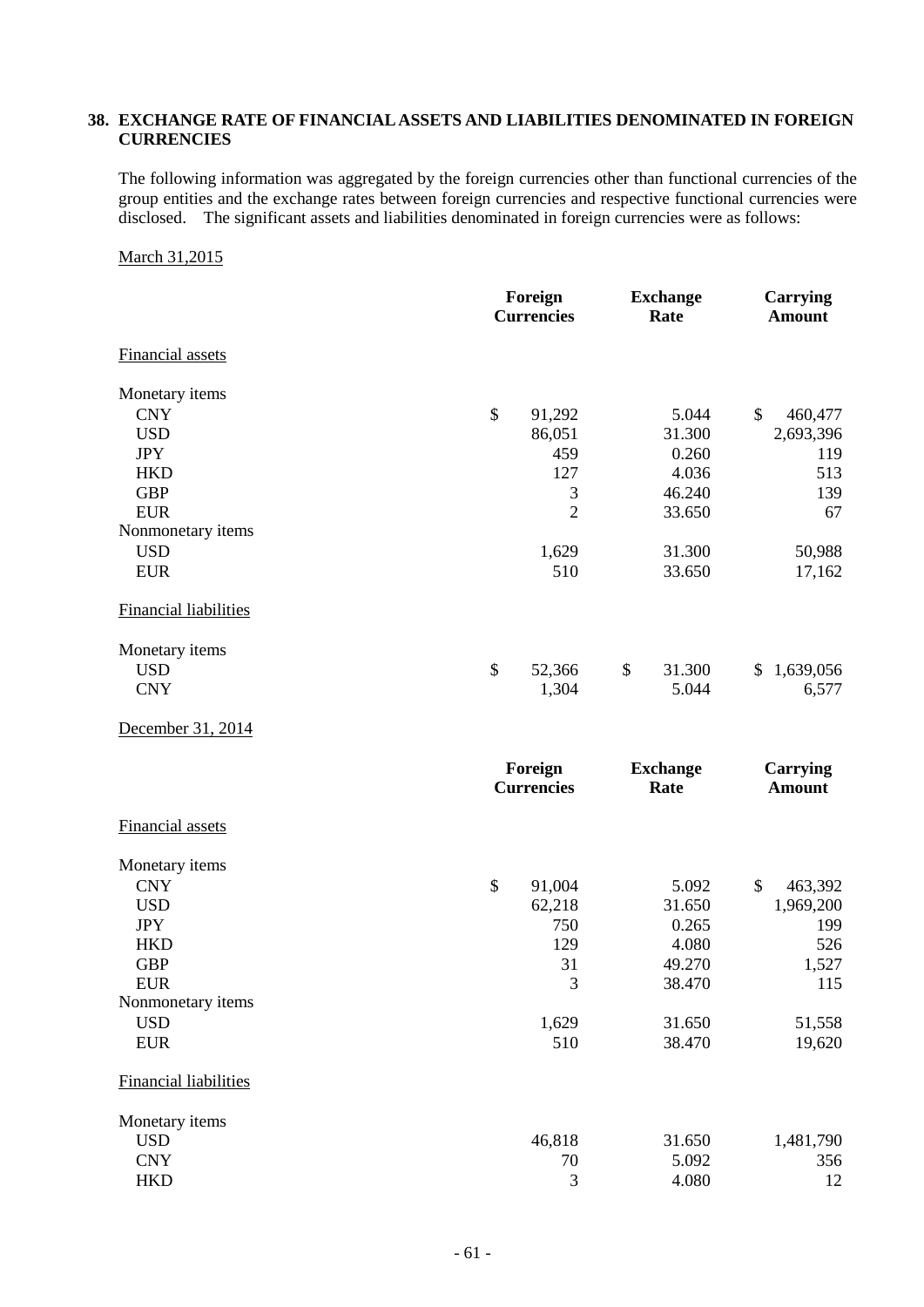## **38. EXCHANGE RATE OF FINANCIAL ASSETS AND LIABILITIES DENOMINATED IN FOREIGN CURRENCIES**

The following information was aggregated by the foreign currencies other than functional currencies of the group entities and the exchange rates between foreign currencies and respective functional currencies were disclosed. The significant assets and liabilities denominated in foreign currencies were as follows:

#### March 31,2015

|                                 | Foreign<br><b>Currencies</b> | <b>Exchange</b><br>Rate | <b>Carrying</b><br><b>Amount</b> |  |
|---------------------------------|------------------------------|-------------------------|----------------------------------|--|
| <b>Financial assets</b>         |                              |                         |                                  |  |
| Monetary items                  |                              |                         |                                  |  |
| <b>CNY</b>                      | $\mathbb{S}$<br>91,292       | 5.044                   | \$<br>460,477                    |  |
| <b>USD</b>                      | 86,051                       | 31.300                  | 2,693,396                        |  |
| <b>JPY</b>                      | 459                          | 0.260                   | 119                              |  |
| <b>HKD</b>                      | 127                          | 4.036                   | 513                              |  |
| <b>GBP</b>                      | 3                            | 46.240                  | 139                              |  |
| <b>EUR</b>                      | $\overline{2}$               | 33.650                  | 67                               |  |
| Nonmonetary items               |                              |                         |                                  |  |
| <b>USD</b>                      | 1,629                        | 31.300                  | 50,988                           |  |
| <b>EUR</b>                      | 510                          | 33.650                  | 17,162                           |  |
| <b>Financial liabilities</b>    |                              |                         |                                  |  |
| Monetary items                  |                              |                         |                                  |  |
| <b>USD</b>                      | \$<br>52,366                 | \$<br>31.300            | 1,639,056<br>\$                  |  |
| <b>CNY</b>                      | 1,304                        | 5.044                   | 6,577                            |  |
| December 31, 2014               |                              |                         |                                  |  |
|                                 | Foreign                      | <b>Exchange</b>         | <b>Carrying</b>                  |  |
|                                 | <b>Currencies</b>            | Rate                    | <b>Amount</b>                    |  |
| Financial assets                |                              |                         |                                  |  |
| Monetary items                  |                              |                         |                                  |  |
| <b>CNY</b>                      | \$<br>91,004                 | 5.092                   | \$<br>463,392                    |  |
| <b>USD</b>                      | 62,218                       | 31.650                  | 1,969,200                        |  |
| <b>JPY</b>                      | 750                          | 0.265                   | 199                              |  |
| <b>HKD</b>                      | 129                          | 4.080                   | 526                              |  |
| <b>GBP</b>                      | 31                           | 49.270                  | 1,527                            |  |
| <b>EUR</b>                      | 3                            | 38.470                  | 115                              |  |
| Nonmonetary items<br><b>USD</b> |                              |                         |                                  |  |
|                                 | 1,629<br>510                 | 31.650<br>38.470        | 51,558                           |  |
| <b>EUR</b>                      |                              |                         | 19,620                           |  |
| <b>Financial liabilities</b>    |                              |                         |                                  |  |
| Monetary items                  |                              |                         |                                  |  |
| <b>USD</b>                      | 46,818                       | 31.650                  | 1,481,790                        |  |
| <b>CNY</b>                      | 70                           | 5.092                   | 356                              |  |
| <b>HKD</b>                      | 3                            | 4.080                   | 12                               |  |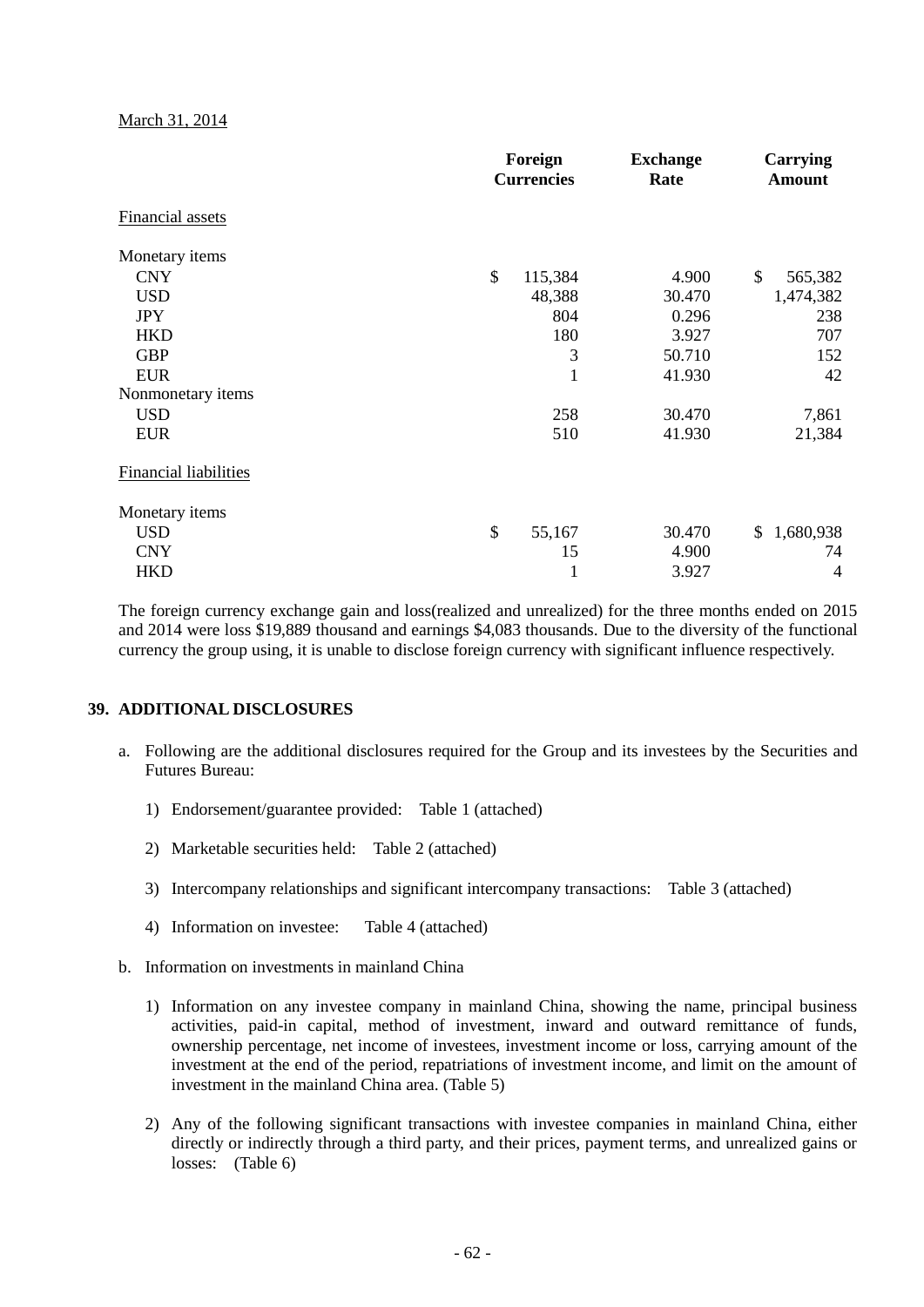#### March 31, 2014

|                              | Foreign<br><b>Currencies</b> | <b>Exchange</b><br>Rate | Carrying<br><b>Amount</b> |  |
|------------------------------|------------------------------|-------------------------|---------------------------|--|
| <b>Financial assets</b>      |                              |                         |                           |  |
| Monetary items               |                              |                         |                           |  |
| <b>CNY</b>                   | \$<br>115,384                | 4.900                   | \$<br>565,382             |  |
| <b>USD</b>                   | 48,388                       | 30.470                  | 1,474,382                 |  |
| <b>JPY</b>                   | 804                          | 0.296                   | 238                       |  |
| <b>HKD</b>                   | 180                          | 3.927                   | 707                       |  |
| <b>GBP</b>                   | 3                            | 50.710                  | 152                       |  |
| <b>EUR</b>                   | $\mathbf{1}$                 | 41.930                  | 42                        |  |
| Nonmonetary items            |                              |                         |                           |  |
| <b>USD</b>                   | 258                          | 30.470                  | 7,861                     |  |
| <b>EUR</b>                   | 510                          | 41.930                  | 21,384                    |  |
| <b>Financial liabilities</b> |                              |                         |                           |  |
| Monetary items               |                              |                         |                           |  |
| <b>USD</b>                   | \$<br>55,167                 | 30.470                  | 1,680,938<br>\$           |  |
| <b>CNY</b>                   | 15                           | 4.900                   | 74                        |  |
| <b>HKD</b>                   | 1                            | 3.927                   | $\overline{4}$            |  |

The foreign currency exchange gain and loss(realized and unrealized) for the three months ended on 2015 and 2014 were loss \$19,889 thousand and earnings \$4,083 thousands. Due to the diversity of the functional currency the group using, it is unable to disclose foreign currency with significant influence respectively.

## **39. ADDITIONAL DISCLOSURES**

- a. Following are the additional disclosures required for the Group and its investees by the Securities and Futures Bureau:
	- 1) Endorsement/guarantee provided: Table 1 (attached)
	- 2) Marketable securities held: Table 2 (attached)
	- 3) Intercompany relationships and significant intercompany transactions: Table 3 (attached)
	- 4) Information on investee: Table 4 (attached)
- b. Information on investments in mainland China
	- 1) Information on any investee company in mainland China, showing the name, principal business activities, paid-in capital, method of investment, inward and outward remittance of funds, ownership percentage, net income of investees, investment income or loss, carrying amount of the investment at the end of the period, repatriations of investment income, and limit on the amount of investment in the mainland China area. (Table 5)
	- 2) Any of the following significant transactions with investee companies in mainland China, either directly or indirectly through a third party, and their prices, payment terms, and unrealized gains or losses: (Table 6)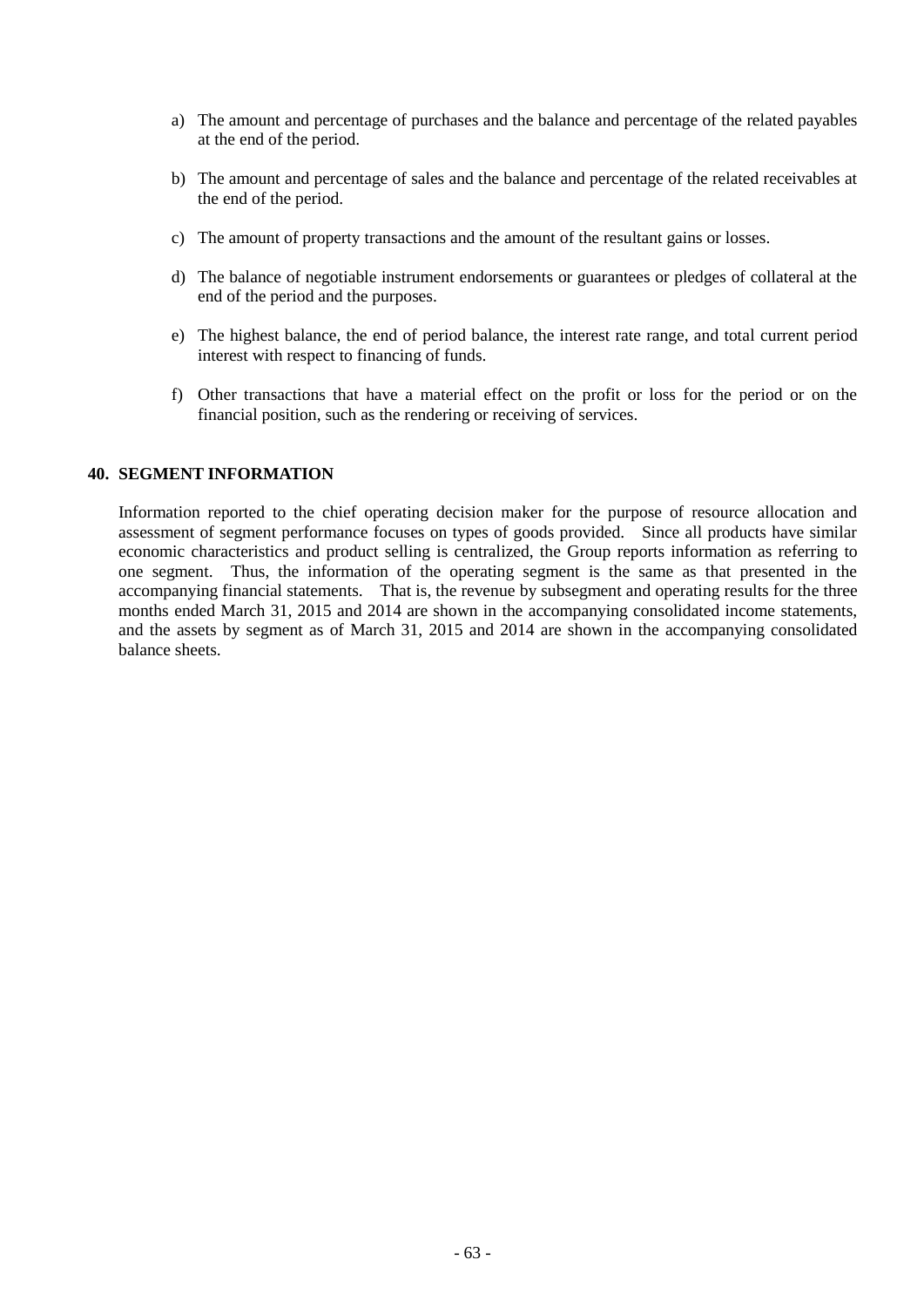- a) The amount and percentage of purchases and the balance and percentage of the related payables at the end of the period.
- b) The amount and percentage of sales and the balance and percentage of the related receivables at the end of the period.
- c) The amount of property transactions and the amount of the resultant gains or losses.
- d) The balance of negotiable instrument endorsements or guarantees or pledges of collateral at the end of the period and the purposes.
- e) The highest balance, the end of period balance, the interest rate range, and total current period interest with respect to financing of funds.
- f) Other transactions that have a material effect on the profit or loss for the period or on the financial position, such as the rendering or receiving of services.

#### **40. SEGMENT INFORMATION**

Information reported to the chief operating decision maker for the purpose of resource allocation and assessment of segment performance focuses on types of goods provided. Since all products have similar economic characteristics and product selling is centralized, the Group reports information as referring to one segment. Thus, the information of the operating segment is the same as that presented in the accompanying financial statements. That is, the revenue by subsegment and operating results for the three months ended March 31, 2015 and 2014 are shown in the accompanying consolidated income statements, and the assets by segment as of March 31, 2015 and 2014 are shown in the accompanying consolidated balance sheets.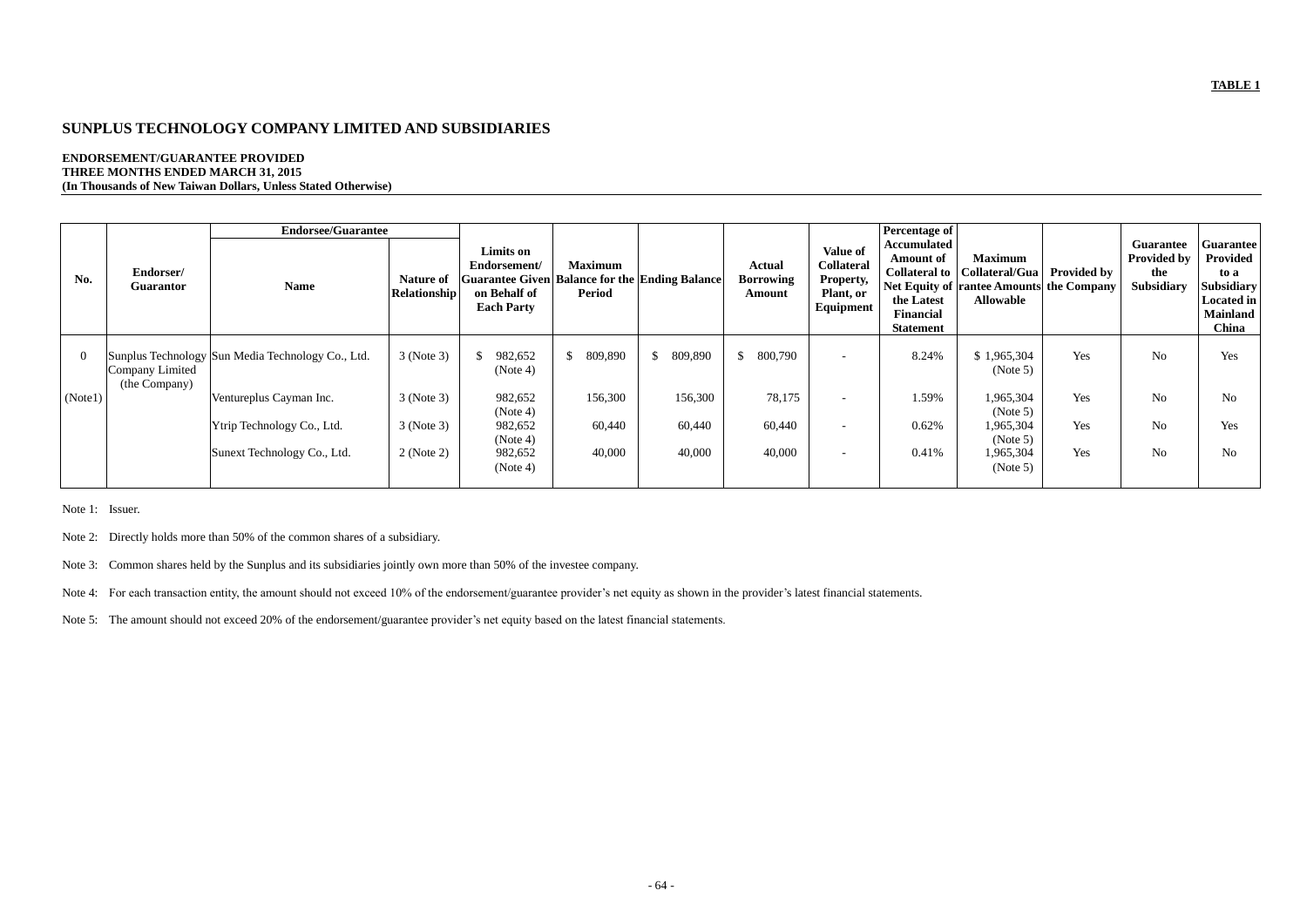## **TABLE 1**

# **SUNPLUS TECHNOLOGY COMPANY LIMITED AND SUBSIDIARIES**

## **ENDORSEMENT/GUARANTEE PROVIDED THREE MONTHS ENDED MARCH 31, 2015 (In Thousands of New Taiwan Dollars, Unless Stated Otherwise)**

|         |                                  | <b>Endorsee/Guarantee</b>                         |                                  |                                                                                                                         |                                 |                           |                                             |                                                                                    | <b>Percentage of</b>                                                                         |                                                                                                                                       |     |                                                                    |                                                                                                            |
|---------|----------------------------------|---------------------------------------------------|----------------------------------|-------------------------------------------------------------------------------------------------------------------------|---------------------------------|---------------------------|---------------------------------------------|------------------------------------------------------------------------------------|----------------------------------------------------------------------------------------------|---------------------------------------------------------------------------------------------------------------------------------------|-----|--------------------------------------------------------------------|------------------------------------------------------------------------------------------------------------|
| No.     | Endorser/<br><b>Guarantor</b>    | <b>Name</b>                                       | Nature of<br><b>Relationship</b> | Limits on<br>Endorsement/<br><b>Guarantee Given Balance for the Ending Balance</b><br>on Behalf of<br><b>Each Party</b> | <b>Maximum</b><br><b>Period</b> |                           | <b>Actual</b><br><b>Borrowing</b><br>Amount | <b>Value of</b><br><b>Collateral</b><br><b>Property,</b><br>Plant, or<br>Equipment | <b>Accumulated</b><br><b>Amount of</b><br>the Latest<br><b>Financial</b><br><b>Statement</b> | <b>Maximum</b><br>Collateral to   Collateral/Gua   Provided by<br><b>Net Equity of rantee Amounts the Company</b><br><b>Allowable</b> |     | <b>Guarantee</b><br><b>Provided by</b><br>the<br><b>Subsidiary</b> | <b>Guarantee</b><br>Provided<br>to a<br><b>Subsidiary</b><br><b>Located in</b><br><b>Mainland</b><br>China |
|         | Company Limited<br>(the Company) | Sunplus Technology Sun Media Technology Co., Ltd. | 3 (Note 3)                       | 982,652<br>(Note 4)                                                                                                     | \$<br>809,890                   | 809,890<br>$\mathbb{S}^-$ | $\mathsf{\$}$<br>800,790                    |                                                                                    | 8.24%                                                                                        | \$1,965,304<br>(Note 5)                                                                                                               | Yes | N <sub>o</sub>                                                     | Yes                                                                                                        |
| (Note1) |                                  | Ventureplus Cayman Inc.                           | 3 (Note 3)                       | 982,652<br>(Note 4)                                                                                                     | 156,300                         | 156,300                   | 78,175                                      |                                                                                    | 1.59%                                                                                        | 1,965,304<br>(Note 5)                                                                                                                 | Yes | N <sub>o</sub>                                                     | N <sub>o</sub>                                                                                             |
|         |                                  | Ytrip Technology Co., Ltd.                        | 3 (Note 3)                       | 982,652<br>(Note 4)                                                                                                     | 60,440                          | 60,440                    | 60,440                                      |                                                                                    | 0.62%                                                                                        | 1,965,304<br>(Note 5)                                                                                                                 | Yes | N <sub>o</sub>                                                     | Yes                                                                                                        |
|         |                                  | Sunext Technology Co., Ltd.                       | 2 (Note 2)                       | 982,652<br>(Note 4)                                                                                                     | 40,000                          | 40,000                    | 40,000                                      |                                                                                    | 0.41%                                                                                        | 1,965,304<br>(Note 5)                                                                                                                 | Yes | N <sub>o</sub>                                                     | N <sub>o</sub>                                                                                             |

Note 1: Issuer.

Note 2: Directly holds more than 50% of the common shares of a subsidiary.

Note 3: Common shares held by the Sunplus and its subsidiaries jointly own more than 50% of the investee company.

Note 4: For each transaction entity, the amount should not exceed 10% of the endorsement/guarantee provider's net equity as shown in the provider's latest financial statements.

Note 5: The amount should not exceed 20% of the endorsement/guarantee provider's net equity based on the latest financial statements.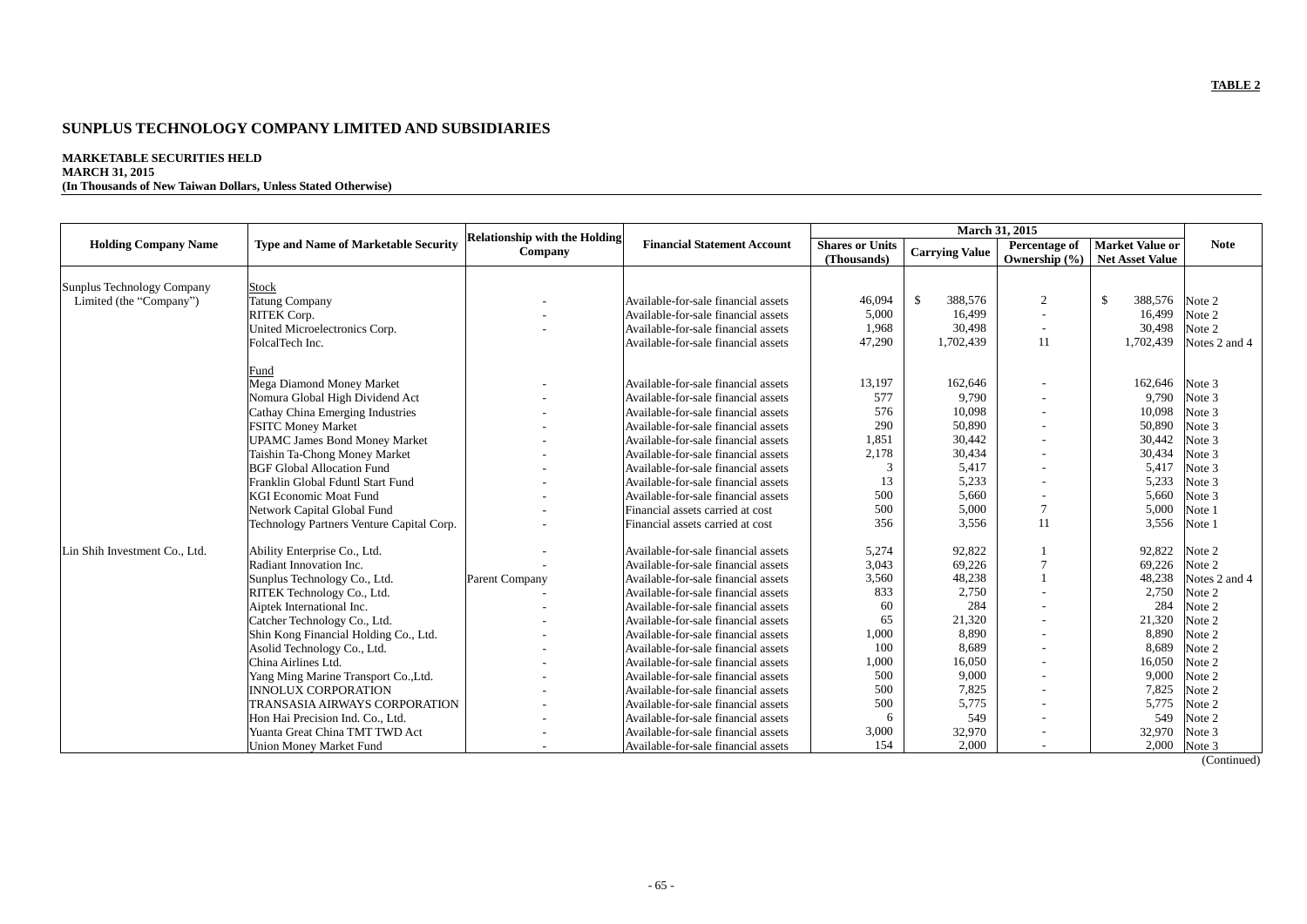## **TABLE 2**

# **SUNPLUS TECHNOLOGY COMPANY LIMITED AND SUBSIDIARIES**

## **MARKETABLE SECURITIES HELD**

## **MARCH 31, 2015**

**(In Thousands of New Taiwan Dollars, Unless Stated Otherwise)**

|                               |                                             |                                                 |                                     | <b>March 31, 2015</b>                 |                          |                                           |                                                  |               |
|-------------------------------|---------------------------------------------|-------------------------------------------------|-------------------------------------|---------------------------------------|--------------------------|-------------------------------------------|--------------------------------------------------|---------------|
| <b>Holding Company Name</b>   | <b>Type and Name of Marketable Security</b> | <b>Relationship with the Holding</b><br>Company | <b>Financial Statement Account</b>  | <b>Shares or Units</b><br>(Thousands) | <b>Carrying Value</b>    | <b>Percentage of</b><br>Ownership $(\% )$ | <b>Market Value or</b><br><b>Net Asset Value</b> | <b>Note</b>   |
|                               |                                             |                                                 |                                     |                                       |                          |                                           |                                                  |               |
| Sunplus Technology Company    | <b>Stock</b>                                |                                                 |                                     |                                       |                          |                                           |                                                  |               |
| Limited (the "Company")       | <b>Tatung Company</b>                       |                                                 | Available-for-sale financial assets | 46,094                                | $\mathcal{S}$<br>388,576 | 2                                         | $\mathbb{S}$<br>388,576                          | Note 2        |
|                               | RITEK Corp.                                 |                                                 | Available-for-sale financial assets | 5,000                                 | 16,499                   | $\blacksquare$                            | 16,499                                           | Note 2        |
|                               | United Microelectronics Corp.               |                                                 | Available-for-sale financial assets | 1,968                                 | 30,498                   | $\overline{\phantom{a}}$                  | 30,498                                           | Note 2        |
|                               | FolcalTech Inc.                             |                                                 | Available-for-sale financial assets | 47,290                                | 1,702,439                | 11                                        | 1,702,439                                        | Notes 2 and 4 |
|                               | Fund                                        |                                                 |                                     |                                       |                          |                                           |                                                  |               |
|                               | Mega Diamond Money Market                   |                                                 | Available-for-sale financial assets | 13,197                                | 162,646                  |                                           | 162,646                                          | Note 3        |
|                               | Nomura Global High Dividend Act             |                                                 | Available-for-sale financial assets | 577                                   | 9,790                    |                                           | 9,790                                            | Note 3        |
|                               | <b>Cathay China Emerging Industries</b>     |                                                 | Available-for-sale financial assets | 576                                   | 10,098                   |                                           | 10,098                                           | Note 3        |
|                               | <b>FSITC Money Market</b>                   |                                                 | Available-for-sale financial assets | 290                                   | 50,890                   |                                           | 50,890                                           | Note 3        |
|                               | <b>UPAMC James Bond Money Market</b>        |                                                 | Available-for-sale financial assets | 1,851                                 | 30,442                   | $\blacksquare$                            | 30,442                                           | Note 3        |
|                               | Taishin Ta-Chong Money Market               |                                                 | Available-for-sale financial assets | 2,178                                 | 30,434                   |                                           | 30,434                                           | Note 3        |
|                               | <b>BGF Global Allocation Fund</b>           |                                                 | Available-for-sale financial assets | 3                                     | 5,417                    | $\blacksquare$                            | 5,417                                            | Note 3        |
|                               | Franklin Global Fduntl Start Fund           |                                                 | Available-for-sale financial assets | 13                                    | 5,233                    |                                           | 5,233                                            | Note 3        |
|                               | <b>KGI Economic Moat Fund</b>               |                                                 | Available-for-sale financial assets | 500                                   | 5,660                    |                                           | 5,660                                            | Note 3        |
|                               | Network Capital Global Fund                 |                                                 | Financial assets carried at cost    | 500                                   | 5,000                    | $\overline{7}$                            | 5,000                                            | Note 1        |
|                               | Technology Partners Venture Capital Corp.   |                                                 | Financial assets carried at cost    | 356                                   | 3,556                    | 11                                        | 3,556                                            | Note 1        |
| Lin Shih Investment Co., Ltd. | Ability Enterprise Co., Ltd.                |                                                 | Available-for-sale financial assets | 5,274                                 | 92,822                   |                                           | 92,822                                           | Note 2        |
|                               | Radiant Innovation Inc.                     |                                                 | Available-for-sale financial assets | 3,043                                 | 69,226                   | 7                                         | 69,226                                           | Note 2        |
|                               | Sunplus Technology Co., Ltd.                | Parent Company                                  | Available-for-sale financial assets | 3,560                                 | 48,238                   |                                           | 48,238                                           | Notes 2 and 4 |
|                               | RITEK Technology Co., Ltd.                  |                                                 | Available-for-sale financial assets | 833                                   | 2,750                    |                                           | 2,750                                            | Note 2        |
|                               | Aiptek International Inc.                   |                                                 | Available-for-sale financial assets | 60                                    | 284                      |                                           | 284                                              | Note 2        |
|                               | Catcher Technology Co., Ltd.                |                                                 | Available-for-sale financial assets | 65                                    | 21,320                   |                                           | 21,320                                           | Note 2        |
|                               | Shin Kong Financial Holding Co., Ltd.       |                                                 | Available-for-sale financial assets | 1,000                                 | 8,890                    | $\blacksquare$                            | 8,890                                            | Note 2        |
|                               | Asolid Technology Co., Ltd.                 |                                                 | Available-for-sale financial assets | 100                                   | 8,689                    | $\overline{a}$                            | 8,689                                            | Note 2        |
|                               | China Airlines Ltd.                         |                                                 | Available-for-sale financial assets | 1,000                                 | 16,050                   | $\overline{\phantom{a}}$                  | 16,050                                           | Note 2        |
|                               | Yang Ming Marine Transport Co., Ltd.        |                                                 | Available-for-sale financial assets | 500                                   | 9,000                    |                                           | 9,000                                            | Note 2        |
|                               | <b>INNOLUX CORPORATION</b>                  |                                                 | Available-for-sale financial assets | 500                                   | 7,825                    | $\overline{\phantom{a}}$                  | 7,825                                            | Note 2        |
|                               | TRANSASIA AIRWAYS CORPORATION               |                                                 | Available-for-sale financial assets | 500                                   | 5,775                    |                                           | 5,775                                            | Note 2        |
|                               | Hon Hai Precision Ind. Co., Ltd.            |                                                 | Available-for-sale financial assets | 6                                     | 549                      |                                           | 549                                              | Note 2        |
|                               | Yuanta Great China TMT TWD Act              |                                                 | Available-for-sale financial assets | 3,000                                 | 32,970                   |                                           | 32,970                                           | Note 3        |
|                               | <b>Union Money Market Fund</b>              |                                                 | Available-for-sale financial assets | 154                                   | 2,000                    |                                           | 2,000                                            | Note 3        |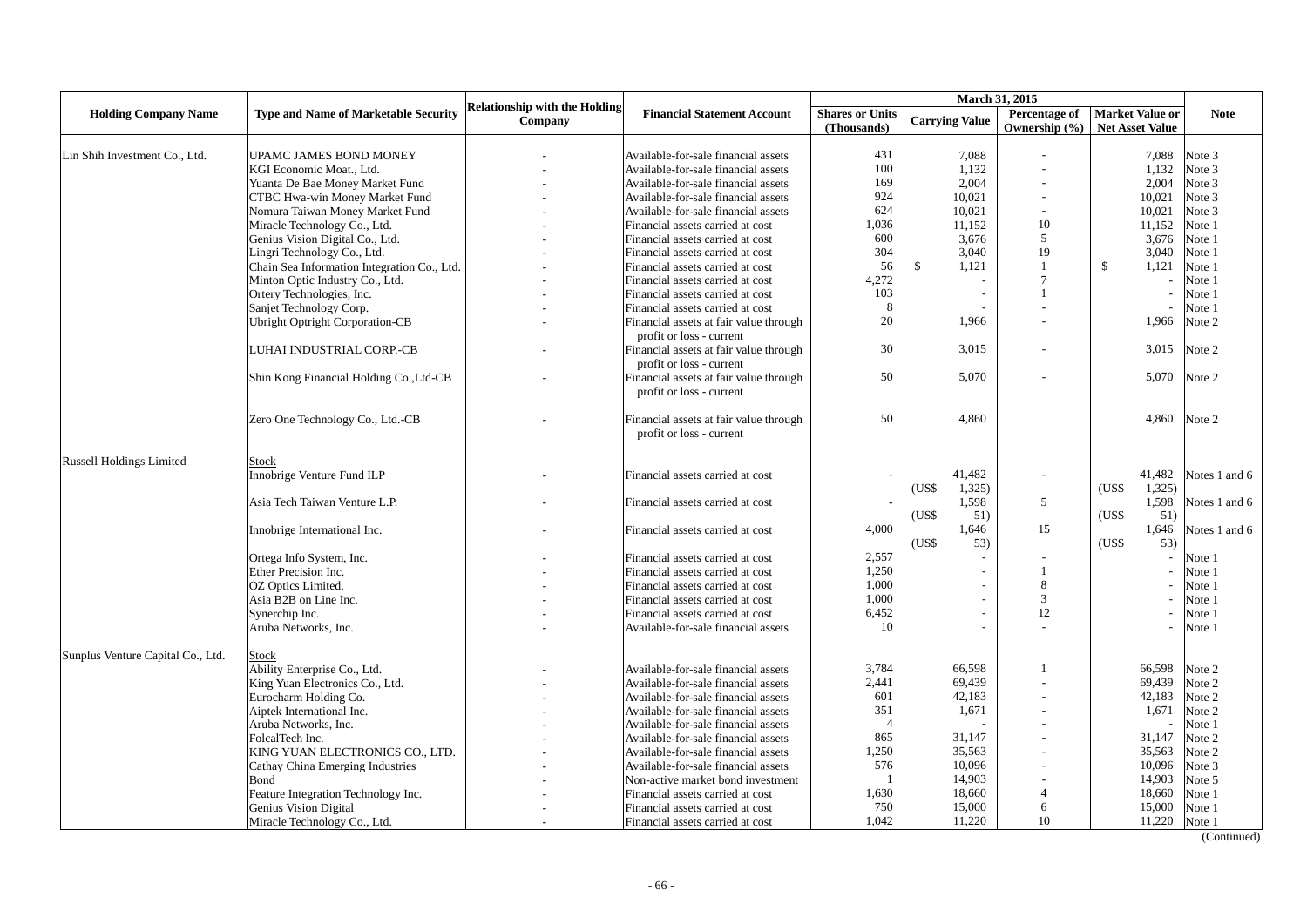|                                   |                                             | <b>Relationship with the Holding</b> |                                                                    |       |                       |                          |                                                           |               |
|-----------------------------------|---------------------------------------------|--------------------------------------|--------------------------------------------------------------------|-------|-----------------------|--------------------------|-----------------------------------------------------------|---------------|
| <b>Holding Company Name</b>       | <b>Type and Name of Marketable Security</b> | Company                              | <b>Financial Statement Account</b><br><b>Shares or Units</b>       |       | <b>Carrying Value</b> | Ownership $(\% )$        | Percentage of   Market Value or<br><b>Net Asset Value</b> | <b>Note</b>   |
| Lin Shih Investment Co., Ltd.     | UPAMC JAMES BOND MONEY                      |                                      | Available-for-sale financial assets                                | 431   | 7,088                 |                          | 7,088                                                     | Note 3        |
|                                   | KGI Economic Moat., Ltd.                    |                                      | Available-for-sale financial assets                                | 100   | 1,132                 |                          | 1,132                                                     | Note 3        |
|                                   | Yuanta De Bae Money Market Fund             |                                      | Available-for-sale financial assets                                | 169   | 2,004                 |                          | 2,004                                                     | Note 3        |
|                                   | <b>CTBC Hwa-win Money Market Fund</b>       |                                      | Available-for-sale financial assets                                | 924   | 10,021                |                          | 10,021                                                    | Note 3        |
|                                   | Nomura Taiwan Money Market Fund             |                                      | Available-for-sale financial assets                                | 624   | 10,021                | $\overline{\phantom{a}}$ | 10,021                                                    | Note 3        |
|                                   | Miracle Technology Co., Ltd.                |                                      | Financial assets carried at cost                                   | 1,036 | 11,152                | 10                       | 11,152                                                    | Note 1        |
|                                   | Genius Vision Digital Co., Ltd.             |                                      | Financial assets carried at cost                                   | 600   | 3,676                 | 5                        | 3,676                                                     | Note 1        |
|                                   | Lingri Technology Co., Ltd.                 |                                      | Financial assets carried at cost                                   | 304   | 3,040                 | 19                       | 3,040                                                     | Note 1        |
|                                   | Chain Sea Information Integration Co., Ltd. |                                      | Financial assets carried at cost                                   | 56    | \$<br>1,121           |                          | $\mathcal{S}$<br>1,121                                    | Note 1        |
|                                   | Minton Optic Industry Co., Ltd.             |                                      | Financial assets carried at cost                                   | 4,272 |                       |                          |                                                           | Note 1        |
|                                   | Ortery Technologies, Inc.                   |                                      | Financial assets carried at cost                                   | 103   |                       |                          |                                                           | Note 1        |
|                                   | Sanjet Technology Corp.                     |                                      | Financial assets carried at cost                                   | 8     |                       |                          |                                                           | Note 1        |
|                                   | <b>Ubright Optright Corporation-CB</b>      |                                      | Financial assets at fair value through                             | 20    | 1,966                 |                          | 1,966                                                     | Note 2        |
|                                   |                                             |                                      | profit or loss - current                                           |       |                       |                          |                                                           |               |
|                                   | LUHAI INDUSTRIAL CORP.-CB                   |                                      | Financial assets at fair value through                             | 30    | 3,015                 |                          | 3,015                                                     | Note 2        |
|                                   |                                             |                                      | profit or loss - current                                           |       |                       |                          |                                                           |               |
|                                   | Shin Kong Financial Holding Co., Ltd-CB     |                                      | Financial assets at fair value through                             | 50    | 5,070                 |                          | 5,070                                                     | Note 2        |
|                                   |                                             |                                      | profit or loss - current                                           |       |                       |                          |                                                           |               |
|                                   | Zero One Technology Co., Ltd.-CB            |                                      | Financial assets at fair value through<br>profit or loss - current | 50    | 4,860                 |                          | 4,860                                                     | Note 2        |
| <b>Russell Holdings Limited</b>   | <b>Stock</b>                                |                                      |                                                                    |       |                       |                          |                                                           |               |
|                                   | Innobrige Venture Fund ILP                  |                                      | Financial assets carried at cost                                   |       | 41,482                |                          | 41,482                                                    | Notes 1 and 6 |
|                                   |                                             |                                      |                                                                    |       | 1,325<br>(US\$        |                          | (US\$<br>1,325                                            |               |
|                                   | Asia Tech Taiwan Venture L.P.               |                                      | Financial assets carried at cost                                   |       | 1,598                 | 5                        | 1,598                                                     | Notes 1 and 6 |
|                                   |                                             |                                      |                                                                    |       | 51)<br>(US\$          |                          | 51)<br>(US\$                                              |               |
|                                   | Innobrige International Inc.                |                                      | Financial assets carried at cost                                   | 4,000 | 1,646                 | 15                       | 1,646                                                     | Notes 1 and 6 |
|                                   |                                             |                                      |                                                                    |       | (US\$<br>53)          |                          | 53)<br>(US\$                                              |               |
|                                   | Ortega Info System, Inc.                    |                                      | Financial assets carried at cost                                   | 2,557 |                       |                          |                                                           | Note 1        |
|                                   | Ether Precision Inc.                        |                                      | Financial assets carried at cost                                   | 1,250 | $ \,$                 |                          |                                                           | Note 1        |
|                                   | OZ Optics Limited.                          |                                      | Financial assets carried at cost                                   | 1,000 |                       | 8                        |                                                           | Note 1        |
|                                   | Asia B2B on Line Inc.                       |                                      | Financial assets carried at cost                                   | 1,000 |                       |                          |                                                           | Note 1        |
|                                   | Synerchip Inc.                              |                                      | Financial assets carried at cost                                   | 6,452 |                       | 12                       |                                                           | Note 1        |
|                                   | Aruba Networks, Inc.                        |                                      | Available-for-sale financial assets                                | 10    |                       |                          |                                                           | Note 1        |
| Sunplus Venture Capital Co., Ltd. | <b>Stock</b>                                |                                      |                                                                    |       |                       |                          |                                                           |               |
|                                   | Ability Enterprise Co., Ltd.                |                                      | Available-for-sale financial assets                                | 3,784 | 66,598                |                          | 66,598                                                    | Note 2        |
|                                   | King Yuan Electronics Co., Ltd.             |                                      | Available-for-sale financial assets                                | 2,441 | 69,439                |                          | 69,439                                                    | Note 2        |
|                                   | Eurocharm Holding Co.                       |                                      | Available-for-sale financial assets                                | 601   | 42,183                |                          | 42,183                                                    | Note 2        |
|                                   | Aiptek International Inc.                   |                                      | Available-for-sale financial assets                                | 351   | 1,671                 |                          | 1,671                                                     | Note 2        |
|                                   | Aruba Networks, Inc.                        |                                      | Available-for-sale financial assets                                |       |                       |                          |                                                           | Note 1        |
|                                   | FolcalTech Inc.                             |                                      | Available-for-sale financial assets                                | 865   | 31,147                |                          | 31,147                                                    | Note 2        |
|                                   | KING YUAN ELECTRONICS CO., LTD.             |                                      | Available-for-sale financial assets                                | 1,250 | 35,563                |                          | 35,563                                                    | Note 2        |
|                                   | <b>Cathay China Emerging Industries</b>     |                                      | Available-for-sale financial assets                                | 576   | 10,096                |                          | 10,096                                                    | Note 3        |
|                                   | Bond                                        |                                      | Non-active market bond investment                                  |       | 14,903                |                          | 14,903                                                    | Note 5        |
|                                   | Feature Integration Technology Inc.         |                                      | Financial assets carried at cost                                   | 1,630 | 18,660                |                          | 18,660                                                    | Note 1        |
|                                   | <b>Genius Vision Digital</b>                |                                      | Financial assets carried at cost                                   | 750   | 15,000                | 6                        | 15,000                                                    | Note 1        |
|                                   | Miracle Technology Co., Ltd.                |                                      | Financial assets carried at cost                                   | 1,042 | 11,220                | 10                       | 11,220                                                    | Note 1        |
|                                   |                                             |                                      |                                                                    |       |                       |                          |                                                           |               |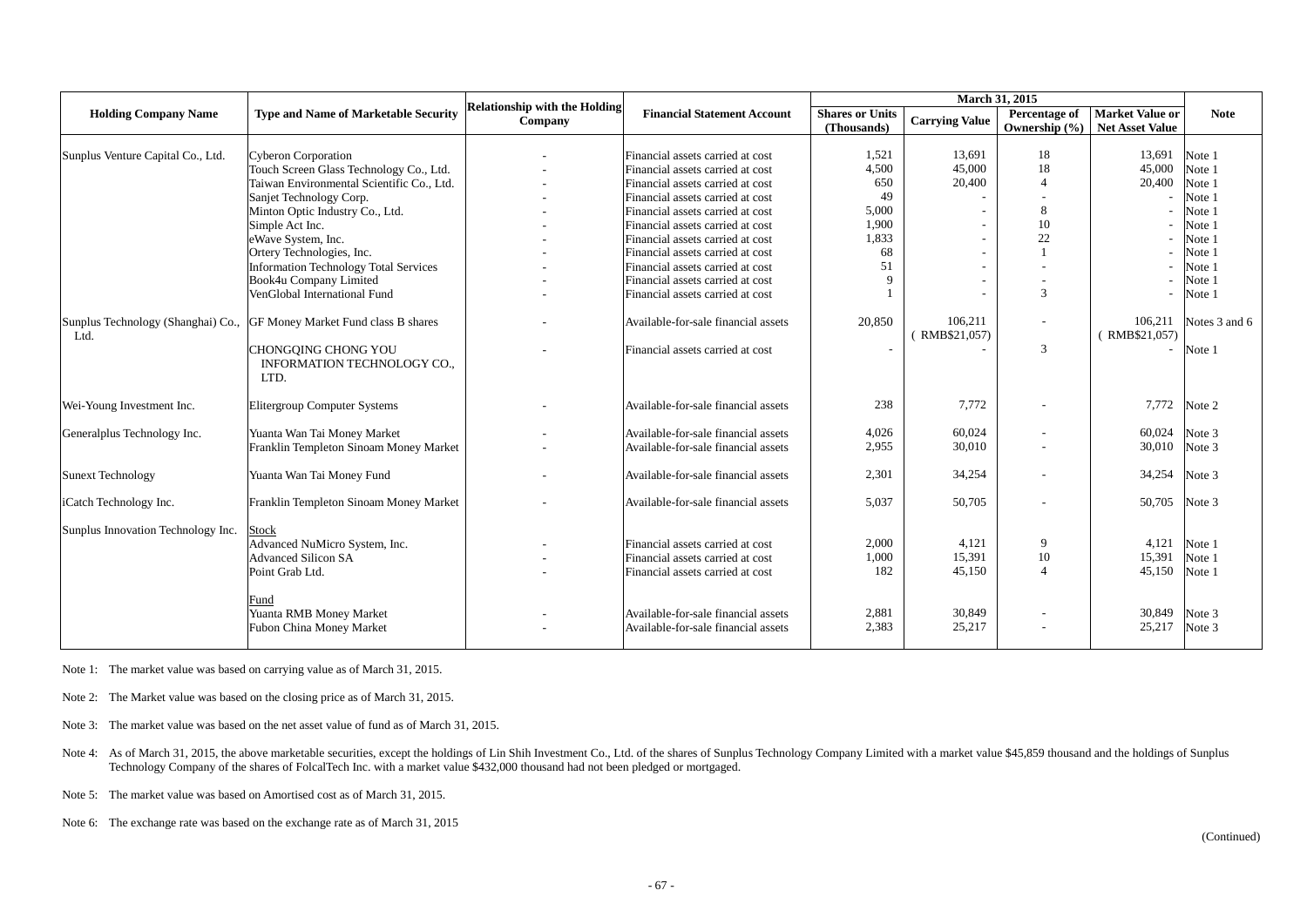|                                    |                                                                        | <b>Relationship with the Holding</b>          |                                                                            |                                       |                          |                          |                                                           |                  |
|------------------------------------|------------------------------------------------------------------------|-----------------------------------------------|----------------------------------------------------------------------------|---------------------------------------|--------------------------|--------------------------|-----------------------------------------------------------|------------------|
| <b>Holding Company Name</b>        | <b>Type and Name of Marketable Security</b>                            | <b>Financial Statement Account</b><br>Company |                                                                            | <b>Shares or Units</b><br>(Thousands) | <b>Carrying Value</b>    | Ownership $(\% )$        | Percentage of   Market Value or<br><b>Net Asset Value</b> | <b>Note</b>      |
|                                    |                                                                        |                                               |                                                                            | 1,521                                 | 13,691                   | 18                       | 13,691                                                    |                  |
| Sunplus Venture Capital Co., Ltd.  | <b>Cyberon Corporation</b>                                             |                                               | Financial assets carried at cost                                           | 4,500                                 | 45,000                   | 18                       | 45,000                                                    | Note 1<br>Note 1 |
|                                    | Touch Screen Glass Technology Co., Ltd.                                |                                               | Financial assets carried at cost                                           | 650                                   | 20,400                   | $\boldsymbol{\Delta}$    | 20,400                                                    |                  |
|                                    | Taiwan Environmental Scientific Co., Ltd.                              |                                               | Financial assets carried at cost                                           | 49                                    |                          |                          |                                                           | Note 1           |
|                                    | Sanjet Technology Corp.<br>Minton Optic Industry Co., Ltd.             |                                               | Financial assets carried at cost<br>Financial assets carried at cost       | 5,000                                 |                          | 8                        |                                                           | Note 1<br>Note 1 |
|                                    | Simple Act Inc.                                                        |                                               | Financial assets carried at cost                                           | 1,900                                 |                          | 10                       |                                                           | Note 1           |
|                                    | eWave System, Inc.                                                     |                                               | Financial assets carried at cost                                           | 1,833                                 |                          | 22                       |                                                           | Note 1           |
|                                    |                                                                        |                                               | Financial assets carried at cost                                           | 68                                    |                          |                          |                                                           | Note 1           |
|                                    | Ortery Technologies, Inc.                                              |                                               |                                                                            | 51                                    |                          |                          |                                                           | Note 1           |
|                                    | <b>Information Technology Total Services</b><br>Book4u Company Limited |                                               | Financial assets carried at cost<br>Financial assets carried at cost       |                                       |                          |                          |                                                           | Note 1           |
|                                    | VenGlobal International Fund                                           |                                               | Financial assets carried at cost                                           |                                       |                          | $\overline{3}$           |                                                           |                  |
|                                    |                                                                        |                                               |                                                                            |                                       |                          |                          |                                                           | Note 1           |
| Ltd.                               | Sunplus Technology (Shanghai) Co., GF Money Market Fund class B shares |                                               | Available-for-sale financial assets                                        | 20,850                                | 106,211<br>(RMB\$21,057) |                          | 106,211<br>(RMB\$21,057)                                  | Notes 3 and 6    |
|                                    | CHONGQING CHONG YOU<br><b>INFORMATION TECHNOLOGY CO.,</b><br>LTD.      |                                               | Financial assets carried at cost                                           |                                       |                          | $\overline{3}$           | $\sim$                                                    | Note 1           |
| Wei-Young Investment Inc.          | <b>Elitergroup Computer Systems</b>                                    |                                               | Available-for-sale financial assets                                        | 238                                   | 7,772                    |                          | 7,772                                                     | Note 2           |
| Generalplus Technology Inc.        | Yuanta Wan Tai Money Market                                            |                                               | Available-for-sale financial assets                                        | 4,026                                 | 60,024                   |                          | 60,024                                                    | Note 3           |
|                                    | Franklin Templeton Sinoam Money Market                                 |                                               | Available-for-sale financial assets                                        | 2,955                                 | 30,010                   | $\overline{\phantom{a}}$ | 30,010                                                    | Note 3           |
|                                    |                                                                        |                                               |                                                                            |                                       |                          |                          |                                                           |                  |
| <b>Sunext Technology</b>           | Yuanta Wan Tai Money Fund                                              |                                               | Available-for-sale financial assets                                        | 2,301                                 | 34,254                   |                          | 34,254                                                    | Note 3           |
| iCatch Technology Inc.             | Franklin Templeton Sinoam Money Market                                 |                                               | Available-for-sale financial assets                                        | 5,037                                 | 50,705                   |                          | 50,705                                                    | Note 3           |
| Sunplus Innovation Technology Inc. | <b>Stock</b>                                                           |                                               |                                                                            |                                       |                          |                          |                                                           |                  |
|                                    | Advanced NuMicro System, Inc.                                          |                                               | Financial assets carried at cost                                           | 2,000                                 | 4,121                    | 9                        | 4,121                                                     | Note 1           |
|                                    | <b>Advanced Silicon SA</b>                                             |                                               | Financial assets carried at cost                                           | 1,000                                 | 15,391                   | 10                       | 15,391                                                    | Note 1           |
|                                    | Point Grab Ltd.                                                        |                                               | Financial assets carried at cost                                           | 182                                   | 45,150                   | $\Delta$                 | 45,150                                                    | Note 1           |
|                                    | Fund<br>Yuanta RMB Money Market<br><b>Fubon China Money Market</b>     |                                               | Available-for-sale financial assets<br>Available-for-sale financial assets | 2,881<br>2,383                        | 30,849<br>25,217         |                          | 30,849<br>25,217                                          | Note 3<br>Note 3 |

Note 4: As of March 31, 2015, the above marketable securities, except the holdings of Lin Shih Investment Co., Ltd. of the shares of Sunplus Technology Company Limited with a market value \$45,859 thousand and the holdings Technology Company of the shares of FolcalTech Inc. with a market value \$432,000 thousand had not been pledged or mortgaged.

Note 1: The market value was based on carrying value as of March 31, 2015.

Note 2: The Market value was based on the closing price as of March 31, 2015.

Note 3: The market value was based on the net asset value of fund as of March 31, 2015.

Note 5: The market value was based on Amortised cost as of March 31, 2015.

Note 6: The exchange rate was based on the exchange rate as of March 31, 2015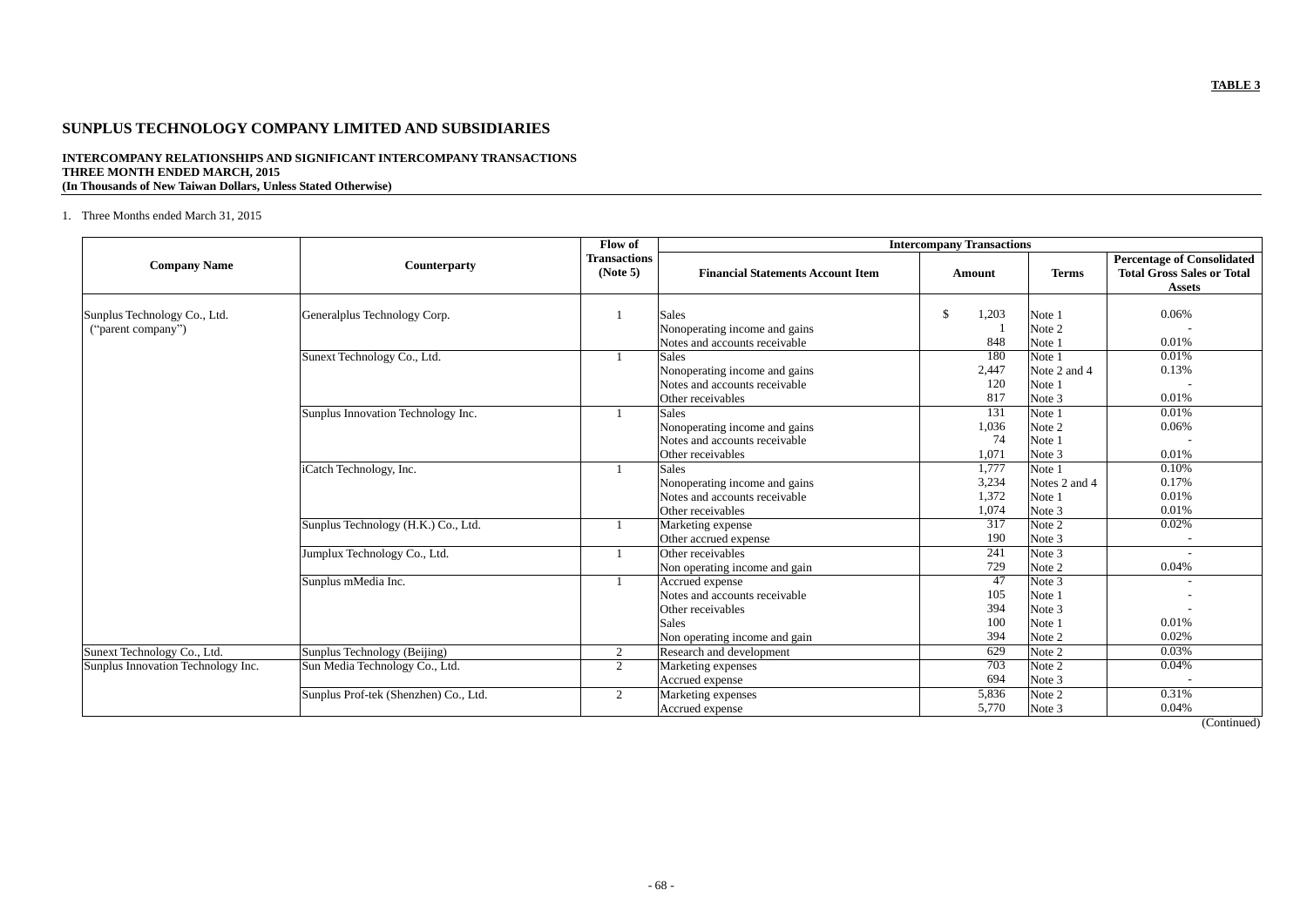## **TABLE 3**

# **SUNPLUS TECHNOLOGY COMPANY LIMITED AND SUBSIDIARIES**

## **INTERCOMPANY RELATIONSHIPS AND SIGNIFICANT INTERCOMPANY TRANSACTIONS THREE MONTH ENDED MARCH, 2015 (In Thousands of New Taiwan Dollars, Unless Stated Otherwise)**

## 1. Three Months ended March 31, 2015

|                                    |                                       | Flow of                         |                                          | <b>Intercompany Transactions</b> |               |                                                                                         |
|------------------------------------|---------------------------------------|---------------------------------|------------------------------------------|----------------------------------|---------------|-----------------------------------------------------------------------------------------|
| <b>Company Name</b>                | Counterparty                          | <b>Transactions</b><br>(Note 5) | <b>Financial Statements Account Item</b> | Amount                           | <b>Terms</b>  | <b>Percentage of Consolidated</b><br><b>Total Gross Sales or Total</b><br><b>Assets</b> |
|                                    |                                       |                                 |                                          |                                  |               |                                                                                         |
| Sunplus Technology Co., Ltd.       | Generalplus Technology Corp.          |                                 | <b>Sales</b>                             | 1,203<br><sup>\$</sup>           | Note 1        | 0.06%                                                                                   |
| ("parent company")                 |                                       |                                 | Nonoperating income and gains            |                                  | Note 2        |                                                                                         |
|                                    |                                       |                                 | Notes and accounts receivable            | 848                              | Note 1        | 0.01%                                                                                   |
|                                    | Sunext Technology Co., Ltd.           |                                 | <b>Sales</b>                             | 180                              | Note 1        | 0.01%                                                                                   |
|                                    |                                       |                                 | Nonoperating income and gains            | 2,447                            | Note 2 and 4  | 0.13%                                                                                   |
|                                    |                                       |                                 | Notes and accounts receivable            | 120                              | Note 1        |                                                                                         |
|                                    |                                       |                                 | Other receivables                        | 817                              | Note 3        | 0.01%                                                                                   |
|                                    | Sunplus Innovation Technology Inc.    |                                 | <b>Sales</b>                             | 131                              | Note 1        | 0.01%                                                                                   |
|                                    |                                       |                                 | Nonoperating income and gains            | 1,036                            | Note 2        | 0.06%                                                                                   |
|                                    |                                       |                                 | Notes and accounts receivable            | 74                               | Note 1        |                                                                                         |
|                                    |                                       |                                 | Other receivables                        | 1,071                            | Note 3        | 0.01%                                                                                   |
|                                    | iCatch Technology, Inc.               |                                 | <b>Sales</b>                             | 1,777                            | Note 1        | 0.10%                                                                                   |
|                                    |                                       |                                 | Nonoperating income and gains            | 3,234                            | Notes 2 and 4 | 0.17%                                                                                   |
|                                    |                                       |                                 | Notes and accounts receivable            | 1,372                            | Note 1        | 0.01%                                                                                   |
|                                    |                                       |                                 | Other receivables                        | 1,074                            | Note 3        | 0.01%                                                                                   |
|                                    | Sunplus Technology (H.K.) Co., Ltd.   |                                 | Marketing expense                        | 317                              | Note 2        | 0.02%                                                                                   |
|                                    |                                       |                                 | Other accrued expense                    | 190                              | Note 3        | $\overline{\phantom{a}}$                                                                |
|                                    | Jumplux Technology Co., Ltd.          |                                 | Other receivables                        | 241                              | Note 3        |                                                                                         |
|                                    |                                       |                                 | Non operating income and gain            | 729                              | Note 2        | 0.04%                                                                                   |
|                                    | Sunplus mMedia Inc.                   |                                 | Accrued expense                          | 47                               | Note 3        |                                                                                         |
|                                    |                                       |                                 | Notes and accounts receivable            | 105                              | Note 1        |                                                                                         |
|                                    |                                       |                                 | Other receivables                        | 394                              | Note 3        |                                                                                         |
|                                    |                                       |                                 | <b>Sales</b>                             | 100                              | Note 1        | 0.01%                                                                                   |
|                                    |                                       |                                 | Non operating income and gain            | 394                              | Note 2        | 0.02%                                                                                   |
| Sunext Technology Co., Ltd.        | Sunplus Technology (Beijing)          | $\overline{2}$                  | Research and development                 | 629                              | Note 2        | 0.03%                                                                                   |
| Sunplus Innovation Technology Inc. | Sun Media Technology Co., Ltd.        | $\overline{2}$                  | Marketing expenses                       | 703                              | Note 2        | 0.04%                                                                                   |
|                                    |                                       |                                 | Accrued expense                          | 694                              | Note 3        |                                                                                         |
|                                    | Sunplus Prof-tek (Shenzhen) Co., Ltd. | 2                               | Marketing expenses                       | 5,836                            | Note 2        | 0.31%                                                                                   |
|                                    |                                       |                                 | Accrued expense                          | 5,770                            | Note 3        | 0.04%                                                                                   |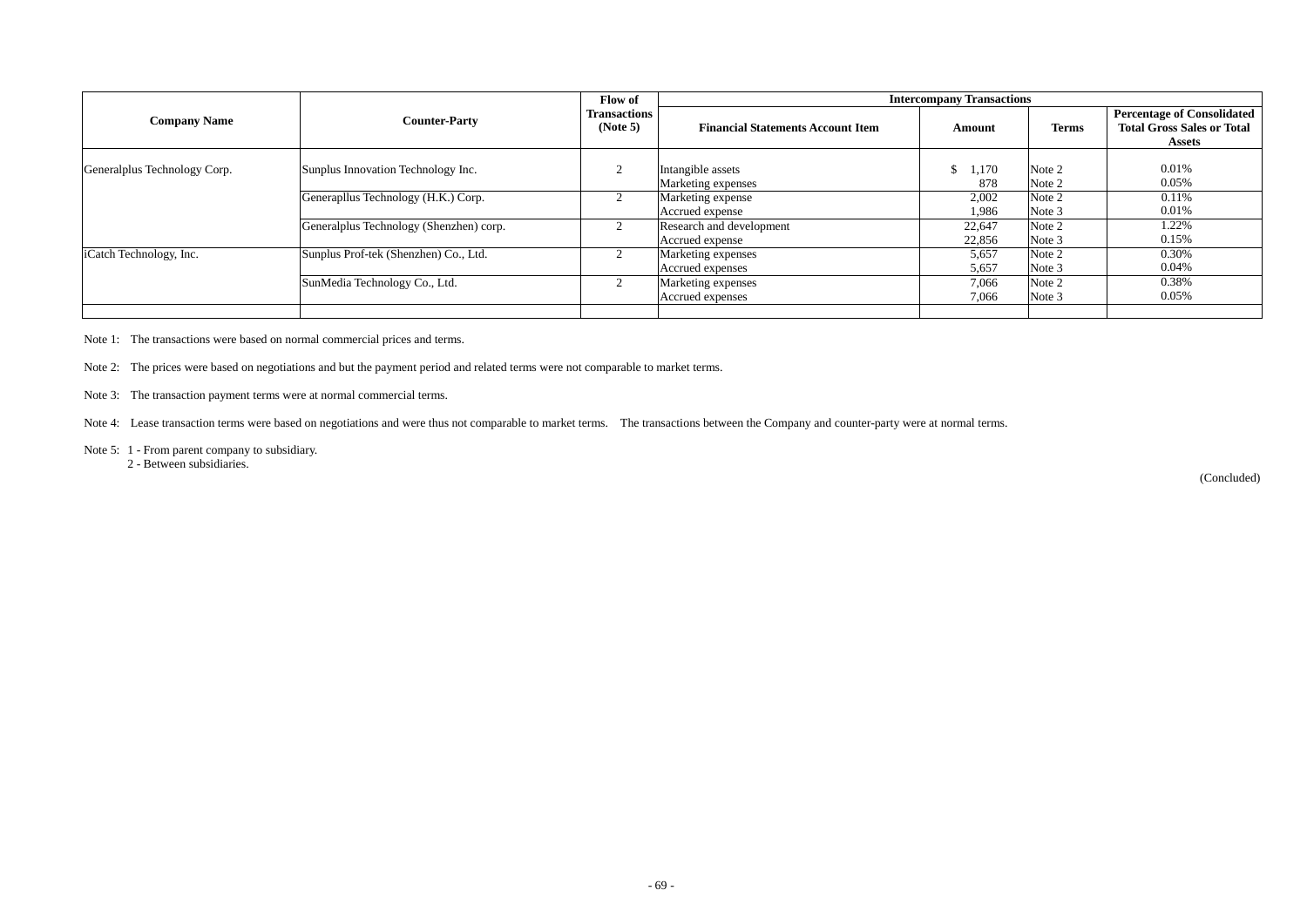|                                             |                                         |                                 | <b>Intercompany Transactions</b>            |                  |                  |                                                                                         |  |  |  |  |
|---------------------------------------------|-----------------------------------------|---------------------------------|---------------------------------------------|------------------|------------------|-----------------------------------------------------------------------------------------|--|--|--|--|
| <b>Counter-Party</b><br><b>Company Name</b> |                                         | <b>Transactions</b><br>(Note 5) | <b>Financial Statements Account Item</b>    | Amount           | <b>Terms</b>     | <b>Percentage of Consolidated</b><br><b>Total Gross Sales or Total</b><br><b>Assets</b> |  |  |  |  |
| Generalplus Technology Corp.                | Sunplus Innovation Technology Inc.      |                                 | Intangible assets<br>Marketing expenses     | 1,170<br>878     | Note 2<br>Note 2 | 0.01%<br>0.05%                                                                          |  |  |  |  |
|                                             | Generapllus Technology (H.K.) Corp.     |                                 | Marketing expense<br>Accrued expense        | 2,002<br>1,986   | Note 2<br>Note 3 | 0.11%<br>0.01%                                                                          |  |  |  |  |
|                                             | Generalplus Technology (Shenzhen) corp. |                                 | Research and development<br>Accrued expense | 22,647<br>22,856 | Note 2<br>Note 3 | 1.22%<br>0.15%                                                                          |  |  |  |  |
| iCatch Technology, Inc.                     | Sunplus Prof-tek (Shenzhen) Co., Ltd.   |                                 | Marketing expenses<br>Accrued expenses      | 5,657<br>5,657   | Note 2<br>Note 3 | 0.30%<br>0.04%                                                                          |  |  |  |  |
|                                             | SunMedia Technology Co., Ltd.           |                                 | Marketing expenses<br>Accrued expenses      | 7,066<br>7,066   | Note 2<br>Note 3 | 0.38%<br>0.05%                                                                          |  |  |  |  |
|                                             |                                         |                                 |                                             |                  |                  |                                                                                         |  |  |  |  |

Note 1: The transactions were based on normal commercial prices and terms.

Note 2: The prices were based on negotiations and but the payment period and related terms were not comparable to market terms.

Note 3: The transaction payment terms were at normal commercial terms.

Note 4: Lease transaction terms were based on negotiations and were thus not comparable to market terms. The transactions between the Company and counter-party were at normal terms.

Note 5: 1 - From parent company to subsidiary.

2 - Between subsidiaries.

(Concluded)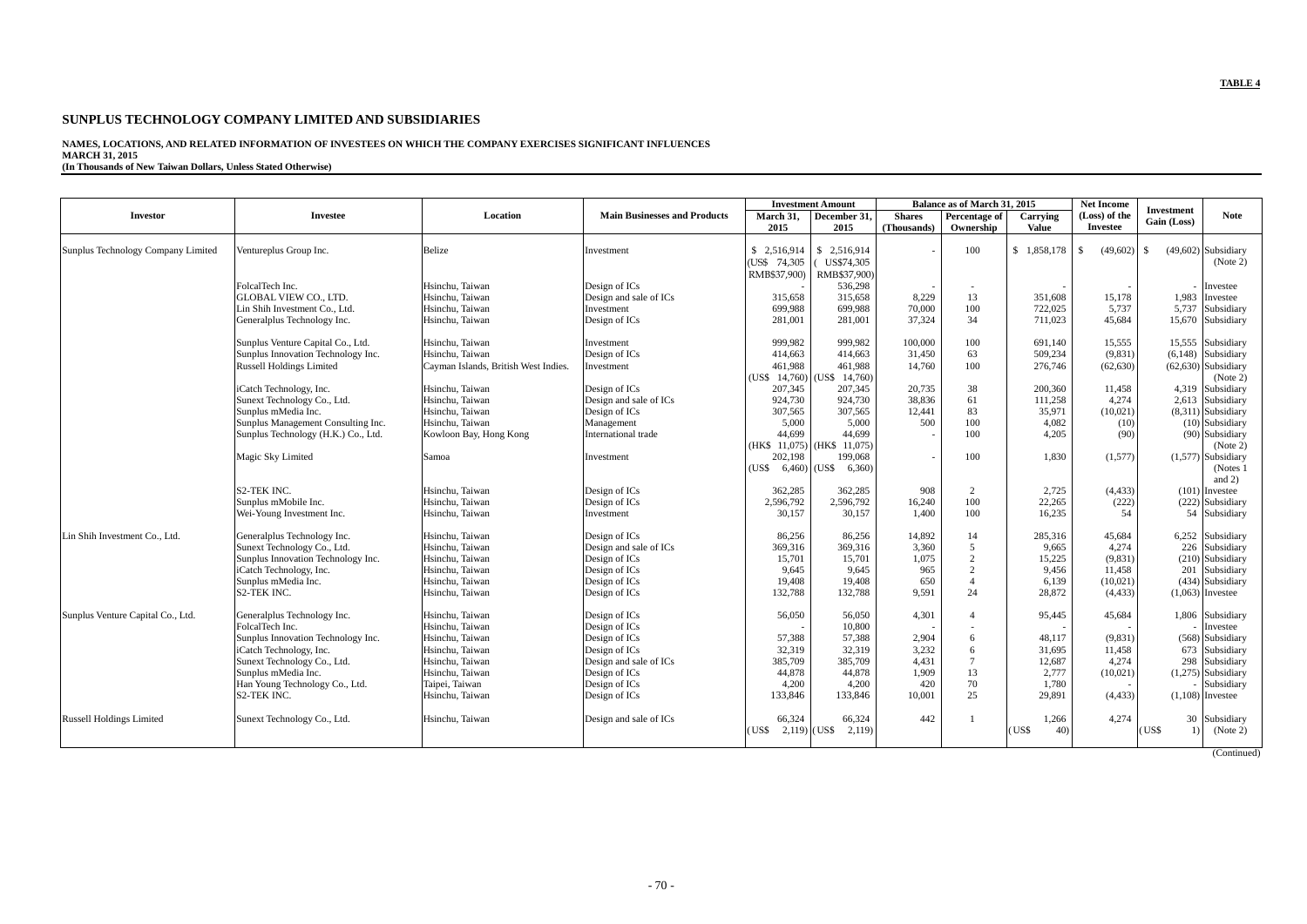## **TABLE 4**

## **SUNPLUS TECHNOLOGY COMPANY LIMITED AND SUBSIDIARIES**

#### **NAMES, LOCATIONS, AND RELATED INFORMATION OF INVESTEES ON WHICH THE COMPANY EXERCISES SIGNIFICANT INFLUENCES MARCH 31, 2015**

**(In Thousands of New Taiwan Dollars, Unless Stated Otherwise)**

|                                    |                                     |                                      |                                     |                                  | <b>Investment Amount</b> |                 | Balance as of March 31, 2015 |                       | <b>Net Income</b> |                                                 |
|------------------------------------|-------------------------------------|--------------------------------------|-------------------------------------|----------------------------------|--------------------------|-----------------|------------------------------|-----------------------|-------------------|-------------------------------------------------|
| <b>Investor</b>                    | <b>Investee</b>                     | Location                             | <b>Main Businesses and Products</b> | March 31,                        | December 31,             | <b>Shares</b>   | Percentage of                | Carrying              | (Loss) of the     | <b>Investment</b><br><b>Note</b><br>Gain (Loss) |
|                                    |                                     |                                      |                                     | 2015                             | 2015                     | (Thousands)     | Ownership                    | <b>Value</b>          | <b>Investee</b>   |                                                 |
| Sunplus Technology Company Limited |                                     | Belize                               |                                     | \$2,516,914                      | \$2,516,914              |                 | 100                          | \$1,858,178           | (49,602)<br>\$.   | $(49,602)$ Subsidiary<br><sup>\$</sup>          |
|                                    | Ventureplus Group Inc.              |                                      | Investment                          | (US\$ 74,305)                    | US\$74,305               |                 |                              |                       |                   | (Note 2)                                        |
|                                    |                                     |                                      |                                     | RMB\$37,900)                     | RMB\$37,900)             |                 |                              |                       |                   |                                                 |
|                                    | FolcalTech Inc.                     | Hsinchu. Taiwan                      | Design of ICs                       |                                  | 536,298                  |                 |                              |                       |                   | Investee                                        |
|                                    | <b>GLOBAL VIEW CO., LTD.</b>        | Hsinchu, Taiwan                      | Design and sale of ICs              | 315,658                          | 315,658                  | 8,229           | 13                           | 351.608               | 15.178            | 1.983<br>Investee                               |
|                                    | Lin Shih Investment Co., Ltd.       | Hsinchu, Taiwan                      | Investment                          | 699,988                          | 699,988                  | 70,000          | 100                          | 722,025               | 5,737             | 5,737<br>Subsidiary                             |
|                                    | Generalplus Technology Inc.         | Hsinchu, Taiwan                      | Design of ICs                       | 281,001                          | 281,001                  | 37,324          | 34                           | 711,023               | 45,684            | 15,670 Subsidiary                               |
|                                    |                                     |                                      |                                     |                                  |                          |                 |                              |                       |                   |                                                 |
|                                    | Sunplus Venture Capital Co., Ltd.   | Hsinchu, Taiwan                      | Investment                          | 999,982                          | 999,982                  | 100,000         | 100                          | 691,140               | 15,555            | 15.555<br>Subsidiary                            |
|                                    | Sunplus Innovation Technology Inc.  | Hsinchu, Taiwan                      | Design of ICs                       | 414,663                          | 414,663                  | 31,450          | 63                           | 509,234               | (9, 831)          | $(6,148)$ Subsidiary                            |
|                                    | <b>Russell Holdings Limited</b>     | Cayman Islands, British West Indies. | Investment                          | 461,988                          | 461,988                  | 14,760          | 100                          | 276,746               | (62, 630)         | $(62, 630)$ Subsidiary                          |
|                                    |                                     |                                      |                                     | (US\$ 14,760)   (US\$            | 14,760)                  |                 |                              |                       |                   | (Note 2)                                        |
|                                    | iCatch Technology, Inc.             | Hsinchu, Taiwan                      | Design of ICs                       | 207,345                          | 207,345                  | 20,735          | 38                           | 200.360               | 11,458            | 4.319 Subsidiary                                |
|                                    | Sunext Technology Co., Ltd.         | Hsinchu, Taiwan                      | Design and sale of ICs              | 924,730                          | 924,730                  | 38,836          | 61                           | 111,258               | 4,274             | 2,613 Subsidiary                                |
|                                    | Sunplus mMedia Inc.                 | Hsinchu, Taiwan                      | Design of ICs                       | 307,565                          | 307,565                  | 12,441          | 83                           | 35,971                | (10,021)          | $(8,311)$ Subsidiary                            |
|                                    | Sunplus Management Consulting Inc.  | Hsinchu, Taiwan                      | Management                          | 5,000                            | 5,000                    | 500             | 100                          | 4,082                 | (10)              | $(10)$ Subsidiary                               |
|                                    | Sunplus Technology (H.K.) Co., Ltd. | Kowloon Bay, Hong Kong               | International trade                 | 44.699                           | 44.699                   |                 | 100                          | 4,205                 | (90)              | (90) Subsidiary                                 |
|                                    |                                     |                                      |                                     | (HK\$ 11,075) (HK\$)             | 11,075                   |                 |                              |                       |                   | (Note 2)                                        |
|                                    | Magic Sky Limited                   | Samoa                                | Investment                          | 202,198                          | 199,068                  |                 | 100                          | 1,830                 | (1,577)           | $(1,577)$ Subsidiary                            |
|                                    |                                     |                                      |                                     | $6,460$ (US\$)<br>(US\$          | 6,360)                   |                 |                              |                       |                   | (Notes 1)                                       |
|                                    |                                     |                                      |                                     | 362,285                          |                          |                 |                              |                       |                   | and $2)$                                        |
|                                    | S2-TEK INC.<br>Sunplus mMobile Inc. | Hsinchu, Taiwan<br>Hsinchu, Taiwan   | Design of ICs                       | 2,596,792                        | 362,285<br>2,596,792     | 908             | 2<br>100                     | 2,725                 | (4, 433)<br>(222) | $(101)$ Investee<br>$(222)$ Subsidiary          |
|                                    | Wei-Young Investment Inc.           | Hsinchu, Taiwan                      | Design of ICs<br>Investment         | 30,157                           | 30,157                   | 16,240<br>1,400 | 100                          | 22,265<br>16.235      | 54                | 54 Subsidiary                                   |
|                                    |                                     |                                      |                                     |                                  |                          |                 |                              |                       |                   |                                                 |
| in Shih Investment Co., Ltd.       | Generalplus Technology Inc.         | Hsinchu, Taiwan                      | Design of ICs                       | 86,256                           | 86,256                   | 14,892          | 14                           | 285,316               | 45,684            | 6,252 Subsidiary                                |
|                                    | Sunext Technology Co., Ltd.         | Hsinchu, Taiwan                      | Design and sale of ICs              | 369,316                          | 369,316                  | 3,360           | 5                            | 9,665                 | 4,274             | 226<br>Subsidiary                               |
|                                    | Sunplus Innovation Technology Inc.  | Hsinchu, Taiwan                      | Design of ICs                       | 15,701                           | 15,701                   | 1,075           | 2                            | 15,225                | (9, 831)          | $(210)$ Subsidiary                              |
|                                    | iCatch Technology, Inc.             | Hsinchu, Taiwan                      | Design of ICs                       | 9,645                            | 9,645                    | 965             | $\overline{2}$               | 9,456                 | 11,458            | Subsidiary<br>201                               |
|                                    | Sunplus mMedia Inc.                 | Hsinchu, Taiwan                      | Design of ICs                       | 19,408                           | 19,408                   | 650             | $\overline{4}$               | 6,139                 | (10,021)          | (434) Subsidiary                                |
|                                    | S <sub>2</sub> -TEK INC.            | Hsinchu, Taiwan                      | Design of ICs                       | 132,788                          | 132,788                  | 9,591           | 24                           | 28,872                | (4, 433)          | $(1,063)$ Investee                              |
| Sunplus Venture Capital Co., Ltd.  | Generalplus Technology Inc.         | Hsinchu. Taiwan                      | Design of ICs                       | 56,050                           | 56,050                   | 4,301           | $\overline{A}$               | 95,445                | 45,684            | 1,806 Subsidiary                                |
|                                    | FolcalTech Inc.                     | Hsinchu, Taiwan                      | Design of ICs                       |                                  | 10,800                   |                 |                              |                       |                   | Investee                                        |
|                                    | Sunplus Innovation Technology Inc.  | Hsinchu, Taiwan                      | Design of ICs                       | 57,388                           | 57,388                   | 2,904           | 6                            | 48,117                | (9,831)           | $(568)$ Subsidiary                              |
|                                    | iCatch Technology, Inc.             | Hsinchu, Taiwan                      | Design of ICs                       | 32,319                           | 32,319                   | 3,232           | 6                            | 31,695                | 11,458            | 673 Subsidiary                                  |
|                                    | Sunext Technology Co., Ltd.         | Hsinchu, Taiwan                      | Design and sale of ICs              | 385,709                          | 385,709                  | 4,431           | $\overline{7}$               | 12,687                | 4,274             | 298 Subsidiary                                  |
|                                    | Sunplus mMedia Inc.                 | Hsinchu, Taiwan                      | Design of ICs                       | 44,878                           | 44,878                   | 1,909           | 13                           | 2,777                 | (10,021)          | $(1,275)$ Subsidiary                            |
|                                    | Han Young Technology Co., Ltd.      | Taipei, Taiwan                       | Design of ICs                       | 4,200                            | 4,200                    | 420             | 70                           | 1,780                 |                   | Subsidiary                                      |
|                                    | S2-TEK INC.                         | Hsinchu, Taiwan                      | Design of ICs                       | 133,846                          | 133,846                  | 10,001          | 25                           | 29,891                | (4, 433)          | $(1,108)$ Investee                              |
|                                    |                                     |                                      |                                     |                                  |                          |                 |                              |                       |                   |                                                 |
| <b>Russell Holdings Limited</b>    | Sunext Technology Co., Ltd.         | Hsinchu, Taiwan                      | Design and sale of ICs              | 66,324<br>$2,119$ (US\$)<br>US\$ | 66,324                   | 442             |                              | 1,266<br>(US\$<br>40) | 4,274             | 30<br>Subsidiary                                |
|                                    |                                     |                                      |                                     |                                  | 2,119)                   |                 |                              |                       |                   | (US\$-<br>(Note 2)                              |
|                                    |                                     |                                      |                                     |                                  |                          |                 |                              |                       |                   |                                                 |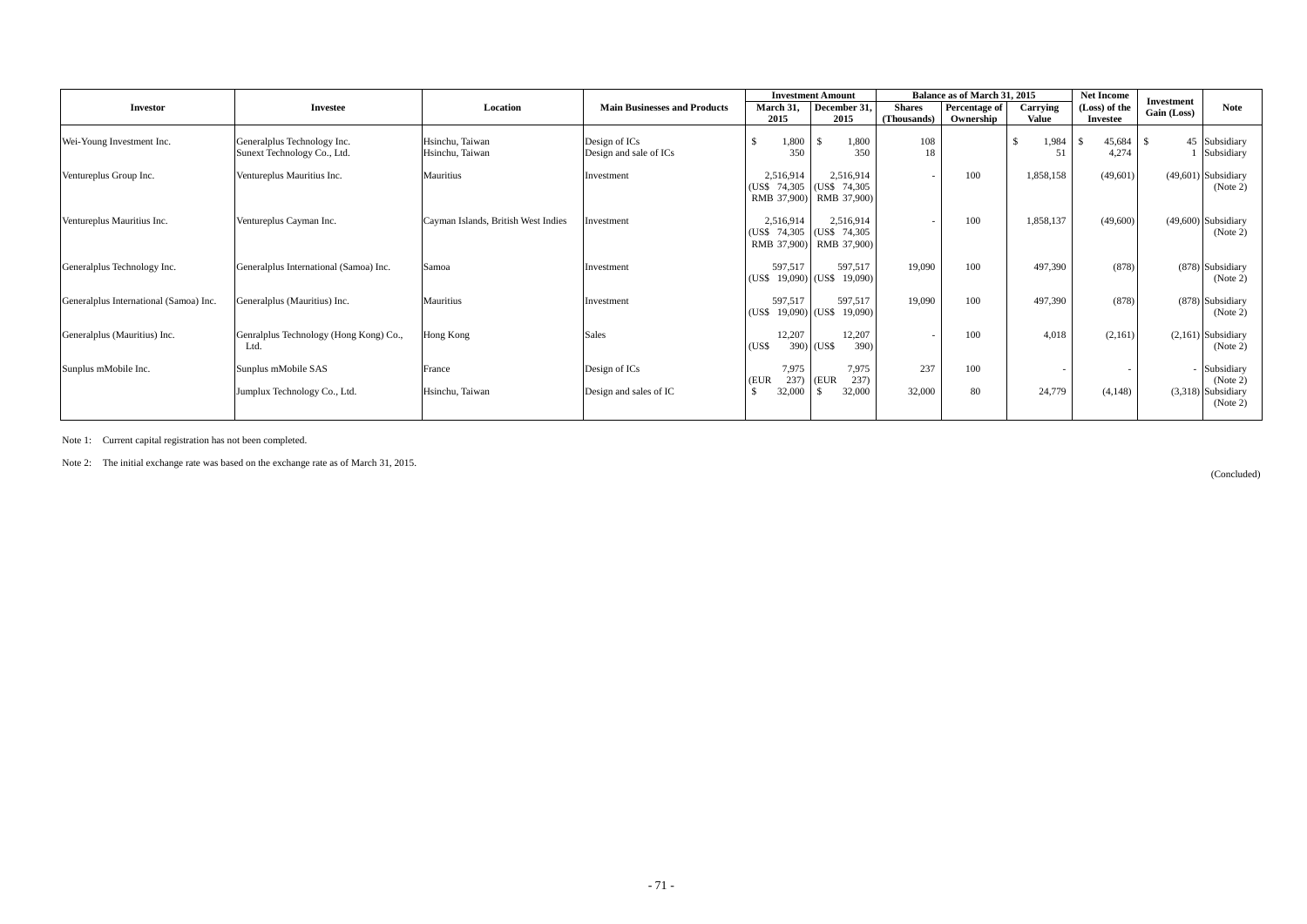|                                        |                                                            |                                     |                                         |                                       | <b>Investment Amount</b>                                             |                              |                            | Balance as of March 31, 2015<br><b>Net Income</b> |                                  | <b>Investment</b>                                            |
|----------------------------------------|------------------------------------------------------------|-------------------------------------|-----------------------------------------|---------------------------------------|----------------------------------------------------------------------|------------------------------|----------------------------|---------------------------------------------------|----------------------------------|--------------------------------------------------------------|
| <b>Investor</b>                        | <b>Investee</b>                                            | Location                            | <b>Main Businesses and Products</b>     | March 31,<br>2015                     | December 31,<br>2015                                                 | <b>Shares</b><br>(Thousands) | Percentage of<br>Ownership | Carrying<br><b>Value</b>                          | (Loss) of the<br><b>Investee</b> | <b>Note</b><br>Gain (Loss)                                   |
| Wei-Young Investment Inc.              | Generalplus Technology Inc.<br>Sunext Technology Co., Ltd. | Hsinchu, Taiwan<br>Hsinchu, Taiwan  | Design of ICs<br>Design and sale of ICs | 1,800<br>350                          | 1,800<br>350                                                         | 108<br>18                    |                            | <sup>\$</sup><br>1,984<br>51                      | 45,684<br>4,274                  | 45 Subsidiary<br>-\$<br>Subsidiary                           |
| Ventureplus Group Inc.                 | Ventureplus Mauritius Inc.                                 | Mauritius                           | Investment                              | 2,516,914                             | 2,516,914<br>(US\$ 74,305   (US\$ 74,305)<br>RMB 37,900) RMB 37,900) |                              | 100                        | 1,858,158                                         | (49,601)                         | $(49,601)$ Subsidiary<br>(Note 2)                            |
| Ventureplus Mauritius Inc.             | Ventureplus Cayman Inc.                                    | Cayman Islands, British West Indies | Investment                              | 2,516,914                             | 2,516,914<br>(US\$ 74,305   (US\$ 74,305)<br>RMB 37,900) RMB 37,900) |                              | 100                        | 1,858,137                                         | (49,600)                         | $(49,600)$ Subsidiary<br>(Note 2)                            |
| Generalplus Technology Inc.            | Generalplus International (Samoa) Inc.                     | Samoa                               | Investment                              | 597,517<br>(USS)                      | 597,517<br>$19,090$ (US\$ 19,090)                                    | 19,090                       | 100                        | 497,390                                           | (878)                            | $(878)$ Subsidiary<br>(Note 2)                               |
| Generalplus International (Samoa) Inc. | Generalplus (Mauritius) Inc.                               | Mauritius                           | Investment                              | 597,517<br>$19,090$ (US\$<br>(USS)    | 597,517<br>19,090)                                                   | 19,090                       | 100                        | 497,390                                           | (878)                            | $(878)$ Subsidiary<br>(Note 2)                               |
| Generalplus (Mauritius) Inc.           | Genralplus Technology (Hong Kong) Co.,<br>Ltd.             | Hong Kong                           | Sales                                   | 12,207<br>(US\$                       | 12,207<br>390)<br>390) (US\$                                         |                              | 100                        | 4,018                                             | (2,161)                          | $(2,161)$ Subsidiary<br>(Note 2)                             |
| Sunplus mMobile Inc.                   | Sunplus mMobile SAS<br>Jumplux Technology Co., Ltd.        | France<br>Hsinchu, Taiwan           | Design of ICs<br>Design and sales of IC | 7,975<br>237)<br>(EUR<br>\$<br>32,000 | 7,975<br>237)<br>(EUR<br>32,000<br>ΙSΙ                               | 237<br>32,000                | 100<br>80                  | $\overline{\phantom{a}}$<br>24,779                | (4, 148)                         | - Subsidiary<br>(Note 2)<br>$(3,318)$ Subsidiary<br>(Note 2) |
|                                        |                                                            |                                     |                                         |                                       |                                                                      |                              |                            |                                                   |                                  |                                                              |

Note 1: Current capital registration has not been completed.

Note 2: The initial exchange rate was based on the exchange rate as of March 31, 2015.

(Concluded)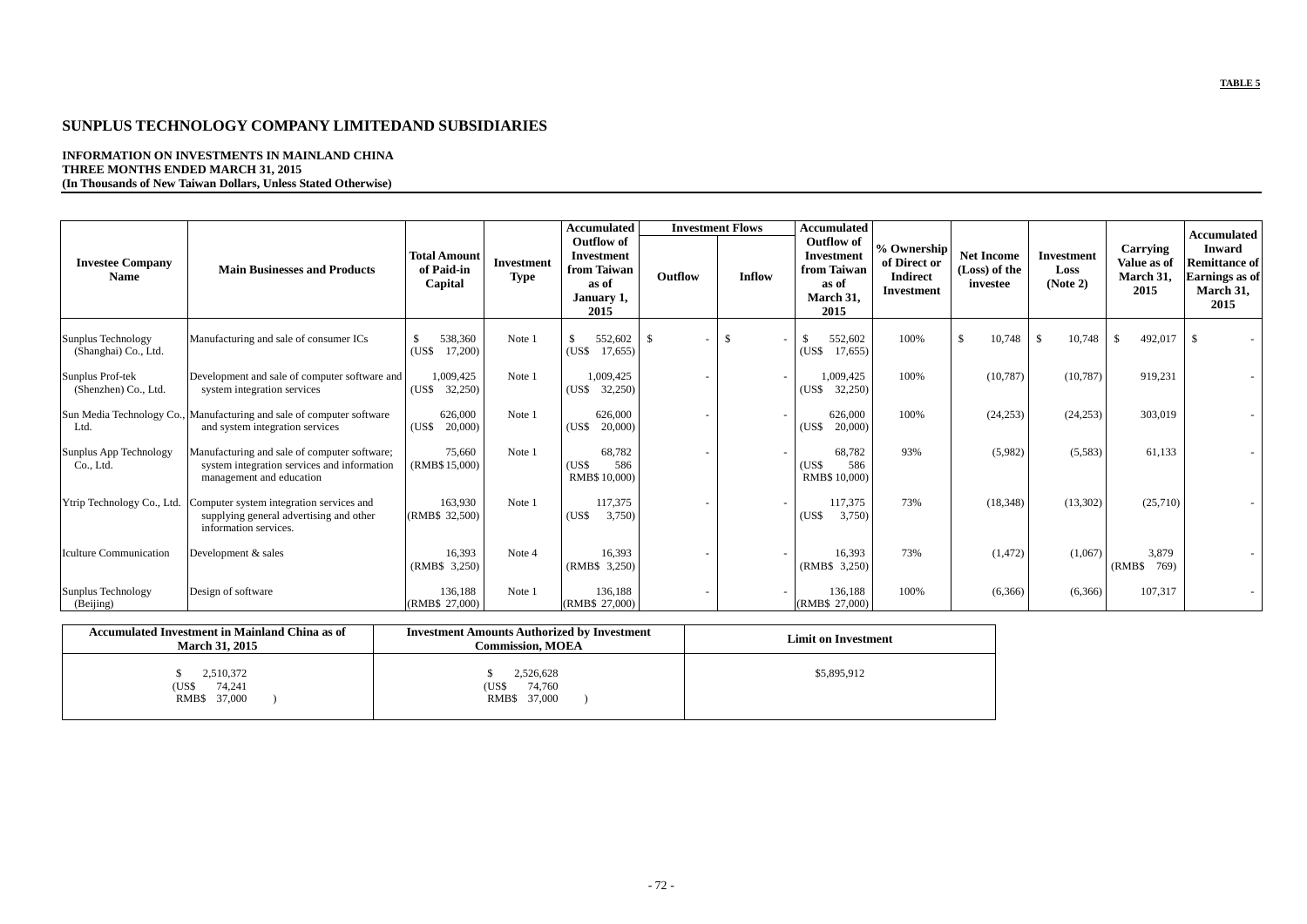## **TABLE 5**

# **SUNPLUS TECHNOLOGY COMPANY LIMITEDAND SUBSIDIARIES**

**INFORMATION ON INVESTMENTS IN MAINLAND CHINA THREE MONTHS ENDED MARCH 31, 2015 (In Thousands of New Taiwan Dollars, Unless Stated Otherwise)**

|                                            |                                                                                                                         |                                              |                                  | <b>Accumulated</b>                                                                   |         | <b>Investment Flows</b> | <b>Accumulated</b>                                                                  |                                                                     |                                                |                                       |                                                     |                                                                                                           |
|--------------------------------------------|-------------------------------------------------------------------------------------------------------------------------|----------------------------------------------|----------------------------------|--------------------------------------------------------------------------------------|---------|-------------------------|-------------------------------------------------------------------------------------|---------------------------------------------------------------------|------------------------------------------------|---------------------------------------|-----------------------------------------------------|-----------------------------------------------------------------------------------------------------------|
| <b>Investee Company</b><br><b>Name</b>     | <b>Main Businesses and Products</b>                                                                                     | <b>Total Amount</b><br>of Paid-in<br>Capital | <b>Investment</b><br><b>Type</b> | <b>Outflow of</b><br><b>Investment</b><br>from Taiwan<br>as of<br>January 1,<br>2015 | Outflow | Inflow                  | <b>Outflow of</b><br><b>Investment</b><br>from Taiwan<br>as of<br>March 31,<br>2015 | % Ownership<br>of Direct or<br><b>Indirect</b><br><b>Investment</b> | <b>Net Income</b><br>(Loss) of the<br>investee | <b>Investment</b><br>Loss<br>(Note 2) | <b>Carrying</b><br>Value as of<br>March 31,<br>2015 | <b>Accumulated</b><br><b>Inward</b><br><b>Remittance of</b><br><b>Earnings</b> as of<br>March 31,<br>2015 |
| Sunplus Technology<br>(Shanghai) Co., Ltd. | Manufacturing and sale of consumer ICs                                                                                  | 538,360<br>(US\$<br>17,200)                  | Note 1                           | 552,602<br>(USS)<br>17,655                                                           | - \$    | $\mathbb{S}$            | 552,602<br>17,655<br>(US\$                                                          | 100%                                                                | 10,748<br>-S                                   | 10,748<br><sup>S</sup>                | 492,017<br>- S                                      | <sup>S</sup>                                                                                              |
| Sunplus Prof-tek<br>(Shenzhen) Co., Ltd.   | Development and sale of computer software and<br>system integration services                                            | 1,009,425<br>(US\$<br>32,250)                | Note 1                           | 1,009,425<br>$(US\$ 32,250)$                                                         |         |                         | 1,009,425<br>32,250<br>(USS)                                                        | 100%                                                                | (10, 787)                                      | (10, 787)                             | 919,231                                             |                                                                                                           |
| Ltd.                                       | Sun Media Technology Co., Manufacturing and sale of computer software<br>and system integration services                | 626,000<br>(US\$<br>20,000                   | Note 1                           | 626,000<br>20,000<br>(USS)                                                           |         |                         | 626,000<br>20,000<br>(US\$                                                          | 100%                                                                | (24, 253)                                      | (24,253)                              | 303,019                                             |                                                                                                           |
| Sunplus App Technology<br>Co., Ltd.        | Manufacturing and sale of computer software;<br>system integration services and information<br>management and education | 75,660<br>(RMB\$15,000)                      | Note 1                           | 68,782<br>(US\$<br>586<br>RMB\$ 10,000)                                              |         |                         | 68,782<br>586<br>(US\$<br>RMB\$ 10,000)                                             | 93%                                                                 | (5,982)                                        | (5,583)                               | 61,133                                              |                                                                                                           |
| Ytrip Technology Co., Ltd.                 | Computer system integration services and<br>supplying general advertising and other<br>information services.            | 163,930<br>(RMB\$ 32,500)                    | Note 1                           | 117,375<br>3,750<br>(US\$                                                            |         |                         | 117,375<br>3,750<br>(US\$                                                           | 73%                                                                 | (18, 348)                                      | (13,302)                              | (25,710)                                            |                                                                                                           |
| <b>Iculture Communication</b>              | Development & sales                                                                                                     | 16,393<br>(RMB\$ 3,250)                      | Note 4                           | 16,393<br>(RMB\$ 3,250)                                                              |         |                         | 16,393<br>(RMB\$ 3,250)                                                             | 73%                                                                 | (1,472)                                        | (1,067)                               | 3,879<br>769)<br>(RMB\$                             |                                                                                                           |
| Sunplus Technology<br>(Beijing)            | Design of software                                                                                                      | 136,188<br>(RMB\$ 27,000)                    | Note 1                           | 136,188<br>(RMB\$ 27,000)                                                            |         |                         | 136,188<br>(RMB\$ 27,000)                                                           | 100%                                                                | (6,366)                                        | (6,366)                               | 107,317                                             |                                                                                                           |

| <b>Accumulated Investment in Mainland China as of</b><br><b>March 31, 2015</b> | <b>Investment Amounts Authorized by Investment</b><br><b>Commission, MOEA</b> | <b>Limit on Investment</b> |
|--------------------------------------------------------------------------------|-------------------------------------------------------------------------------|----------------------------|
| 2,510,372<br>74,241<br>(US\$<br>RMB\$ 37,000                                   | 2,526,628<br>74,760<br>(US\$<br>RMB\$ 37,000                                  | \$5,895,912                |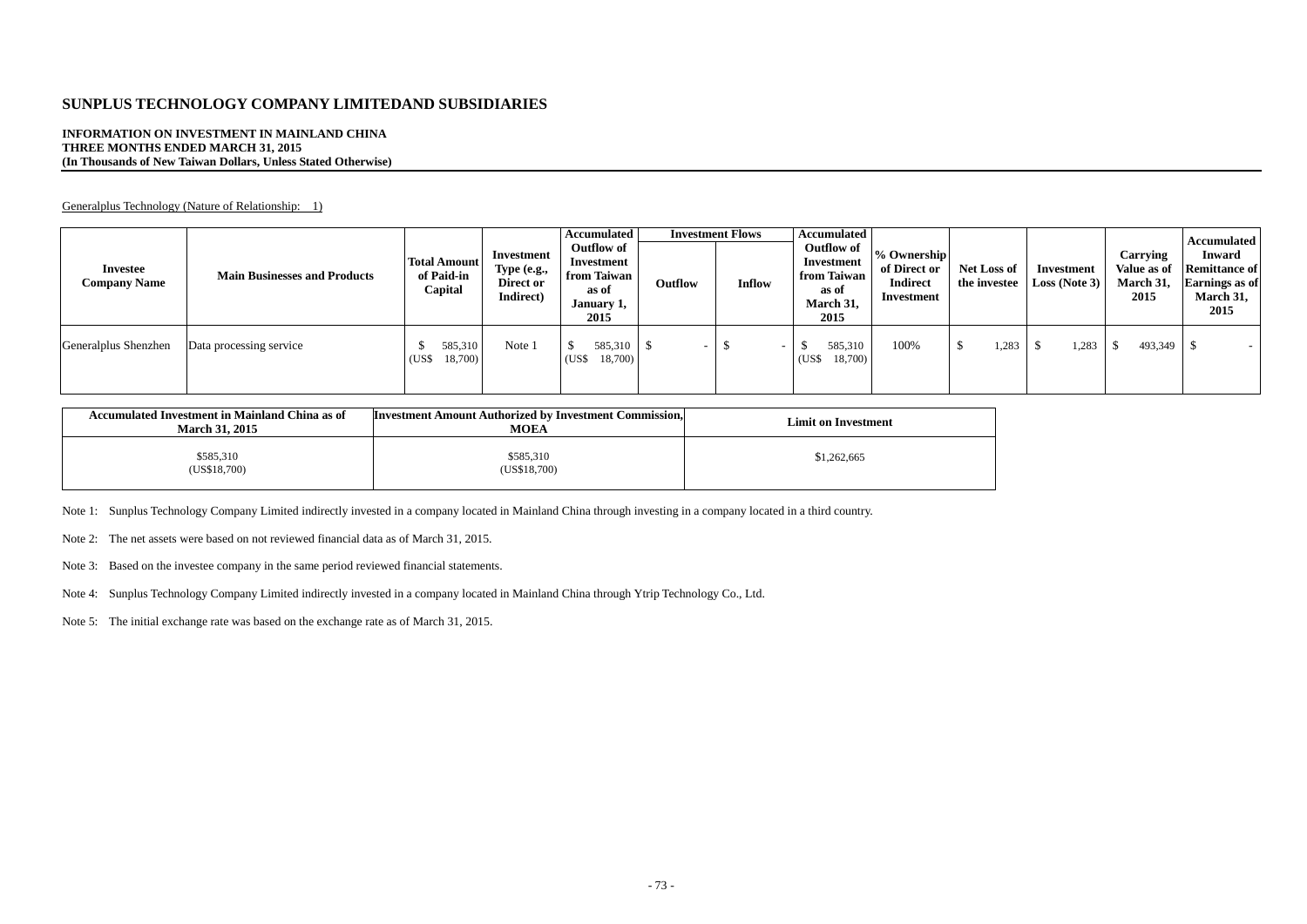# **SUNPLUS TECHNOLOGY COMPANY LIMITEDAND SUBSIDIARIES**

#### **INFORMATION ON INVESTMENT IN MAINLAND CHINA THREE MONTHS ENDED MARCH 31, 2015 (In Thousands of New Taiwan Dollars, Unless Stated Otherwise)**

Generalplus Technology (Nature of Relationship: 1)

| <b>Investee</b><br><b>Company Name</b> | <b>Main Businesses and Products</b> | <b>Total Amount</b><br>of Paid-in<br>Capital | Investment<br>Type (e.g.,<br>Direct or<br>Indirect) | <b>Accumulated</b><br><b>Outflow of</b><br>Investment<br>from Taiwan<br>as of<br>January 1,<br>2015 | Outflow                  | <b>Investment Flows</b><br>Inflow | <b>Accumulated</b><br><b>Outflow of</b><br>Investment<br>from Taiwan<br>as of<br>March 31,<br>2015 | $\%$ Ownership<br>of Direct or<br><b>Indirect</b><br>Investment | <b>Net Loss of</b><br>the investee | Investment<br><b>Loss</b> (Note 3) | Carrying<br>Value as of<br>March 31,<br>2015 | <b>Accumulated</b><br><b>Inward</b><br><b>Remittance of</b><br><b>Earnings</b> as of<br>March 31,<br>2015 |
|----------------------------------------|-------------------------------------|----------------------------------------------|-----------------------------------------------------|-----------------------------------------------------------------------------------------------------|--------------------------|-----------------------------------|----------------------------------------------------------------------------------------------------|-----------------------------------------------------------------|------------------------------------|------------------------------------|----------------------------------------------|-----------------------------------------------------------------------------------------------------------|
| Generalplus Shenzhen                   | Data processing service             | 585,310<br>18,700)<br>(USS)                  | Note 1                                              | 585,310<br>18,700)<br>(US\$                                                                         | $\overline{\phantom{a}}$ |                                   | 585,310<br>18,700)<br>(US\$                                                                        | 100%                                                            | ,283                               | ,283                               | 493,349                                      |                                                                                                           |

| <b>Accumulated Investment in Mainland China as of</b><br><b>March 31, 2015</b> | <b>Investment Amount Authorized by Investment Commission,</b><br><b>MOEA</b> | <b>Limit on Investment</b> |
|--------------------------------------------------------------------------------|------------------------------------------------------------------------------|----------------------------|
| \$585,310<br>(US\$18,700)                                                      | \$585,310<br>(US\$18,700)                                                    | \$1,262,665                |

Note 1: Sunplus Technology Company Limited indirectly invested in a company located in Mainland China through investing in a company located in a third country.

Note 2: The net assets were based on not reviewed financial data as of March 31, 2015.

Note 3: Based on the investee company in the same period reviewed financial statements.

Note 4: Sunplus Technology Company Limited indirectly invested in a company located in Mainland China through Ytrip Technology Co., Ltd.

Note 5: The initial exchange rate was based on the exchange rate as of March 31, 2015.